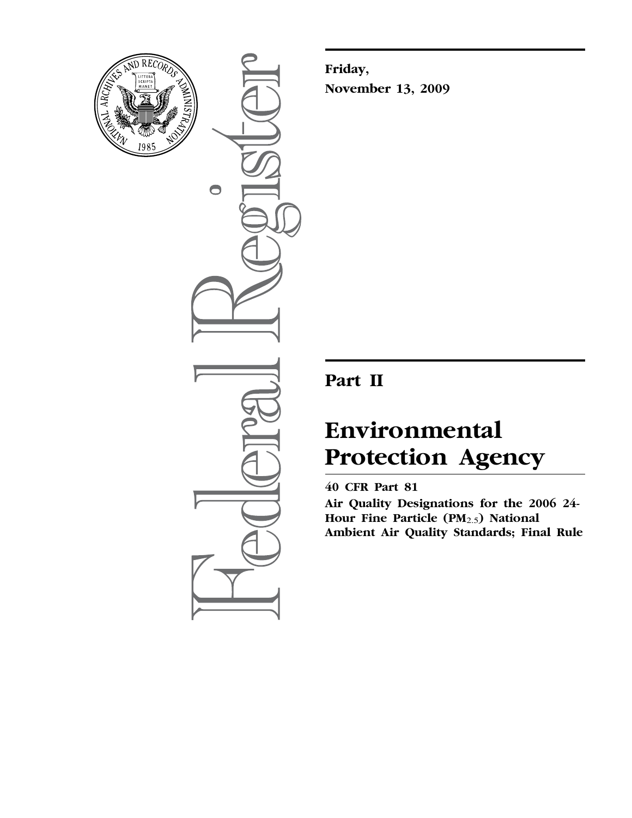

 $\bigcirc$ 

**Friday, November 13, 2009** 

# **Part II**

# **Environmental Protection Agency**

## **40 CFR Part 81**

**Air Quality Designations for the 2006 24- Hour Fine Particle (PM**2.5**) National Ambient Air Quality Standards; Final Rule**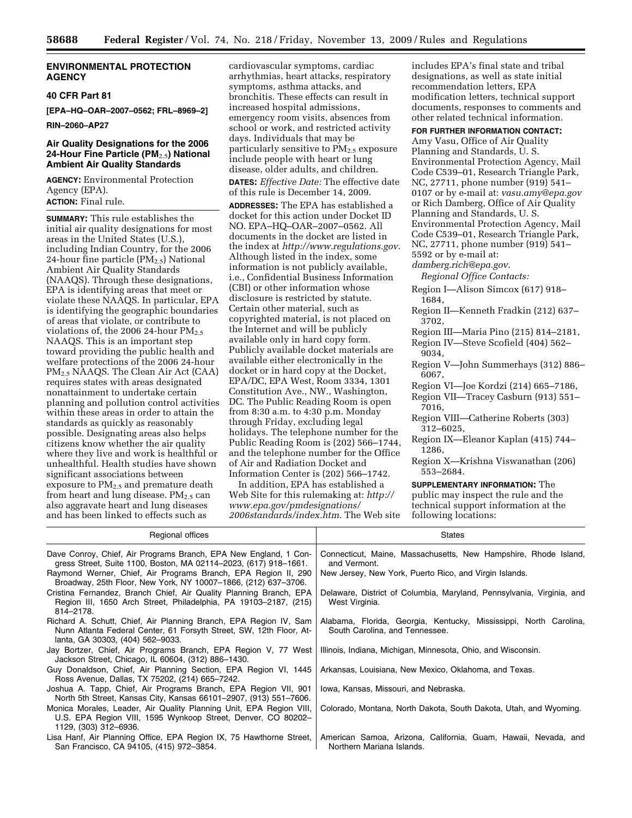#### **ENVIRONMENTAL PROTECTION AGENCY**

## **40 CFR Part 81**

**[EPA–HQ–OAR–2007–0562; FRL–8969–2]** 

**RIN–2060–AP27** 

## **Air Quality Designations for the 2006 24-Hour Fine Particle (PM**2.5**) National Ambient Air Quality Standards**

**AGENCY:** Environmental Protection Agency (EPA). **ACTION:** Final rule.

**SUMMARY:** This rule establishes the initial air quality designations for most areas in the United States (U.S.), including Indian Country, for the 2006 24-hour fine particle  $(PM_{2.5})$  National Ambient Air Quality Standards (NAAQS). Through these designations, EPA is identifying areas that meet or violate these NAAQS. In particular, EPA is identifying the geographic boundaries of areas that violate, or contribute to violations of, the 2006 24-hour  $PM_{2.5}$ NAAQS. This is an important step toward providing the public health and welfare protections of the 2006 24-hour PM2.5 NAAQS. The Clean Air Act (CAA) requires states with areas designated nonattainment to undertake certain planning and pollution control activities within these areas in order to attain the standards as quickly as reasonably possible. Designating areas also helps citizens know whether the air quality where they live and work is healthful or unhealthful. Health studies have shown significant associations between exposure to  $PM_{2.5}$  and premature death from heart and lung disease.  $PM_{2.5}$  can also aggravate heart and lung diseases and has been linked to effects such as

cardiovascular symptoms, cardiac arrhythmias, heart attacks, respiratory symptoms, asthma attacks, and bronchitis. These effects can result in increased hospital admissions, emergency room visits, absences from school or work, and restricted activity days. Individuals that may be particularly sensitive to  $PM_{2.5}$  exposure include people with heart or lung disease, older adults, and children.

**DATES:** *Effective Date:* The effective date of this rule is December 14, 2009. **ADDRESSES:** The EPA has established a docket for this action under Docket ID NO. EPA–HQ–OAR–2007–0562. All documents in the docket are listed in the index at *<http://www.regulations.gov>*. Although listed in the index, some information is not publicly available, i.e., Confidential Business Information (CBI) or other information whose disclosure is restricted by statute. Certain other material, such as copyrighted material, is not placed on the Internet and will be publicly available only in hard copy form. Publicly available docket materials are available either electronically in the docket or in hard copy at the Docket, EPA/DC, EPA West, Room 3334, 1301 Constitution Ave., NW., Washington, DC. The Public Reading Room is open from 8:30 a.m. to 4:30 p.m. Monday through Friday, excluding legal holidays. The telephone number for the Public Reading Room is (202) 566–1744, and the telephone number for the Office of Air and Radiation Docket and Information Center is (202) 566–1742.

In addition, EPA has established a [Web Site for this rulemaking at:](http://www.epa.gov/pmdesignations/2006standards/index.htm) *http:// www.epa.gov/pmdesignations/ 2006standards/index.htm*. The Web site includes EPA's final state and tribal designations, as well as state initial recommendation letters, EPA modification letters, technical support documents, responses to comments and other related technical information.

## **FOR FURTHER INFORMATION CONTACT:**

Amy Vasu, Office of Air Quality Planning and Standards, U. S. Environmental Protection Agency, Mail Code C539–01, Research Triangle Park, NC, 27711, phone number (919) 541– 0107 or by e-mail at: *[vasu.amy@epa.gov](mailto:vasu.amy@epa.gov)*  or Rich Damberg, Office of Air Quality Planning and Standards, U. S. Environmental Protection Agency, Mail Code C539–01, Research Triangle Park, NC, 27711, phone number (919) 541– 5592 or by e-mail at: *[damberg.rich@epa.gov](mailto:damberg.rich@epa.gov)*.

*Regional Office Contacts:* 

- Region I—Alison Simcox (617) 918– 1684,
- Region II—Kenneth Fradkin (212) 637– 3702,
- Region III—Maria Pino (215) 814–2181,
- Region IV—Steve Scofield (404) 562– 9034,
- Region V—John Summerhays (312) 886– 6067,
- Region VI—Joe Kordzi (214) 665–7186,
- Region VII—Tracey Casburn (913) 551– 7016,
- Region VIII—Catherine Roberts (303) 312–6025,
- Region IX—Eleanor Kaplan (415) 744– 1286,
- Region X—Krishna Viswanathan (206) 553–2684.

#### **SUPPLEMENTARY INFORMATION:** The public may inspect the rule and the technical support information at the following locations:

| Regional offices                                                                                                                                                             | <b>States</b>                                                                                       |
|------------------------------------------------------------------------------------------------------------------------------------------------------------------------------|-----------------------------------------------------------------------------------------------------|
| Dave Conroy, Chief, Air Programs Branch, EPA New England, 1 Con-<br>gress Street, Suite 1100, Boston, MA 02114–2023, (617) 918–1661.                                         | Connecticut, Maine, Massachusetts, New Hampshire, Rhode Island,<br>and Vermont.                     |
| Raymond Werner, Chief, Air Programs Branch, EPA Region II, 290<br>Broadway, 25th Floor, New York, NY 10007-1866, (212) 637-3706.                                             | New Jersey, New York, Puerto Rico, and Virgin Islands.                                              |
| Cristina Fernandez, Branch Chief, Air Quality Planning Branch, EPA<br>Region III, 1650 Arch Street, Philadelphia, PA 19103-2187, (215)<br>814-2178.                          | Delaware, District of Columbia, Maryland, Pennsylvania, Virginia, and<br>West Virginia.             |
| Richard A. Schutt, Chief, Air Planning Branch, EPA Region IV, Sam<br>Nunn Atlanta Federal Center, 61 Forsyth Street, SW, 12th Floor, At-<br>lanta, GA 30303, (404) 562-9033. | Alabama, Florida, Georgia, Kentucky, Mississippi, North Carolina,<br>South Carolina, and Tennessee. |
| Jay Bortzer, Chief, Air Programs Branch, EPA Region V, 77 West<br>Jackson Street, Chicago, IL 60604, (312) 886-1430.                                                         | Illinois, Indiana, Michigan, Minnesota, Ohio, and Wisconsin.                                        |
| Guy Donaldson, Chief, Air Planning Section, EPA Region VI, 1445<br>Ross Avenue, Dallas, TX 75202, (214) 665–7242.                                                            | Arkansas, Louisiana, New Mexico, Oklahoma, and Texas.                                               |
| Joshua A. Tapp, Chief, Air Programs Branch, EPA Region VII, 901<br>North 5th Street, Kansas City, Kansas 66101-2907, (913) 551-7606.                                         | Iowa, Kansas, Missouri, and Nebraska.                                                               |
| Monica Morales, Leader, Air Quality Planning Unit, EPA Region VIII,<br>U.S. EPA Region VIII, 1595 Wynkoop Street, Denver, CO 80202-<br>1129, (303) 312-6936.                 | Colorado, Montana, North Dakota, South Dakota, Utah, and Wyoming.                                   |
| Lisa Hanf, Air Planning Office, EPA Region IX, 75 Hawthorne Street,<br>San Francisco, CA 94105, (415) 972-3854.                                                              | American Samoa, Arizona, California, Guam, Hawaii, Nevada, and<br>Northern Mariana Islands.         |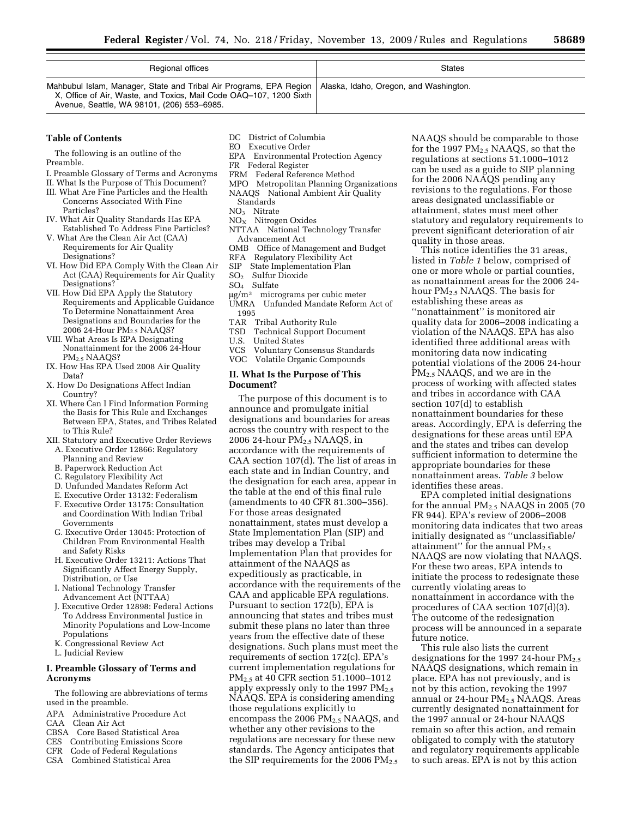| Regional offices                                                                                                                                                                                                                | <b>States</b> |
|---------------------------------------------------------------------------------------------------------------------------------------------------------------------------------------------------------------------------------|---------------|
| Mahbubul Islam, Manager, State and Tribal Air Programs, EPA Region   Alaska, Idaho, Oregon, and Washington.<br>X, Office of Air, Waste, and Toxics, Mail Code OAQ-107, 1200 Sixth<br>Avenue, Seattle, WA 98101, (206) 553-6985. |               |

#### **Table of Contents**

The following is an outline of the Preamble.

- I. Preamble Glossary of Terms and Acronyms
- II. What Is the Purpose of This Document?
- III. What Are Fine Particles and the Health Concerns Associated With Fine Particles?
- IV. What Air Quality Standards Has EPA Established To Address Fine Particles?
- V. What Are the Clean Air Act (CAA) Requirements for Air Quality Designations?
- VI. How Did EPA Comply With the Clean Air Act (CAA) Requirements for Air Quality Designations?
- VII. How Did EPA Apply the Statutory Requirements and Applicable Guidance To Determine Nonattainment Area Designations and Boundaries for the 2006 24-Hour PM<sub>2.5</sub> NAAQS?
- VIII. What Areas Is EPA Designating Nonattainment for the 2006 24-Hour PM2.5 NAAQS?
- IX. How Has EPA Used 2008 Air Quality Data?
- X. How Do Designations Affect Indian Country?
- XI. Where Can I Find Information Forming the Basis for This Rule and Exchanges Between EPA, States, and Tribes Related to This Rule?
- XII. Statutory and Executive Order Reviews
- A. Executive Order 12866: Regulatory Planning and Review
- B. Paperwork Reduction Act
- C. Regulatory Flexibility Act
- D. Unfunded Mandates Reform Act
- E. Executive Order 13132: Federalism
- F. Executive Order 13175: Consultation and Coordination With Indian Tribal Governments
- G. Executive Order 13045: Protection of Children From Environmental Health and Safety Risks
- H. Executive Order 13211: Actions That Significantly Affect Energy Supply, Distribution, or Use
- I. National Technology Transfer Advancement Act (NTTAA)
- J. Executive Order 12898: Federal Actions To Address Environmental Justice in Minority Populations and Low-Income Populations
- K. Congressional Review Act
- L. Judicial Review

#### **I. Preamble Glossary of Terms and Acronyms**

The following are abbreviations of terms used in the preamble.

- APA Administrative Procedure Act
- CAA Clean Air Act
- CBSA Core Based Statistical Area
- CES Contributing Emissions Score
- CFR Code of Federal Regulations
- CSA Combined Statistical Area
- DC District of Columbia<br>
EO Executive Order
- Executive Order EPA Environmental Protection Agency
- FR Federal Register
- FRM Federal Reference Method
- MPO Metropolitan Planning Organizations NAAQS National Ambient Air Quality
- Standards NO3 Nitrate
- NOX Nitrogen Oxides
- NTTAA National Technology Transfer Advancement Act
- OMB Office of Management and Budget
- RFA Regulatory Flexibility Act<br>SIP State Implementation Plan
- State Implementation Plan
- SO<sub>2</sub> Sulfur Dioxide
- SO4 Sulfate
- μg/m3 micrograms per cubic meter UMRA Unfunded Mandate Reform Act of
- 1995<br>TAR Tribal Authority Rule
- TSD Technical Support Document
- U.S. United States
- VCS Voluntary Consensus Standards
- VOC Volatile Organic Compounds

#### **II. What Is the Purpose of This Document?**

The purpose of this document is to announce and promulgate initial designations and boundaries for areas across the country with respect to the 2006 24-hour  $PM<sub>2.5</sub> NAAQS$ , in accordance with the requirements of CAA section 107(d). The list of areas in each state and in Indian Country, and the designation for each area, appear in the table at the end of this final rule (amendments to 40 CFR 81.300–356). For those areas designated nonattainment, states must develop a State Implementation Plan (SIP) and tribes may develop a Tribal Implementation Plan that provides for attainment of the NAAQS as expeditiously as practicable, in accordance with the requirements of the CAA and applicable EPA regulations. Pursuant to section 172(b), EPA is announcing that states and tribes must submit these plans no later than three years from the effective date of these designations. Such plans must meet the requirements of section 172(c). EPA's current implementation regulations for PM2.5 at 40 CFR section 51.1000–1012 apply expressly only to the 1997  $PM_{2.5}$ NAAQS. EPA is considering amending those regulations explicitly to encompass the 2006  $PM_{2.5}$  NAAQS, and whether any other revisions to the regulations are necessary for these new standards. The Agency anticipates that the SIP requirements for the 2006  $PM_{2.5}$ 

NAAQS should be comparable to those for the 1997  $PM_{2.5}$  NAAQS, so that the regulations at sections 51.1000–1012 can be used as a guide to SIP planning for the 2006 NAAQS pending any revisions to the regulations. For those areas designated unclassifiable or attainment, states must meet other statutory and regulatory requirements to prevent significant deterioration of air quality in those areas.

This notice identifies the 31 areas, listed in *Table 1* below, comprised of one or more whole or partial counties, as nonattainment areas for the 2006 24 hour PM2.5 NAAQS. The basis for establishing these areas as ''nonattainment'' is monitored air quality data for 2006–2008 indicating a violation of the NAAQS. EPA has also identified three additional areas with monitoring data now indicating potential violations of the 2006 24-hour PM2.5 NAAQS, and we are in the process of working with affected states and tribes in accordance with CAA section 107(d) to establish nonattainment boundaries for these areas. Accordingly, EPA is deferring the designations for these areas until EPA and the states and tribes can develop sufficient information to determine the appropriate boundaries for these nonattainment areas. *Table 3* below identifies these areas.

EPA completed initial designations for the annual PM2.5 NAAQS in 2005 (70 FR 944). EPA's review of 2006–2008 monitoring data indicates that two areas initially designated as ''unclassifiable/ attainment" for the annual  $PM_{2.5}$ NAAQS are now violating that NAAQS. For these two areas, EPA intends to initiate the process to redesignate these currently violating areas to nonattainment in accordance with the procedures of CAA section 107(d)(3). The outcome of the redesignation process will be announced in a separate future notice.

This rule also lists the current designations for the 1997 24-hour PM<sub>2.5</sub> NAAQS designations, which remain in place. EPA has not previously, and is not by this action, revoking the 1997 annual or 24-hour  $PM<sub>2.5</sub> NAAQS$ . Areas currently designated nonattainment for the 1997 annual or 24-hour NAAQS remain so after this action, and remain obligated to comply with the statutory and regulatory requirements applicable to such areas. EPA is not by this action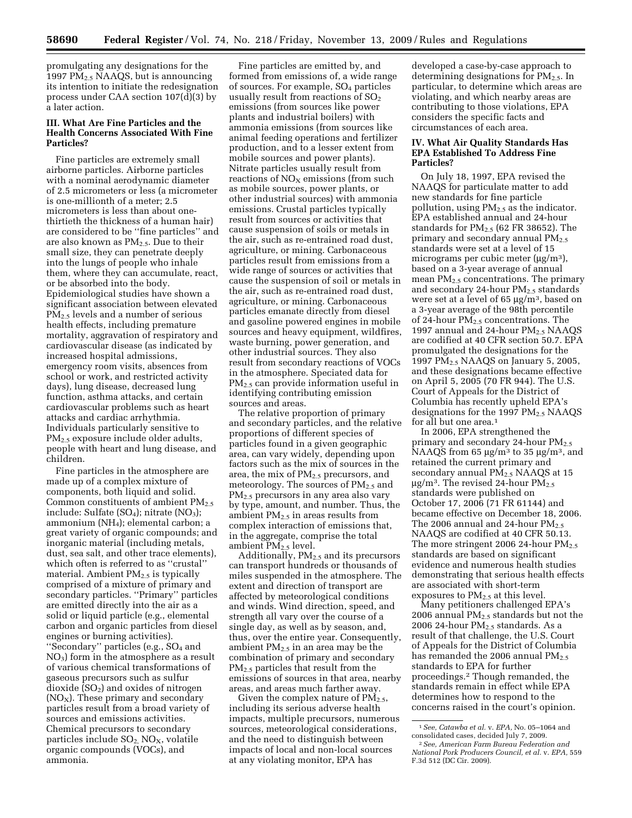promulgating any designations for the 1997  $PM_{2.5}$  NAAQS, but is announcing its intention to initiate the redesignation process under CAA section 107(d)(3) by a later action.

## **III. What Are Fine Particles and the Health Concerns Associated With Fine Particles?**

Fine particles are extremely small airborne particles. Airborne particles with a nominal aerodynamic diameter of 2.5 micrometers or less (a micrometer is one-millionth of a meter; 2.5 micrometers is less than about onethirtieth the thickness of a human hair) are considered to be ''fine particles'' and are also known as  $PM_{2.5}$ . Due to their small size, they can penetrate deeply into the lungs of people who inhale them, where they can accumulate, react, or be absorbed into the body. Epidemiological studies have shown a significant association between elevated PM<sub>2.5</sub> levels and a number of serious health effects, including premature mortality, aggravation of respiratory and cardiovascular disease (as indicated by increased hospital admissions, emergency room visits, absences from school or work, and restricted activity days), lung disease, decreased lung function, asthma attacks, and certain cardiovascular problems such as heart attacks and cardiac arrhythmia. Individuals particularly sensitive to PM<sub>2.5</sub> exposure include older adults, people with heart and lung disease, and children.

Fine particles in the atmosphere are made up of a complex mixture of components, both liquid and solid. Common constituents of ambient  $PM_{2.5}$ include: Sulfate  $(SO<sub>4</sub>)$ ; nitrate  $(NO<sub>3</sub>)$ ; ammonium (NH4); elemental carbon; a great variety of organic compounds; and inorganic material (including metals, dust, sea salt, and other trace elements), which often is referred to as ''crustal'' material. Ambient PM<sub>2.5</sub> is typically comprised of a mixture of primary and secondary particles. ''Primary'' particles are emitted directly into the air as a solid or liquid particle (e.g., elemental carbon and organic particles from diesel engines or burning activities). "Secondary" particles (e.g., SO<sub>4</sub> and  $NO<sub>3</sub>$ ) form in the atmosphere as a result of various chemical transformations of gaseous precursors such as sulfur dioxide  $(SO<sub>2</sub>)$  and oxides of nitrogen  $(NO<sub>X</sub>)$ . These primary and secondary particles result from a broad variety of sources and emissions activities. Chemical precursors to secondary particles include  $SO_2$ , NO<sub>X</sub>, volatile organic compounds (VOCs), and ammonia.

Fine particles are emitted by, and formed from emissions of, a wide range of sources. For example, SO4 particles usually result from reactions of  $SO<sub>2</sub>$ emissions (from sources like power plants and industrial boilers) with ammonia emissions (from sources like animal feeding operations and fertilizer production, and to a lesser extent from mobile sources and power plants). Nitrate particles usually result from reactions of  $NO<sub>x</sub>$  emissions (from such as mobile sources, power plants, or other industrial sources) with ammonia emissions. Crustal particles typically result from sources or activities that cause suspension of soils or metals in the air, such as re-entrained road dust, agriculture, or mining. Carbonaceous particles result from emissions from a wide range of sources or activities that cause the suspension of soil or metals in the air, such as re-entrained road dust, agriculture, or mining. Carbonaceous particles emanate directly from diesel and gasoline powered engines in mobile sources and heavy equipment, wildfires, waste burning, power generation, and other industrial sources. They also result from secondary reactions of VOCs in the atmosphere. Speciated data for PM2.5 can provide information useful in identifying contributing emission sources and areas.

The relative proportion of primary and secondary particles, and the relative proportions of different species of particles found in a given geographic area, can vary widely, depending upon factors such as the mix of sources in the area, the mix of PM<sub>2.5</sub> precursors, and meteorology. The sources of  $PM_{2.5}$  and PM2.5 precursors in any area also vary by type, amount, and number. Thus, the ambient  $PM_{2.5}$  in areas results from complex interaction of emissions that, in the aggregate, comprise the total ambient  $\overline{PM}_{2.5}$  level.

Additionally,  $PM<sub>2.5</sub>$  and its precursors can transport hundreds or thousands of miles suspended in the atmosphere. The extent and direction of transport are affected by meteorological conditions and winds. Wind direction, speed, and strength all vary over the course of a single day, as well as by season, and, thus, over the entire year. Consequently, ambient  $PM_{2.5}$  in an area may be the combination of primary and secondary  $PM<sub>2</sub>$ , particles that result from the emissions of sources in that area, nearby areas, and areas much farther away.

Given the complex nature of  $PM_{2.5}$ , including its serious adverse health impacts, multiple precursors, numerous sources, meteorological considerations, and the need to distinguish between impacts of local and non-local sources at any violating monitor, EPA has

developed a case-by-case approach to determining designations for  $PM<sub>2.5</sub>$ . In particular, to determine which areas are violating, and which nearby areas are contributing to those violations, EPA considers the specific facts and circumstances of each area.

#### **IV. What Air Quality Standards Has EPA Established To Address Fine Particles?**

On July 18, 1997, EPA revised the NAAQS for particulate matter to add new standards for fine particle pollution, using  $PM<sub>2.5</sub>$  as the indicator. EPA established annual and 24-hour standards for PM2.5 (62 FR 38652). The primary and secondary annual PM<sub>2.5</sub> standards were set at a level of 15 micrograms per cubic meter  $(\mu g/m^3)$ , based on a 3-year average of annual mean PM2.5 concentrations. The primary and secondary 24-hour PM<sub>2.5</sub> standards were set at a level of 65 μg/m3, based on a 3-year average of the 98th percentile of 24-hour  $PM_{2.5}$  concentrations. The 1997 annual and 24-hour PM<sub>2.5</sub> NAAQS are codified at 40 CFR section 50.7. EPA promulgated the designations for the 1997 PM2.5 NAAQS on January 5, 2005, and these designations became effective on April 5, 2005 (70 FR 944). The U.S. Court of Appeals for the District of Columbia has recently upheld EPA's designations for the 1997  $PM_{2.5}$  NAAQS for all but one area.<sup>1</sup>

In 2006, EPA strengthened the primary and secondary 24-hour  $PM_{2.5}$ NAAQS from 65  $\mu$ g/m<sup>3</sup> to 35  $\mu$ g/m<sup>3</sup>, and retained the current primary and secondary annual  $\overline{PM}_{2.5}$  NAAQS at 15  $\mu$ g/m<sup>3</sup>. The revised 24-hour PM<sub>2.5</sub> standards were published on October 17, 2006 (71 FR 61144) and became effective on December 18, 2006. The 2006 annual and 24-hour  $PM_{2.5}$ NAAQS are codified at 40 CFR 50.13. The more stringent 2006 24-hour  $PM_{2.5}$ standards are based on significant evidence and numerous health studies demonstrating that serious health effects are associated with short-term exposures to  $PM_{2.5}$  at this level.

Many petitioners challenged EPA's 2006 annual P $M_{2.5}$  standards but not the 2006 24-hour  $PM<sub>2.5</sub>$  standards. As a result of that challenge, the U.S. Court of Appeals for the District of Columbia has remanded the 2006 annual  $PM_{2.5}$ standards to EPA for further proceedings.2 Though remanded, the standards remain in effect while EPA determines how to respond to the concerns raised in the court's opinion.

<sup>1</sup>*See, Catawba et al.* v. *EPA,* No. 05–1064 and

<sup>&</sup>lt;sup>2</sup> See, American Farm Bureau Federation and *National Pork Producers Council, et al.* v. *EPA,* 559 F.3d 512 (DC Cir. 2009).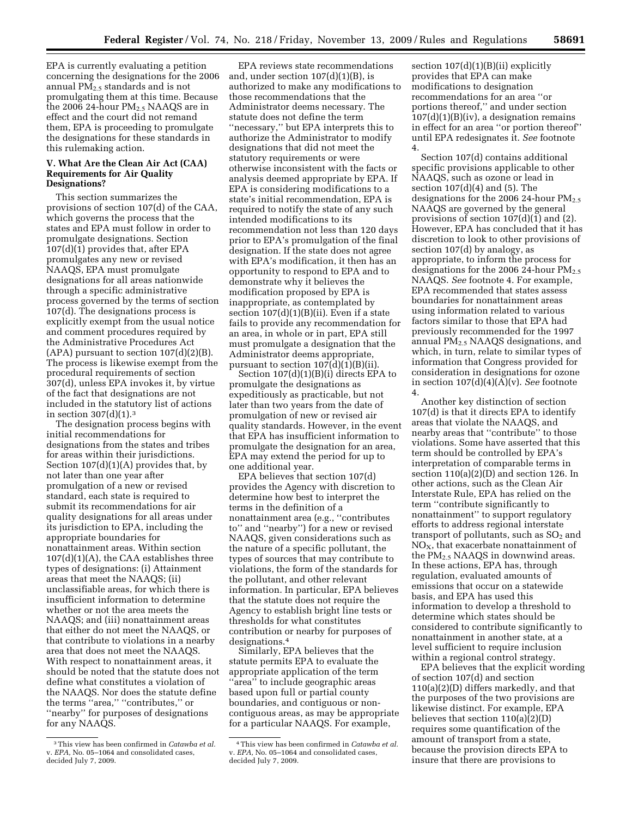EPA is currently evaluating a petition concerning the designations for the 2006 annual  $PM<sub>2.5</sub>$  standards and is not promulgating them at this time. Because the 2006 24-hour  $PM<sub>2.5</sub> NAAQS$  are in effect and the court did not remand them, EPA is proceeding to promulgate the designations for these standards in this rulemaking action.

#### **V. What Are the Clean Air Act (CAA) Requirements for Air Quality Designations?**

This section summarizes the provisions of section 107(d) of the CAA, which governs the process that the states and EPA must follow in order to promulgate designations. Section 107(d)(1) provides that, after EPA promulgates any new or revised NAAQS, EPA must promulgate designations for all areas nationwide through a specific administrative process governed by the terms of section 107(d). The designations process is explicitly exempt from the usual notice and comment procedures required by the Administrative Procedures Act (APA) pursuant to section  $107(d)(2)(B)$ . The process is likewise exempt from the procedural requirements of section 307(d), unless EPA invokes it, by virtue of the fact that designations are not included in the statutory list of actions in section  $307(d)(1).<sup>3</sup>$ 

The designation process begins with initial recommendations for designations from the states and tribes for areas within their jurisdictions. Section  $107(d)(1)(A)$  provides that, by not later than one year after promulgation of a new or revised standard, each state is required to submit its recommendations for air quality designations for all areas under its jurisdiction to EPA, including the appropriate boundaries for nonattainment areas. Within section 107(d)(1)(A), the CAA establishes three types of designations: (i) Attainment areas that meet the NAAQS; (ii) unclassifiable areas, for which there is insufficient information to determine whether or not the area meets the NAAQS; and (iii) nonattainment areas that either do not meet the NAAQS, or that contribute to violations in a nearby area that does not meet the NAAQS. With respect to nonattainment areas, it should be noted that the statute does not define what constitutes a violation of the NAAQS. Nor does the statute define the terms ''area,'' ''contributes,'' or "nearby" for purposes of designations for any NAAQS.

EPA reviews state recommendations and, under section  $107(d)(1)(B)$ , is authorized to make any modifications to those recommendations that the Administrator deems necessary. The statute does not define the term ''necessary,'' but EPA interprets this to authorize the Administrator to modify designations that did not meet the statutory requirements or were otherwise inconsistent with the facts or analysis deemed appropriate by EPA. If EPA is considering modifications to a state's initial recommendation, EPA is required to notify the state of any such intended modifications to its recommendation not less than 120 days prior to EPA's promulgation of the final designation. If the state does not agree with EPA's modification, it then has an opportunity to respond to EPA and to demonstrate why it believes the modification proposed by EPA is inappropriate, as contemplated by section  $107(d)(1)(B)(ii)$ . Even if a state fails to provide any recommendation for an area, in whole or in part, EPA still must promulgate a designation that the Administrator deems appropriate, pursuant to section  $107(d)(1)(B)(ii)$ .

Section 107(d)(1)(B)(i) directs EPA to promulgate the designations as expeditiously as practicable, but not later than two years from the date of promulgation of new or revised air quality standards. However, in the event that EPA has insufficient information to promulgate the designation for an area, EPA may extend the period for up to one additional year.

EPA believes that section 107(d) provides the Agency with discretion to determine how best to interpret the terms in the definition of a nonattainment area (e.g., ''contributes to'' and ''nearby'') for a new or revised NAAQS, given considerations such as the nature of a specific pollutant, the types of sources that may contribute to violations, the form of the standards for the pollutant, and other relevant information. In particular, EPA believes that the statute does not require the Agency to establish bright line tests or thresholds for what constitutes contribution or nearby for purposes of designations.4

Similarly, EPA believes that the statute permits EPA to evaluate the appropriate application of the term 'area" to include geographic areas based upon full or partial county boundaries, and contiguous or noncontiguous areas, as may be appropriate for a particular NAAQS. For example,

section  $107(d)(1)(B)(ii)$  explicitly provides that EPA can make modifications to designation recommendations for an area ''or portions thereof,'' and under section  $107(d)(1)(B)(iv)$ , a designation remains in effect for an area ''or portion thereof'' until EPA redesignates it. *See* footnote 4.

Section 107(d) contains additional specific provisions applicable to other NAAQS, such as ozone or lead in section  $107(d)(4)$  and  $(5)$ . The designations for the 2006 24-hour  $PM_{2.5}$ NAAQS are governed by the general provisions of section 107(d)(1) and (2). However, EPA has concluded that it has discretion to look to other provisions of section 107(d) by analogy, as appropriate, to inform the process for designations for the 2006 24-hour  $PM<sub>2.5</sub>$ NAAQS. *See* footnote 4. For example, EPA recommended that states assess boundaries for nonattainment areas using information related to various factors similar to those that EPA had previously recommended for the 1997 annual PM2.5 NAAQS designations, and which, in turn, relate to similar types of information that Congress provided for consideration in designations for ozone in section 107(d)(4)(A)(v). *See* footnote 4.

Another key distinction of section 107(d) is that it directs EPA to identify areas that violate the NAAQS, and nearby areas that ''contribute'' to those violations. Some have asserted that this term should be controlled by EPA's interpretation of comparable terms in section 110(a)(2)(D) and section 126. In other actions, such as the Clean Air Interstate Rule, EPA has relied on the term ''contribute significantly to nonattainment'' to support regulatory efforts to address regional interstate transport of pollutants, such as  $SO<sub>2</sub>$  and  $NO<sub>x</sub>$ , that exacerbate nonattainment of the PM2.5 NAAQS in downwind areas. In these actions, EPA has, through regulation, evaluated amounts of emissions that occur on a statewide basis, and EPA has used this information to develop a threshold to determine which states should be considered to contribute significantly to nonattainment in another state, at a level sufficient to require inclusion within a regional control strategy.

EPA believes that the explicit wording of section 107(d) and section 110(a)(2)(D) differs markedly, and that the purposes of the two provisions are likewise distinct. For example, EPA believes that section 110(a)(2)(D) requires some quantification of the amount of transport from a state, because the provision directs EPA to insure that there are provisions to

<sup>3</sup>This view has been confirmed in *Catawba et al.*  v. *EPA,* No. 05–1064 and consolidated cases, decided July 7, 2009.

<sup>4</sup>This view has been confirmed in *Catawba et al.*  v. *EPA,* No. 05–1064 and consolidated cases, decided July 7, 2009.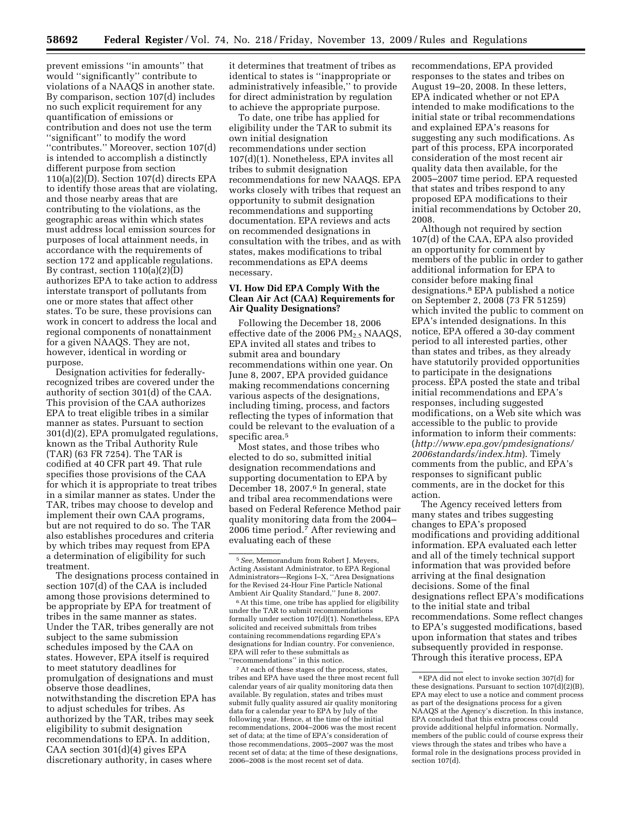prevent emissions ''in amounts'' that would ''significantly'' contribute to violations of a NAAQS in another state. By comparison, section 107(d) includes no such explicit requirement for any quantification of emissions or contribution and does not use the term ''significant'' to modify the word ''contributes.'' Moreover, section 107(d) is intended to accomplish a distinctly different purpose from section 110(a)(2)(D). Section 107(d) directs EPA to identify those areas that are violating, and those nearby areas that are contributing to the violations, as the geographic areas within which states must address local emission sources for purposes of local attainment needs, in accordance with the requirements of section 172 and applicable regulations. By contrast, section 110(a)(2)(D) authorizes EPA to take action to address interstate transport of pollutants from one or more states that affect other states. To be sure, these provisions can work in concert to address the local and regional components of nonattainment for a given NAAQS. They are not, however, identical in wording or purpose.

Designation activities for federallyrecognized tribes are covered under the authority of section 301(d) of the CAA. This provision of the CAA authorizes EPA to treat eligible tribes in a similar manner as states. Pursuant to section 301(d)(2), EPA promulgated regulations, known as the Tribal Authority Rule (TAR) (63 FR 7254). The TAR is codified at 40 CFR part 49. That rule specifies those provisions of the CAA for which it is appropriate to treat tribes in a similar manner as states. Under the TAR, tribes may choose to develop and implement their own CAA programs, but are not required to do so. The TAR also establishes procedures and criteria by which tribes may request from EPA a determination of eligibility for such treatment.

The designations process contained in section 107(d) of the CAA is included among those provisions determined to be appropriate by EPA for treatment of tribes in the same manner as states. Under the TAR, tribes generally are not subject to the same submission schedules imposed by the CAA on states. However, EPA itself is required to meet statutory deadlines for promulgation of designations and must observe those deadlines, notwithstanding the discretion EPA has to adjust schedules for tribes. As authorized by the TAR, tribes may seek eligibility to submit designation recommendations to EPA. In addition, CAA section 301(d)(4) gives EPA discretionary authority, in cases where

it determines that treatment of tribes as identical to states is ''inappropriate or administratively infeasible,'' to provide for direct administration by regulation to achieve the appropriate purpose.

To date, one tribe has applied for eligibility under the TAR to submit its own initial designation recommendations under section 107(d)(1). Nonetheless, EPA invites all tribes to submit designation recommendations for new NAAQS. EPA works closely with tribes that request an opportunity to submit designation recommendations and supporting documentation. EPA reviews and acts on recommended designations in consultation with the tribes, and as with states, makes modifications to tribal recommendations as EPA deems necessary.

#### **VI. How Did EPA Comply With the Clean Air Act (CAA) Requirements for Air Quality Designations?**

Following the December 18, 2006 effective date of the 2006  $PM_{2.5}$  NAAQS, EPA invited all states and tribes to submit area and boundary recommendations within one year. On June 8, 2007, EPA provided guidance making recommendations concerning various aspects of the designations, including timing, process, and factors reflecting the types of information that could be relevant to the evaluation of a specific area.5

Most states, and those tribes who elected to do so, submitted initial designation recommendations and supporting documentation to EPA by December 18, 2007.6 In general, state and tribal area recommendations were based on Federal Reference Method pair quality monitoring data from the 2004– 2006 time period.7 After reviewing and evaluating each of these

6At this time, one tribe has applied for eligibility under the TAR to submit recommendations formally under section 107(d)(1). Nonetheless, EPA solicited and received submittals from tribes containing recommendations regarding EPA's designations for Indian country. For convenience, EPA will refer to these submittals as ''recommendations'' in this notice.

7At each of these stages of the process, states, tribes and EPA have used the three most recent full calendar years of air quality monitoring data then available. By regulation, states and tribes must submit fully quality assured air quality monitoring data for a calendar year to EPA by July of the following year. Hence, at the time of the initial recommendations, 2004–2006 was the most recent set of data; at the time of EPA's consideration of those recommendations, 2005–2007 was the most recent set of data; at the time of these designations, 2006–2008 is the most recent set of data.

recommendations, EPA provided responses to the states and tribes on August 19–20, 2008. In these letters, EPA indicated whether or not EPA intended to make modifications to the initial state or tribal recommendations and explained EPA's reasons for suggesting any such modifications. As part of this process, EPA incorporated consideration of the most recent air quality data then available, for the 2005–2007 time period. EPA requested that states and tribes respond to any proposed EPA modifications to their initial recommendations by October 20, 2008.

Although not required by section 107(d) of the CAA, EPA also provided an opportunity for comment by members of the public in order to gather additional information for EPA to consider before making final designations.8 EPA published a notice on September 2, 2008 (73 FR 51259) which invited the public to comment on EPA's intended designations. In this notice, EPA offered a 30-day comment period to all interested parties, other than states and tribes, as they already have statutorily provided opportunities to participate in the designations process. EPA posted the state and tribal initial recommendations and EPA's responses, including suggested modifications, on a Web site which was accessible to the public to provide information to inform their comments: (*[http://www.epa.gov/pmdesignations/](http://www.epa.gov/pmdesignations/2006standards/index.htm)  2006standards/index.htm*). Timely comments from the public, and EPA's responses to significant public comments, are in the docket for this action.

The Agency received letters from many states and tribes suggesting changes to EPA's proposed modifications and providing additional information. EPA evaluated each letter and all of the timely technical support information that was provided before arriving at the final designation decisions. Some of the final designations reflect EPA's modifications to the initial state and tribal recommendations. Some reflect changes to EPA's suggested modifications, based upon information that states and tribes subsequently provided in response. Through this iterative process, EPA

<sup>5</sup>*See,* Memorandum from Robert J. Meyers, Acting Assistant Administrator, to EPA Regional Administrators—Regions I–X, ''Area Designations for the Revised 24-Hour Fine Particle National Ambient Air Quality Standard,'' June 8, 2007.

<sup>8</sup>EPA did not elect to invoke section 307(d) for these designations. Pursuant to section  $107(d)(2)(B)$ , EPA may elect to use a notice and comment process as part of the designations process for a given NAAQS at the Agency's discretion. In this instance, EPA concluded that this extra process could provide additional helpful information. Normally, members of the public could of course express their views through the states and tribes who have a formal role in the designations process provided in section 107(d).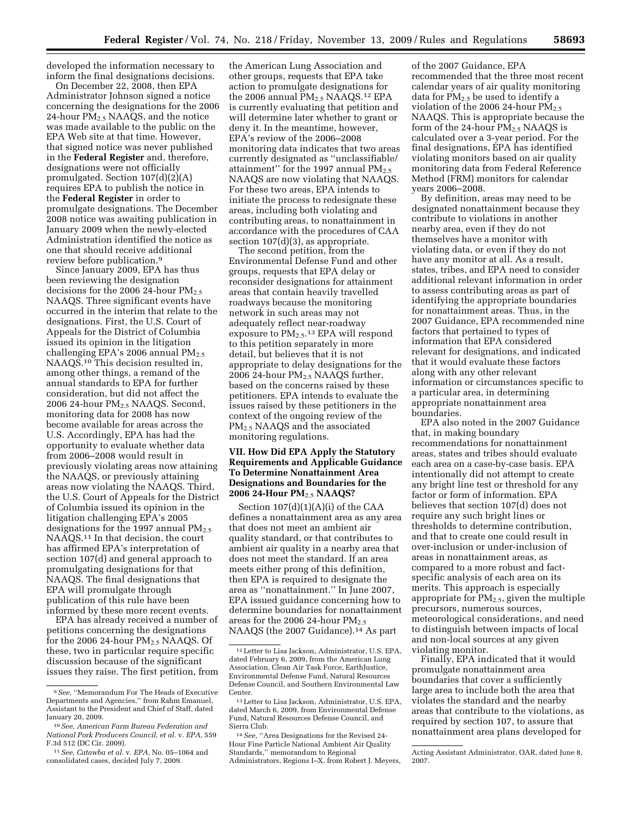developed the information necessary to inform the final designations decisions.

On December 22, 2008, then EPA Administrator Johnson signed a notice concerning the designations for the 2006 24-hour  $PM_{2.5}$  NAAQS, and the notice was made available to the public on the EPA Web site at that time. However, that signed notice was never published in the **Federal Register** and, therefore, designations were not officially promulgated. Section 107(d)(2)(A) requires EPA to publish the notice in the **Federal Register** in order to promulgate designations. The December 2008 notice was awaiting publication in January 2009 when the newly-elected Administration identified the notice as one that should receive additional review before publication.9

Since January 2009, EPA has thus been reviewing the designation decisions for the 2006 24-hour  $PM_{2.5}$ NAAQS. Three significant events have occurred in the interim that relate to the designations. First, the U.S. Court of Appeals for the District of Columbia issued its opinion in the litigation challenging EPA's 2006 annual  $PM_{2.5}$ NAAQS.10 This decision resulted in, among other things, a remand of the annual standards to EPA for further consideration, but did not affect the 2006 24-hour PM2.5 NAAQS. Second, monitoring data for 2008 has now become available for areas across the U.S. Accordingly, EPA has had the opportunity to evaluate whether data from 2006–2008 would result in previously violating areas now attaining the NAAQS, or previously attaining areas now violating the NAAQS. Third, the U.S. Court of Appeals for the District of Columbia issued its opinion in the litigation challenging EPA's 2005 designations for the 1997 annual  $PM_{2.5}$ NAAQS.11 In that decision, the court has affirmed EPA's interpretation of section 107(d) and general approach to promulgating designations for that NAAQS. The final designations that EPA will promulgate through publication of this rule have been informed by these more recent events.

EPA has already received a number of petitions concerning the designations for the 2006 24-hour PM<sub>2.5</sub> NAAQS. Of these, two in particular require specific discussion because of the significant issues they raise. The first petition, from

the American Lung Association and other groups, requests that EPA take action to promulgate designations for the 2006 annual  $PM<sub>2.5</sub> NAAQS<sup>12</sup> EPA$ is currently evaluating that petition and will determine later whether to grant or deny it. In the meantime, however, EPA's review of the 2006–2008 monitoring data indicates that two areas currently designated as ''unclassifiable/ attainment" for the 1997 annual  $PM_{2.5}$ NAAQS are now violating that NAAQS. For these two areas, EPA intends to initiate the process to redesignate these areas, including both violating and contributing areas, to nonattainment in accordance with the procedures of CAA section  $107(d)(3)$ , as appropriate.

The second petition, from the Environmental Defense Fund and other groups, requests that EPA delay or reconsider designations for attainment areas that contain heavily travelled roadways because the monitoring network in such areas may not adequately reflect near-roadway exposure to PM2.5.13 EPA will respond to this petition separately in more detail, but believes that it is not appropriate to delay designations for the 2006 24-hour  $PM_{2.5}$  NAAQS further, based on the concerns raised by these petitioners. EPA intends to evaluate the issues raised by these petitioners in the context of the ongoing review of the PM2.5 NAAQS and the associated monitoring regulations.

## **VII. How Did EPA Apply the Statutory Requirements and Applicable Guidance To Determine Nonattainment Area Designations and Boundaries for the 2006 24-Hour PM**2.5 **NAAQS?**

Section 107(d)(1)(A)(i) of the CAA defines a nonattainment area as any area that does not meet an ambient air quality standard, or that contributes to ambient air quality in a nearby area that does not meet the standard. If an area meets either prong of this definition, then EPA is required to designate the area as ''nonattainment.'' In June 2007, EPA issued guidance concerning how to determine boundaries for nonattainment areas for the 2006 24-hour  $PM_{2.5}$ NAAQS (the 2007 Guidance).<sup>14</sup> As part

of the 2007 Guidance, EPA recommended that the three most recent calendar years of air quality monitoring data for  $PM_{2.5}$  be used to identify a violation of the 2006 24-hour  $PM_{2.5}$ NAAQS. This is appropriate because the form of the 24-hour  $PM_{2.5}$  NAAQS is calculated over a 3-year period. For the final designations, EPA has identified violating monitors based on air quality monitoring data from Federal Reference Method (FRM) monitors for calendar years 2006–2008.

By definition, areas may need to be designated nonattainment because they contribute to violations in another nearby area, even if they do not themselves have a monitor with violating data, or even if they do not have any monitor at all. As a result, states, tribes, and EPA need to consider additional relevant information in order to assess contributing areas as part of identifying the appropriate boundaries for nonattainment areas. Thus, in the 2007 Guidance, EPA recommended nine factors that pertained to types of information that EPA considered relevant for designations, and indicated that it would evaluate these factors along with any other relevant information or circumstances specific to a particular area, in determining appropriate nonattainment area boundaries.

EPA also noted in the 2007 Guidance that, in making boundary recommendations for nonattainment areas, states and tribes should evaluate each area on a case-by-case basis. EPA intentionally did not attempt to create any bright line test or threshold for any factor or form of information. EPA believes that section 107(d) does not require any such bright lines or thresholds to determine contribution, and that to create one could result in over-inclusion or under-inclusion of areas in nonattainment areas, as compared to a more robust and factspecific analysis of each area on its merits. This approach is especially appropriate for  $PM_{2.5}$ , given the multiple precursors, numerous sources, meteorological considerations, and need to distinguish between impacts of local and non-local sources at any given violating monitor.

Finally, EPA indicated that it would promulgate nonattainment area boundaries that cover a sufficiently large area to include both the area that violates the standard and the nearby areas that contribute to the violations, as required by section 107, to assure that nonattainment area plans developed for

<sup>9</sup>*See,* ''Memorandum For The Heads of Executive Departments and Agencies,'' from Rahm Emanuel, Assistant to the President and Chief of Staff, dated January 20, 2009.

<sup>10</sup>*See, American Farm Bureau Federation and National Pork Producers Council, et al.* v. *EPA,* 559 F.3d 512 (DC Cir. 2009).

<sup>11</sup>*See, Catawba et al.* v. *EPA,* No. 05–1064 and consolidated cases, decided July 7, 2009.

<sup>12</sup>Letter to Lisa Jackson, Administrator, U.S. EPA, dated February 6, 2009, from the American Lung Association, Clean Air Task Force, EarthJustice, Environmental Defense Fund, Natural Resources Defense Council, and Southern Environmental Law Center.

<sup>13</sup>Letter to Lisa Jackson, Administrator, U.S. EPA, dated March 6, 2009, from Environmental Defense Fund, Natural Resources Defense Council, and Sierra Club.

<sup>14</sup>*See,* ''Area Designations for the Revised 24- Hour Fine Particle National Ambient Air Quality Standards,'' memorandum to Regional Administrators, Regions I–X, from Robert J. Meyers,

Acting Assistant Administrator, OAR, dated June 8, 2007.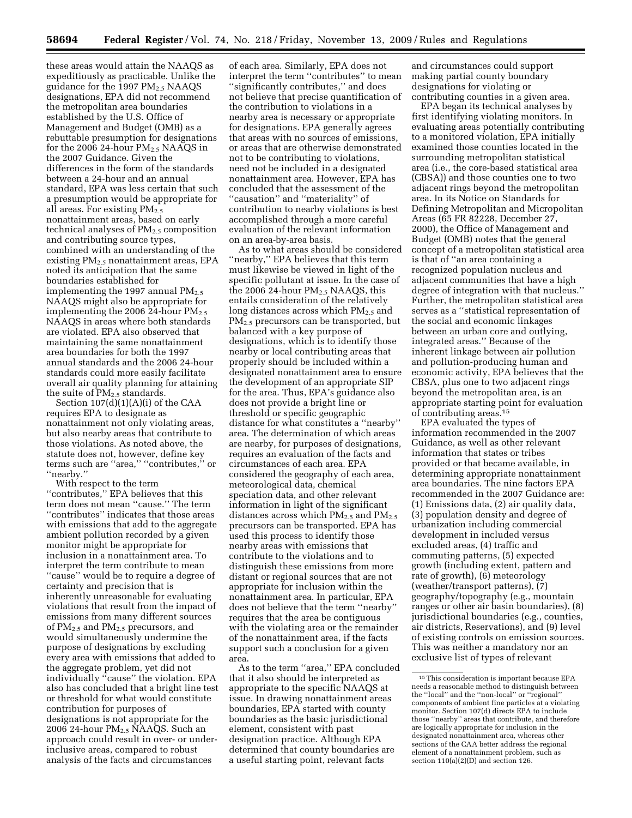these areas would attain the NAAQS as expeditiously as practicable. Unlike the guidance for the 1997  $PM_{2.5}$  NAAQS designations, EPA did not recommend the metropolitan area boundaries established by the U.S. Office of Management and Budget (OMB) as a rebuttable presumption for designations for the 2006 24-hour  $PM<sub>2.5</sub> NAAQS$  in the 2007 Guidance. Given the differences in the form of the standards between a 24-hour and an annual standard, EPA was less certain that such a presumption would be appropriate for all areas. For existing  $PM_{2.5}$ nonattainment areas, based on early technical analyses of  $PM_{2.5}$  composition and contributing source types, combined with an understanding of the existing  $PM_{2.5}$  nonattainment areas, EPA noted its anticipation that the same boundaries established for implementing the 1997 annual  $PM_{2.5}$ NAAQS might also be appropriate for implementing the 2006 24-hour  $PM_{2.5}$ NAAQS in areas where both standards are violated. EPA also observed that maintaining the same nonattainment area boundaries for both the 1997 annual standards and the 2006 24-hour standards could more easily facilitate overall air quality planning for attaining the suite of  $PM_{2.5}$  standards.

Section  $107(d)(1)(A)(i)$  of the CAA requires EPA to designate as nonattainment not only violating areas, but also nearby areas that contribute to those violations. As noted above, the statute does not, however, define key terms such are ''area,'' ''contributes,'' or ''nearby.''

With respect to the term ''contributes,'' EPA believes that this term does not mean ''cause.'' The term ''contributes'' indicates that those areas with emissions that add to the aggregate ambient pollution recorded by a given monitor might be appropriate for inclusion in a nonattainment area. To interpret the term contribute to mean ''cause'' would be to require a degree of certainty and precision that is inherently unreasonable for evaluating violations that result from the impact of emissions from many different sources of  $PM_{2.5}$  and  $PM_{2.5}$  precursors, and would simultaneously undermine the purpose of designations by excluding every area with emissions that added to the aggregate problem, yet did not individually ''cause'' the violation. EPA also has concluded that a bright line test or threshold for what would constitute contribution for purposes of designations is not appropriate for the 2006 24-hour  $PM<sub>2.5</sub> NAAQS$ . Such an approach could result in over- or underinclusive areas, compared to robust analysis of the facts and circumstances

of each area. Similarly, EPA does not interpret the term ''contributes'' to mean ''significantly contributes,'' and does not believe that precise quantification of the contribution to violations in a nearby area is necessary or appropriate for designations. EPA generally agrees that areas with no sources of emissions, or areas that are otherwise demonstrated not to be contributing to violations, need not be included in a designated nonattainment area. However, EPA has concluded that the assessment of the ''causation'' and ''materiality'' of contribution to nearby violations is best accomplished through a more careful evaluation of the relevant information on an area-by-area basis.

As to what areas should be considered ''nearby,'' EPA believes that this term must likewise be viewed in light of the specific pollutant at issue. In the case of the 2006 24-hour  $PM<sub>2.5</sub> NAAQS$ , this entails consideration of the relatively long distances across which  $PM_{2.5}$  and PM2.5 precursors can be transported, but balanced with a key purpose of designations, which is to identify those nearby or local contributing areas that properly should be included within a designated nonattainment area to ensure the development of an appropriate SIP for the area. Thus, EPA's guidance also does not provide a bright line or threshold or specific geographic distance for what constitutes a ''nearby'' area. The determination of which areas are nearby, for purposes of designations, requires an evaluation of the facts and circumstances of each area. EPA considered the geography of each area, meteorological data, chemical speciation data, and other relevant information in light of the significant distances across which  $PM_{2.5}$  and  $PM_{2.5}$ precursors can be transported. EPA has used this process to identify those nearby areas with emissions that contribute to the violations and to distinguish these emissions from more distant or regional sources that are not appropriate for inclusion within the nonattainment area. In particular, EPA does not believe that the term ''nearby'' requires that the area be contiguous with the violating area or the remainder of the nonattainment area, if the facts support such a conclusion for a given area.

As to the term ''area,'' EPA concluded that it also should be interpreted as appropriate to the specific NAAQS at issue. In drawing nonattainment areas boundaries, EPA started with county boundaries as the basic jurisdictional element, consistent with past designation practice. Although EPA determined that county boundaries are a useful starting point, relevant facts

and circumstances could support making partial county boundary designations for violating or contributing counties in a given area.

EPA began its technical analyses by first identifying violating monitors. In evaluating areas potentially contributing to a monitored violation, EPA initially examined those counties located in the surrounding metropolitan statistical area (i.e., the core-based statistical area (CBSA)) and those counties one to two adjacent rings beyond the metropolitan area. In its Notice on Standards for Defining Metropolitan and Micropolitan Areas (65 FR 82228, December 27, 2000), the Office of Management and Budget (OMB) notes that the general concept of a metropolitan statistical area is that of ''an area containing a recognized population nucleus and adjacent communities that have a high degree of integration with that nucleus.'' Further, the metropolitan statistical area serves as a ''statistical representation of the social and economic linkages between an urban core and outlying, integrated areas.'' Because of the inherent linkage between air pollution and pollution-producing human and economic activity, EPA believes that the CBSA, plus one to two adjacent rings beyond the metropolitan area, is an appropriate starting point for evaluation of contributing areas.15

EPA evaluated the types of information recommended in the 2007 Guidance, as well as other relevant information that states or tribes provided or that became available, in determining appropriate nonattainment area boundaries. The nine factors EPA recommended in the 2007 Guidance are: (1) Emissions data, (2) air quality data, (3) population density and degree of urbanization including commercial development in included versus excluded areas, (4) traffic and commuting patterns, (5) expected growth (including extent, pattern and rate of growth), (6) meteorology (weather/transport patterns), (7) geography/topography (e.g., mountain ranges or other air basin boundaries), (8) jurisdictional boundaries (e.g., counties, air districts, Reservations), and (9) level of existing controls on emission sources. This was neither a mandatory nor an exclusive list of types of relevant

<sup>15</sup>This consideration is important because EPA needs a reasonable method to distinguish between the ''local'' and the ''non-local'' or ''regional'' components of ambient fine particles at a violating monitor. Section 107(d) directs EPA to include those ''nearby'' areas that contribute, and therefore are logically appropriate for inclusion in the designated nonattainment area, whereas other sections of the CAA better address the regional element of a nonattainment problem, such as section 110(a)(2)(D) and section 126.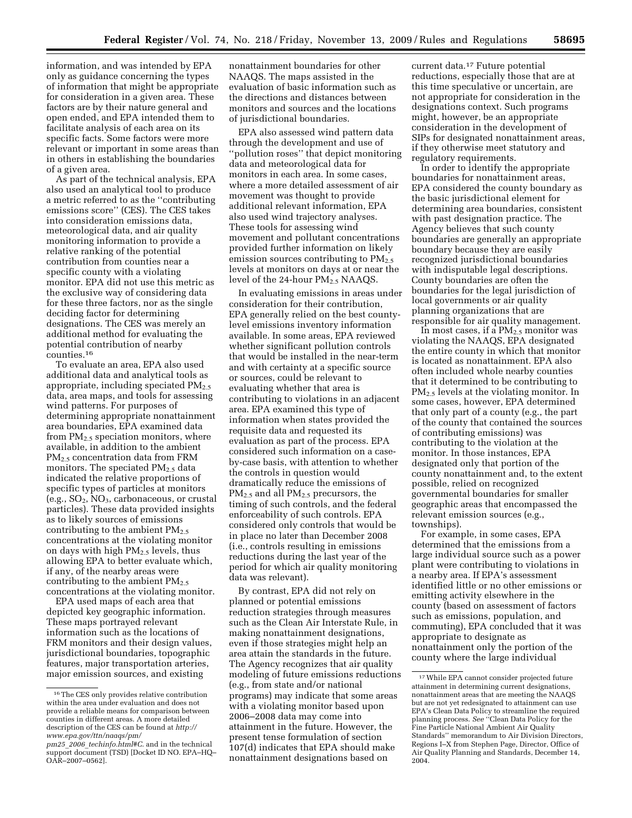information, and was intended by EPA only as guidance concerning the types of information that might be appropriate for consideration in a given area. These factors are by their nature general and open ended, and EPA intended them to facilitate analysis of each area on its specific facts. Some factors were more relevant or important in some areas than in others in establishing the boundaries of a given area.

As part of the technical analysis, EPA also used an analytical tool to produce a metric referred to as the ''contributing emissions score'' (CES). The CES takes into consideration emissions data, meteorological data, and air quality monitoring information to provide a relative ranking of the potential contribution from counties near a specific county with a violating monitor. EPA did not use this metric as the exclusive way of considering data for these three factors, nor as the single deciding factor for determining designations. The CES was merely an additional method for evaluating the potential contribution of nearby counties.16

To evaluate an area, EPA also used additional data and analytical tools as appropriate, including speciated PM<sub>2.5</sub> data, area maps, and tools for assessing wind patterns. For purposes of determining appropriate nonattainment area boundaries, EPA examined data from  $PM<sub>2.5</sub>$  speciation monitors, where available, in addition to the ambient PM<sub>2.5</sub> concentration data from FRM monitors. The speciated  $PM_{2.5}$  data indicated the relative proportions of specific types of particles at monitors  $(e.g., SO<sub>2</sub>, NO<sub>3</sub>, carbonaceous, or crustal)$ particles). These data provided insights as to likely sources of emissions contributing to the ambient  $PM_{2.5}$ concentrations at the violating monitor on days with high  $PM_{2,5}$  levels, thus allowing EPA to better evaluate which, if any, of the nearby areas were contributing to the ambient  $PM_{2.5}$ concentrations at the violating monitor.

EPA used maps of each area that depicted key geographic information. These maps portrayed relevant information such as the locations of FRM monitors and their design values, jurisdictional boundaries, topographic features, major transportation arteries, major emission sources, and existing

nonattainment boundaries for other NAAQS. The maps assisted in the evaluation of basic information such as the directions and distances between monitors and sources and the locations of jurisdictional boundaries.

EPA also assessed wind pattern data through the development and use of ''pollution roses'' that depict monitoring data and meteorological data for monitors in each area. In some cases, where a more detailed assessment of air movement was thought to provide additional relevant information, EPA also used wind trajectory analyses. These tools for assessing wind movement and pollutant concentrations provided further information on likely emission sources contributing to  $PM_{2.5}$ levels at monitors on days at or near the level of the 24-hour PM<sub>2.5</sub> NAAQS.

In evaluating emissions in areas under consideration for their contribution, EPA generally relied on the best countylevel emissions inventory information available. In some areas, EPA reviewed whether significant pollution controls that would be installed in the near-term and with certainty at a specific source or sources, could be relevant to evaluating whether that area is contributing to violations in an adjacent area. EPA examined this type of information when states provided the requisite data and requested its evaluation as part of the process. EPA considered such information on a caseby-case basis, with attention to whether the controls in question would dramatically reduce the emissions of PM2.5 and all PM2.5 precursors, the timing of such controls, and the federal enforceability of such controls. EPA considered only controls that would be in place no later than December 2008 (i.e., controls resulting in emissions reductions during the last year of the period for which air quality monitoring data was relevant).

By contrast, EPA did not rely on planned or potential emissions reduction strategies through measures such as the Clean Air Interstate Rule, in making nonattainment designations, even if those strategies might help an area attain the standards in the future. The Agency recognizes that air quality modeling of future emissions reductions (e.g., from state and/or national programs) may indicate that some areas with a violating monitor based upon 2006–2008 data may come into attainment in the future. However, the present tense formulation of section 107(d) indicates that EPA should make nonattainment designations based on

current data.17 Future potential reductions, especially those that are at this time speculative or uncertain, are not appropriate for consideration in the designations context. Such programs might, however, be an appropriate consideration in the development of SIPs for designated nonattainment areas, if they otherwise meet statutory and regulatory requirements.

In order to identify the appropriate boundaries for nonattainment areas, EPA considered the county boundary as the basic jurisdictional element for determining area boundaries, consistent with past designation practice. The Agency believes that such county boundaries are generally an appropriate boundary because they are easily recognized jurisdictional boundaries with indisputable legal descriptions. County boundaries are often the boundaries for the legal jurisdiction of local governments or air quality planning organizations that are responsible for air quality management.

In most cases, if a  $PM_{2.5}$  monitor was violating the NAAQS, EPA designated the entire county in which that monitor is located as nonattainment. EPA also often included whole nearby counties that it determined to be contributing to PM<sub>2.5</sub> levels at the violating monitor. In some cases, however, EPA determined that only part of a county (e.g., the part of the county that contained the sources of contributing emissions) was contributing to the violation at the monitor. In those instances, EPA designated only that portion of the county nonattainment and, to the extent possible, relied on recognized governmental boundaries for smaller geographic areas that encompassed the relevant emission sources (e.g., townships).

For example, in some cases, EPA determined that the emissions from a large individual source such as a power plant were contributing to violations in a nearby area. If EPA's assessment identified little or no other emissions or emitting activity elsewhere in the county (based on assessment of factors such as emissions, population, and commuting), EPA concluded that it was appropriate to designate as nonattainment only the portion of the county where the large individual

<sup>16</sup>The CES only provides relative contribution within the area under evaluation and does not provide a reliable means for comparison between counties in different areas. A more detailed [description of the CES can be found at](http://www.epa.gov/ttn/naaqs/pm/pm25_2006_techinfo.html#C) *http:// www.epa.gov/ttn/naaqs/pm/* 

*pm25*\_*2006*\_*techinfo.html#C*. and in the technical support document (TSD) [Docket ID NO. EPA–HQ– OAR–2007–0562].

<sup>17</sup>While EPA cannot consider projected future attainment in determining current designations, nonattainment areas that are meeting the NAAQS but are not yet redesignated to attainment can use EPA's Clean Data Policy to streamline the required planning process. *See* ''Clean Data Policy for the Fine Particle National Ambient Air Quality Standards'' memorandum to Air Division Directors, Regions I–X from Stephen Page, Director, Office of Air Quality Planning and Standards, December 14, 2004.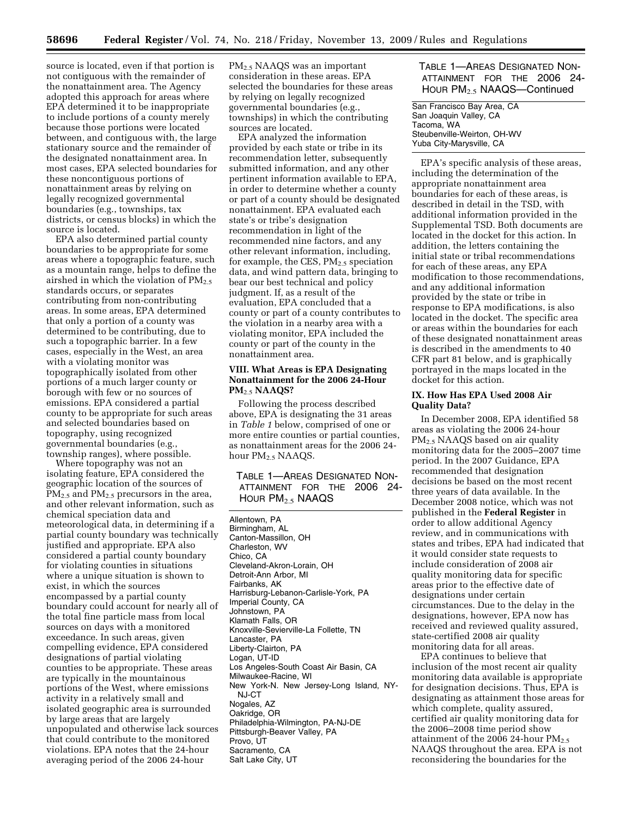source is located, even if that portion is not contiguous with the remainder of the nonattainment area. The Agency adopted this approach for areas where EPA determined it to be inappropriate to include portions of a county merely because those portions were located between, and contiguous with, the large stationary source and the remainder of the designated nonattainment area. In most cases, EPA selected boundaries for these noncontiguous portions of nonattainment areas by relying on legally recognized governmental boundaries (e.g., townships, tax districts, or census blocks) in which the source is located.

EPA also determined partial county boundaries to be appropriate for some areas where a topographic feature, such as a mountain range, helps to define the airshed in which the violation of  $PM_{2.5}$ standards occurs, or separates contributing from non-contributing areas. In some areas, EPA determined that only a portion of a county was determined to be contributing, due to such a topographic barrier. In a few cases, especially in the West, an area with a violating monitor was topographically isolated from other portions of a much larger county or borough with few or no sources of emissions. EPA considered a partial county to be appropriate for such areas and selected boundaries based on topography, using recognized governmental boundaries (e.g., township ranges), where possible.

Where topography was not an isolating feature, EPA considered the geographic location of the sources of  $\overline{PM_{2.5}}$  and  $\overline{PM_{2.5}}$  precursors in the area, and other relevant information, such as chemical speciation data and meteorological data, in determining if a partial county boundary was technically justified and appropriate. EPA also considered a partial county boundary for violating counties in situations where a unique situation is shown to exist, in which the sources encompassed by a partial county boundary could account for nearly all of the total fine particle mass from local sources on days with a monitored exceedance. In such areas, given compelling evidence, EPA considered designations of partial violating counties to be appropriate. These areas are typically in the mountainous portions of the West, where emissions activity in a relatively small and isolated geographic area is surrounded by large areas that are largely unpopulated and otherwise lack sources that could contribute to the monitored violations. EPA notes that the 24-hour averaging period of the 2006 24-hour

PM2.5 NAAQS was an important consideration in these areas. EPA selected the boundaries for these areas by relying on legally recognized governmental boundaries (e.g., townships) in which the contributing sources are located.

EPA analyzed the information provided by each state or tribe in its recommendation letter, subsequently submitted information, and any other pertinent information available to EPA, in order to determine whether a county or part of a county should be designated nonattainment. EPA evaluated each state's or tribe's designation recommendation in light of the recommended nine factors, and any other relevant information, including, for example, the CES,  $PM_{2.5}$  speciation data, and wind pattern data, bringing to bear our best technical and policy judgment. If, as a result of the evaluation, EPA concluded that a county or part of a county contributes to the violation in a nearby area with a violating monitor, EPA included the county or part of the county in the nonattainment area.

#### **VIII. What Areas is EPA Designating Nonattainment for the 2006 24-Hour PM**2.5 **NAAQS?**

Following the process described above, EPA is designating the 31 areas in *Table 1* below, comprised of one or more entire counties or partial counties, as nonattainment areas for the 2006 24 hour PM<sub>2.5</sub> NAAQS.

## TABLE 1—AREAS DESIGNATED NON-ATTAINMENT FOR THE 2006 24- HOUR PM2.5 NAAQS

Allentown, PA Birmingham, AL Canton-Massillon, OH Charleston, WV Chico, CA Cleveland-Akron-Lorain, OH Detroit-Ann Arbor, MI Fairbanks, AK Harrisburg-Lebanon-Carlisle-York, PA Imperial County, CA Johnstown, PA Klamath Falls, OR Knoxville-Sevierville-La Follette, TN Lancaster, PA Liberty-Clairton, PA Logan, UT-ID Los Angeles-South Coast Air Basin, CA Milwaukee-Racine, WI New York-N. New Jersey-Long Island, NY-NJ-CT Nogales, AZ Oakridge, OR Philadelphia-Wilmington, PA-NJ-DE Pittsburgh-Beaver Valley, PA Provo, UT Sacramento, CA Salt Lake City, UT

TABLE 1—AREAS DESIGNATED NON-ATTAINMENT FOR THE 2006 24- HOUR PM2.5 NAAQS—Continued

San Francisco Bay Area, CA San Joaquin Valley, CA Tacoma, WA Steubenville-Weirton, OH-WV Yuba City-Marysville, CA

EPA's specific analysis of these areas, including the determination of the appropriate nonattainment area boundaries for each of these areas, is described in detail in the TSD, with additional information provided in the Supplemental TSD. Both documents are located in the docket for this action. In addition, the letters containing the initial state or tribal recommendations for each of these areas, any EPA modification to those recommendations, and any additional information provided by the state or tribe in response to EPA modifications, is also located in the docket. The specific area or areas within the boundaries for each of these designated nonattainment areas is described in the amendments to 40 CFR part 81 below, and is graphically portrayed in the maps located in the docket for this action.

## **IX. How Has EPA Used 2008 Air Quality Data?**

In December 2008, EPA identified 58 areas as violating the 2006 24-hour PM2.5 NAAQS based on air quality monitoring data for the 2005–2007 time period. In the 2007 Guidance, EPA recommended that designation decisions be based on the most recent three years of data available. In the December 2008 notice, which was not published in the **Federal Register** in order to allow additional Agency review, and in communications with states and tribes, EPA had indicated that it would consider state requests to include consideration of 2008 air quality monitoring data for specific areas prior to the effective date of designations under certain circumstances. Due to the delay in the designations, however, EPA now has received and reviewed quality assured, state-certified 2008 air quality monitoring data for all areas.

EPA continues to believe that inclusion of the most recent air quality monitoring data available is appropriate for designation decisions. Thus, EPA is designating as attainment those areas for which complete, quality assured, certified air quality monitoring data for the 2006–2008 time period show attainment of the 2006 24-hour  $PM_{2.5}$ NAAQS throughout the area. EPA is not reconsidering the boundaries for the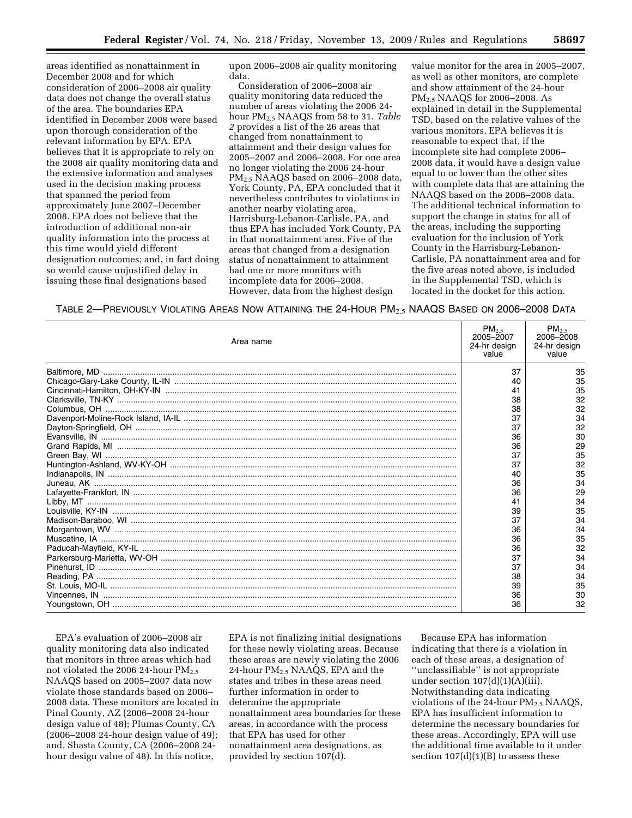areas identified as nonattainment in December 2008 and for which consideration of 2006–2008 air quality data does not change the overall status of the area. The boundaries EPA identified in December 2008 were based upon thorough consideration of the relevant information by EPA. EPA believes that it is appropriate to rely on the 2008 air quality monitoring data and the extensive information and analyses used in the decision making process that spanned the period from approximately June 2007–December 2008. EPA does not believe that the introduction of additional non-air quality information into the process at this time would yield different designation outcomes; and, in fact doing so would cause unjustified delay in issuing these final designations based

upon 2006–2008 air quality monitoring data.

Consideration of 2006–2008 air quality monitoring data reduced the number of areas violating the 2006 24 hour PM2.5 NAAQS from 58 to 31. *Table 2* provides a list of the 26 areas that changed from nonattainment to attainment and their design values for 2005–2007 and 2006–2008. For one area no longer violating the 2006 24-hour PM2.5 NAAQS based on 2006–2008 data, York County, PA, EPA concluded that it nevertheless contributes to violations in another nearby violating area, Harrisburg-Lebanon-Carlisle, PA, and thus EPA has included York County, PA in that nonattainment area. Five of the areas that changed from a designation status of nonattainment to attainment had one or more monitors with incomplete data for 2006–2008. However, data from the highest design

value monitor for the area in 2005–2007, as well as other monitors, are complete and show attainment of the 24-hour PM2.5 NAAQS for 2006–2008. As explained in detail in the Supplemental TSD, based on the relative values of the various monitors, EPA believes it is reasonable to expect that, if the incomplete site had complete 2006– 2008 data, it would have a design value equal to or lower than the other sites with complete data that are attaining the NAAQS based on the 2006–2008 data. The additional technical information to support the change in status for all of the areas, including the supporting evaluation for the inclusion of York County in the Harrisburg-Lebanon-Carlisle, PA nonattainment area and for the five areas noted above, is included in the Supplemental TSD, which is located in the docket for this action.

TABLE 2—PREVIOUSLY VIOLATING AREAS NOW ATTAINING THE 24-HOUR PM2.5 NAAQS BASED ON 2006–2008 DATA

| Area name | $PM_{2.5}$<br>2005-2007<br>24-hr design<br>value | $PM_{2.5}$<br>2006-2008<br>24-hr design<br>value |
|-----------|--------------------------------------------------|--------------------------------------------------|
|           | 37                                               | 35                                               |
|           | 40                                               | 35                                               |
|           | 41                                               | 35                                               |
|           | 38                                               | 32                                               |
|           | 38                                               | 32                                               |
|           | 37                                               | 34                                               |
|           | 37                                               | 32                                               |
|           | 36                                               | 30                                               |
|           | 36                                               | 29                                               |
|           | 37                                               | 35                                               |
|           | 37                                               | 32                                               |
|           | 40                                               | 35                                               |
|           | 36                                               | 34                                               |
|           | 36                                               | 29                                               |
|           | 41                                               | 34                                               |
|           | 39                                               | 35                                               |
|           | 37                                               | 34                                               |
|           | 36                                               | 34                                               |
|           | 36                                               | 35                                               |
|           | 36                                               | 32                                               |
|           | 37                                               | 34                                               |
|           | 37                                               | 34                                               |
|           | 38                                               | 34                                               |
|           | 39                                               | 35                                               |
|           | 36                                               | 30                                               |
|           | 36                                               | 32                                               |

EPA's evaluation of 2006–2008 air quality monitoring data also indicated that monitors in three areas which had not violated the 2006 24-hour PM<sub>2.5</sub> NAAQS based on 2005–2007 data now violate those standards based on 2006– 2008 data. These monitors are located in Pinal County, AZ (2006–2008 24-hour design value of 48); Plumas County, CA (2006–2008 24-hour design value of 49); and, Shasta County, CA (2006–2008 24 hour design value of 48). In this notice,

EPA is not finalizing initial designations for these newly violating areas. Because these areas are newly violating the 2006 24-hour PM2.5 NAAQS, EPA and the states and tribes in these areas need further information in order to determine the appropriate nonattainment area boundaries for these areas, in accordance with the process that EPA has used for other nonattainment area designations, as provided by section 107(d).

Because EPA has information indicating that there is a violation in each of these areas, a designation of ''unclassifiable'' is not appropriate under section  $107(d)(1)(A)(iii)$ . Notwithstanding data indicating violations of the 24-hour  $PM_{2.5}$  NAAQS, EPA has insufficient information to determine the necessary boundaries for these areas. Accordingly, EPA will use the additional time available to it under section  $107(d)(1)(B)$  to assess these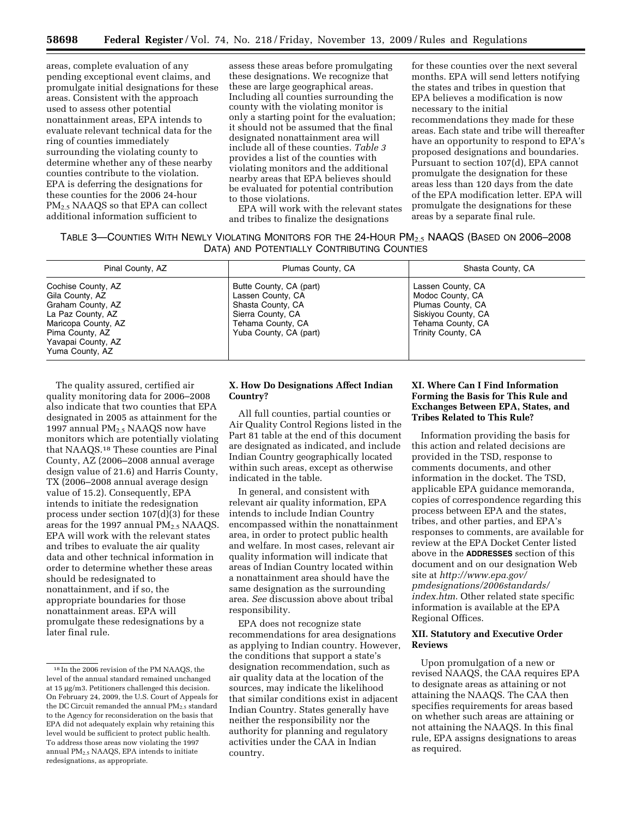areas, complete evaluation of any pending exceptional event claims, and promulgate initial designations for these areas. Consistent with the approach used to assess other potential nonattainment areas, EPA intends to evaluate relevant technical data for the ring of counties immediately surrounding the violating county to determine whether any of these nearby counties contribute to the violation. EPA is deferring the designations for these counties for the 2006 24-hour PM<sub>2.5</sub> NAAQS so that EPA can collect additional information sufficient to

assess these areas before promulgating these designations. We recognize that these are large geographical areas. Including all counties surrounding the county with the violating monitor is only a starting point for the evaluation; it should not be assumed that the final designated nonattainment area will include all of these counties. *Table 3*  provides a list of the counties with violating monitors and the additional nearby areas that EPA believes should be evaluated for potential contribution to those violations.

EPA will work with the relevant states and tribes to finalize the designations

for these counties over the next several months. EPA will send letters notifying the states and tribes in question that EPA believes a modification is now necessary to the initial recommendations they made for these areas. Each state and tribe will thereafter have an opportunity to respond to EPA's proposed designations and boundaries. Pursuant to section 107(d), EPA cannot promulgate the designation for these areas less than 120 days from the date of the EPA modification letter. EPA will promulgate the designations for these areas by a separate final rule.

| Table 3—Counties With Newly Violating Monitors for the 24-Hour PM $_{2.5}$ NAAQS (Based on 2006–2008 $\,$ |                                             |  |  |
|-----------------------------------------------------------------------------------------------------------|---------------------------------------------|--|--|
|                                                                                                           | DATA) AND POTENTIALLY CONTRIBUTING COUNTIES |  |  |

| Pinal County, AZ                                                                                                                                                   | Plumas County, CA                                                                                                                     | Shasta County, CA                                                                                                                   |
|--------------------------------------------------------------------------------------------------------------------------------------------------------------------|---------------------------------------------------------------------------------------------------------------------------------------|-------------------------------------------------------------------------------------------------------------------------------------|
| Cochise County, AZ<br>Gila County, AZ<br>Graham County, AZ<br>La Paz County, AZ<br>Maricopa County, AZ<br>Pima County, AZ<br>Yavapai County, AZ<br>Yuma County, AZ | Butte County, CA (part)<br>Lassen County, CA<br>Shasta County, CA<br>Sierra County, CA<br>Tehama County, CA<br>Yuba County, CA (part) | Lassen County, CA<br>Modoc County, CA<br>Plumas County, CA<br>Siskiyou County, CA<br>Tehama County, CA<br><b>Trinity County, CA</b> |

The quality assured, certified air quality monitoring data for 2006–2008 also indicate that two counties that EPA designated in 2005 as attainment for the 1997 annual  $PM<sub>2.5</sub> NAAQS$  now have monitors which are potentially violating that NAAQS.18 These counties are Pinal County, AZ (2006–2008 annual average design value of 21.6) and Harris County, TX (2006–2008 annual average design value of 15.2). Consequently, EPA intends to initiate the redesignation process under section 107(d)(3) for these areas for the 1997 annual  $PM_{2.5}$  NAAQS. EPA will work with the relevant states and tribes to evaluate the air quality data and other technical information in order to determine whether these areas should be redesignated to nonattainment, and if so, the appropriate boundaries for those nonattainment areas. EPA will promulgate these redesignations by a later final rule.

### **X. How Do Designations Affect Indian Country?**

All full counties, partial counties or Air Quality Control Regions listed in the Part 81 table at the end of this document are designated as indicated, and include Indian Country geographically located within such areas, except as otherwise indicated in the table.

In general, and consistent with relevant air quality information, EPA intends to include Indian Country encompassed within the nonattainment area, in order to protect public health and welfare. In most cases, relevant air quality information will indicate that areas of Indian Country located within a nonattainment area should have the same designation as the surrounding area. *See* discussion above about tribal responsibility.

EPA does not recognize state recommendations for area designations as applying to Indian country. However, the conditions that support a state's designation recommendation, such as air quality data at the location of the sources, may indicate the likelihood that similar conditions exist in adjacent Indian Country. States generally have neither the responsibility nor the authority for planning and regulatory activities under the CAA in Indian country.

## **XI. Where Can I Find Information Forming the Basis for This Rule and Exchanges Between EPA, States, and Tribes Related to This Rule?**

Information providing the basis for this action and related decisions are provided in the TSD, response to comments documents, and other information in the docket. The TSD, applicable EPA guidance memoranda, copies of correspondence regarding this process between EPA and the states, tribes, and other parties, and EPA's responses to comments, are available for review at the EPA Docket Center listed above in the **ADDRESSES** section of this document and on our designation Web site at *http://www.epa.gov/ [pmdesignations/2006standards/](http://www.epa.gov/pmdesignations/2006standards/index.htm)  index.htm*. Other related state specific information is available at the EPA Regional Offices.

## **XII. Statutory and Executive Order Reviews**

Upon promulgation of a new or revised NAAQS, the CAA requires EPA to designate areas as attaining or not attaining the NAAQS. The CAA then specifies requirements for areas based on whether such areas are attaining or not attaining the NAAQS. In this final rule, EPA assigns designations to areas as required.

<sup>18</sup> In the 2006 revision of the PM NAAQS, the level of the annual standard remained unchanged at 15 μg/m3. Petitioners challenged this decision. On February 24, 2009, the U.S. Court of Appeals for the DC Circuit remanded the annual  $PM<sub>2.5</sub>$  standard to the Agency for reconsideration on the basis that EPA did not adequately explain why retaining this level would be sufficient to protect public health. To address those areas now violating the 1997 annual PM2.5 NAAQS, EPA intends to initiate redesignations, as appropriate.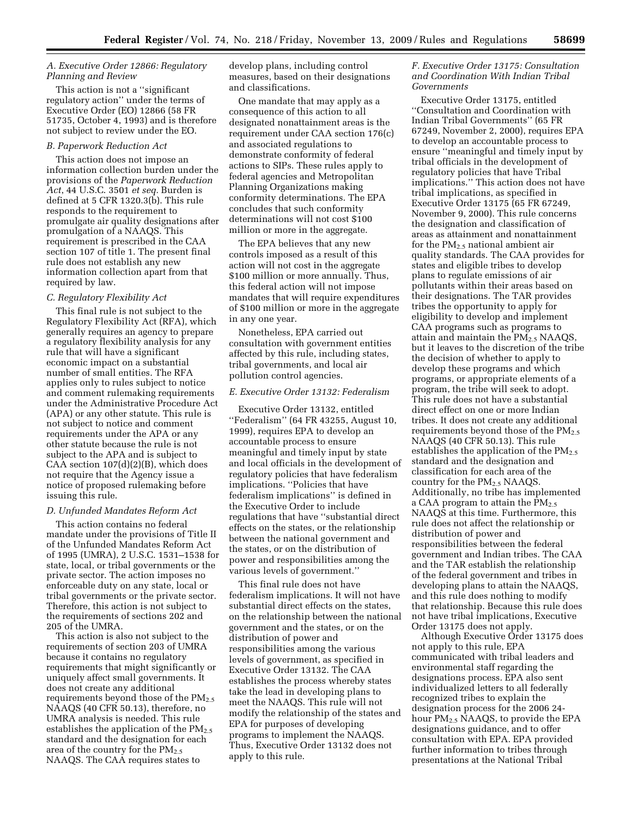#### *A. Executive Order 12866: Regulatory Planning and Review*

This action is not a ''significant regulatory action'' under the terms of Executive Order (EO) 12866 (58 FR 51735, October 4, 1993) and is therefore not subject to review under the EO.

#### *B. Paperwork Reduction Act*

This action does not impose an information collection burden under the provisions of the *Paperwork Reduction Act*, 44 U.S.C. 3501 *et seq.* Burden is defined at 5 CFR 1320.3(b). This rule responds to the requirement to promulgate air quality designations after promulgation of a NAAQS. This requirement is prescribed in the CAA section 107 of title 1. The present final rule does not establish any new information collection apart from that required by law.

#### *C. Regulatory Flexibility Act*

This final rule is not subject to the Regulatory Flexibility Act (RFA), which generally requires an agency to prepare a regulatory flexibility analysis for any rule that will have a significant economic impact on a substantial number of small entities. The RFA applies only to rules subject to notice and comment rulemaking requirements under the Administrative Procedure Act (APA) or any other statute. This rule is not subject to notice and comment requirements under the APA or any other statute because the rule is not subject to the APA and is subject to CAA section 107(d)(2)(B), which does not require that the Agency issue a notice of proposed rulemaking before issuing this rule.

#### *D. Unfunded Mandates Reform Act*

This action contains no federal mandate under the provisions of Title II of the Unfunded Mandates Reform Act of 1995 (UMRA), 2 U.S.C. 1531–1538 for state, local, or tribal governments or the private sector. The action imposes no enforceable duty on any state, local or tribal governments or the private sector. Therefore, this action is not subject to the requirements of sections 202 and 205 of the UMRA.

This action is also not subject to the requirements of section 203 of UMRA because it contains no regulatory requirements that might significantly or uniquely affect small governments. It does not create any additional requirements beyond those of the  $PM_{2.5}$ NAAQS (40 CFR 50.13), therefore, no UMRA analysis is needed. This rule establishes the application of the  $PM_{2.5}$ standard and the designation for each area of the country for the  $PM_{2.5}$ NAAQS. The CAA requires states to

develop plans, including control measures, based on their designations and classifications.

One mandate that may apply as a consequence of this action to all designated nonattainment areas is the requirement under CAA section 176(c) and associated regulations to demonstrate conformity of federal actions to SIPs. These rules apply to federal agencies and Metropolitan Planning Organizations making conformity determinations. The EPA concludes that such conformity determinations will not cost \$100 million or more in the aggregate.

The EPA believes that any new controls imposed as a result of this action will not cost in the aggregate \$100 million or more annually. Thus, this federal action will not impose mandates that will require expenditures of \$100 million or more in the aggregate in any one year.

Nonetheless, EPA carried out consultation with government entities affected by this rule, including states, tribal governments, and local air pollution control agencies.

#### *E. Executive Order 13132: Federalism*

Executive Order 13132, entitled ''Federalism'' (64 FR 43255, August 10, 1999), requires EPA to develop an accountable process to ensure meaningful and timely input by state and local officials in the development of regulatory policies that have federalism implications. ''Policies that have federalism implications'' is defined in the Executive Order to include regulations that have ''substantial direct effects on the states, or the relationship between the national government and the states, or on the distribution of power and responsibilities among the various levels of government.''

This final rule does not have federalism implications. It will not have substantial direct effects on the states, on the relationship between the national government and the states, or on the distribution of power and responsibilities among the various levels of government, as specified in Executive Order 13132. The CAA establishes the process whereby states take the lead in developing plans to meet the NAAQS. This rule will not modify the relationship of the states and EPA for purposes of developing programs to implement the NAAQS. Thus, Executive Order 13132 does not apply to this rule.

#### *F. Executive Order 13175: Consultation and Coordination With Indian Tribal Governments*

Executive Order 13175, entitled ''Consultation and Coordination with Indian Tribal Governments'' (65 FR 67249, November 2, 2000), requires EPA to develop an accountable process to ensure ''meaningful and timely input by tribal officials in the development of regulatory policies that have Tribal implications.'' This action does not have tribal implications, as specified in Executive Order 13175 (65 FR 67249, November 9, 2000). This rule concerns the designation and classification of areas as attainment and nonattainment for the  $PM<sub>2.5</sub>$  national ambient air quality standards. The CAA provides for states and eligible tribes to develop plans to regulate emissions of air pollutants within their areas based on their designations. The TAR provides tribes the opportunity to apply for eligibility to develop and implement CAA programs such as programs to attain and maintain the  $PM_{2.5}$  NAAQS but it leaves to the discretion of the tribe the decision of whether to apply to develop these programs and which programs, or appropriate elements of a program, the tribe will seek to adopt. This rule does not have a substantial direct effect on one or more Indian tribes. It does not create any additional requirements beyond those of the  $PM_{2.5}$ NAAQS (40 CFR 50.13). This rule establishes the application of the  $PM_{2.5}$ standard and the designation and classification for each area of the country for the  $PM<sub>2.5</sub> NAAQS$ . Additionally, no tribe has implemented a CAA program to attain the  $PM_{2.5}$ NAAQS at this time. Furthermore, this rule does not affect the relationship or distribution of power and responsibilities between the federal government and Indian tribes. The CAA and the TAR establish the relationship of the federal government and tribes in developing plans to attain the NAAQS, and this rule does nothing to modify that relationship. Because this rule does not have tribal implications, Executive Order 13175 does not apply.

Although Executive Order 13175 does not apply to this rule, EPA communicated with tribal leaders and environmental staff regarding the designations process. EPA also sent individualized letters to all federally recognized tribes to explain the designation process for the 2006 24 hour PM<sub>2.5</sub> NAAQS, to provide the EPA designations guidance, and to offer consultation with EPA. EPA provided further information to tribes through presentations at the National Tribal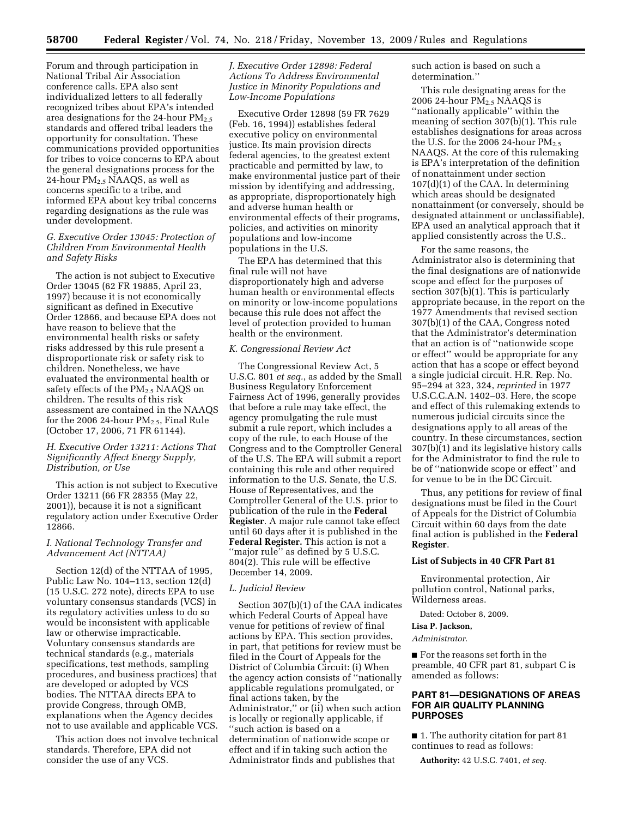Forum and through participation in National Tribal Air Association conference calls. EPA also sent individualized letters to all federally recognized tribes about EPA's intended area designations for the 24-hour  $PM_{2.5}$ standards and offered tribal leaders the opportunity for consultation. These communications provided opportunities for tribes to voice concerns to EPA about the general designations process for the 24-hour  $PM_{2.5}$  NAAQS, as well as concerns specific to a tribe, and informed EPA about key tribal concerns regarding designations as the rule was under development.

## *G. Executive Order 13045: Protection of Children From Environmental Health and Safety Risks*

The action is not subject to Executive Order 13045 (62 FR 19885, April 23, 1997) because it is not economically significant as defined in Executive Order 12866, and because EPA does not have reason to believe that the environmental health risks or safety risks addressed by this rule present a disproportionate risk or safety risk to children. Nonetheless, we have evaluated the environmental health or safety effects of the  $PM_{2.5}$  NAAQS on children. The results of this risk assessment are contained in the NAAQS for the 2006 24-hour  $PM_{2.5}$ , Final Rule (October 17, 2006, 71 FR 61144).

## *H. Executive Order 13211: Actions That Significantly Affect Energy Supply, Distribution, or Use*

This action is not subject to Executive Order 13211 (66 FR 28355 (May 22, 2001)), because it is not a significant regulatory action under Executive Order 12866.

#### *I. National Technology Transfer and Advancement Act (NTTAA)*

Section 12(d) of the NTTAA of 1995, Public Law No. 104–113, section 12(d) (15 U.S.C. 272 note), directs EPA to use voluntary consensus standards (VCS) in its regulatory activities unless to do so would be inconsistent with applicable law or otherwise impracticable. Voluntary consensus standards are technical standards (e.g., materials specifications, test methods, sampling procedures, and business practices) that are developed or adopted by VCS bodies. The NTTAA directs EPA to provide Congress, through OMB, explanations when the Agency decides not to use available and applicable VCS.

This action does not involve technical standards. Therefore, EPA did not consider the use of any VCS.

#### *J. Executive Order 12898: Federal Actions To Address Environmental Justice in Minority Populations and Low-Income Populations*

Executive Order 12898 (59 FR 7629 (Feb. 16, 1994)) establishes federal executive policy on environmental justice. Its main provision directs federal agencies, to the greatest extent practicable and permitted by law, to make environmental justice part of their mission by identifying and addressing, as appropriate, disproportionately high and adverse human health or environmental effects of their programs, policies, and activities on minority populations and low-income populations in the U.S.

The EPA has determined that this final rule will not have disproportionately high and adverse human health or environmental effects on minority or low-income populations because this rule does not affect the level of protection provided to human health or the environment.

#### *K. Congressional Review Act*

The Congressional Review Act, 5 U.S.C. 801 *et seq.*, as added by the Small Business Regulatory Enforcement Fairness Act of 1996, generally provides that before a rule may take effect, the agency promulgating the rule must submit a rule report, which includes a copy of the rule, to each House of the Congress and to the Comptroller General of the U.S. The EPA will submit a report containing this rule and other required information to the U.S. Senate, the U.S. House of Representatives, and the Comptroller General of the U.S. prior to publication of the rule in the **Federal Register**. A major rule cannot take effect until 60 days after it is published in the **Federal Register.** This action is not a ''major rule'' as defined by 5 U.S.C. 804(2). This rule will be effective December 14, 2009.

#### *L. Judicial Review*

Section 307(b)(1) of the CAA indicates which Federal Courts of Appeal have venue for petitions of review of final actions by EPA. This section provides, in part, that petitions for review must be filed in the Court of Appeals for the District of Columbia Circuit: (i) When the agency action consists of ''nationally applicable regulations promulgated, or final actions taken, by the Administrator,'' or (ii) when such action is locally or regionally applicable, if ''such action is based on a determination of nationwide scope or effect and if in taking such action the Administrator finds and publishes that

such action is based on such a determination.''

This rule designating areas for the 2006 24-hour  $PM<sub>2.5</sub> NAAQS$  is ''nationally applicable'' within the meaning of section 307(b)(1). This rule establishes designations for areas across the U.S. for the  $2006$  24-hour  $PM_{2.5}$ NAAQS. At the core of this rulemaking is EPA's interpretation of the definition of nonattainment under section 107(d)(1) of the CAA. In determining which areas should be designated nonattainment (or conversely, should be designated attainment or unclassifiable), EPA used an analytical approach that it applied consistently across the U.S..

For the same reasons, the Administrator also is determining that the final designations are of nationwide scope and effect for the purposes of section 307(b)(1). This is particularly appropriate because, in the report on the 1977 Amendments that revised section 307(b)(1) of the CAA, Congress noted that the Administrator's determination that an action is of ''nationwide scope or effect'' would be appropriate for any action that has a scope or effect beyond a single judicial circuit. H.R. Rep. No. 95–294 at 323, 324, *reprinted* in 1977 U.S.C.C.A.N. 1402–03. Here, the scope and effect of this rulemaking extends to numerous judicial circuits since the designations apply to all areas of the country. In these circumstances, section  $307(b)(1)$  and its legislative history calls for the Administrator to find the rule to be of ''nationwide scope or effect'' and for venue to be in the DC Circuit.

Thus, any petitions for review of final designations must be filed in the Court of Appeals for the District of Columbia Circuit within 60 days from the date final action is published in the **Federal Register**.

#### **List of Subjects in 40 CFR Part 81**

Environmental protection, Air pollution control, National parks, Wilderness areas.

Dated: October 8, 2009.

## **Lisa P. Jackson,**

*Administrator.* 

■ For the reasons set forth in the preamble, 40 CFR part 81, subpart C is amended as follows:

#### **PART 81—DESIGNATIONS OF AREAS FOR AIR QUALITY PLANNING PURPOSES**

■ 1. The authority citation for part 81 continues to read as follows:

**Authority:** 42 U.S.C. 7401, *et seq.*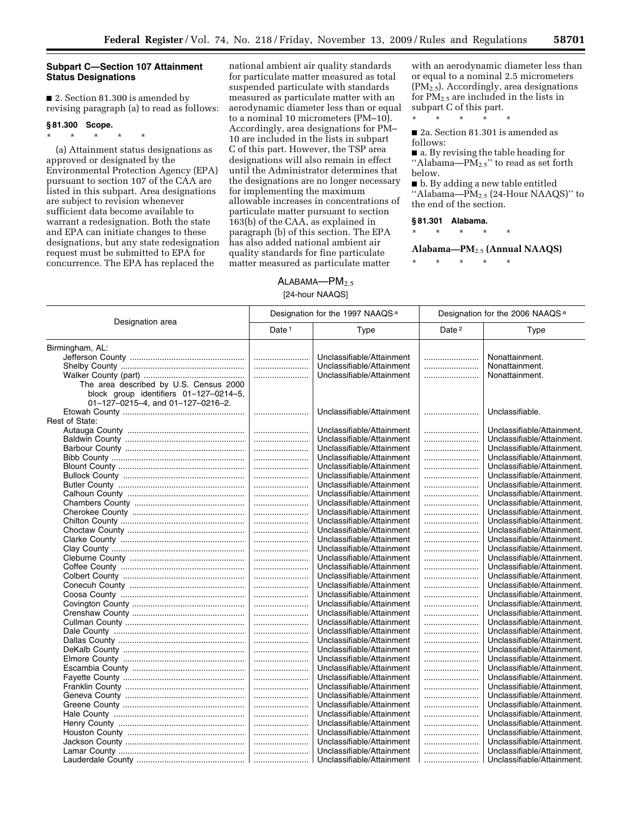## **Subpart C—Section 107 Attainment Status Designations**

■ 2. Section 81.300 is amended by revising paragraph (a) to read as follows:

#### **§ 81.300 Scope.**

\* \* \* \* \* (a) Attainment status designations as approved or designated by the Environmental Protection Agency (EPA) pursuant to section 107 of the CAA are listed in this subpart. Area designations are subject to revision whenever sufficient data become available to warrant a redesignation. Both the state and EPA can initiate changes to these designations, but any state redesignation request must be submitted to EPA for concurrence. The EPA has replaced the

national ambient air quality standards for particulate matter measured as total suspended particulate with standards measured as particulate matter with an aerodynamic diameter less than or equal to a nominal 10 micrometers (PM–10). Accordingly, area designations for PM– 10 are included in the lists in subpart C of this part. However, the TSP area designations will also remain in effect until the Administrator determines that the designations are no longer necessary for implementing the maximum allowable increases in concentrations of particulate matter pursuant to section 163(b) of the CAA, as explained in paragraph (b) of this section. The EPA has also added national ambient air quality standards for fine particulate matter measured as particulate matter

with an aerodynamic diameter less than or equal to a nominal 2.5 micrometers (PM2.5). Accordingly, area designations for PM2.5 are included in the lists in subpart C of this part.

■ 2a. Section 81.301 is amended as follows:

\* \* \* \* \*

■ a. By revising the table heading for "Alabama— $PM_{2.5}$ " to read as set forth below.

■ b. By adding a new table entitled "Alabama— $\overline{PM}_{2.5}$  (24-Hour NAAQS)" to the end of the section.

#### **§ 81.301 Alabama.**

\* \* \* \* \*

## **Alabama—PM**2.5 **(Annual NAAQS)**

\* \* \* \* \*

#### $ALABAMA$  $-M<sub>2.5</sub>$

#### [24-hour NAAQS]

|                                        | Designation for the 1997 NAAQS <sup>a</sup> |                           | Designation for the 2006 NAAQS <sup>a</sup> |                            |
|----------------------------------------|---------------------------------------------|---------------------------|---------------------------------------------|----------------------------|
| Designation area                       | Date <sup>1</sup>                           | Type                      | Date <sup>2</sup>                           | Type                       |
| Birmingham, AL:                        |                                             |                           |                                             |                            |
|                                        |                                             | Unclassifiable/Attainment |                                             | Nonattainment.             |
|                                        |                                             | Unclassifiable/Attainment |                                             | Nonattainment.             |
|                                        |                                             | Unclassifiable/Attainment |                                             | Nonattainment.             |
| The area described by U.S. Census 2000 |                                             |                           |                                             |                            |
| block group identifiers 01-127-0214-5, |                                             |                           |                                             |                            |
| 01-127-0215-4, and 01-127-0216-2.      |                                             |                           |                                             |                            |
|                                        |                                             | Unclassifiable/Attainment |                                             | Unclassifiable.            |
| Rest of State:                         |                                             |                           |                                             |                            |
|                                        |                                             | Unclassifiable/Attainment |                                             | Unclassifiable/Attainment. |
|                                        |                                             | Unclassifiable/Attainment |                                             | Unclassifiable/Attainment. |
|                                        |                                             | Unclassifiable/Attainment |                                             | Unclassifiable/Attainment. |
|                                        |                                             | Unclassifiable/Attainment |                                             | Unclassifiable/Attainment. |
|                                        |                                             | Unclassifiable/Attainment |                                             | Unclassifiable/Attainment. |
|                                        |                                             | Unclassifiable/Attainment |                                             | Unclassifiable/Attainment. |
|                                        |                                             | Unclassifiable/Attainment |                                             | Unclassifiable/Attainment. |
|                                        |                                             | Unclassifiable/Attainment |                                             | Unclassifiable/Attainment. |
|                                        |                                             | Unclassifiable/Attainment |                                             | Unclassifiable/Attainment. |
|                                        |                                             | Unclassifiable/Attainment |                                             | Unclassifiable/Attainment. |
|                                        |                                             | Unclassifiable/Attainment |                                             | Unclassifiable/Attainment. |
|                                        |                                             | Unclassifiable/Attainment |                                             | Unclassifiable/Attainment. |
|                                        |                                             | Unclassifiable/Attainment |                                             | Unclassifiable/Attainment. |
|                                        |                                             | Unclassifiable/Attainment |                                             | Unclassifiable/Attainment. |
|                                        |                                             | Unclassifiable/Attainment |                                             | Unclassifiable/Attainment. |
|                                        |                                             | Unclassifiable/Attainment |                                             | Unclassifiable/Attainment. |
|                                        |                                             | Unclassifiable/Attainment |                                             | Unclassifiable/Attainment. |
|                                        |                                             | Unclassifiable/Attainment |                                             | Unclassifiable/Attainment. |
|                                        |                                             | Unclassifiable/Attainment |                                             | Unclassifiable/Attainment. |
|                                        |                                             | Unclassifiable/Attainment |                                             | Unclassifiable/Attainment. |
|                                        |                                             | Unclassifiable/Attainment |                                             | Unclassifiable/Attainment. |
|                                        |                                             | Unclassifiable/Attainment |                                             | Unclassifiable/Attainment. |
|                                        |                                             | Unclassifiable/Attainment |                                             | Unclassifiable/Attainment. |
|                                        |                                             | Unclassifiable/Attainment |                                             | Unclassifiable/Attainment. |
|                                        |                                             | Unclassifiable/Attainment |                                             | Unclassifiable/Attainment. |
|                                        |                                             | Unclassifiable/Attainment |                                             | Unclassifiable/Attainment. |
|                                        |                                             | Unclassifiable/Attainment |                                             | Unclassifiable/Attainment. |
|                                        |                                             | Unclassifiable/Attainment |                                             | Unclassifiable/Attainment. |
|                                        |                                             | Unclassifiable/Attainment |                                             | Unclassifiable/Attainment. |
|                                        |                                             | Unclassifiable/Attainment |                                             | Unclassifiable/Attainment. |
|                                        |                                             | Unclassifiable/Attainment |                                             | Unclassifiable/Attainment. |
|                                        |                                             | Unclassifiable/Attainment |                                             | Unclassifiable/Attainment. |
|                                        |                                             | Unclassifiable/Attainment |                                             | Unclassifiable/Attainment. |
|                                        |                                             | Unclassifiable/Attainment |                                             | Unclassifiable/Attainment. |
|                                        |                                             | Unclassifiable/Attainment |                                             | Unclassifiable/Attainment. |
|                                        |                                             | Unclassifiable/Attainment |                                             | Unclassifiable/Attainment. |
|                                        |                                             | Unclassifiable/Attainment |                                             | Unclassifiable/Attainment. |
|                                        |                                             |                           |                                             |                            |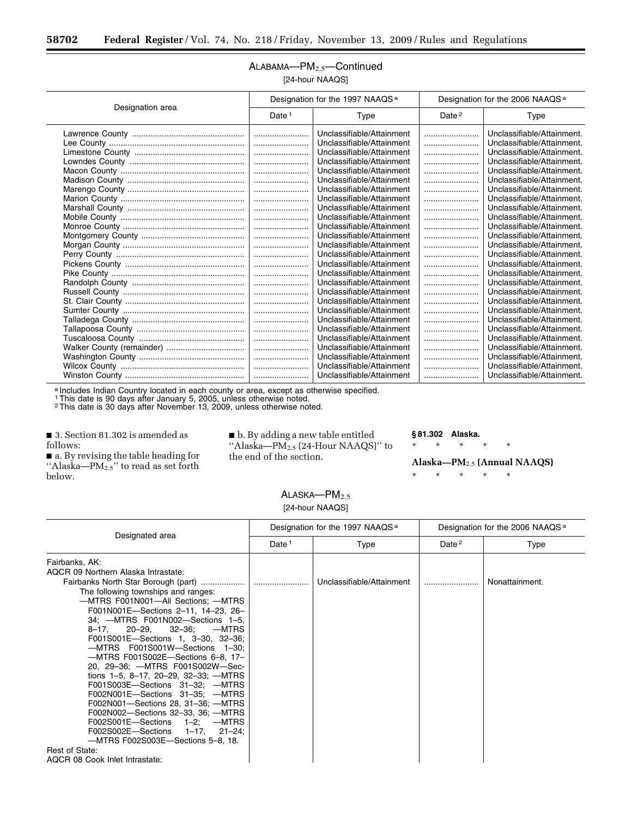Ξ

## ALABAMA-PM<sub>2.5</sub>-Continued [24-hour NAAQS]

|                  | Designation for the 1997 NAAQS <sup>a</sup> |                           | Designation for the 2006 NAAQS <sup>a</sup> |                            |
|------------------|---------------------------------------------|---------------------------|---------------------------------------------|----------------------------|
| Designation area | Date $1$                                    | Type                      | Date $2$                                    | Type                       |
|                  |                                             | Unclassifiable/Attainment |                                             | Unclassifiable/Attainment. |
|                  |                                             | Unclassifiable/Attainment |                                             | Unclassifiable/Attainment. |
|                  |                                             | Unclassifiable/Attainment |                                             | Unclassifiable/Attainment. |
|                  |                                             | Unclassifiable/Attainment |                                             | Unclassifiable/Attainment. |
|                  |                                             | Unclassifiable/Attainment |                                             | Unclassifiable/Attainment. |
|                  |                                             | Unclassifiable/Attainment |                                             | Unclassifiable/Attainment. |
|                  |                                             | Unclassifiable/Attainment |                                             | Unclassifiable/Attainment. |
|                  |                                             | Unclassifiable/Attainment |                                             | Unclassifiable/Attainment. |
|                  |                                             | Unclassifiable/Attainment |                                             | Unclassifiable/Attainment. |
|                  |                                             | Unclassifiable/Attainment |                                             | Unclassifiable/Attainment. |
|                  |                                             | Unclassifiable/Attainment |                                             | Unclassifiable/Attainment. |
|                  |                                             | Unclassifiable/Attainment |                                             | Unclassifiable/Attainment. |
|                  |                                             | Unclassifiable/Attainment |                                             | Unclassifiable/Attainment. |
|                  |                                             | Unclassifiable/Attainment |                                             | Unclassifiable/Attainment. |
|                  |                                             | Unclassifiable/Attainment |                                             | Unclassifiable/Attainment. |
|                  |                                             | Unclassifiable/Attainment |                                             | Unclassifiable/Attainment. |
|                  |                                             | Unclassifiable/Attainment |                                             | Unclassifiable/Attainment. |
|                  |                                             | Unclassifiable/Attainment |                                             | Unclassifiable/Attainment. |
|                  |                                             | Unclassifiable/Attainment |                                             | Unclassifiable/Attainment. |
|                  |                                             | Unclassifiable/Attainment |                                             | Unclassifiable/Attainment. |
|                  |                                             | Unclassifiable/Attainment |                                             | Unclassifiable/Attainment. |
|                  |                                             | Unclassifiable/Attainment |                                             | Unclassifiable/Attainment. |
|                  |                                             | Unclassifiable/Attainment |                                             | Unclassifiable/Attainment. |
|                  |                                             | Unclassifiable/Attainment |                                             | Unclassifiable/Attainment. |
|                  |                                             | Unclassifiable/Attainment |                                             | Unclassifiable/Attainment. |
|                  |                                             | Unclassifiable/Attainment |                                             | Unclassifiable/Attainment. |
|                  |                                             | Unclassifiable/Attainment |                                             | Unclassifiable/Attainment. |

a Includes Indian Country located in each county or area, except as otherwise specified.

1This date is 90 days after January 5, 2005, unless otherwise noted.

2This date is 30 days after November 13, 2009, unless otherwise noted.

■ 3. Section 81.302 is amended as follows:

■ a. By revising the table heading for "Alaska— $PM_{2.5}$ " to read as set forth below.

■ b. By adding a new table entitled "Alaska—PM2.5 (24-Hour NAAQS)" to the end of the section.

**§ 81.302 Alaska.** 

\* \* \* \* \*

**Alaska—PM**2.5 **(Annual NAAQS)**  \* \* \* \* \*

 $ALASKA—PM<sub>2.5</sub>$ [24-hour NAAQS]

|                                                                                                                                                                                                                                                                                                                                                                                                                                                                                                                                                                                                                                                                                                                                                                         | Designation for the 1997 NAAQS <sup>a</sup> |                           | Designation for the 2006 NAAQS <sup>a</sup> |                |
|-------------------------------------------------------------------------------------------------------------------------------------------------------------------------------------------------------------------------------------------------------------------------------------------------------------------------------------------------------------------------------------------------------------------------------------------------------------------------------------------------------------------------------------------------------------------------------------------------------------------------------------------------------------------------------------------------------------------------------------------------------------------------|---------------------------------------------|---------------------------|---------------------------------------------|----------------|
| Designated area                                                                                                                                                                                                                                                                                                                                                                                                                                                                                                                                                                                                                                                                                                                                                         | Date <sup>1</sup>                           | Type                      | Date <sup>2</sup>                           | Type           |
| Fairbanks, AK:<br>AQCR 09 Northern Alaska Intrastate:<br>The following townships and ranges:<br>-MTRS F001N001-All Sections; -MTRS<br>F001N001E-Sections 2-11, 14-23, 26-<br>34; - MTRS F001N002 - Sections 1-5,<br>8-17, 20-29, 32-36; -MTRS<br>F001S001E-Sections 1, 3-30, 32-36;<br>-MTRS F001S001W-Sections 1-30;<br>-MTRS F001S002E-Sections 6-8, 17-<br>20, 29-36; - MTRS F001S002W-Sec-<br>tions $1-5$ , $8-17$ , $20-29$ , $32-33$ ; --MTRS<br>F001S003E-Sections 31-32; - MTRS<br>F002N001E-Sections 31-35; - MTRS<br>F002N001-Sections 28, 31-36; - MTRS<br>F002N002-Sections 32-33, 36; - MTRS<br>F002S001E-Sections 1-2; - MTRS<br>F002S002E-Sections 1-17, 21-24;<br>-MTRS F002S003E-Sections 5-8, 18.<br>Rest of State:<br>AQCR 08 Cook Inlet Intrastate: |                                             | Unclassifiable/Attainment |                                             | Nonattainment. |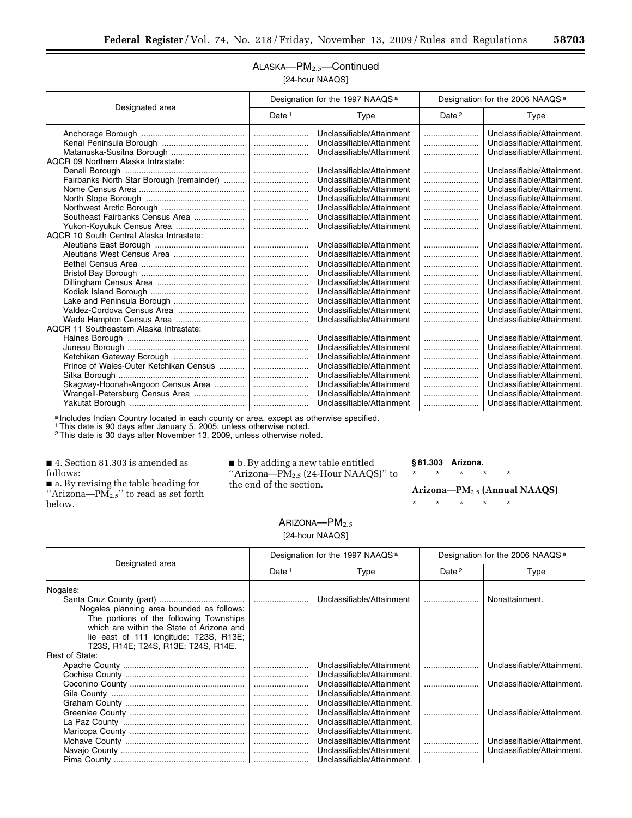## ALASKA-PM<sub>2.5</sub>-Continued [24-hour NAAQS]

| Designated area                          | Designation for the 1997 NAAQS <sup>a</sup> |                           | Designation for the 2006 NAAQS <sup>a</sup> |                            |
|------------------------------------------|---------------------------------------------|---------------------------|---------------------------------------------|----------------------------|
|                                          | Date $1$                                    | Type                      | Date <sup>2</sup>                           | Type                       |
|                                          |                                             | Unclassifiable/Attainment |                                             | Unclassifiable/Attainment. |
|                                          |                                             | Unclassifiable/Attainment |                                             | Unclassifiable/Attainment. |
|                                          |                                             | Unclassifiable/Attainment |                                             | Unclassifiable/Attainment. |
| AQCR 09 Northern Alaska Intrastate:      |                                             |                           |                                             |                            |
|                                          |                                             | Unclassifiable/Attainment |                                             | Unclassifiable/Attainment. |
| Fairbanks North Star Borough (remainder) |                                             | Unclassifiable/Attainment |                                             | Unclassifiable/Attainment. |
|                                          |                                             | Unclassifiable/Attainment |                                             | Unclassifiable/Attainment. |
|                                          |                                             | Unclassifiable/Attainment |                                             | Unclassifiable/Attainment. |
|                                          |                                             | Unclassifiable/Attainment |                                             | Unclassifiable/Attainment. |
| Southeast Fairbanks Census Area          |                                             | Unclassifiable/Attainment |                                             | Unclassifiable/Attainment. |
| Yukon-Koyukuk Census Area                |                                             | Unclassifiable/Attainment |                                             | Unclassifiable/Attainment. |
| AQCR 10 South Central Alaska Intrastate: |                                             |                           |                                             |                            |
|                                          |                                             | Unclassifiable/Attainment |                                             | Unclassifiable/Attainment. |
|                                          |                                             | Unclassifiable/Attainment |                                             | Unclassifiable/Attainment. |
|                                          |                                             | Unclassifiable/Attainment |                                             | Unclassifiable/Attainment. |
|                                          |                                             | Unclassifiable/Attainment |                                             | Unclassifiable/Attainment. |
|                                          |                                             | Unclassifiable/Attainment |                                             | Unclassifiable/Attainment. |
|                                          |                                             | Unclassifiable/Attainment |                                             | Unclassifiable/Attainment. |
| Lake and Peninsula Borough               |                                             | Unclassifiable/Attainment |                                             | Unclassifiable/Attainment. |
| Valdez-Cordova Census Area               |                                             | Unclassifiable/Attainment |                                             | Unclassifiable/Attainment. |
| Wade Hampton Census Area                 |                                             | Unclassifiable/Attainment |                                             | Unclassifiable/Attainment. |
| AQCR 11 Southeastern Alaska Intrastate:  |                                             |                           |                                             |                            |
|                                          |                                             | Unclassifiable/Attainment |                                             | Unclassifiable/Attainment. |
|                                          |                                             | Unclassifiable/Attainment |                                             | Unclassifiable/Attainment. |
| Ketchikan Gateway Borough                |                                             | Unclassifiable/Attainment |                                             | Unclassifiable/Attainment. |
| Prince of Wales-Outer Ketchikan Census   |                                             | Unclassifiable/Attainment |                                             | Unclassifiable/Attainment. |
|                                          |                                             | Unclassifiable/Attainment |                                             | Unclassifiable/Attainment. |
| Skagway-Hoonah-Angoon Census Area        |                                             | Unclassifiable/Attainment |                                             | Unclassifiable/Attainment. |
| Wrangell-Petersburg Census Area          |                                             | Unclassifiable/Attainment |                                             | Unclassifiable/Attainment. |
|                                          |                                             | Unclassifiable/Attainment |                                             | Unclassifiable/Attainment. |

a Includes Indian Country located in each county or area, except as otherwise specified.

1This date is 90 days after January 5, 2005, unless otherwise noted.

2This date is 30 days after November 13, 2009, unless otherwise noted.

■ 4. Section 81.303 is amended as follows:

■ a. By revising the table heading for "Arizona—PM2.5" to read as set forth below.

■ b. By adding a new table entitled "Arizona— $\widetilde{PM}_{2.5}$  (24-Hour NAAQS)" to the end of the section.

## **§ 81.303 Arizona.**

\* \* \* \* \*

**Arizona—PM**2.5 **(Annual NAAQS)** 

\* \* \* \* \*

## ARIZONA-PM<sub>2.5</sub> [24-hour NAAQS]

|                                           | Designation for the 1997 NAAQS <sup>a</sup> |                            | Designation for the 2006 NAAQS <sup>a</sup> |                            |
|-------------------------------------------|---------------------------------------------|----------------------------|---------------------------------------------|----------------------------|
| Designated area                           | Date <sup>1</sup>                           | Type                       | Date <sup>2</sup>                           | Type                       |
| Nogales:                                  |                                             |                            |                                             |                            |
|                                           |                                             | Unclassifiable/Attainment  |                                             | Nonattainment.             |
| Nogales planning area bounded as follows: |                                             |                            |                                             |                            |
| The portions of the following Townships   |                                             |                            |                                             |                            |
| which are within the State of Arizona and |                                             |                            |                                             |                            |
| lie east of 111 longitude: T23S, R13E;    |                                             |                            |                                             |                            |
| T23S, R14E: T24S, R13E: T24S, R14E,       |                                             |                            |                                             |                            |
| Rest of State:                            |                                             |                            |                                             |                            |
|                                           |                                             | Unclassifiable/Attainment  |                                             | Unclassifiable/Attainment. |
|                                           |                                             | Unclassifiable/Attainment. |                                             |                            |
|                                           |                                             | Unclassifiable/Attainment  |                                             | Unclassifiable/Attainment. |
|                                           |                                             | Unclassifiable/Attainment. |                                             |                            |
|                                           |                                             | Unclassifiable/Attainment. |                                             |                            |
|                                           |                                             | Unclassifiable/Attainment  |                                             | Unclassifiable/Attainment. |
|                                           |                                             | Unclassifiable/Attainment. |                                             |                            |
|                                           |                                             | Unclassifiable/Attainment. |                                             |                            |
|                                           |                                             | Unclassifiable/Attainment  |                                             | Unclassifiable/Attainment. |
|                                           |                                             | Unclassifiable/Attainment  |                                             | Unclassifiable/Attainment. |
|                                           |                                             | Unclassifiable/Attainment. |                                             |                            |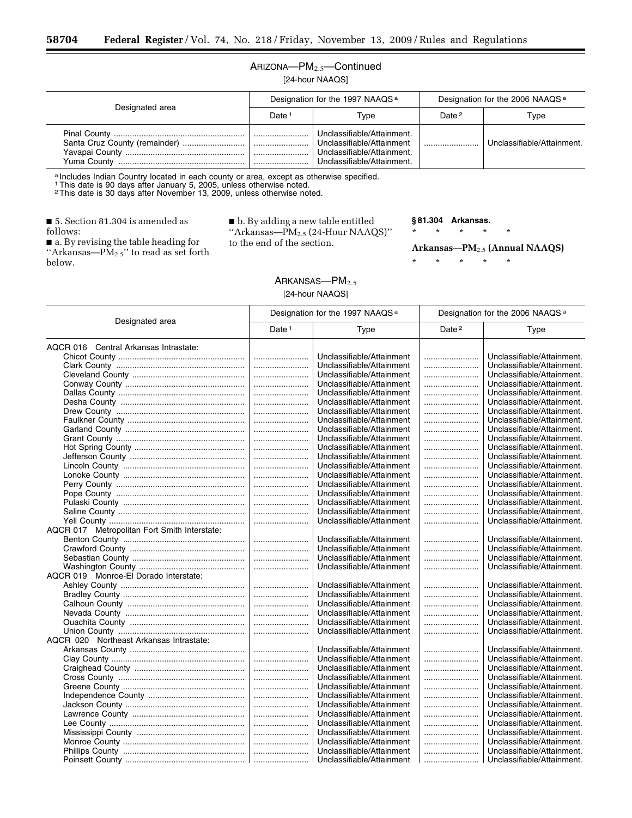## ARIZONA—PM2.5—Continued

[24-hour NAAQS]

| Designated area | Designation for the 1997 NAAQS <sup>a</sup> |                                                                                                                     | Designation for the 2006 NAAQS <sup>a</sup> |                            |
|-----------------|---------------------------------------------|---------------------------------------------------------------------------------------------------------------------|---------------------------------------------|----------------------------|
|                 | Date <sup>1</sup>                           | Type                                                                                                                | Date <sup>2</sup>                           | Type                       |
|                 | l                                           | Unclassifiable/Attainment.<br>Unclassifiable/Attainment<br>Unclassifiable/Attainment.<br>Unclassifiable/Attainment. |                                             | Unclassifiable/Attainment. |

a Includes Indian Country located in each county or area, except as otherwise specified.

1This date is 90 days after January 5, 2005, unless otherwise noted. 2This date is 30 days after November 13, 2009, unless otherwise noted.

■ 5. Section 81.304 is amended as follows:

■ a. By revising the table heading for "Arkansas— $\overrightarrow{PM}_{2.5}$ " to read as set forth below.

 $\blacksquare$ <br> <br> b. By adding a new table entitled ''Arkansas—PM2.5 (24-Hour NAAQS)'' to the end of the section.

#### **§ 81.304 Arkansas.**

\* \* \* \* \*

**Arkansas—PM**2.5 **(Annual NAAQS)** 

\* \* \* \* \*

## ARKANSAS-PM<sub>2.5</sub>

[24-hour NAAQS]

| Designated area                              | Designation for the 1997 NAAQS <sup>a</sup> |                           | Designation for the 2006 NAAQS <sup>a</sup> |                            |
|----------------------------------------------|---------------------------------------------|---------------------------|---------------------------------------------|----------------------------|
|                                              | Date <sup>1</sup>                           | <b>Type</b>               | Date <sup>2</sup>                           | <b>Type</b>                |
| AQCR 016 Central Arkansas Intrastate:        |                                             |                           |                                             |                            |
|                                              |                                             | Unclassifiable/Attainment |                                             | Unclassifiable/Attainment. |
|                                              |                                             | Unclassifiable/Attainment |                                             | Unclassifiable/Attainment. |
|                                              |                                             | Unclassifiable/Attainment |                                             | Unclassifiable/Attainment. |
|                                              |                                             | Unclassifiable/Attainment |                                             | Unclassifiable/Attainment. |
|                                              |                                             | Unclassifiable/Attainment |                                             | Unclassifiable/Attainment. |
|                                              |                                             | Unclassifiable/Attainment |                                             | Unclassifiable/Attainment. |
|                                              |                                             | Unclassifiable/Attainment |                                             | Unclassifiable/Attainment. |
|                                              |                                             | Unclassifiable/Attainment |                                             | Unclassifiable/Attainment. |
|                                              |                                             | Unclassifiable/Attainment |                                             | Unclassifiable/Attainment. |
|                                              |                                             | Unclassifiable/Attainment |                                             | Unclassifiable/Attainment. |
|                                              |                                             | Unclassifiable/Attainment |                                             | Unclassifiable/Attainment. |
|                                              |                                             | Unclassifiable/Attainment |                                             | Unclassifiable/Attainment. |
|                                              |                                             | Unclassifiable/Attainment |                                             | Unclassifiable/Attainment. |
|                                              |                                             | Unclassifiable/Attainment |                                             | Unclassifiable/Attainment. |
|                                              |                                             | Unclassifiable/Attainment |                                             | Unclassifiable/Attainment. |
|                                              |                                             | Unclassifiable/Attainment |                                             | Unclassifiable/Attainment. |
|                                              |                                             | Unclassifiable/Attainment |                                             | Unclassifiable/Attainment. |
|                                              |                                             | Unclassifiable/Attainment |                                             | Unclassifiable/Attainment. |
|                                              |                                             | Unclassifiable/Attainment |                                             | Unclassifiable/Attainment. |
| AQCR 017 Metropolitan Fort Smith Interstate: |                                             |                           |                                             |                            |
|                                              |                                             | Unclassifiable/Attainment |                                             | Unclassifiable/Attainment. |
|                                              |                                             | Unclassifiable/Attainment |                                             | Unclassifiable/Attainment. |
|                                              |                                             | Unclassifiable/Attainment |                                             | Unclassifiable/Attainment. |
|                                              |                                             | Unclassifiable/Attainment |                                             | Unclassifiable/Attainment. |
| AQCR 019 Monroe-El Dorado Interstate:        |                                             |                           |                                             |                            |
|                                              |                                             | Unclassifiable/Attainment |                                             | Unclassifiable/Attainment. |
|                                              |                                             | Unclassifiable/Attainment |                                             | Unclassifiable/Attainment. |
|                                              |                                             | Unclassifiable/Attainment |                                             | Unclassifiable/Attainment. |
|                                              |                                             | Unclassifiable/Attainment |                                             | Unclassifiable/Attainment. |
|                                              |                                             | Unclassifiable/Attainment |                                             | Unclassifiable/Attainment. |
|                                              |                                             | Unclassifiable/Attainment |                                             | Unclassifiable/Attainment. |
| AQCR 020 Northeast Arkansas Intrastate:      |                                             |                           |                                             |                            |
|                                              |                                             | Unclassifiable/Attainment |                                             | Unclassifiable/Attainment. |
|                                              |                                             | Unclassifiable/Attainment |                                             | Unclassifiable/Attainment. |
|                                              |                                             | Unclassifiable/Attainment |                                             | Unclassifiable/Attainment. |
|                                              |                                             | Unclassifiable/Attainment |                                             | Unclassifiable/Attainment. |
|                                              |                                             | Unclassifiable/Attainment |                                             | Unclassifiable/Attainment. |
|                                              |                                             | Unclassifiable/Attainment |                                             | Unclassifiable/Attainment. |
|                                              |                                             | Unclassifiable/Attainment |                                             | Unclassifiable/Attainment. |
|                                              |                                             | Unclassifiable/Attainment |                                             | Unclassifiable/Attainment. |
|                                              |                                             | Unclassifiable/Attainment |                                             | Unclassifiable/Attainment. |
|                                              |                                             | Unclassifiable/Attainment |                                             | Unclassifiable/Attainment. |
|                                              |                                             | Unclassifiable/Attainment |                                             | Unclassifiable/Attainment. |
|                                              |                                             | Unclassifiable/Attainment |                                             | Unclassifiable/Attainment. |
|                                              |                                             | Unclassifiable/Attainment |                                             | Unclassifiable/Attainment. |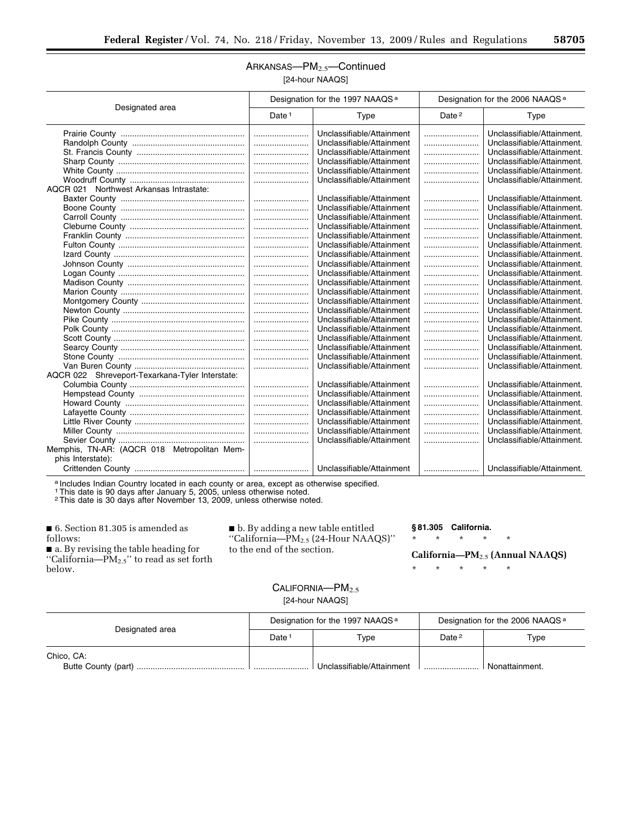## ARKANSAS-PM<sub>2.5</sub>-Continued [24-hour NAAQS]

|                                                 | Designation for the 1997 NAAQS <sup>a</sup> |                           | Designation for the 2006 NAAQS <sup>a</sup> |                            |
|-------------------------------------------------|---------------------------------------------|---------------------------|---------------------------------------------|----------------------------|
| Designated area                                 | Date <sup>1</sup>                           | Type                      | Date <sup>2</sup>                           | Type                       |
|                                                 |                                             | Unclassifiable/Attainment |                                             | Unclassifiable/Attainment. |
|                                                 |                                             | Unclassifiable/Attainment |                                             | Unclassifiable/Attainment. |
|                                                 |                                             | Unclassifiable/Attainment |                                             | Unclassifiable/Attainment. |
|                                                 |                                             | Unclassifiable/Attainment |                                             | Unclassifiable/Attainment. |
|                                                 |                                             | Unclassifiable/Attainment |                                             | Unclassifiable/Attainment. |
|                                                 |                                             | Unclassifiable/Attainment |                                             | Unclassifiable/Attainment. |
| AQCR 021 Northwest Arkansas Intrastate:         |                                             |                           |                                             |                            |
|                                                 |                                             | Unclassifiable/Attainment |                                             | Unclassifiable/Attainment. |
|                                                 |                                             | Unclassifiable/Attainment |                                             | Unclassifiable/Attainment. |
|                                                 |                                             | Unclassifiable/Attainment |                                             | Unclassifiable/Attainment. |
|                                                 |                                             | Unclassifiable/Attainment |                                             | Unclassifiable/Attainment. |
|                                                 |                                             | Unclassifiable/Attainment |                                             | Unclassifiable/Attainment. |
|                                                 |                                             | Unclassifiable/Attainment |                                             | Unclassifiable/Attainment. |
|                                                 |                                             | Unclassifiable/Attainment |                                             | Unclassifiable/Attainment. |
|                                                 |                                             | Unclassifiable/Attainment |                                             | Unclassifiable/Attainment. |
|                                                 |                                             | Unclassifiable/Attainment |                                             | Unclassifiable/Attainment. |
|                                                 |                                             | Unclassifiable/Attainment |                                             | Unclassifiable/Attainment. |
|                                                 |                                             | Unclassifiable/Attainment |                                             | Unclassifiable/Attainment. |
|                                                 |                                             | Unclassifiable/Attainment |                                             | Unclassifiable/Attainment. |
|                                                 |                                             | Unclassifiable/Attainment |                                             | Unclassifiable/Attainment. |
|                                                 |                                             | Unclassifiable/Attainment |                                             | Unclassifiable/Attainment. |
|                                                 |                                             | Unclassifiable/Attainment |                                             | Unclassifiable/Attainment. |
|                                                 |                                             | Unclassifiable/Attainment |                                             | Unclassifiable/Attainment. |
|                                                 |                                             | Unclassifiable/Attainment |                                             | Unclassifiable/Attainment. |
|                                                 |                                             | Unclassifiable/Attainment |                                             | Unclassifiable/Attainment. |
|                                                 |                                             | Unclassifiable/Attainment |                                             | Unclassifiable/Attainment. |
| AQCR 022 Shreveport-Texarkana-Tyler Interstate: |                                             |                           |                                             |                            |
|                                                 |                                             | Unclassifiable/Attainment |                                             | Unclassifiable/Attainment. |
|                                                 |                                             | Unclassifiable/Attainment |                                             | Unclassifiable/Attainment. |
|                                                 |                                             | Unclassifiable/Attainment |                                             | Unclassifiable/Attainment. |
|                                                 |                                             | Unclassifiable/Attainment |                                             | Unclassifiable/Attainment. |
|                                                 |                                             | Unclassifiable/Attainment |                                             | Unclassifiable/Attainment. |
|                                                 |                                             | Unclassifiable/Attainment |                                             | Unclassifiable/Attainment. |
|                                                 |                                             | Unclassifiable/Attainment |                                             | Unclassifiable/Attainment. |
| Memphis, TN-AR: (AQCR 018 Metropolitan Mem-     |                                             |                           |                                             |                            |
| phis Interstate):                               |                                             |                           |                                             |                            |
|                                                 |                                             | Unclassifiable/Attainment |                                             | Unclassifiable/Attainment. |

a Includes Indian Country located in each county or area, except as otherwise specified.

1This date is 90 days after January 5, 2005, unless otherwise noted.

2This date is 30 days after November 13, 2009, unless otherwise noted.

■ 6. Section 81.305 is amended as follows: ■ a. By revising the table heading for

''California—PM2.5'' to read as set forth below.

■ b. By adding a new table entitled ''California—PM2.5 (24-Hour NAAQS)'' to the end of the section.

## **§ 81.305 California.**

\* \* \* \* \*

**California—PM**2.5 **(Annual NAAQS)** 

\* \* \* \* \*

## CALIFORNIA-PM<sub>2.5</sub> [24-hour NAAQS]

| Designated area | Designation for the 1997 NAAQS <sup>a</sup> |                           | Designation for the 2006 NAAQS <sup>a</sup> |                |
|-----------------|---------------------------------------------|---------------------------|---------------------------------------------|----------------|
|                 | Date                                        | Type                      | Date <sup>2</sup>                           | Type           |
| Chico, CA:      |                                             | Unclassifiable/Attainment |                                             | Nonattainment. |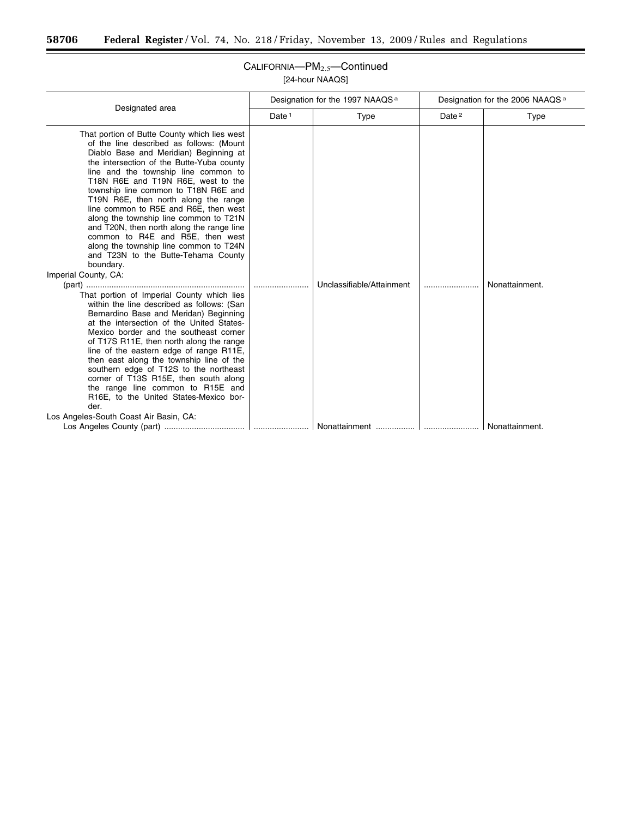$\equiv$ 

| Designated area                                                                                                                                                                                                                                                                                                                                                                                                                                                                                                                                                                                                                                                                                                                                                                                                                                                                                                                                                                                                                                                                                                                                                                                                             | Designation for the 1997 NAAQS <sup>a</sup> |                           | Designation for the 2006 NAAQS <sup>a</sup> |                |
|-----------------------------------------------------------------------------------------------------------------------------------------------------------------------------------------------------------------------------------------------------------------------------------------------------------------------------------------------------------------------------------------------------------------------------------------------------------------------------------------------------------------------------------------------------------------------------------------------------------------------------------------------------------------------------------------------------------------------------------------------------------------------------------------------------------------------------------------------------------------------------------------------------------------------------------------------------------------------------------------------------------------------------------------------------------------------------------------------------------------------------------------------------------------------------------------------------------------------------|---------------------------------------------|---------------------------|---------------------------------------------|----------------|
|                                                                                                                                                                                                                                                                                                                                                                                                                                                                                                                                                                                                                                                                                                                                                                                                                                                                                                                                                                                                                                                                                                                                                                                                                             | Date <sup>1</sup>                           | Type                      | Date <sup>2</sup>                           | Type           |
| That portion of Butte County which lies west<br>of the line described as follows: (Mount<br>Diablo Base and Meridian) Beginning at<br>the intersection of the Butte-Yuba county<br>line and the township line common to<br>T18N R6E and T19N R6E, west to the<br>township line common to T18N R6E and<br>T19N R6E, then north along the range<br>line common to R5E and R6E, then west<br>along the township line common to T21N<br>and T20N, then north along the range line<br>common to R4E and R5E, then west<br>along the township line common to T24N<br>and T23N to the Butte-Tehama County<br>boundary.<br>Imperial County, CA:<br>That portion of Imperial County which lies<br>within the line described as follows: (San<br>Bernardino Base and Meridan) Beginning<br>at the intersection of the United States-<br>Mexico border and the southeast corner<br>of T17S R11E, then north along the range<br>line of the eastern edge of range R11E,<br>then east along the township line of the<br>southern edge of T12S to the northeast<br>corner of T13S R15E, then south along<br>the range line common to R15E and<br>R16E, to the United States-Mexico bor-<br>der.<br>Los Angeles-South Coast Air Basin, CA: |                                             | Unclassifiable/Attainment |                                             | Nonattainment. |
|                                                                                                                                                                                                                                                                                                                                                                                                                                                                                                                                                                                                                                                                                                                                                                                                                                                                                                                                                                                                                                                                                                                                                                                                                             |                                             |                           |                                             | Nonattainment. |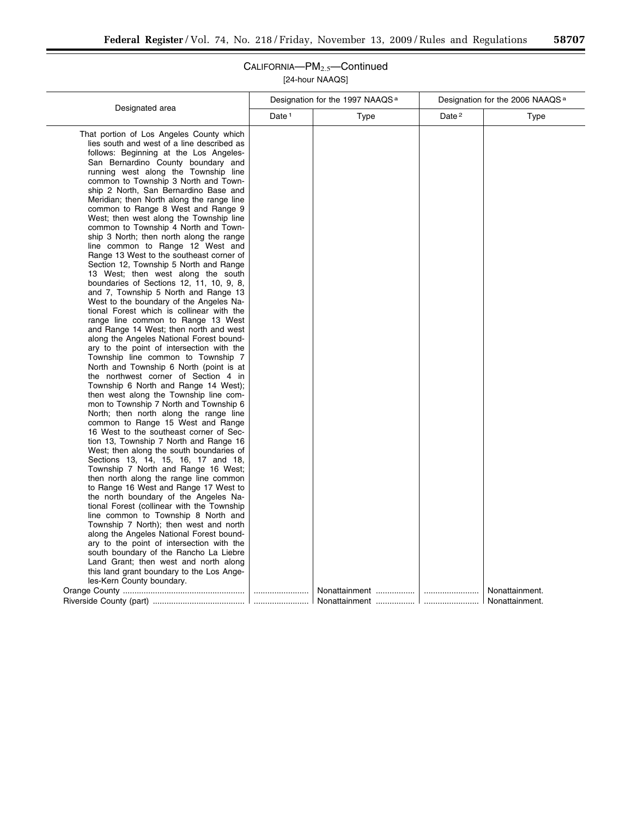|                                                                                                                                                                                                                                                                                                                                                                                                                                                                                                                                                                                                                                                                                                                                                                                                                                                                                                                                                                                                                                                                                                                                                                                                                                                                                                                                                                                               |                   | Designation for the 1997 NAAQS <sup>a</sup> | Designation for the 2006 NAAQS <sup>a</sup> |                                  |
|-----------------------------------------------------------------------------------------------------------------------------------------------------------------------------------------------------------------------------------------------------------------------------------------------------------------------------------------------------------------------------------------------------------------------------------------------------------------------------------------------------------------------------------------------------------------------------------------------------------------------------------------------------------------------------------------------------------------------------------------------------------------------------------------------------------------------------------------------------------------------------------------------------------------------------------------------------------------------------------------------------------------------------------------------------------------------------------------------------------------------------------------------------------------------------------------------------------------------------------------------------------------------------------------------------------------------------------------------------------------------------------------------|-------------------|---------------------------------------------|---------------------------------------------|----------------------------------|
|                                                                                                                                                                                                                                                                                                                                                                                                                                                                                                                                                                                                                                                                                                                                                                                                                                                                                                                                                                                                                                                                                                                                                                                                                                                                                                                                                                                               | Date <sup>1</sup> | Type                                        | Date <sup>2</sup>                           | Type                             |
| Designated area<br>That portion of Los Angeles County which<br>lies south and west of a line described as<br>follows: Beginning at the Los Angeles-<br>San Bernardino County boundary and<br>running west along the Township line<br>common to Township 3 North and Town-<br>ship 2 North, San Bernardino Base and<br>Meridian; then North along the range line<br>common to Range 8 West and Range 9<br>West; then west along the Township line<br>common to Township 4 North and Town-<br>ship 3 North; then north along the range<br>line common to Range 12 West and<br>Range 13 West to the southeast corner of<br>Section 12, Township 5 North and Range<br>13 West; then west along the south<br>boundaries of Sections 12, 11, 10, 9, 8,<br>and 7, Township 5 North and Range 13<br>West to the boundary of the Angeles Na-<br>tional Forest which is collinear with the<br>range line common to Range 13 West<br>and Range 14 West; then north and west<br>along the Angeles National Forest bound-<br>ary to the point of intersection with the<br>Township line common to Township 7<br>North and Township 6 North (point is at<br>the northwest corner of Section 4 in<br>Township 6 North and Range 14 West);<br>then west along the Township line com-<br>mon to Township 7 North and Township 6<br>North; then north along the range line<br>common to Range 15 West and Range |                   |                                             |                                             |                                  |
| 16 West to the southeast corner of Sec-<br>tion 13, Township 7 North and Range 16<br>West; then along the south boundaries of                                                                                                                                                                                                                                                                                                                                                                                                                                                                                                                                                                                                                                                                                                                                                                                                                                                                                                                                                                                                                                                                                                                                                                                                                                                                 |                   |                                             |                                             |                                  |
| Sections 13, 14, 15, 16, 17 and 18,<br>Township 7 North and Range 16 West;<br>then north along the range line common<br>to Range 16 West and Range 17 West to<br>the north boundary of the Angeles Na-                                                                                                                                                                                                                                                                                                                                                                                                                                                                                                                                                                                                                                                                                                                                                                                                                                                                                                                                                                                                                                                                                                                                                                                        |                   |                                             |                                             |                                  |
| tional Forest (collinear with the Township<br>line common to Township 8 North and<br>Township 7 North); then west and north<br>along the Angeles National Forest bound-                                                                                                                                                                                                                                                                                                                                                                                                                                                                                                                                                                                                                                                                                                                                                                                                                                                                                                                                                                                                                                                                                                                                                                                                                       |                   |                                             |                                             |                                  |
| ary to the point of intersection with the<br>south boundary of the Rancho La Liebre<br>Land Grant; then west and north along<br>this land grant boundary to the Los Ange-<br>les-Kern County boundary.                                                                                                                                                                                                                                                                                                                                                                                                                                                                                                                                                                                                                                                                                                                                                                                                                                                                                                                                                                                                                                                                                                                                                                                        |                   |                                             |                                             |                                  |
|                                                                                                                                                                                                                                                                                                                                                                                                                                                                                                                                                                                                                                                                                                                                                                                                                                                                                                                                                                                                                                                                                                                                                                                                                                                                                                                                                                                               |                   | Nonattainment                               |                                             | Nonattainment.<br>Nonattainment. |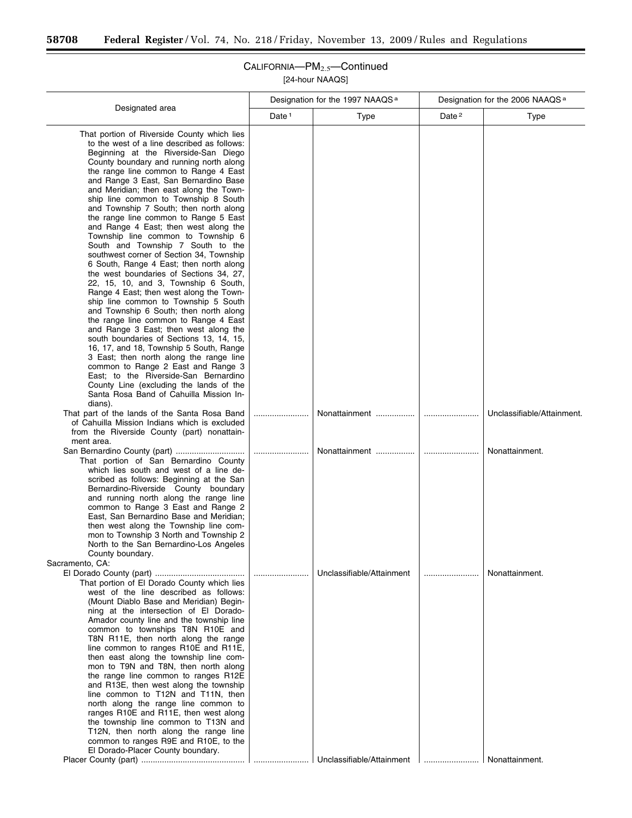-

## CALIFORNIA—PM2.5—Continued [24-hour NAAQS]

|                                                                                                                                                                                                                                                                                                                                                                                                                                                                                                                                                                                                                                                                                                                                                                                                                                                                                                                                                                                                                                                                                                                                                                                                                                                           |                   | Designation for the 1997 NAAQS <sup>a</sup>            | Designation for the 2006 NAAQS <sup>a</sup> |                            |
|-----------------------------------------------------------------------------------------------------------------------------------------------------------------------------------------------------------------------------------------------------------------------------------------------------------------------------------------------------------------------------------------------------------------------------------------------------------------------------------------------------------------------------------------------------------------------------------------------------------------------------------------------------------------------------------------------------------------------------------------------------------------------------------------------------------------------------------------------------------------------------------------------------------------------------------------------------------------------------------------------------------------------------------------------------------------------------------------------------------------------------------------------------------------------------------------------------------------------------------------------------------|-------------------|--------------------------------------------------------|---------------------------------------------|----------------------------|
| Designated area                                                                                                                                                                                                                                                                                                                                                                                                                                                                                                                                                                                                                                                                                                                                                                                                                                                                                                                                                                                                                                                                                                                                                                                                                                           | Date <sup>1</sup> | Type                                                   | Date <sup>2</sup>                           | <b>Type</b>                |
| That portion of Riverside County which lies<br>to the west of a line described as follows:<br>Beginning at the Riverside-San Diego<br>County boundary and running north along<br>the range line common to Range 4 East<br>and Range 3 East, San Bernardino Base<br>and Meridian; then east along the Town-<br>ship line common to Township 8 South<br>and Township 7 South; then north along<br>the range line common to Range 5 East<br>and Range 4 East; then west along the<br>Township line common to Township 6<br>South and Township 7 South to the<br>southwest corner of Section 34, Township<br>6 South, Range 4 East; then north along<br>the west boundaries of Sections 34, 27,<br>22, 15, 10, and 3, Township 6 South,<br>Range 4 East; then west along the Town-<br>ship line common to Township 5 South<br>and Township 6 South; then north along<br>the range line common to Range 4 East<br>and Range 3 East; then west along the<br>south boundaries of Sections 13, 14, 15,<br>16, 17, and 18, Township 5 South, Range<br>3 East; then north along the range line<br>common to Range 2 East and Range 3<br>East; to the Riverside-San Bernardino<br>County Line (excluding the lands of the<br>Santa Rosa Band of Cahuilla Mission In- |                   |                                                        |                                             |                            |
| dians).<br>That part of the lands of the Santa Rosa Band<br>of Cahuilla Mission Indians which is excluded<br>from the Riverside County (part) nonattain-                                                                                                                                                                                                                                                                                                                                                                                                                                                                                                                                                                                                                                                                                                                                                                                                                                                                                                                                                                                                                                                                                                  |                   | Nonattainment                                          |                                             | Unclassifiable/Attainment. |
| ment area.<br>That portion of San Bernardino County<br>which lies south and west of a line de-<br>scribed as follows: Beginning at the San<br>Bernardino-Riverside County boundary<br>and running north along the range line<br>common to Range 3 East and Range 2<br>East, San Bernardino Base and Meridian;<br>then west along the Township line com-<br>mon to Township 3 North and Township 2<br>North to the San Bernardino-Los Angeles<br>County boundary.<br>Sacramento, CA:                                                                                                                                                                                                                                                                                                                                                                                                                                                                                                                                                                                                                                                                                                                                                                       |                   | Nonattainment                                          |                                             | Nonattainment.             |
| That portion of El Dorado County which lies<br>west of the line described as follows:<br>(Mount Diablo Base and Meridian) Begin-<br>ning at the intersection of El Dorado-<br>Amador county line and the township line<br>common to townships T8N R10E and<br>T8N R11E, then north along the range<br>line common to ranges R10E and R11E,<br>then east along the township line com-<br>mon to T9N and T8N, then north along<br>the range line common to ranges R12E<br>and R13E, then west along the township<br>line common to T12N and T11N, then<br>north along the range line common to<br>ranges R10E and R11E, then west along<br>the township line common to T13N and<br>T12N, then north along the range line<br>common to ranges R9E and R10E, to the<br>El Dorado-Placer County boundary.                                                                                                                                                                                                                                                                                                                                                                                                                                                      |                   | Unclassifiable/Attainment<br>Unclassifiable/Attainment | Nonattainment.                              | Nonattainment.             |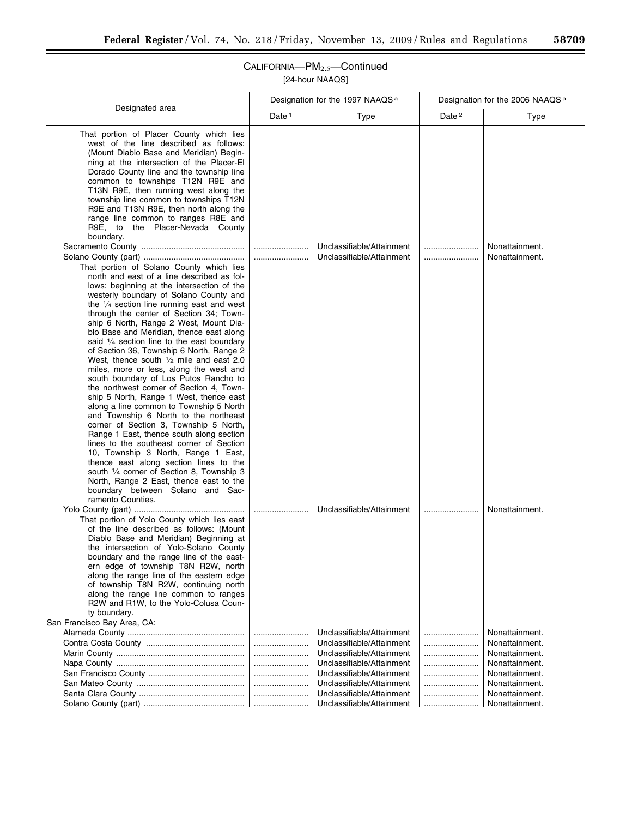| Designation for the 1997 NAAQS <sup>a</sup>                                                                                                                                                                                                                                                                                                                                                                                                                                                                                                                                                                                                                                                                                                                                                                                                                                                                                                                                                                                                                                                                                                                                                                                                                                                                                                                                                                                                          |                   |                                                                                                                                                                                                                                      | Designation for the 2006 NAAQS <sup>a</sup> |                                                                                                                                              |  |
|------------------------------------------------------------------------------------------------------------------------------------------------------------------------------------------------------------------------------------------------------------------------------------------------------------------------------------------------------------------------------------------------------------------------------------------------------------------------------------------------------------------------------------------------------------------------------------------------------------------------------------------------------------------------------------------------------------------------------------------------------------------------------------------------------------------------------------------------------------------------------------------------------------------------------------------------------------------------------------------------------------------------------------------------------------------------------------------------------------------------------------------------------------------------------------------------------------------------------------------------------------------------------------------------------------------------------------------------------------------------------------------------------------------------------------------------------|-------------------|--------------------------------------------------------------------------------------------------------------------------------------------------------------------------------------------------------------------------------------|---------------------------------------------|----------------------------------------------------------------------------------------------------------------------------------------------|--|
| Designated area                                                                                                                                                                                                                                                                                                                                                                                                                                                                                                                                                                                                                                                                                                                                                                                                                                                                                                                                                                                                                                                                                                                                                                                                                                                                                                                                                                                                                                      | Date <sup>1</sup> | Type                                                                                                                                                                                                                                 | Date <sup>2</sup>                           | <b>Type</b>                                                                                                                                  |  |
| That portion of Placer County which lies<br>west of the line described as follows:<br>(Mount Diablo Base and Meridian) Begin-<br>ning at the intersection of the Placer-El<br>Dorado County line and the township line<br>common to townships T12N R9E and<br>T13N R9E, then running west along the<br>township line common to townships T12N<br>R9E and T13N R9E, then north along the<br>range line common to ranges R8E and<br>R9E, to the Placer-Nevada County<br>boundary.<br>That portion of Solano County which lies<br>north and east of a line described as fol-<br>lows: beginning at the intersection of the<br>westerly boundary of Solano County and<br>the $\frac{1}{4}$ section line running east and west<br>through the center of Section 34; Town-<br>ship 6 North, Range 2 West, Mount Dia-<br>blo Base and Meridian, thence east along<br>said $\frac{1}{4}$ section line to the east boundary<br>of Section 36, Township 6 North, Range 2<br>West, thence south $1/2$ mile and east 2.0<br>miles, more or less, along the west and<br>south boundary of Los Putos Rancho to<br>the northwest corner of Section 4, Town-<br>ship 5 North, Range 1 West, thence east<br>along a line common to Township 5 North<br>and Township 6 North to the northeast<br>corner of Section 3, Township 5 North,<br>Range 1 East, thence south along section<br>lines to the southeast corner of Section<br>10, Township 3 North, Range 1 East, |                   | Unclassifiable/Attainment<br>Unclassifiable/Attainment                                                                                                                                                                               |                                             | Nonattainment.<br>Nonattainment.                                                                                                             |  |
| thence east along section lines to the<br>south 1/4 corner of Section 8, Township 3<br>North, Range 2 East, thence east to the<br>boundary between Solano and Sac-<br>ramento Counties.<br>That portion of Yolo County which lies east<br>of the line described as follows: (Mount<br>Diablo Base and Meridian) Beginning at<br>the intersection of Yolo-Solano County<br>boundary and the range line of the east-<br>ern edge of township T8N R2W, north<br>along the range line of the eastern edge<br>of township T8N R2W, continuing north<br>along the range line common to ranges<br>R2W and R1W, to the Yolo-Colusa Coun-<br>ty boundary.                                                                                                                                                                                                                                                                                                                                                                                                                                                                                                                                                                                                                                                                                                                                                                                                     |                   | Unclassifiable/Attainment                                                                                                                                                                                                            |                                             | Nonattainment.                                                                                                                               |  |
| San Francisco Bay Area, CA:                                                                                                                                                                                                                                                                                                                                                                                                                                                                                                                                                                                                                                                                                                                                                                                                                                                                                                                                                                                                                                                                                                                                                                                                                                                                                                                                                                                                                          |                   | Unclassifiable/Attainment<br>Unclassifiable/Attainment<br>Unclassifiable/Attainment<br>Unclassifiable/Attainment<br>Unclassifiable/Attainment<br>Unclassifiable/Attainment<br>Unclassifiable/Attainment<br>Unclassifiable/Attainment |                                             | Nonattainment.<br>Nonattainment.<br>Nonattainment.<br>Nonattainment.<br>Nonattainment.<br>Nonattainment.<br>Nonattainment.<br>Nonattainment. |  |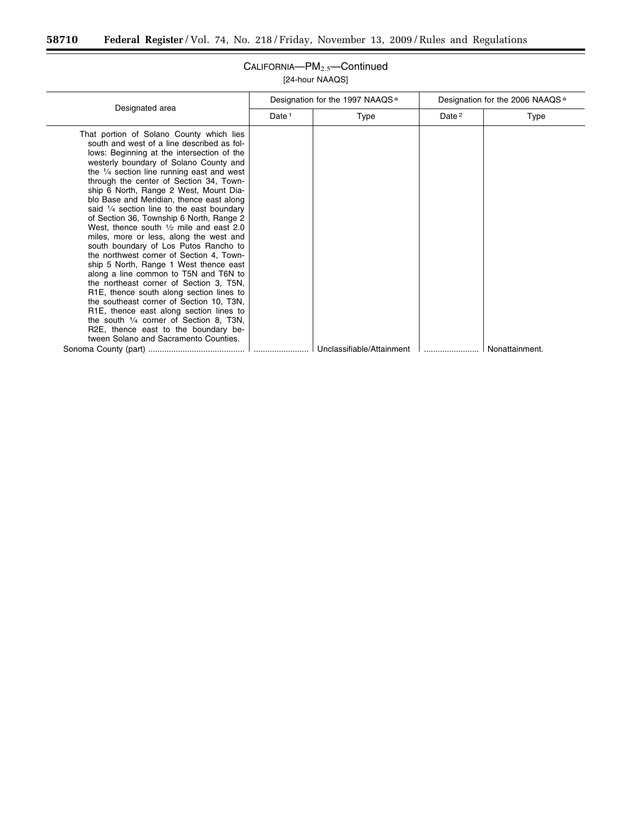$\equiv$ 

|                                                                                                                                                                                                                                                                                                                                                                                                                                                                                                                                                                                                                                                                                                                                                                                                                                                                                                                                                                                                                                                                                                    | Designation for the 1997 NAAQS <sup>a</sup> |                           | Designation for the 2006 NAAQS <sup>a</sup> |                |
|----------------------------------------------------------------------------------------------------------------------------------------------------------------------------------------------------------------------------------------------------------------------------------------------------------------------------------------------------------------------------------------------------------------------------------------------------------------------------------------------------------------------------------------------------------------------------------------------------------------------------------------------------------------------------------------------------------------------------------------------------------------------------------------------------------------------------------------------------------------------------------------------------------------------------------------------------------------------------------------------------------------------------------------------------------------------------------------------------|---------------------------------------------|---------------------------|---------------------------------------------|----------------|
| Designated area                                                                                                                                                                                                                                                                                                                                                                                                                                                                                                                                                                                                                                                                                                                                                                                                                                                                                                                                                                                                                                                                                    | Date <sup>1</sup>                           | Type                      | Date <sup>2</sup>                           | Type           |
| That portion of Solano County which lies<br>south and west of a line described as fol-<br>lows: Beginning at the intersection of the<br>westerly boundary of Solano County and<br>the $\frac{1}{4}$ section line running east and west<br>through the center of Section 34, Town-<br>ship 6 North, Range 2 West, Mount Dia-<br>blo Base and Meridian, thence east along<br>said $\frac{1}{4}$ section line to the east boundary<br>of Section 36, Township 6 North, Range 2<br>West, thence south $\frac{1}{2}$ mile and east 2.0<br>miles, more or less, along the west and<br>south boundary of Los Putos Rancho to<br>the northwest corner of Section 4, Town-<br>ship 5 North, Range 1 West thence east<br>along a line common to T5N and T6N to<br>the northeast corner of Section 3, T5N,<br>R <sub>1</sub> E, thence south along section lines to<br>the southeast corner of Section 10, T3N,<br>R <sub>1</sub> E, thence east along section lines to<br>the south $\frac{1}{4}$ corner of Section 8, T3N,<br>R2E, thence east to the boundary be-<br>tween Solano and Sacramento Counties. |                                             |                           |                                             |                |
|                                                                                                                                                                                                                                                                                                                                                                                                                                                                                                                                                                                                                                                                                                                                                                                                                                                                                                                                                                                                                                                                                                    |                                             | Unclassifiable/Attainment |                                             | Nonattainment. |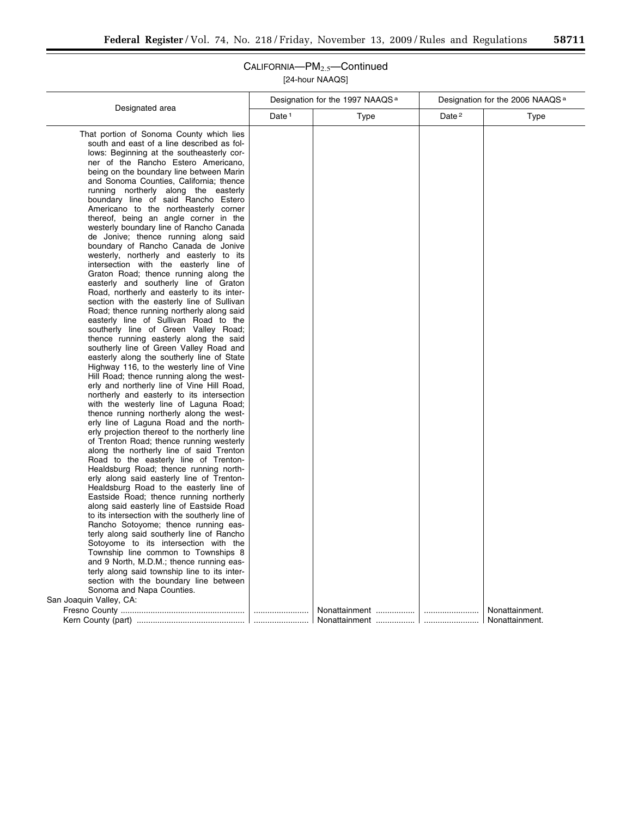|                                                                                        |                   | Designation for the 1997 NAAQS <sup>a</sup> |                   | Designation for the 2006 NAAQS <sup>a</sup> |  |
|----------------------------------------------------------------------------------------|-------------------|---------------------------------------------|-------------------|---------------------------------------------|--|
| Designated area                                                                        | Date <sup>1</sup> | Type                                        | Date <sup>2</sup> | Type                                        |  |
| That portion of Sonoma County which lies                                               |                   |                                             |                   |                                             |  |
| south and east of a line described as fol-                                             |                   |                                             |                   |                                             |  |
| lows: Beginning at the southeasterly cor-                                              |                   |                                             |                   |                                             |  |
| ner of the Rancho Estero Americano,                                                    |                   |                                             |                   |                                             |  |
| being on the boundary line between Marin                                               |                   |                                             |                   |                                             |  |
| and Sonoma Counties, California; thence                                                |                   |                                             |                   |                                             |  |
| running northerly along the easterly                                                   |                   |                                             |                   |                                             |  |
| boundary line of said Rancho Estero                                                    |                   |                                             |                   |                                             |  |
| Americano to the northeasterly corner                                                  |                   |                                             |                   |                                             |  |
| thereof, being an angle corner in the                                                  |                   |                                             |                   |                                             |  |
| westerly boundary line of Rancho Canada                                                |                   |                                             |                   |                                             |  |
| de Jonive; thence running along said                                                   |                   |                                             |                   |                                             |  |
| boundary of Rancho Canada de Jonive                                                    |                   |                                             |                   |                                             |  |
| westerly, northerly and easterly to its                                                |                   |                                             |                   |                                             |  |
| intersection with the easterly line of                                                 |                   |                                             |                   |                                             |  |
| Graton Road; thence running along the                                                  |                   |                                             |                   |                                             |  |
| easterly and southerly line of Graton<br>Road, northerly and easterly to its inter-    |                   |                                             |                   |                                             |  |
| section with the easterly line of Sullivan                                             |                   |                                             |                   |                                             |  |
| Road; thence running northerly along said                                              |                   |                                             |                   |                                             |  |
| easterly line of Sullivan Road to the                                                  |                   |                                             |                   |                                             |  |
| southerly line of Green Valley Road;                                                   |                   |                                             |                   |                                             |  |
| thence running easterly along the said                                                 |                   |                                             |                   |                                             |  |
| southerly line of Green Valley Road and                                                |                   |                                             |                   |                                             |  |
| easterly along the southerly line of State                                             |                   |                                             |                   |                                             |  |
| Highway 116, to the westerly line of Vine                                              |                   |                                             |                   |                                             |  |
| Hill Road; thence running along the west-                                              |                   |                                             |                   |                                             |  |
| erly and northerly line of Vine Hill Road,                                             |                   |                                             |                   |                                             |  |
| northerly and easterly to its intersection                                             |                   |                                             |                   |                                             |  |
| with the westerly line of Laguna Road;                                                 |                   |                                             |                   |                                             |  |
| thence running northerly along the west-<br>erly line of Laguna Road and the north-    |                   |                                             |                   |                                             |  |
| erly projection thereof to the northerly line                                          |                   |                                             |                   |                                             |  |
| of Trenton Road; thence running westerly                                               |                   |                                             |                   |                                             |  |
| along the northerly line of said Trenton                                               |                   |                                             |                   |                                             |  |
| Road to the easterly line of Trenton-                                                  |                   |                                             |                   |                                             |  |
| Healdsburg Road; thence running north-                                                 |                   |                                             |                   |                                             |  |
| erly along said easterly line of Trenton-                                              |                   |                                             |                   |                                             |  |
| Healdsburg Road to the easterly line of                                                |                   |                                             |                   |                                             |  |
| Eastside Road; thence running northerly                                                |                   |                                             |                   |                                             |  |
| along said easterly line of Eastside Road                                              |                   |                                             |                   |                                             |  |
| to its intersection with the southerly line of                                         |                   |                                             |                   |                                             |  |
| Rancho Sotoyome; thence running eas-                                                   |                   |                                             |                   |                                             |  |
| terly along said southerly line of Rancho                                              |                   |                                             |                   |                                             |  |
| Sotoyome to its intersection with the                                                  |                   |                                             |                   |                                             |  |
| Township line common to Townships 8                                                    |                   |                                             |                   |                                             |  |
| and 9 North, M.D.M.; thence running eas-                                               |                   |                                             |                   |                                             |  |
| terly along said township line to its inter-<br>section with the boundary line between |                   |                                             |                   |                                             |  |
| Sonoma and Napa Counties.                                                              |                   |                                             |                   |                                             |  |
| San Joaquin Valley, CA:                                                                |                   |                                             |                   |                                             |  |
|                                                                                        |                   |                                             |                   | Nonattainment.                              |  |
|                                                                                        |                   |                                             |                   | Nonattainment.                              |  |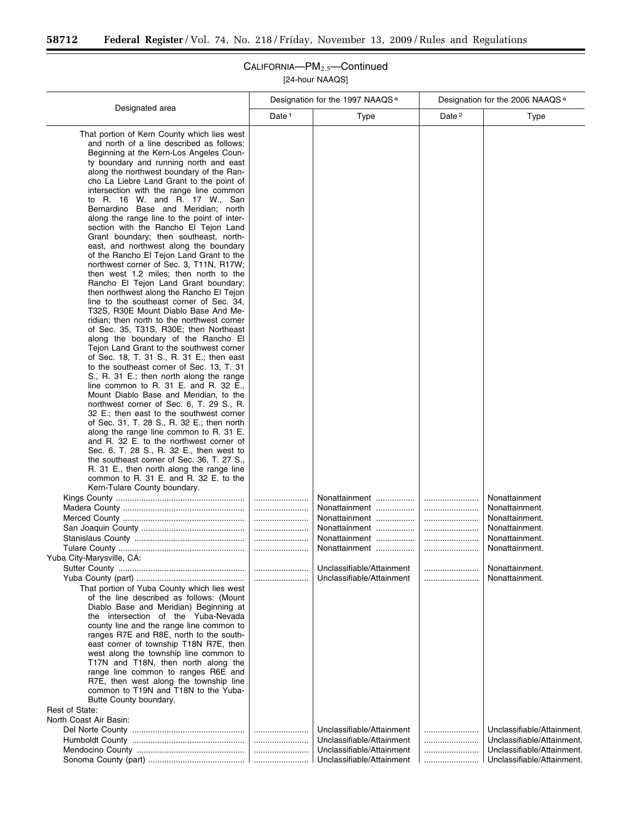۳

|                                                                                                                                                                                                                                                                                                                                                                                                                                                                                                                                                                                                                                                                                                                                                                                                                                                                                                                                                                                                                                                                                                                                                                                                                                                                                                                                                                                                                                                                                                                                                                                                                                                                                                                                                                                                                                                                                                                                                                                                                                                                                                                                                                                                                                                                                                                                                          | Designation for the 1997 NAAQS <sup>a</sup> |                                                                                                                                                              | Designation for the 2006 NAAQS <sup>a</sup> |                                                                                                                                             |
|----------------------------------------------------------------------------------------------------------------------------------------------------------------------------------------------------------------------------------------------------------------------------------------------------------------------------------------------------------------------------------------------------------------------------------------------------------------------------------------------------------------------------------------------------------------------------------------------------------------------------------------------------------------------------------------------------------------------------------------------------------------------------------------------------------------------------------------------------------------------------------------------------------------------------------------------------------------------------------------------------------------------------------------------------------------------------------------------------------------------------------------------------------------------------------------------------------------------------------------------------------------------------------------------------------------------------------------------------------------------------------------------------------------------------------------------------------------------------------------------------------------------------------------------------------------------------------------------------------------------------------------------------------------------------------------------------------------------------------------------------------------------------------------------------------------------------------------------------------------------------------------------------------------------------------------------------------------------------------------------------------------------------------------------------------------------------------------------------------------------------------------------------------------------------------------------------------------------------------------------------------------------------------------------------------------------------------------------------------|---------------------------------------------|--------------------------------------------------------------------------------------------------------------------------------------------------------------|---------------------------------------------|---------------------------------------------------------------------------------------------------------------------------------------------|
| Designated area                                                                                                                                                                                                                                                                                                                                                                                                                                                                                                                                                                                                                                                                                                                                                                                                                                                                                                                                                                                                                                                                                                                                                                                                                                                                                                                                                                                                                                                                                                                                                                                                                                                                                                                                                                                                                                                                                                                                                                                                                                                                                                                                                                                                                                                                                                                                          | Date <sup>1</sup>                           | <b>Type</b>                                                                                                                                                  | Date <sup>2</sup>                           | <b>Type</b>                                                                                                                                 |
| That portion of Kern County which lies west<br>and north of a line described as follows:<br>Beginning at the Kern-Los Angeles Coun-<br>ty boundary and running north and east<br>along the northwest boundary of the Ran-<br>cho La Liebre Land Grant to the point of<br>intersection with the range line common<br>to R. 16 W. and R. 17 W., San<br>Bernardino Base and Meridian; north<br>along the range line to the point of inter-<br>section with the Rancho El Tejon Land<br>Grant boundary; then southeast, north-<br>east, and northwest along the boundary<br>of the Rancho El Tejon Land Grant to the<br>northwest corner of Sec. 3, T11N, R17W;<br>then west 1.2 miles; then north to the<br>Rancho El Tejon Land Grant boundary;<br>then northwest along the Rancho El Tejon<br>line to the southeast corner of Sec. 34,<br>T32S, R30E Mount Diablo Base And Me-<br>ridian; then north to the northwest corner<br>of Sec. 35, T31S, R30E; then Northeast<br>along the boundary of the Rancho El<br>Tejon Land Grant to the southwest corner<br>of Sec. 18, T. 31 S., R. 31 E.; then east<br>to the southeast corner of Sec. 13, T. 31<br>S., R. 31 E.; then north along the range<br>line common to R. 31 E. and R. 32 E.,<br>Mount Diablo Base and Meridian, to the<br>northwest corner of Sec. 6, T. 29 S., R.<br>32 E.; then east to the southwest corner<br>of Sec. 31, T. 28 S., R. 32 E.; then north<br>along the range line common to R. 31 E.<br>and R. 32 E. to the northwest corner of<br>Sec. 6, T. 28 S., R. 32 E., then west to<br>the southeast corner of Sec. 36, T. 27 S.,<br>R. 31 E., then north along the range line<br>common to R. 31 E. and R. 32 E. to the<br>Kern-Tulare County boundary.<br>Yuba City-Marysville, CA:<br>That portion of Yuba County which lies west<br>of the line described as follows: (Mount<br>Diablo Base and Meridian) Beginning at<br>the intersection of the Yuba-Nevada<br>county line and the range line common to<br>ranges R7E and R8E, north to the south-<br>east corner of township T18N R7E, then<br>west along the township line common to<br>T17N and T18N, then north along the<br>range line common to ranges R6E and<br>R7E, then west along the township line<br>common to T19N and T18N to the Yuba-<br>Butte County boundary.<br>Rest of State:<br>North Coast Air Basin: |                                             | Nonattainment<br>Nonattainment<br>Nonattainment<br>Nonattainment<br>Nonattainment<br>Nonattainment<br>Unclassifiable/Attainment<br>Unclassifiable/Attainment | <br>                                        | Nonattainment<br>Nonattainment.<br>Nonattainment.<br>Nonattainment.<br>Nonattainment.<br>Nonattainment.<br>Nonattainment.<br>Nonattainment. |
|                                                                                                                                                                                                                                                                                                                                                                                                                                                                                                                                                                                                                                                                                                                                                                                                                                                                                                                                                                                                                                                                                                                                                                                                                                                                                                                                                                                                                                                                                                                                                                                                                                                                                                                                                                                                                                                                                                                                                                                                                                                                                                                                                                                                                                                                                                                                                          |                                             | Unclassifiable/Attainment<br>Unclassifiable/Attainment<br>Unclassifiable/Attainment                                                                          |                                             | Unclassifiable/Attainment.<br>Unclassifiable/Attainment.<br>Unclassifiable/Attainment.                                                      |
|                                                                                                                                                                                                                                                                                                                                                                                                                                                                                                                                                                                                                                                                                                                                                                                                                                                                                                                                                                                                                                                                                                                                                                                                                                                                                                                                                                                                                                                                                                                                                                                                                                                                                                                                                                                                                                                                                                                                                                                                                                                                                                                                                                                                                                                                                                                                                          |                                             | Unclassifiable/Attainment                                                                                                                                    |                                             | Unclassifiable/Attainment.                                                                                                                  |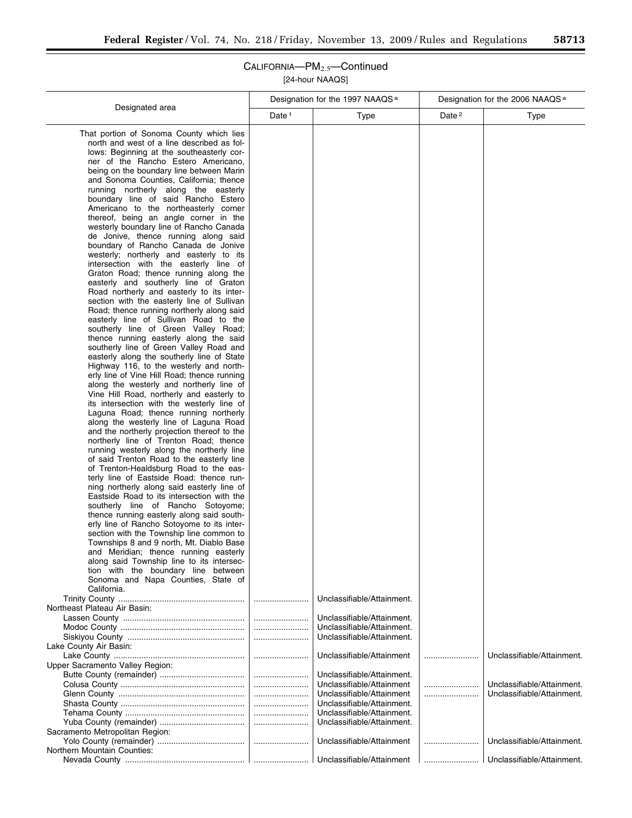۰

|                                                                                                                                                                                                                                                                                                                                                                                                                                                                                                                                                                                                                                                                                                                                                                                                                                                                                                                                                                                                                                                                                                                                                                                                                                                                                                                                                                                                                                                                                                                                                                                                                                                                                                                                                                                                                                                                                                                                                                                                                                                                                                                                                                                                     |                   | Designation for the 1997 NAAQS <sup>a</sup>              | Designation for the 2006 NAAQS <sup>a</sup> |                            |  |
|-----------------------------------------------------------------------------------------------------------------------------------------------------------------------------------------------------------------------------------------------------------------------------------------------------------------------------------------------------------------------------------------------------------------------------------------------------------------------------------------------------------------------------------------------------------------------------------------------------------------------------------------------------------------------------------------------------------------------------------------------------------------------------------------------------------------------------------------------------------------------------------------------------------------------------------------------------------------------------------------------------------------------------------------------------------------------------------------------------------------------------------------------------------------------------------------------------------------------------------------------------------------------------------------------------------------------------------------------------------------------------------------------------------------------------------------------------------------------------------------------------------------------------------------------------------------------------------------------------------------------------------------------------------------------------------------------------------------------------------------------------------------------------------------------------------------------------------------------------------------------------------------------------------------------------------------------------------------------------------------------------------------------------------------------------------------------------------------------------------------------------------------------------------------------------------------------------|-------------------|----------------------------------------------------------|---------------------------------------------|----------------------------|--|
| Designated area                                                                                                                                                                                                                                                                                                                                                                                                                                                                                                                                                                                                                                                                                                                                                                                                                                                                                                                                                                                                                                                                                                                                                                                                                                                                                                                                                                                                                                                                                                                                                                                                                                                                                                                                                                                                                                                                                                                                                                                                                                                                                                                                                                                     | Date <sup>1</sup> | Type                                                     | Date <sup>2</sup>                           | <b>Type</b>                |  |
| That portion of Sonoma County which lies<br>north and west of a line described as fol-<br>lows: Beginning at the southeasterly cor-<br>ner of the Rancho Estero Americano,<br>being on the boundary line between Marin<br>and Sonoma Counties, California; thence<br>running northerly along the easterly<br>boundary line of said Rancho Estero<br>Americano to the northeasterly corner<br>thereof, being an angle corner in the<br>westerly boundary line of Rancho Canada<br>de Jonive, thence running along said<br>boundary of Rancho Canada de Jonive<br>westerly; northerly and easterly to its<br>intersection with the easterly line of<br>Graton Road; thence running along the<br>easterly and southerly line of Graton<br>Road northerly and easterly to its inter-<br>section with the easterly line of Sullivan<br>Road; thence running northerly along said<br>easterly line of Sullivan Road to the<br>southerly line of Green Valley Road;<br>thence running easterly along the said<br>southerly line of Green Valley Road and<br>easterly along the southerly line of State<br>Highway 116, to the westerly and north-<br>erly line of Vine Hill Road; thence running<br>along the westerly and northerly line of<br>Vine Hill Road, northerly and easterly to<br>its intersection with the westerly line of<br>Laguna Road; thence running northerly<br>along the westerly line of Laguna Road<br>and the northerly projection thereof to the<br>northerly line of Trenton Road; thence<br>running westerly along the northerly line<br>of said Trenton Road to the easterly line<br>of Trenton-Healdsburg Road to the eas-<br>terly line of Eastside Road: thence run-<br>ning northerly along said easterly line of<br>Eastside Road to its intersection with the<br>southerly line of Rancho Sotoyome;<br>thence running easterly along said south-<br>erly line of Rancho Sotoyome to its inter-<br>section with the Township line common to<br>Townships 8 and 9 north, Mt. Diablo Base<br>and Meridian; thence running easterly<br>along said Township line to its intersec-<br>tion with the boundary line between<br>Sonoma and Napa Counties, State of<br>California. |                   |                                                          |                                             |                            |  |
| Northeast Plateau Air Basin:                                                                                                                                                                                                                                                                                                                                                                                                                                                                                                                                                                                                                                                                                                                                                                                                                                                                                                                                                                                                                                                                                                                                                                                                                                                                                                                                                                                                                                                                                                                                                                                                                                                                                                                                                                                                                                                                                                                                                                                                                                                                                                                                                                        |                   | Unclassifiable/Attainment.                               |                                             |                            |  |
|                                                                                                                                                                                                                                                                                                                                                                                                                                                                                                                                                                                                                                                                                                                                                                                                                                                                                                                                                                                                                                                                                                                                                                                                                                                                                                                                                                                                                                                                                                                                                                                                                                                                                                                                                                                                                                                                                                                                                                                                                                                                                                                                                                                                     |                   | Unclassifiable/Attainment.<br>Unclassifiable/Attainment. |                                             |                            |  |
|                                                                                                                                                                                                                                                                                                                                                                                                                                                                                                                                                                                                                                                                                                                                                                                                                                                                                                                                                                                                                                                                                                                                                                                                                                                                                                                                                                                                                                                                                                                                                                                                                                                                                                                                                                                                                                                                                                                                                                                                                                                                                                                                                                                                     |                   | Unclassifiable/Attainment.                               |                                             |                            |  |
| Lake County Air Basin:                                                                                                                                                                                                                                                                                                                                                                                                                                                                                                                                                                                                                                                                                                                                                                                                                                                                                                                                                                                                                                                                                                                                                                                                                                                                                                                                                                                                                                                                                                                                                                                                                                                                                                                                                                                                                                                                                                                                                                                                                                                                                                                                                                              |                   | Unclassifiable/Attainment                                |                                             |                            |  |
| Upper Sacramento Valley Region:                                                                                                                                                                                                                                                                                                                                                                                                                                                                                                                                                                                                                                                                                                                                                                                                                                                                                                                                                                                                                                                                                                                                                                                                                                                                                                                                                                                                                                                                                                                                                                                                                                                                                                                                                                                                                                                                                                                                                                                                                                                                                                                                                                     |                   |                                                          |                                             | Unclassifiable/Attainment. |  |
|                                                                                                                                                                                                                                                                                                                                                                                                                                                                                                                                                                                                                                                                                                                                                                                                                                                                                                                                                                                                                                                                                                                                                                                                                                                                                                                                                                                                                                                                                                                                                                                                                                                                                                                                                                                                                                                                                                                                                                                                                                                                                                                                                                                                     |                   | Unclassifiable/Attainment.                               |                                             |                            |  |
|                                                                                                                                                                                                                                                                                                                                                                                                                                                                                                                                                                                                                                                                                                                                                                                                                                                                                                                                                                                                                                                                                                                                                                                                                                                                                                                                                                                                                                                                                                                                                                                                                                                                                                                                                                                                                                                                                                                                                                                                                                                                                                                                                                                                     |                   | Unclassifiable/Attainment                                |                                             | Unclassifiable/Attainment. |  |
|                                                                                                                                                                                                                                                                                                                                                                                                                                                                                                                                                                                                                                                                                                                                                                                                                                                                                                                                                                                                                                                                                                                                                                                                                                                                                                                                                                                                                                                                                                                                                                                                                                                                                                                                                                                                                                                                                                                                                                                                                                                                                                                                                                                                     |                   | Unclassifiable/Attainment                                |                                             | Unclassifiable/Attainment. |  |
|                                                                                                                                                                                                                                                                                                                                                                                                                                                                                                                                                                                                                                                                                                                                                                                                                                                                                                                                                                                                                                                                                                                                                                                                                                                                                                                                                                                                                                                                                                                                                                                                                                                                                                                                                                                                                                                                                                                                                                                                                                                                                                                                                                                                     |                   | Unclassifiable/Attainment.<br>Unclassifiable/Attainment. |                                             |                            |  |
|                                                                                                                                                                                                                                                                                                                                                                                                                                                                                                                                                                                                                                                                                                                                                                                                                                                                                                                                                                                                                                                                                                                                                                                                                                                                                                                                                                                                                                                                                                                                                                                                                                                                                                                                                                                                                                                                                                                                                                                                                                                                                                                                                                                                     |                   | Unclassifiable/Attainment.                               |                                             |                            |  |
| Sacramento Metropolitan Region:                                                                                                                                                                                                                                                                                                                                                                                                                                                                                                                                                                                                                                                                                                                                                                                                                                                                                                                                                                                                                                                                                                                                                                                                                                                                                                                                                                                                                                                                                                                                                                                                                                                                                                                                                                                                                                                                                                                                                                                                                                                                                                                                                                     |                   |                                                          |                                             |                            |  |
|                                                                                                                                                                                                                                                                                                                                                                                                                                                                                                                                                                                                                                                                                                                                                                                                                                                                                                                                                                                                                                                                                                                                                                                                                                                                                                                                                                                                                                                                                                                                                                                                                                                                                                                                                                                                                                                                                                                                                                                                                                                                                                                                                                                                     |                   | Unclassifiable/Attainment                                |                                             | Unclassifiable/Attainment. |  |
| Northern Mountain Counties:                                                                                                                                                                                                                                                                                                                                                                                                                                                                                                                                                                                                                                                                                                                                                                                                                                                                                                                                                                                                                                                                                                                                                                                                                                                                                                                                                                                                                                                                                                                                                                                                                                                                                                                                                                                                                                                                                                                                                                                                                                                                                                                                                                         |                   | Unclassifiable/Attainment                                |                                             | Unclassifiable/Attainment. |  |
|                                                                                                                                                                                                                                                                                                                                                                                                                                                                                                                                                                                                                                                                                                                                                                                                                                                                                                                                                                                                                                                                                                                                                                                                                                                                                                                                                                                                                                                                                                                                                                                                                                                                                                                                                                                                                                                                                                                                                                                                                                                                                                                                                                                                     |                   |                                                          |                                             |                            |  |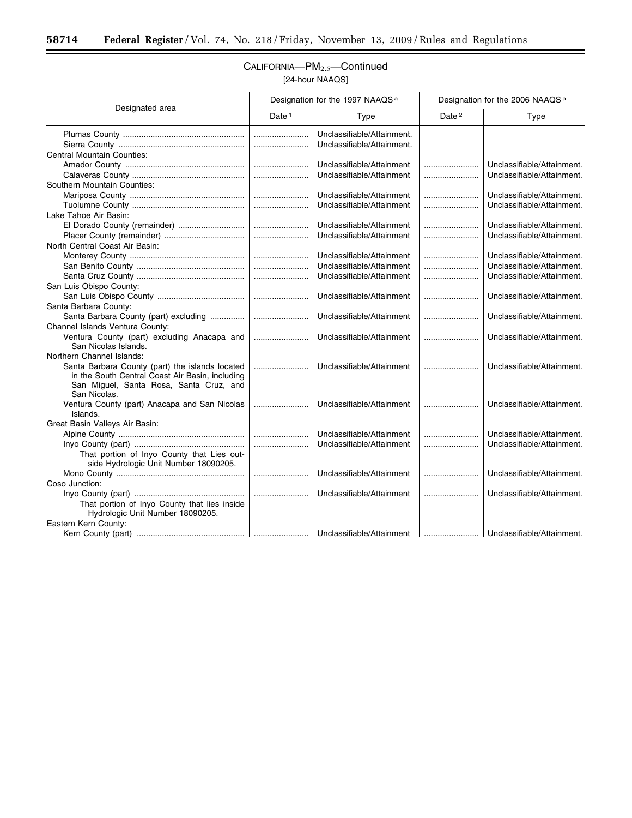$\equiv$ 

|                                                 | Designation for the 1997 NAAQS <sup>a</sup> |                            | Designation for the 2006 NAAQS <sup>a</sup> |                            |
|-------------------------------------------------|---------------------------------------------|----------------------------|---------------------------------------------|----------------------------|
| Designated area                                 | Date <sup>1</sup>                           | Type                       | Date <sup>2</sup>                           | Type                       |
|                                                 |                                             | Unclassifiable/Attainment. |                                             |                            |
|                                                 |                                             | Unclassifiable/Attainment. |                                             |                            |
| <b>Central Mountain Counties:</b>               |                                             |                            |                                             |                            |
|                                                 |                                             | Unclassifiable/Attainment  |                                             | Unclassifiable/Attainment. |
|                                                 |                                             | Unclassifiable/Attainment  |                                             | Unclassifiable/Attainment. |
| Southern Mountain Counties:                     |                                             |                            |                                             |                            |
|                                                 | l                                           | Unclassifiable/Attainment  |                                             | Unclassifiable/Attainment. |
|                                                 |                                             | Unclassifiable/Attainment  |                                             | Unclassifiable/Attainment. |
| Lake Tahoe Air Basin:                           |                                             |                            |                                             |                            |
| El Dorado County (remainder)                    |                                             | Unclassifiable/Attainment  |                                             | Unclassifiable/Attainment. |
|                                                 |                                             | Unclassifiable/Attainment  |                                             | Unclassifiable/Attainment. |
| North Central Coast Air Basin:                  |                                             |                            |                                             |                            |
|                                                 |                                             | Unclassifiable/Attainment  |                                             | Unclassifiable/Attainment. |
|                                                 |                                             | Unclassifiable/Attainment  |                                             | Unclassifiable/Attainment. |
|                                                 |                                             | Unclassifiable/Attainment  |                                             | Unclassifiable/Attainment. |
| San Luis Obispo County:                         |                                             |                            |                                             |                            |
|                                                 |                                             | Unclassifiable/Attainment  |                                             | Unclassifiable/Attainment. |
| Santa Barbara County:                           |                                             |                            |                                             |                            |
|                                                 |                                             | Unclassifiable/Attainment  |                                             | Unclassifiable/Attainment. |
| Channel Islands Ventura County:                 |                                             |                            |                                             |                            |
| Ventura County (part) excluding Anacapa and     |                                             | Unclassifiable/Attainment  |                                             | Unclassifiable/Attainment. |
| San Nicolas Islands.                            |                                             |                            |                                             |                            |
| Northern Channel Islands:                       |                                             |                            |                                             |                            |
| Santa Barbara County (part) the islands located |                                             | Unclassifiable/Attainment  |                                             | Unclassifiable/Attainment. |
| in the South Central Coast Air Basin, including |                                             |                            |                                             |                            |
| San Miguel, Santa Rosa, Santa Cruz, and         |                                             |                            |                                             |                            |
| San Nicolas.                                    |                                             |                            |                                             |                            |
| Ventura County (part) Anacapa and San Nicolas   |                                             | Unclassifiable/Attainment  |                                             | Unclassifiable/Attainment. |
| Islands.                                        |                                             |                            |                                             |                            |
| Great Basin Valleys Air Basin:                  |                                             |                            |                                             |                            |
|                                                 |                                             | Unclassifiable/Attainment  |                                             | Unclassifiable/Attainment. |
|                                                 |                                             | Unclassifiable/Attainment  |                                             | Unclassifiable/Attainment. |
| That portion of Inyo County that Lies out-      |                                             |                            |                                             |                            |
| side Hydrologic Unit Number 18090205.           |                                             |                            |                                             |                            |
|                                                 |                                             | Unclassifiable/Attainment  |                                             | Unclassifiable/Attainment. |
| Coso Junction:                                  |                                             |                            |                                             |                            |
|                                                 |                                             | Unclassifiable/Attainment  |                                             | Unclassifiable/Attainment. |
| That portion of Inyo County that lies inside    |                                             |                            |                                             |                            |
| Hydrologic Unit Number 18090205.                |                                             |                            |                                             |                            |
| Eastern Kern County:                            |                                             |                            |                                             |                            |
|                                                 |                                             |                            |                                             |                            |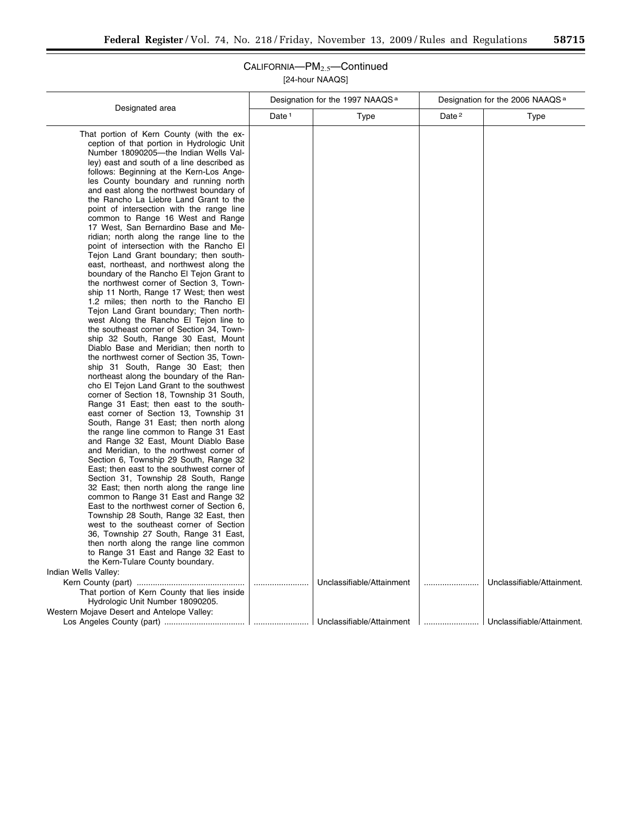$\overline{\phantom{a}}$ 

| Designated area                                                                                                                                                                                                                                                                                                                                                                                                                                                                                                                                                                                                                                                                                                                                                                                                                                                                                                                                                                                                                                                                                                                                                                                                                                                                                                                                                                                                                                                                                                                                                                                                                                                                                                                                                                                                                                                                                                                                                                                                                                                                                      | Designation for the 1997 NAAQS <sup>a</sup> |                           | Designation for the 2006 NAAQS <sup>a</sup> |                            |
|------------------------------------------------------------------------------------------------------------------------------------------------------------------------------------------------------------------------------------------------------------------------------------------------------------------------------------------------------------------------------------------------------------------------------------------------------------------------------------------------------------------------------------------------------------------------------------------------------------------------------------------------------------------------------------------------------------------------------------------------------------------------------------------------------------------------------------------------------------------------------------------------------------------------------------------------------------------------------------------------------------------------------------------------------------------------------------------------------------------------------------------------------------------------------------------------------------------------------------------------------------------------------------------------------------------------------------------------------------------------------------------------------------------------------------------------------------------------------------------------------------------------------------------------------------------------------------------------------------------------------------------------------------------------------------------------------------------------------------------------------------------------------------------------------------------------------------------------------------------------------------------------------------------------------------------------------------------------------------------------------------------------------------------------------------------------------------------------------|---------------------------------------------|---------------------------|---------------------------------------------|----------------------------|
|                                                                                                                                                                                                                                                                                                                                                                                                                                                                                                                                                                                                                                                                                                                                                                                                                                                                                                                                                                                                                                                                                                                                                                                                                                                                                                                                                                                                                                                                                                                                                                                                                                                                                                                                                                                                                                                                                                                                                                                                                                                                                                      | Date <sup>1</sup>                           | Type                      | Date <sup>2</sup>                           | Type                       |
| That portion of Kern County (with the ex-<br>ception of that portion in Hydrologic Unit<br>Number 18090205-the Indian Wells Val-<br>ley) east and south of a line described as<br>follows: Beginning at the Kern-Los Ange-<br>les County boundary and running north<br>and east along the northwest boundary of<br>the Rancho La Liebre Land Grant to the<br>point of intersection with the range line<br>common to Range 16 West and Range<br>17 West, San Bernardino Base and Me-<br>ridian; north along the range line to the<br>point of intersection with the Rancho El<br>Tejon Land Grant boundary; then south-<br>east, northeast, and northwest along the<br>boundary of the Rancho El Tejon Grant to<br>the northwest corner of Section 3, Town-<br>ship 11 North, Range 17 West; then west<br>1.2 miles; then north to the Rancho El<br>Tejon Land Grant boundary; Then north-<br>west Along the Rancho El Tejon line to<br>the southeast corner of Section 34, Town-<br>ship 32 South, Range 30 East, Mount<br>Diablo Base and Meridian; then north to<br>the northwest corner of Section 35, Town-<br>ship 31 South, Range 30 East; then<br>northeast along the boundary of the Ran-<br>cho El Tejon Land Grant to the southwest<br>corner of Section 18, Township 31 South,<br>Range 31 East; then east to the south-<br>east corner of Section 13, Township 31<br>South, Range 31 East; then north along<br>the range line common to Range 31 East<br>and Range 32 East, Mount Diablo Base<br>and Meridian, to the northwest corner of<br>Section 6, Township 29 South, Range 32<br>East; then east to the southwest corner of<br>Section 31, Township 28 South, Range<br>32 East; then north along the range line<br>common to Range 31 East and Range 32<br>East to the northwest corner of Section 6,<br>Township 28 South, Range 32 East, then<br>west to the southeast corner of Section<br>36, Township 27 South, Range 31 East,<br>then north along the range line common<br>to Range 31 East and Range 32 East to<br>the Kern-Tulare County boundary.<br>Indian Wells Valley: |                                             |                           |                                             |                            |
| That portion of Kern County that lies inside                                                                                                                                                                                                                                                                                                                                                                                                                                                                                                                                                                                                                                                                                                                                                                                                                                                                                                                                                                                                                                                                                                                                                                                                                                                                                                                                                                                                                                                                                                                                                                                                                                                                                                                                                                                                                                                                                                                                                                                                                                                         |                                             | Unclassifiable/Attainment |                                             | Unclassifiable/Attainment. |
| Hydrologic Unit Number 18090205.<br>Western Mojave Desert and Antelope Valley:                                                                                                                                                                                                                                                                                                                                                                                                                                                                                                                                                                                                                                                                                                                                                                                                                                                                                                                                                                                                                                                                                                                                                                                                                                                                                                                                                                                                                                                                                                                                                                                                                                                                                                                                                                                                                                                                                                                                                                                                                       |                                             |                           |                                             |                            |
|                                                                                                                                                                                                                                                                                                                                                                                                                                                                                                                                                                                                                                                                                                                                                                                                                                                                                                                                                                                                                                                                                                                                                                                                                                                                                                                                                                                                                                                                                                                                                                                                                                                                                                                                                                                                                                                                                                                                                                                                                                                                                                      |                                             |                           |                                             |                            |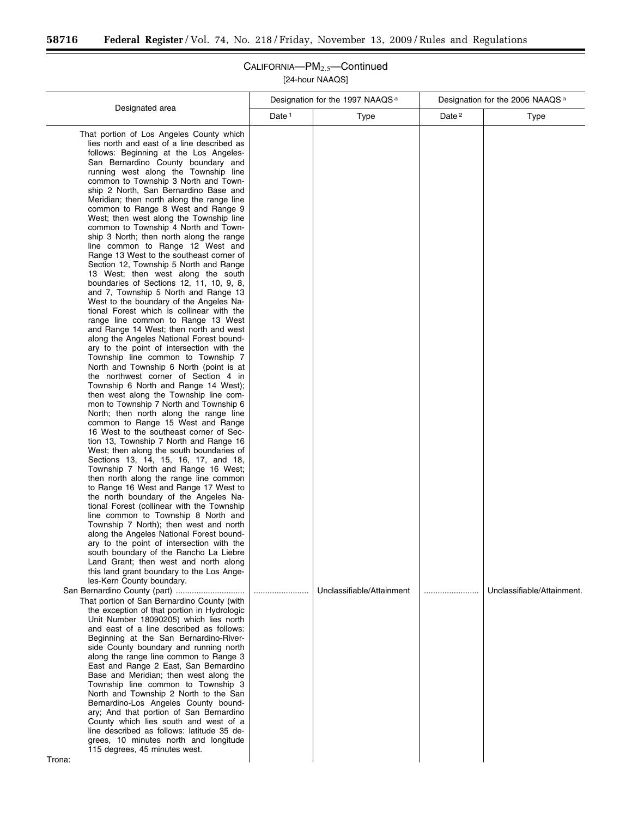$\equiv$ 

|                                                                                                                                                                                                                                                                                                                                                                                                                                                                                                                                                                                                                                                                                                                                                                                                                                                                                                                                                                                                                                                                                                                                                                                                                                                                                                                                                                                                                                                                                                                                                                                                                                                                                                                                                                                                                                                                                                                                                                                                                                                                                                                                                                                                                                                                                                                                                                                                                                                                                                                                                                                                                                                                                                                                                                                                                                                                                               |                   | Designation for the 1997 NAAQS <sup>a</sup> | Designation for the 2006 NAAQS <sup>a</sup> |                            |
|-----------------------------------------------------------------------------------------------------------------------------------------------------------------------------------------------------------------------------------------------------------------------------------------------------------------------------------------------------------------------------------------------------------------------------------------------------------------------------------------------------------------------------------------------------------------------------------------------------------------------------------------------------------------------------------------------------------------------------------------------------------------------------------------------------------------------------------------------------------------------------------------------------------------------------------------------------------------------------------------------------------------------------------------------------------------------------------------------------------------------------------------------------------------------------------------------------------------------------------------------------------------------------------------------------------------------------------------------------------------------------------------------------------------------------------------------------------------------------------------------------------------------------------------------------------------------------------------------------------------------------------------------------------------------------------------------------------------------------------------------------------------------------------------------------------------------------------------------------------------------------------------------------------------------------------------------------------------------------------------------------------------------------------------------------------------------------------------------------------------------------------------------------------------------------------------------------------------------------------------------------------------------------------------------------------------------------------------------------------------------------------------------------------------------------------------------------------------------------------------------------------------------------------------------------------------------------------------------------------------------------------------------------------------------------------------------------------------------------------------------------------------------------------------------------------------------------------------------------------------------------------------------|-------------------|---------------------------------------------|---------------------------------------------|----------------------------|
| Designated area                                                                                                                                                                                                                                                                                                                                                                                                                                                                                                                                                                                                                                                                                                                                                                                                                                                                                                                                                                                                                                                                                                                                                                                                                                                                                                                                                                                                                                                                                                                                                                                                                                                                                                                                                                                                                                                                                                                                                                                                                                                                                                                                                                                                                                                                                                                                                                                                                                                                                                                                                                                                                                                                                                                                                                                                                                                                               | Date <sup>1</sup> | <b>Type</b>                                 | Date <sup>2</sup>                           | <b>Type</b>                |
| That portion of Los Angeles County which<br>lies north and east of a line described as<br>follows: Beginning at the Los Angeles-<br>San Bernardino County boundary and<br>running west along the Township line<br>common to Township 3 North and Town-<br>ship 2 North, San Bernardino Base and<br>Meridian; then north along the range line<br>common to Range 8 West and Range 9<br>West; then west along the Township line<br>common to Township 4 North and Town-<br>ship 3 North; then north along the range<br>line common to Range 12 West and<br>Range 13 West to the southeast corner of<br>Section 12, Township 5 North and Range<br>13 West; then west along the south<br>boundaries of Sections 12, 11, 10, 9, 8,<br>and 7, Township 5 North and Range 13<br>West to the boundary of the Angeles Na-<br>tional Forest which is collinear with the<br>range line common to Range 13 West<br>and Range 14 West; then north and west<br>along the Angeles National Forest bound-<br>ary to the point of intersection with the<br>Township line common to Township 7<br>North and Township 6 North (point is at<br>the northwest corner of Section 4 in<br>Township 6 North and Range 14 West);<br>then west along the Township line com-<br>mon to Township 7 North and Township 6<br>North; then north along the range line<br>common to Range 15 West and Range<br>16 West to the southeast corner of Sec-<br>tion 13, Township 7 North and Range 16<br>West; then along the south boundaries of<br>Sections 13, 14, 15, 16, 17, and 18,<br>Township 7 North and Range 16 West;<br>then north along the range line common<br>to Range 16 West and Range 17 West to<br>the north boundary of the Angeles Na-<br>tional Forest (collinear with the Township<br>line common to Township 8 North and<br>Township 7 North); then west and north<br>along the Angeles National Forest bound-<br>ary to the point of intersection with the<br>south boundary of the Rancho La Liebre<br>Land Grant; then west and north along<br>this land grant boundary to the Los Ange-<br>les-Kern County boundary.<br>San Bernardino County (part)<br>That portion of San Bernardino County (with<br>the exception of that portion in Hydrologic<br>Unit Number 18090205) which lies north<br>and east of a line described as follows:<br>Beginning at the San Bernardino-River-<br>side County boundary and running north<br>along the range line common to Range 3<br>East and Range 2 East, San Bernardino<br>Base and Meridian; then west along the<br>Township line common to Township 3<br>North and Township 2 North to the San<br>Bernardino-Los Angeles County bound-<br>ary; And that portion of San Bernardino<br>County which lies south and west of a<br>line described as follows: latitude 35 de-<br>grees, 10 minutes north and longitude<br>115 degrees, 45 minutes west.<br>Trona: |                   | Unclassifiable/Attainment                   |                                             | Unclassifiable/Attainment. |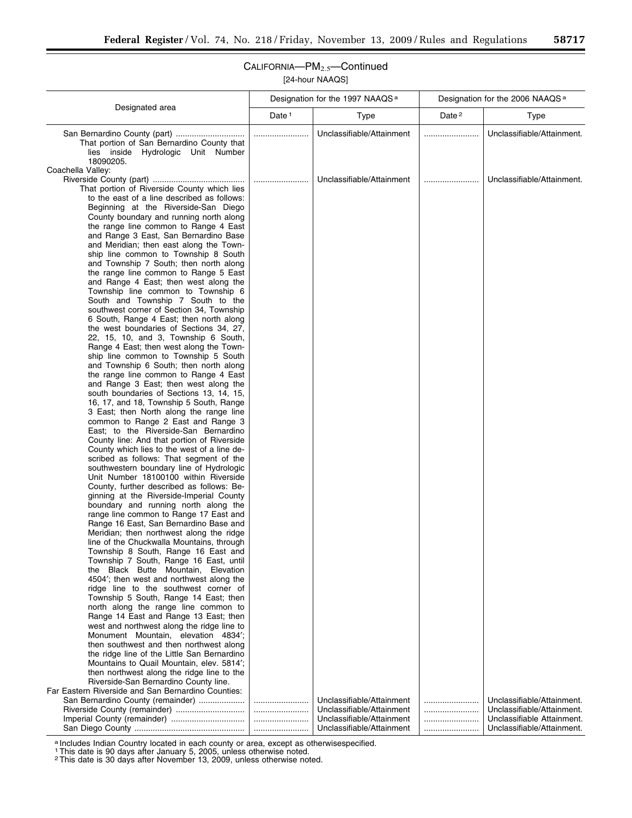Ξ

## CALIFORNIA—PM2.5—Continued [24-hour NAAQS]

|                                                                                                                                                                                                                                                                                                                                                                                                                                                                                                                                                                                                                                                                                                                                                                                                                                                                                                                                                                                                                                                                                                                                                                                                                                                                                                                                                                                                                                                                                                                                   | Designation for the 1997 NAAQS <sup>a</sup> |                           | Designation for the 2006 NAAQS <sup>a</sup> |                            |
|-----------------------------------------------------------------------------------------------------------------------------------------------------------------------------------------------------------------------------------------------------------------------------------------------------------------------------------------------------------------------------------------------------------------------------------------------------------------------------------------------------------------------------------------------------------------------------------------------------------------------------------------------------------------------------------------------------------------------------------------------------------------------------------------------------------------------------------------------------------------------------------------------------------------------------------------------------------------------------------------------------------------------------------------------------------------------------------------------------------------------------------------------------------------------------------------------------------------------------------------------------------------------------------------------------------------------------------------------------------------------------------------------------------------------------------------------------------------------------------------------------------------------------------|---------------------------------------------|---------------------------|---------------------------------------------|----------------------------|
| Designated area                                                                                                                                                                                                                                                                                                                                                                                                                                                                                                                                                                                                                                                                                                                                                                                                                                                                                                                                                                                                                                                                                                                                                                                                                                                                                                                                                                                                                                                                                                                   | Date $1$                                    | Type                      | Date <sup>2</sup>                           | <b>Type</b>                |
| That portion of San Bernardino County that<br>lies inside Hydrologic Unit Number<br>18090205.                                                                                                                                                                                                                                                                                                                                                                                                                                                                                                                                                                                                                                                                                                                                                                                                                                                                                                                                                                                                                                                                                                                                                                                                                                                                                                                                                                                                                                     |                                             | Unclassifiable/Attainment |                                             | Unclassifiable/Attainment. |
| Coachella Valley:                                                                                                                                                                                                                                                                                                                                                                                                                                                                                                                                                                                                                                                                                                                                                                                                                                                                                                                                                                                                                                                                                                                                                                                                                                                                                                                                                                                                                                                                                                                 |                                             |                           |                                             |                            |
|                                                                                                                                                                                                                                                                                                                                                                                                                                                                                                                                                                                                                                                                                                                                                                                                                                                                                                                                                                                                                                                                                                                                                                                                                                                                                                                                                                                                                                                                                                                                   |                                             | Unclassifiable/Attainment |                                             | Unclassifiable/Attainment. |
| That portion of Riverside County which lies<br>to the east of a line described as follows:<br>Beginning at the Riverside-San Diego<br>County boundary and running north along<br>the range line common to Range 4 East<br>and Range 3 East, San Bernardino Base<br>and Meridian; then east along the Town-<br>ship line common to Township 8 South<br>and Township 7 South; then north along<br>the range line common to Range 5 East<br>and Range 4 East; then west along the<br>Township line common to Township 6<br>South and Township 7 South to the<br>southwest corner of Section 34, Township<br>6 South, Range 4 East; then north along<br>the west boundaries of Sections 34, 27,<br>22, 15, 10, and 3, Township 6 South,<br>Range 4 East; then west along the Town-<br>ship line common to Township 5 South<br>and Township 6 South; then north along<br>the range line common to Range 4 East<br>and Range 3 East; then west along the<br>south boundaries of Sections 13, 14, 15,<br>16, 17, and 18, Township 5 South, Range<br>3 East; then North along the range line<br>common to Range 2 East and Range 3<br>East; to the Riverside-San Bernardino<br>County line: And that portion of Riverside<br>County which lies to the west of a line de-<br>scribed as follows: That segment of the<br>southwestern boundary line of Hydrologic<br>Unit Number 18100100 within Riverside<br>County, further described as follows: Be-<br>ginning at the Riverside-Imperial County<br>boundary and running north along the |                                             |                           |                                             |                            |
| range line common to Range 17 East and                                                                                                                                                                                                                                                                                                                                                                                                                                                                                                                                                                                                                                                                                                                                                                                                                                                                                                                                                                                                                                                                                                                                                                                                                                                                                                                                                                                                                                                                                            |                                             |                           |                                             |                            |
| Range 16 East, San Bernardino Base and<br>Meridian; then northwest along the ridge                                                                                                                                                                                                                                                                                                                                                                                                                                                                                                                                                                                                                                                                                                                                                                                                                                                                                                                                                                                                                                                                                                                                                                                                                                                                                                                                                                                                                                                |                                             |                           |                                             |                            |
| line of the Chuckwalla Mountains, through                                                                                                                                                                                                                                                                                                                                                                                                                                                                                                                                                                                                                                                                                                                                                                                                                                                                                                                                                                                                                                                                                                                                                                                                                                                                                                                                                                                                                                                                                         |                                             |                           |                                             |                            |
| Township 8 South, Range 16 East and                                                                                                                                                                                                                                                                                                                                                                                                                                                                                                                                                                                                                                                                                                                                                                                                                                                                                                                                                                                                                                                                                                                                                                                                                                                                                                                                                                                                                                                                                               |                                             |                           |                                             |                            |
| Township 7 South, Range 16 East, until<br>the Black Butte Mountain, Elevation                                                                                                                                                                                                                                                                                                                                                                                                                                                                                                                                                                                                                                                                                                                                                                                                                                                                                                                                                                                                                                                                                                                                                                                                                                                                                                                                                                                                                                                     |                                             |                           |                                             |                            |
| 4504'; then west and northwest along the                                                                                                                                                                                                                                                                                                                                                                                                                                                                                                                                                                                                                                                                                                                                                                                                                                                                                                                                                                                                                                                                                                                                                                                                                                                                                                                                                                                                                                                                                          |                                             |                           |                                             |                            |
| ridge line to the southwest corner of                                                                                                                                                                                                                                                                                                                                                                                                                                                                                                                                                                                                                                                                                                                                                                                                                                                                                                                                                                                                                                                                                                                                                                                                                                                                                                                                                                                                                                                                                             |                                             |                           |                                             |                            |
| Township 5 South, Range 14 East; then                                                                                                                                                                                                                                                                                                                                                                                                                                                                                                                                                                                                                                                                                                                                                                                                                                                                                                                                                                                                                                                                                                                                                                                                                                                                                                                                                                                                                                                                                             |                                             |                           |                                             |                            |
| north along the range line common to                                                                                                                                                                                                                                                                                                                                                                                                                                                                                                                                                                                                                                                                                                                                                                                                                                                                                                                                                                                                                                                                                                                                                                                                                                                                                                                                                                                                                                                                                              |                                             |                           |                                             |                            |
| Range 14 East and Range 13 East; then<br>west and northwest along the ridge line to                                                                                                                                                                                                                                                                                                                                                                                                                                                                                                                                                                                                                                                                                                                                                                                                                                                                                                                                                                                                                                                                                                                                                                                                                                                                                                                                                                                                                                               |                                             |                           |                                             |                            |
| Monument Mountain, elevation 4834';                                                                                                                                                                                                                                                                                                                                                                                                                                                                                                                                                                                                                                                                                                                                                                                                                                                                                                                                                                                                                                                                                                                                                                                                                                                                                                                                                                                                                                                                                               |                                             |                           |                                             |                            |
| then southwest and then northwest along                                                                                                                                                                                                                                                                                                                                                                                                                                                                                                                                                                                                                                                                                                                                                                                                                                                                                                                                                                                                                                                                                                                                                                                                                                                                                                                                                                                                                                                                                           |                                             |                           |                                             |                            |
| the ridge line of the Little San Bernardino                                                                                                                                                                                                                                                                                                                                                                                                                                                                                                                                                                                                                                                                                                                                                                                                                                                                                                                                                                                                                                                                                                                                                                                                                                                                                                                                                                                                                                                                                       |                                             |                           |                                             |                            |
| Mountains to Quail Mountain, elev. 5814';                                                                                                                                                                                                                                                                                                                                                                                                                                                                                                                                                                                                                                                                                                                                                                                                                                                                                                                                                                                                                                                                                                                                                                                                                                                                                                                                                                                                                                                                                         |                                             |                           |                                             |                            |
| then northwest along the ridge line to the                                                                                                                                                                                                                                                                                                                                                                                                                                                                                                                                                                                                                                                                                                                                                                                                                                                                                                                                                                                                                                                                                                                                                                                                                                                                                                                                                                                                                                                                                        |                                             |                           |                                             |                            |
| Riverside-San Bernardino County line.<br>Far Eastern Riverside and San Bernardino Counties:                                                                                                                                                                                                                                                                                                                                                                                                                                                                                                                                                                                                                                                                                                                                                                                                                                                                                                                                                                                                                                                                                                                                                                                                                                                                                                                                                                                                                                       |                                             |                           |                                             |                            |
| San Bernardino County (remainder)                                                                                                                                                                                                                                                                                                                                                                                                                                                                                                                                                                                                                                                                                                                                                                                                                                                                                                                                                                                                                                                                                                                                                                                                                                                                                                                                                                                                                                                                                                 |                                             | Unclassifiable/Attainment |                                             | Unclassifiable/Attainment. |
| Riverside County (remainder)                                                                                                                                                                                                                                                                                                                                                                                                                                                                                                                                                                                                                                                                                                                                                                                                                                                                                                                                                                                                                                                                                                                                                                                                                                                                                                                                                                                                                                                                                                      |                                             | Unclassifiable/Attainment |                                             | Unclassifiable/Attainment. |
| Imperial County (remainder)                                                                                                                                                                                                                                                                                                                                                                                                                                                                                                                                                                                                                                                                                                                                                                                                                                                                                                                                                                                                                                                                                                                                                                                                                                                                                                                                                                                                                                                                                                       |                                             | Unclassifiable/Attainment |                                             | Unclassifiable Attainment. |
|                                                                                                                                                                                                                                                                                                                                                                                                                                                                                                                                                                                                                                                                                                                                                                                                                                                                                                                                                                                                                                                                                                                                                                                                                                                                                                                                                                                                                                                                                                                                   |                                             | Unclassifiable/Attainment |                                             | Unclassifiable/Attainment. |

a Includes Indian Country located in each county or area, except as otherwisespecified.

1This date is 90 days after January 5, 2005, unless otherwise noted. 2This date is 30 days after November 13, 2009, unless otherwise noted.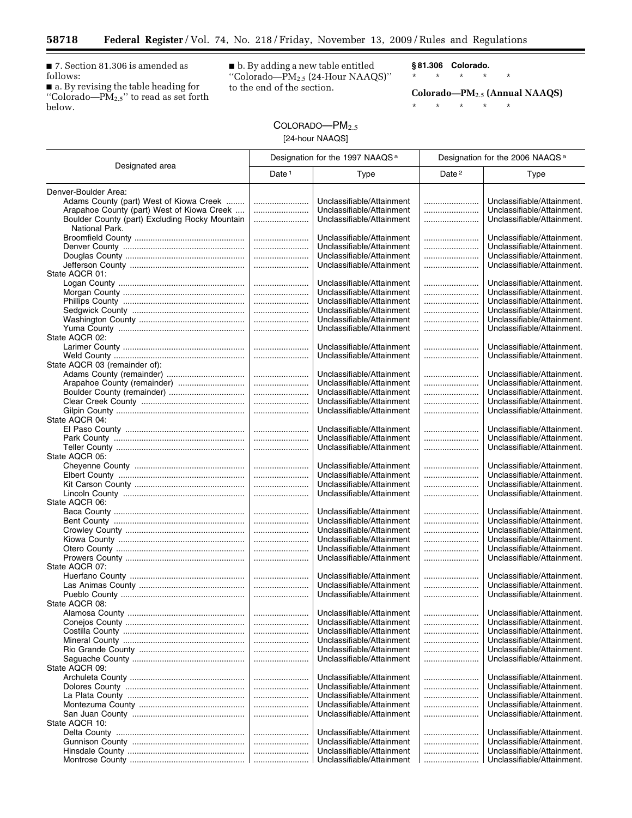■ 7. Section 81.306 is amended as follows:

 $\equiv$ 

■ a. By revising the table heading for ''Colorado—PM2.5'' to read as set forth below.

■ b. By adding a new table entitled ''Colorado—PM2.5 (24-Hour NAAQS)'' to the end of the section.

**§ 81.306 Colorado.** 

\* \* \* \* \*

**Colorado—PM**2.5 **(Annual NAAQS)** 

\* \* \* \* \*

## COLORADO-PM<sub>2.5</sub> [24-hour NAAQS]

|                                                | Designation for the 1997 NAAQS <sup>a</sup> |                                                        | Designation for the 2006 NAAQS <sup>a</sup> |                                                          |
|------------------------------------------------|---------------------------------------------|--------------------------------------------------------|---------------------------------------------|----------------------------------------------------------|
| Designated area                                | Date $1$                                    | Type                                                   | Date <sup>2</sup>                           | <b>Type</b>                                              |
| Denver-Boulder Area:                           |                                             |                                                        |                                             |                                                          |
| Adams County (part) West of Kiowa Creek        |                                             | Unclassifiable/Attainment                              |                                             | Unclassifiable/Attainment.                               |
| Arapahoe County (part) West of Kiowa Creek     |                                             | Unclassifiable/Attainment                              |                                             | Unclassifiable/Attainment.                               |
| Boulder County (part) Excluding Rocky Mountain |                                             | Unclassifiable/Attainment                              |                                             | Unclassifiable/Attainment.                               |
| National Park.                                 |                                             |                                                        |                                             |                                                          |
|                                                |                                             | Unclassifiable/Attainment                              |                                             | Unclassifiable/Attainment.                               |
|                                                |                                             | Unclassifiable/Attainment                              |                                             | Unclassifiable/Attainment.                               |
|                                                |                                             | Unclassifiable/Attainment                              |                                             | Unclassifiable/Attainment.                               |
|                                                |                                             | Unclassifiable/Attainment                              |                                             | Unclassifiable/Attainment.                               |
| State AQCR 01:                                 |                                             |                                                        |                                             |                                                          |
|                                                |                                             | Unclassifiable/Attainment<br>Unclassifiable/Attainment |                                             | Unclassifiable/Attainment.<br>Unclassifiable/Attainment. |
|                                                |                                             | Unclassifiable/Attainment                              |                                             | Unclassifiable/Attainment.                               |
|                                                |                                             | Unclassifiable/Attainment                              |                                             | Unclassifiable/Attainment.                               |
|                                                |                                             | Unclassifiable/Attainment                              |                                             | Unclassifiable/Attainment.                               |
|                                                |                                             | Unclassifiable/Attainment                              |                                             | Unclassifiable/Attainment.                               |
| State AQCR 02:                                 |                                             |                                                        |                                             |                                                          |
|                                                |                                             | Unclassifiable/Attainment                              |                                             | Unclassifiable/Attainment.                               |
|                                                |                                             | Unclassifiable/Attainment                              |                                             | Unclassifiable/Attainment.                               |
| State AQCR 03 (remainder of):                  |                                             |                                                        |                                             |                                                          |
|                                                |                                             | Unclassifiable/Attainment                              |                                             | Unclassifiable/Attainment.                               |
| Arapahoe County (remainder)                    |                                             | Unclassifiable/Attainment                              |                                             | Unclassifiable/Attainment.                               |
|                                                |                                             | Unclassifiable/Attainment                              |                                             | Unclassifiable/Attainment.                               |
|                                                |                                             | Unclassifiable/Attainment<br>Unclassifiable/Attainment |                                             | Unclassifiable/Attainment.<br>Unclassifiable/Attainment. |
| State AQCR 04:                                 |                                             |                                                        |                                             |                                                          |
|                                                |                                             | Unclassifiable/Attainment                              |                                             | Unclassifiable/Attainment.                               |
|                                                |                                             | Unclassifiable/Attainment                              |                                             | Unclassifiable/Attainment.                               |
|                                                |                                             | Unclassifiable/Attainment                              |                                             | Unclassifiable/Attainment.                               |
| State AQCR 05:                                 |                                             |                                                        |                                             |                                                          |
|                                                |                                             | Unclassifiable/Attainment                              |                                             | Unclassifiable/Attainment.                               |
|                                                |                                             | Unclassifiable/Attainment                              |                                             | Unclassifiable/Attainment.                               |
|                                                |                                             | Unclassifiable/Attainment                              |                                             | Unclassifiable/Attainment.                               |
|                                                |                                             | Unclassifiable/Attainment                              |                                             | Unclassifiable/Attainment.                               |
| State AQCR 06:                                 |                                             |                                                        |                                             |                                                          |
|                                                |                                             | Unclassifiable/Attainment                              |                                             | Unclassifiable/Attainment.                               |
|                                                |                                             | Unclassifiable/Attainment                              |                                             | Unclassifiable/Attainment.                               |
|                                                |                                             | Unclassifiable/Attainment<br>Unclassifiable/Attainment |                                             | Unclassifiable/Attainment.<br>Unclassifiable/Attainment. |
|                                                | <br>                                        | Unclassifiable/Attainment                              | <br>                                        | Unclassifiable/Attainment.                               |
|                                                |                                             | Unclassifiable/Attainment                              |                                             | Unclassifiable/Attainment.                               |
| State AQCR 07:                                 |                                             |                                                        |                                             |                                                          |
|                                                |                                             | Unclassifiable/Attainment                              |                                             | Unclassifiable/Attainment.                               |
|                                                |                                             | Unclassifiable/Attainment                              |                                             | Unclassifiable/Attainment.                               |
|                                                |                                             | Unclassifiable/Attainment                              |                                             | Unclassifiable/Attainment.                               |
| State AQCR 08:                                 |                                             |                                                        |                                             |                                                          |
|                                                |                                             | Unclassifiable/Attainment                              |                                             | Unclassifiable/Attainment.                               |
|                                                |                                             | Unclassifiable/Attainment                              |                                             | Unclassifiable/Attainment.                               |
|                                                |                                             | Unclassifiable/Attainment                              |                                             | Unclassifiable/Attainment.                               |
|                                                |                                             | Unclassifiable/Attainment                              |                                             | Unclassifiable/Attainment.                               |
|                                                |                                             | Unclassifiable/Attainment                              |                                             | Unclassifiable/Attainment.                               |
| State AQCR 09:                                 |                                             | Unclassifiable/Attainment                              |                                             | Unclassifiable/Attainment.                               |
|                                                |                                             | Unclassifiable/Attainment                              |                                             | Unclassifiable/Attainment.                               |
|                                                |                                             | Unclassifiable/Attainment                              |                                             | Unclassifiable/Attainment.                               |
|                                                |                                             | Unclassifiable/Attainment                              |                                             | Unclassifiable/Attainment.                               |
|                                                |                                             | Unclassifiable/Attainment                              |                                             | Unclassifiable/Attainment.                               |
|                                                |                                             | Unclassifiable/Attainment                              |                                             | Unclassifiable/Attainment.                               |
| State AQCR 10:                                 |                                             |                                                        |                                             |                                                          |
|                                                |                                             | Unclassifiable/Attainment                              |                                             | Unclassifiable/Attainment.                               |
|                                                |                                             | Unclassifiable/Attainment                              |                                             | Unclassifiable/Attainment.                               |
|                                                |                                             | Unclassifiable/Attainment                              |                                             | Unclassifiable/Attainment.                               |
|                                                |                                             | Unclassifiable/Attainment                              |                                             | Unclassifiable/Attainment.                               |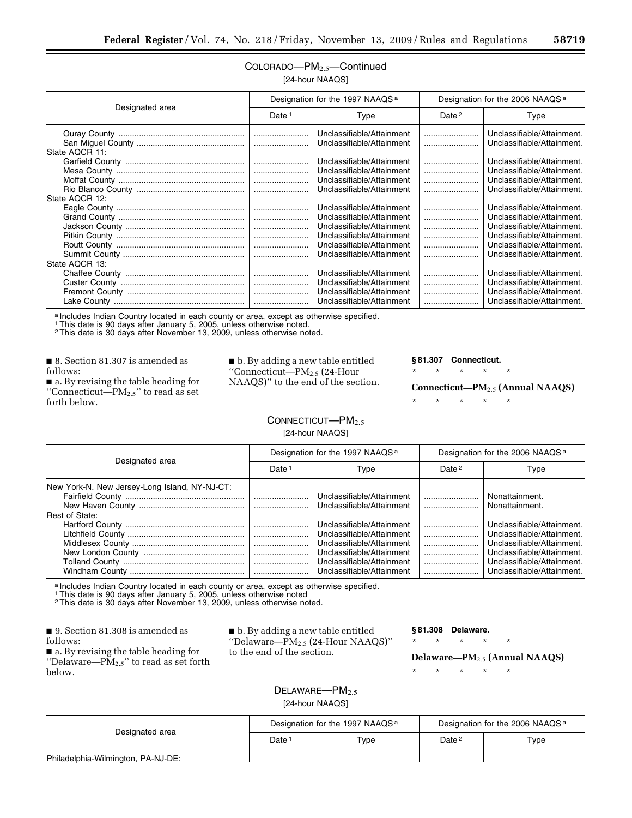## COLORADO—PM2.5—Continued [24-hour NAAQS]

| Designated area | Designation for the 1997 NAAQS <sup>a</sup> |                                                        | Designation for the 2006 NAAQS <sup>a</sup> |                                                          |
|-----------------|---------------------------------------------|--------------------------------------------------------|---------------------------------------------|----------------------------------------------------------|
|                 | Date <sup>1</sup>                           | Type                                                   | Date $2$                                    | Type                                                     |
|                 |                                             | Unclassifiable/Attainment<br>Unclassifiable/Attainment |                                             | Unclassifiable/Attainment.<br>Unclassifiable/Attainment. |
| State AQCR 11:  |                                             | Unclassifiable/Attainment                              |                                             | Unclassifiable/Attainment.                               |
|                 |                                             | Unclassifiable/Attainment                              |                                             | Unclassifiable/Attainment.                               |
|                 |                                             | Unclassifiable/Attainment                              |                                             | Unclassifiable/Attainment.                               |
| State AQCR 12:  |                                             | Unclassifiable/Attainment                              |                                             | Unclassifiable/Attainment.                               |
|                 |                                             | Unclassifiable/Attainment                              |                                             | Unclassifiable/Attainment.                               |
|                 |                                             | Unclassifiable/Attainment<br>Unclassifiable/Attainment |                                             | Unclassifiable/Attainment.<br>Unclassifiable/Attainment. |
|                 |                                             | Unclassifiable/Attainment                              |                                             | Unclassifiable/Attainment.                               |
|                 |                                             | Unclassifiable/Attainment<br>Unclassifiable/Attainment |                                             | Unclassifiable/Attainment.<br>Unclassifiable/Attainment. |
| State AQCR 13:  |                                             |                                                        |                                             |                                                          |
|                 |                                             | Unclassifiable/Attainment                              |                                             | Unclassifiable/Attainment.                               |
|                 |                                             | Unclassifiable/Attainment<br>Unclassifiable/Attainment |                                             | Unclassifiable/Attainment.<br>Unclassifiable/Attainment. |
|                 |                                             | Unclassifiable/Attainment                              |                                             | Unclassifiable/Attainment.                               |

a Includes Indian Country located in each county or area, except as otherwise specified.

1This date is 90 days after January 5, 2005, unless otherwise noted. 2This date is 30 days after November 13, 2009, unless otherwise noted.

■ 8. Section 81.307 is amended as follows:

■ a. By revising the table heading for ''Connecticut—PM2.5'' to read as set forth below.

■ b. By adding a new table entitled ''Connecticut—PM2.5 (24-Hour NAAQS)'' to the end of the section.

#### **§ 81.307 Connecticut.**

\* \* \* \* \*

**Connecticut—PM**2.5 **(Annual NAAQS)** 

\* \* \* \* \*

## CONNECTICUT-PM<sub>2.5</sub>

[24-hour NAAQS]

| Designated area                                                 | Designation for the 1997 NAAQS <sup>a</sup> |                                                                                                                                                                                                                                      | Designation for the 2006 NAAQS <sup>a</sup> |                                                                                                                                                                                                                      |
|-----------------------------------------------------------------|---------------------------------------------|--------------------------------------------------------------------------------------------------------------------------------------------------------------------------------------------------------------------------------------|---------------------------------------------|----------------------------------------------------------------------------------------------------------------------------------------------------------------------------------------------------------------------|
|                                                                 | Date <sup>1</sup>                           | Type                                                                                                                                                                                                                                 | Date <sup>2</sup>                           | Type                                                                                                                                                                                                                 |
| New York-N. New Jersey-Long Island, NY-NJ-CT:<br>Rest of State: |                                             | Unclassifiable/Attainment<br>Unclassifiable/Attainment<br>Unclassifiable/Attainment<br>Unclassifiable/Attainment<br>Unclassifiable/Attainment<br>Unclassifiable/Attainment<br>Unclassifiable/Attainment<br>Unclassifiable/Attainment |                                             | Nonattainment.<br>Nonattainment.<br>Unclassifiable/Attainment.<br>Unclassifiable/Attainment.<br>Unclassifiable/Attainment.<br>Unclassifiable/Attainment.<br>Unclassifiable/Attainment.<br>Unclassifiable/Attainment. |

a Includes Indian Country located in each county or area, except as otherwise specified.<br>1 This date is 90 days after January 5, 2005, unless otherwise noted

2This date is 30 days after November 13, 2009, unless otherwise noted.

■ 9. Section 81.308 is amended as follows:

■ a. By revising the table heading for "Delaware— $\overrightarrow{PM}_{2.5}$ " to read as set forth below.

■ b. By adding a new table entitled ''Delaware—PM2.5 (24-Hour NAAQS)'' to the end of the section.

#### **§ 81.308 Delaware.**

\* \* \* \* \*

**Delaware—PM**2.5 **(Annual NAAQS)** 

\* \* \* \* \*

## $DELAWARE$ <sup>- $PM<sub>2.5</sub>$ </sup> [24-hour NAAQS]

| Designated area                    | Designation for the 1997 NAAQS <sup>a</sup> |      | Designation for the 2006 NAAQS <sup>a</sup> |      |
|------------------------------------|---------------------------------------------|------|---------------------------------------------|------|
|                                    | Date:                                       | Type | Date <sup>2</sup>                           | Type |
| Philadelphia-Wilmington, PA-NJ-DE: |                                             |      |                                             |      |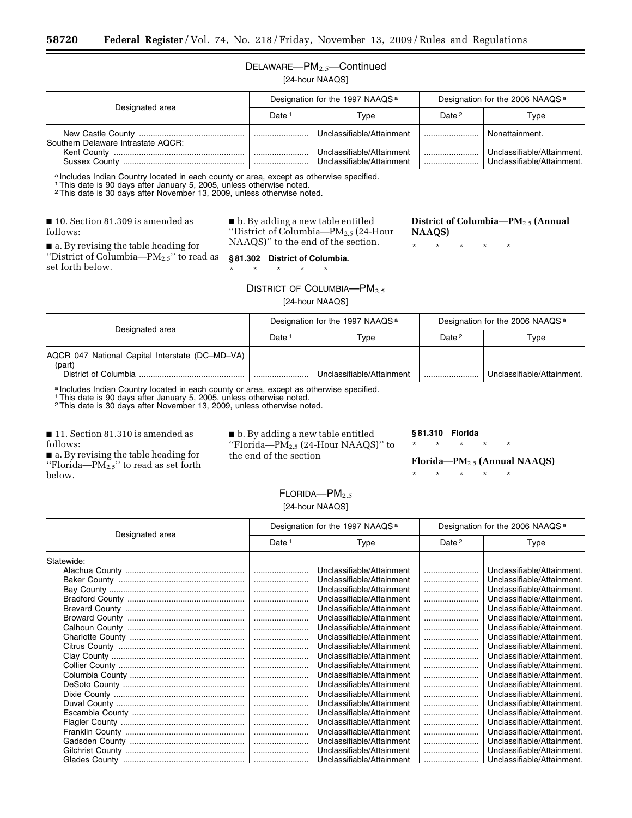## DELAWARE—PM2.5—Continued

[24-hour NAAQS]

| Designated area                    | Designation for the 1997 NAAQS <sup>a</sup> |                                                        | Designation for the 2006 NAAQS <sup>a</sup> |                                                          |
|------------------------------------|---------------------------------------------|--------------------------------------------------------|---------------------------------------------|----------------------------------------------------------|
|                                    | Date <sup>-</sup>                           | Tvpe                                                   | Date $2$                                    | Type                                                     |
| Southern Delaware Intrastate AQCR: |                                             | Unclassifiable/Attainment                              |                                             | Nonattainment.                                           |
|                                    |                                             | Unclassifiable/Attainment<br>Unclassifiable/Attainment |                                             | Unclassifiable/Attainment.<br>Unclassifiable/Attainment. |

a Includes Indian Country located in each county or area, except as otherwise specified.

1This date is 90 days after January 5, 2005, unless otherwise noted. 2This date is 30 days after November 13, 2009, unless otherwise noted.

■ 10. Section 81.309 is amended as follows:

■ b. By adding a new table entitled ''District of Columbia—PM2.5 (24-Hour NAAQS)'' to the end of the section.

■ a. By revising the table heading for ''District of Columbia—PM2.5'' to read as set forth below.

## **§ 81.302 District of Columbia.**

\* \* \* \* \*

DISTRICT OF COLUMBIA—PM<sub>2.5</sub>

| Designated area                                           | Designation for the 1997 NAAQS <sup>a</sup> |                           | Designation for the 2006 NAAQS <sup>a</sup> |                            |
|-----------------------------------------------------------|---------------------------------------------|---------------------------|---------------------------------------------|----------------------------|
|                                                           | Date:                                       | Type                      | Date <sup>2</sup>                           | Type                       |
| AQCR 047 National Capital Interstate (DC-MD-VA)<br>(part) |                                             |                           |                                             |                            |
| District of Columbia                                      |                                             | Unclassifiable/Attainment |                                             | Unclassifiable/Attainment. |

a Includes Indian Country located in each county or area, except as otherwise specified.

1This date is 90 days after January 5, 2005, unless otherwise noted.

2This date is 30 days after November 13, 2009, unless otherwise noted.

■ 11. Section 81.310 is amended as follows:

■ a. By revising the table heading for "Florida— $PM_{2.5}$ " to read as set forth below.

■ b. By adding a new table entitled "Florida— $PM_2$ <sub>5</sub> (24-Hour NAAQS)" to the end of the section

**§ 81.310 Florida** 

\* \* \* \* \* **Florida—PM**2.5 **(Annual NAAQS)** 

\* \* \* \* \*

## $F$ LORIDA— $PM<sub>2.5</sub>$ [24-hour NAAQS]

Designated area Designation for the 1997 NAAQS<sup>a</sup> Designation for the 2006 NAAQS<sup>a</sup> Date 1 Type 1 Date 2 Type Statewide: Alachua County .................................................... ........................ Unclassifiable/Attainment ........................ Unclassifiable/Attainment. Baker County ....................................................... ........................ Unclassifiable/Attainment ........................ Unclassifiable/Attainment. Bay County ........................................................... ........................ Unclassifiable/Attainment ........................ Unclassifiable/Attainment. Bradford County ................................................... ........................ Unclassifiable/Attainment ........................ Unclassifiable/Attainment. Brevard County .................................................... ........................ Unclassifiable/Attainment ........................ Unclassifiable/Attainment. Broward County ................................................... ........................ Unclassifiable/Attainment ........................ Unclassifiable/Attainment. Calhoun County ................................................... ........................ Unclassifiable/Attainment ........................ Unclassifiable/Attainment. Charlotte County .................................................. ........................ Unclassifiable/Attainment ........................ Unclassifiable/Attainment. Citrus County ....................................................... ........................ Unclassifiable/Attainment ........................ Unclassifiable/Attainment. Clay County .......................................................... ........................ Unclassifiable/Attainment ........................ Unclassifiable/Attainment. Collier County ....................................................... ........................ Unclassifiable/Attainment ........................ Unclassifiable/Attainment. Columbia County .................................................. ........................ Unclassifiable/Attainment ........................ Unclassifiable/Attainment. DeSoto County ..................................................... ........................ Unclassifiable/Attainment ........................ Unclassifiable/Attainment. Dixie County ......................................................... ........................ Unclassifiable/Attainment ........................ Unclassifiable/Attainment. Duval County ........................................................ ........................ Unclassifiable/Attainment ........................ Unclassifiable/Attainment. Escambia County ................................................. ........................ Unclassifiable/Attainment ........................ Unclassifiable/Attainment. Flagler County ...................................................... ........................ Unclassifiable/Attainment ........................ Unclassifiable/Attainment. Franklin County .................................................... ........................ Unclassifiable/Attainment ........................ Unclassifiable/Attainment. Gadsden County .................................................. ........................ Unclassifiable/Attainment ........................ Unclassifiable/Attainment. Gilchrist County .................................................... ........................ Unclassifiable/Attainment ........................ Unclassifiable/Attainment. Glades County ..................................................... ........................ Unclassifiable/Attainment ........................ Unclassifiable/Attainment.

# [24-hour NAAQS]

**District of Columbia—PM**2.5 **(Annual NAAQS)** 

\* \* \* \* \*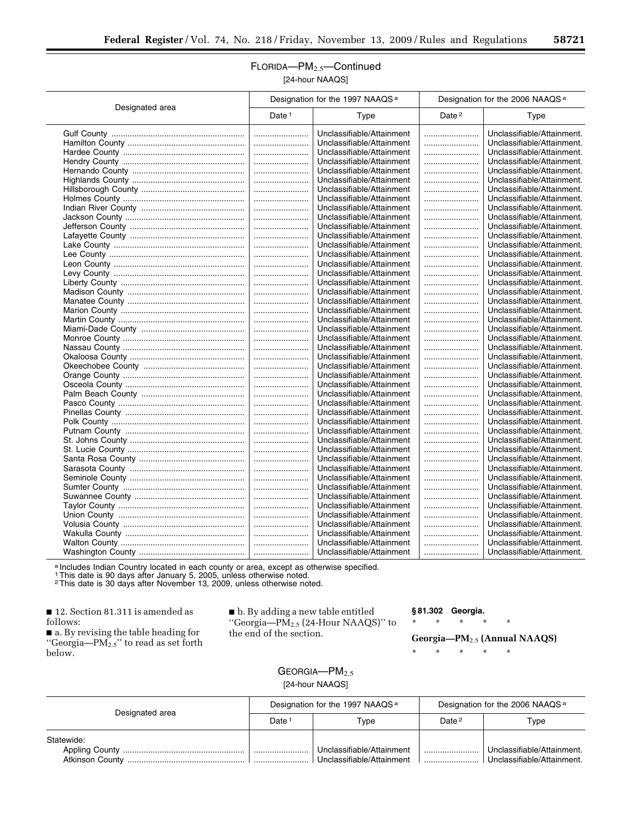## FLORIDA—PM2.5—Continued [24-hour NAAQS]

|                 | Designation for the 1997 NAAQS <sup>a</sup> |                           | Designation for the 2006 NAAQS <sup>a</sup> |                            |
|-----------------|---------------------------------------------|---------------------------|---------------------------------------------|----------------------------|
| Designated area | Date <sup>1</sup>                           | Type                      | Date <sup>2</sup>                           | Type                       |
|                 |                                             | Unclassifiable/Attainment |                                             | Unclassifiable/Attainment. |
|                 |                                             | Unclassifiable/Attainment |                                             | Unclassifiable/Attainment. |
|                 |                                             | Unclassifiable/Attainment |                                             | Unclassifiable/Attainment. |
|                 |                                             | Unclassifiable/Attainment |                                             | Unclassifiable/Attainment. |
|                 |                                             | Unclassifiable/Attainment |                                             | Unclassifiable/Attainment. |
|                 |                                             | Unclassifiable/Attainment |                                             | Unclassifiable/Attainment. |
|                 |                                             | Unclassifiable/Attainment |                                             | Unclassifiable/Attainment. |
|                 |                                             | Unclassifiable/Attainment |                                             | Unclassifiable/Attainment. |
|                 |                                             | Unclassifiable/Attainment |                                             | Unclassifiable/Attainment. |
|                 |                                             | Unclassifiable/Attainment |                                             | Unclassifiable/Attainment. |
|                 |                                             | Unclassifiable/Attainment |                                             | Unclassifiable/Attainment. |
|                 |                                             | Unclassifiable/Attainment |                                             | Unclassifiable/Attainment. |
|                 |                                             | Unclassifiable/Attainment |                                             | Unclassifiable/Attainment. |
|                 |                                             | Unclassifiable/Attainment |                                             | Unclassifiable/Attainment. |
|                 |                                             | Unclassifiable/Attainment |                                             | Unclassifiable/Attainment. |
|                 |                                             | Unclassifiable/Attainment |                                             | Unclassifiable/Attainment. |
|                 |                                             | Unclassifiable/Attainment |                                             | Unclassifiable/Attainment. |
|                 |                                             | Unclassifiable/Attainment |                                             | Unclassifiable/Attainment. |
|                 |                                             | Unclassifiable/Attainment |                                             | Unclassifiable/Attainment. |
|                 |                                             | Unclassifiable/Attainment |                                             | Unclassifiable/Attainment. |
|                 |                                             | Unclassifiable/Attainment |                                             | Unclassifiable/Attainment. |
|                 |                                             | Unclassifiable/Attainment |                                             | Unclassifiable/Attainment. |
|                 |                                             | Unclassifiable/Attainment |                                             | Unclassifiable/Attainment. |
|                 |                                             | Unclassifiable/Attainment |                                             | Unclassifiable/Attainment. |
|                 |                                             | Unclassifiable/Attainment |                                             | Unclassifiable/Attainment. |
|                 |                                             | Unclassifiable/Attainment |                                             | Unclassifiable/Attainment. |
|                 |                                             | Unclassifiable/Attainment |                                             | Unclassifiable/Attainment. |
|                 |                                             | Unclassifiable/Attainment |                                             | Unclassifiable/Attainment. |
|                 |                                             | Unclassifiable/Attainment |                                             | Unclassifiable/Attainment. |
|                 |                                             | Unclassifiable/Attainment |                                             | Unclassifiable/Attainment. |
|                 |                                             | Unclassifiable/Attainment |                                             | Unclassifiable/Attainment. |
|                 |                                             | Unclassifiable/Attainment |                                             | Unclassifiable/Attainment. |
|                 |                                             | Unclassifiable/Attainment |                                             | Unclassifiable/Attainment. |
|                 |                                             | Unclassifiable/Attainment |                                             | Unclassifiable/Attainment. |
|                 |                                             | Unclassifiable/Attainment |                                             | Unclassifiable/Attainment. |
|                 |                                             | Unclassifiable/Attainment |                                             | Unclassifiable/Attainment. |
|                 |                                             | Unclassifiable/Attainment |                                             | Unclassifiable/Attainment. |
|                 |                                             | Unclassifiable/Attainment |                                             | Unclassifiable/Attainment. |
|                 |                                             | Unclassifiable/Attainment |                                             | Unclassifiable/Attainment. |
|                 |                                             | Unclassifiable/Attainment |                                             | Unclassifiable/Attainment. |
|                 |                                             | Unclassifiable/Attainment |                                             | Unclassifiable/Attainment. |
|                 |                                             | Unclassifiable/Attainment |                                             | Unclassifiable/Attainment. |
|                 |                                             | Unclassifiable/Attainment |                                             | Unclassifiable/Attainment. |
|                 |                                             | Unclassifiable/Attainment |                                             | Unclassifiable/Attainment. |
|                 |                                             | Unclassifiable/Attainment |                                             | Unclassifiable/Attainment. |
|                 |                                             | Unclassifiable/Attainment |                                             | Unclassifiable/Attainment. |
|                 |                                             |                           |                                             |                            |

a Includes Indian Country located in each county or area, except as otherwise specified.<br>1 This date is 90 days after January 5, 2005, unless otherwise noted.<br><sup>2</sup> This date is 30 days after November 13, 2009, unless otherw

■ 12. Section 81.311 is amended as follows:

■ a. By revising the table heading for ''Georgia—PM2.5'' to read as set forth below.

■ b. By adding a new table entitled ''Georgia—PM2.5 (24-Hour NAAQS)'' to the end of the section.

## **§ 81.302 Georgia.**

\* \* \* \* \*

\* \* \* \* \*

**Georgia—PM**2.5 **(Annual NAAQS)** 

## GEORGIA-PM<sub>2.5</sub> [24-hour NAAQS]

| Designated area | Designation for the 1997 NAAQS <sup>a</sup> |                                                        | Designation for the 2006 NAAQS <sup>a</sup> |                                                          |
|-----------------|---------------------------------------------|--------------------------------------------------------|---------------------------------------------|----------------------------------------------------------|
|                 | Date                                        | Type                                                   | Date <sup>2</sup>                           | Type                                                     |
| Statewide:      |                                             |                                                        |                                             |                                                          |
| Atkinson County |                                             | Unclassifiable/Attainment<br>Unclassifiable/Attainment |                                             | Unclassifiable/Attainment.<br>Unclassifiable/Attainment. |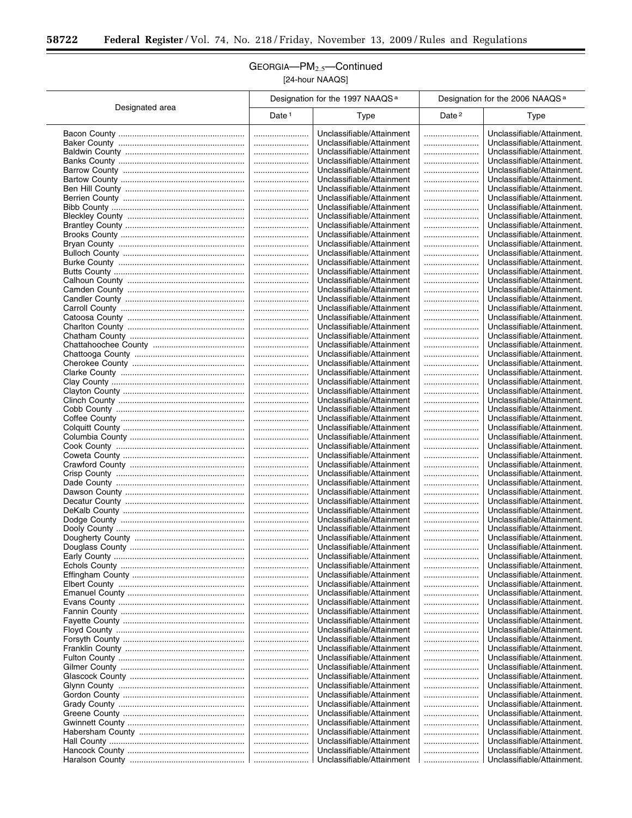$\equiv$ 

## GEORGIA—PM2.5—Continued [24-hour NAAQS]

|                 | Designation for the 1997 NAAQS <sup>a</sup> |                                                        | Designation for the 2006 NAAQS <sup>a</sup> |                                                          |
|-----------------|---------------------------------------------|--------------------------------------------------------|---------------------------------------------|----------------------------------------------------------|
| Designated area | Date $1$                                    | Type                                                   | Date <sup>2</sup>                           | Type                                                     |
|                 |                                             | Unclassifiable/Attainment                              |                                             | Unclassifiable/Attainment.                               |
|                 |                                             | Unclassifiable/Attainment                              |                                             | Unclassifiable/Attainment.                               |
|                 |                                             | Unclassifiable/Attainment                              |                                             | Unclassifiable/Attainment.                               |
|                 |                                             | Unclassifiable/Attainment                              |                                             | Unclassifiable/Attainment.                               |
|                 |                                             | Unclassifiable/Attainment                              |                                             | Unclassifiable/Attainment.                               |
|                 |                                             | Unclassifiable/Attainment                              |                                             | Unclassifiable/Attainment.                               |
|                 | <br>                                        | Unclassifiable/Attainment<br>Unclassifiable/Attainment |                                             | Unclassifiable/Attainment.<br>Unclassifiable/Attainment. |
|                 |                                             | Unclassifiable/Attainment                              |                                             | Unclassifiable/Attainment.                               |
|                 |                                             | Unclassifiable/Attainment                              |                                             | Unclassifiable/Attainment.                               |
|                 |                                             | Unclassifiable/Attainment                              |                                             | Unclassifiable/Attainment.                               |
|                 |                                             | Unclassifiable/Attainment                              |                                             | Unclassifiable/Attainment.                               |
|                 |                                             | Unclassifiable/Attainment                              |                                             | Unclassifiable/Attainment.                               |
|                 |                                             | Unclassifiable/Attainment                              |                                             | Unclassifiable/Attainment.                               |
|                 |                                             | Unclassifiable/Attainment                              |                                             | Unclassifiable/Attainment.                               |
|                 |                                             | Unclassifiable/Attainment                              |                                             | Unclassifiable/Attainment.                               |
|                 |                                             | Unclassifiable/Attainment                              |                                             | Unclassifiable/Attainment.                               |
|                 |                                             | Unclassifiable/Attainment<br>Unclassifiable/Attainment |                                             | Unclassifiable/Attainment.<br>Unclassifiable/Attainment. |
|                 |                                             | Unclassifiable/Attainment                              |                                             | Unclassifiable/Attainment.                               |
|                 |                                             | Unclassifiable/Attainment                              |                                             | Unclassifiable/Attainment.                               |
|                 |                                             | Unclassifiable/Attainment                              |                                             | Unclassifiable/Attainment.                               |
|                 |                                             | Unclassifiable/Attainment                              |                                             | Unclassifiable/Attainment.                               |
|                 |                                             | Unclassifiable/Attainment                              |                                             | Unclassifiable/Attainment.                               |
|                 |                                             | Unclassifiable/Attainment                              |                                             | Unclassifiable/Attainment.                               |
|                 |                                             | Unclassifiable/Attainment                              |                                             | Unclassifiable/Attainment.                               |
|                 |                                             | Unclassifiable/Attainment                              |                                             | Unclassifiable/Attainment.                               |
|                 |                                             | Unclassifiable/Attainment                              |                                             | Unclassifiable/Attainment.                               |
|                 |                                             | Unclassifiable/Attainment                              |                                             | Unclassifiable/Attainment.                               |
|                 | <br>                                        | Unclassifiable/Attainment<br>Unclassifiable/Attainment | <br>                                        | Unclassifiable/Attainment.<br>Unclassifiable/Attainment. |
|                 |                                             | Unclassifiable/Attainment                              |                                             | Unclassifiable/Attainment.                               |
|                 |                                             | Unclassifiable/Attainment                              |                                             | Unclassifiable/Attainment.                               |
|                 |                                             | Unclassifiable/Attainment                              |                                             | Unclassifiable/Attainment.                               |
|                 |                                             | Unclassifiable/Attainment                              |                                             | Unclassifiable/Attainment.                               |
|                 |                                             | Unclassifiable/Attainment                              |                                             | Unclassifiable/Attainment.                               |
|                 |                                             | Unclassifiable/Attainment                              |                                             | Unclassifiable/Attainment.                               |
|                 |                                             | Unclassifiable/Attainment                              |                                             | Unclassifiable/Attainment.                               |
|                 |                                             | Unclassifiable/Attainment                              |                                             | Unclassifiable/Attainment.                               |
|                 |                                             | Unclassifiable/Attainment                              |                                             | Unclassifiable/Attainment.                               |
|                 |                                             | Unclassifiable/Attainment<br>Unclassifiable/Attainment | <br>                                        | Unclassifiable/Attainment.<br>Unclassifiable/Attainment. |
|                 |                                             | Unclassifiable/Attainment                              |                                             | Unclassifiable/Attainment.                               |
|                 |                                             | Unclassifiable/Attainment                              |                                             | Unclassifiable/Attainment.                               |
|                 |                                             | Unclassifiable/Attainment                              |                                             | Unclassifiable/Attainment.                               |
|                 |                                             | Unclassifiable/Attainment                              |                                             | Unclassifiable/Attainment.                               |
|                 |                                             | Unclassifiable/Attainment                              |                                             | Unclassifiable/Attainment.                               |
|                 |                                             | Unclassifiable/Attainment                              |                                             | Unclassifiable/Attainment.                               |
|                 |                                             | Unclassifiable/Attainment                              |                                             | Unclassifiable/Attainment.                               |
|                 |                                             | Unclassifiable/Attainment                              |                                             | Unclassifiable/Attainment.                               |
|                 |                                             | Unclassifiable/Attainment<br>Unclassifiable/Attainment |                                             | Unclassifiable/Attainment.<br>Unclassifiable/Attainment. |
|                 |                                             | Unclassifiable/Attainment                              |                                             | Unclassifiable/Attainment.                               |
|                 |                                             | Unclassifiable/Attainment                              |                                             | Unclassifiable/Attainment.                               |
|                 |                                             | Unclassifiable/Attainment                              |                                             | Unclassifiable/Attainment.                               |
|                 |                                             | Unclassifiable/Attainment                              |                                             | Unclassifiable/Attainment.                               |
|                 |                                             | Unclassifiable/Attainment                              |                                             | Unclassifiable/Attainment.                               |
|                 |                                             | Unclassifiable/Attainment                              |                                             | Unclassifiable/Attainment.                               |
|                 |                                             | Unclassifiable/Attainment                              |                                             | Unclassifiable/Attainment.                               |
|                 |                                             | Unclassifiable/Attainment                              |                                             | Unclassifiable/Attainment.                               |
|                 |                                             | Unclassifiable/Attainment                              |                                             | Unclassifiable/Attainment.                               |
|                 |                                             | Unclassifiable/Attainment<br>Unclassifiable/Attainment |                                             | Unclassifiable/Attainment.<br>Unclassifiable/Attainment. |
|                 |                                             | Unclassifiable/Attainment                              |                                             | Unclassifiable/Attainment.                               |
|                 |                                             | Unclassifiable/Attainment                              |                                             | Unclassifiable/Attainment.                               |
|                 |                                             | Unclassifiable/Attainment                              |                                             | Unclassifiable/Attainment.                               |
|                 |                                             | Unclassifiable/Attainment                              |                                             | Unclassifiable/Attainment.                               |
|                 |                                             | Unclassifiable/Attainment                              |                                             | Unclassifiable/Attainment.                               |
|                 |                                             | Unclassifiable/Attainment                              |                                             | Unclassifiable/Attainment.                               |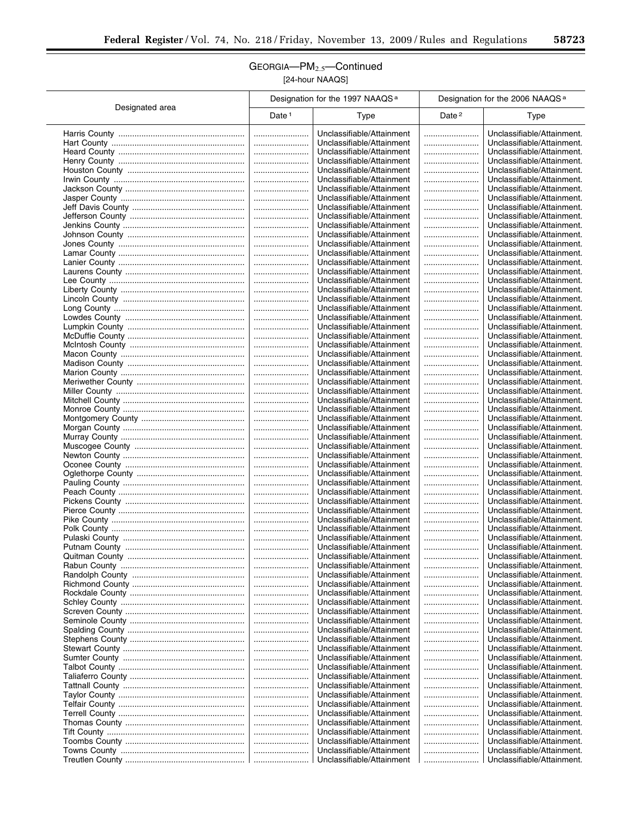$\overline{\phantom{a}}$ 

## GEORGIA—PM2.5—Continued [24-hour NAAQS]

 $\overline{a}$ 

Τ

|                 | Designation for the 1997 NAAQS <sup>a</sup> |                                                        | Designation for the 2006 NAAQS <sup>a</sup> |                                                          |
|-----------------|---------------------------------------------|--------------------------------------------------------|---------------------------------------------|----------------------------------------------------------|
| Designated area | Date $1$                                    | <b>Type</b>                                            | Date <sup>2</sup>                           | <b>Type</b>                                              |
|                 |                                             | Unclassifiable/Attainment                              |                                             | Unclassifiable/Attainment.                               |
|                 |                                             | Unclassifiable/Attainment                              |                                             | Unclassifiable/Attainment.                               |
|                 |                                             | Unclassifiable/Attainment                              |                                             | Unclassifiable/Attainment.                               |
|                 |                                             | Unclassifiable/Attainment                              |                                             | Unclassifiable/Attainment.                               |
|                 |                                             | Unclassifiable/Attainment                              |                                             | Unclassifiable/Attainment.                               |
|                 |                                             | Unclassifiable/Attainment                              |                                             | Unclassifiable/Attainment.                               |
|                 |                                             | Unclassifiable/Attainment                              |                                             | Unclassifiable/Attainment.                               |
|                 |                                             | Unclassifiable/Attainment<br>Unclassifiable/Attainment |                                             | Unclassifiable/Attainment.<br>Unclassifiable/Attainment. |
|                 |                                             | Unclassifiable/Attainment                              |                                             | Unclassifiable/Attainment.                               |
|                 |                                             | Unclassifiable/Attainment                              |                                             | Unclassifiable/Attainment.                               |
|                 |                                             | Unclassifiable/Attainment                              |                                             | Unclassifiable/Attainment.                               |
|                 |                                             | Unclassifiable/Attainment                              |                                             | Unclassifiable/Attainment.                               |
|                 |                                             | Unclassifiable/Attainment                              |                                             | Unclassifiable/Attainment.                               |
|                 |                                             | Unclassifiable/Attainment                              |                                             | Unclassifiable/Attainment.                               |
|                 |                                             | Unclassifiable/Attainment                              |                                             | Unclassifiable/Attainment.                               |
|                 |                                             | Unclassifiable/Attainment                              |                                             | Unclassifiable/Attainment.                               |
|                 |                                             | Unclassifiable/Attainment                              |                                             | Unclassifiable/Attainment.                               |
|                 |                                             | Unclassifiable/Attainment                              |                                             | Unclassifiable/Attainment.                               |
|                 |                                             | Unclassifiable/Attainment                              |                                             | Unclassifiable/Attainment.                               |
|                 |                                             | Unclassifiable/Attainment                              |                                             | Unclassifiable/Attainment.                               |
|                 |                                             | Unclassifiable/Attainment                              |                                             | Unclassifiable/Attainment.                               |
|                 |                                             | Unclassifiable/Attainment<br>Unclassifiable/Attainment |                                             | Unclassifiable/Attainment.<br>Unclassifiable/Attainment. |
|                 |                                             | Unclassifiable/Attainment                              |                                             | Unclassifiable/Attainment.                               |
|                 |                                             | Unclassifiable/Attainment                              |                                             | Unclassifiable/Attainment.                               |
|                 |                                             | Unclassifiable/Attainment                              |                                             | Unclassifiable/Attainment.                               |
|                 |                                             | Unclassifiable/Attainment                              |                                             | Unclassifiable/Attainment.                               |
|                 |                                             | Unclassifiable/Attainment                              |                                             | Unclassifiable/Attainment.                               |
|                 |                                             | Unclassifiable/Attainment                              |                                             | Unclassifiable/Attainment.                               |
|                 |                                             | Unclassifiable/Attainment                              |                                             | Unclassifiable/Attainment.                               |
|                 |                                             | Unclassifiable/Attainment                              |                                             | Unclassifiable/Attainment.                               |
|                 |                                             | Unclassifiable/Attainment<br>Unclassifiable/Attainment | <br>                                        | Unclassifiable/Attainment.<br>Unclassifiable/Attainment. |
|                 |                                             | Unclassifiable/Attainment                              |                                             | Unclassifiable/Attainment.                               |
|                 |                                             | Unclassifiable/Attainment                              |                                             | Unclassifiable/Attainment.                               |
|                 |                                             | Unclassifiable/Attainment                              |                                             | Unclassifiable/Attainment.                               |
|                 |                                             | Unclassifiable/Attainment                              |                                             | Unclassifiable/Attainment.                               |
|                 |                                             | Unclassifiable/Attainment                              |                                             | Unclassifiable/Attainment.                               |
|                 |                                             | Unclassifiable/Attainment                              |                                             | Unclassifiable/Attainment.                               |
|                 |                                             | Unclassifiable/Attainment                              |                                             | Unclassifiable/Attainment.                               |
|                 |                                             | Unclassifiable/Attainment<br>Unclassifiable/Attainment | <br>                                        | Unclassifiable/Attainment.<br>Unclassifiable/Attainment. |
|                 |                                             | Unclassifiable/Attainment                              |                                             | Unclassifiable/Attainment.                               |
|                 |                                             | Unclassifiable/Attainment                              |                                             | Unclassifiable/Attainment.                               |
|                 |                                             | Unclassifiable/Attainment                              |                                             | Unclassifiable/Attainment.                               |
|                 |                                             | Unclassifiable/Attainment                              |                                             | Unclassifiable/Attainment.                               |
|                 |                                             | Unclassifiable/Attainment                              |                                             | Unclassifiable/Attainment.                               |
|                 |                                             | Unclassifiable/Attainment                              |                                             | Unclassifiable/Attainment.                               |
|                 |                                             | Unclassifiable/Attainment                              |                                             | Unclassifiable/Attainment.                               |
|                 |                                             | Unclassifiable/Attainment                              |                                             | Unclassifiable/Attainment.                               |
|                 |                                             | Unclassifiable/Attainment<br>Unclassifiable/Attainment | <br>                                        | Unclassifiable/Attainment.<br>Unclassifiable/Attainment. |
|                 |                                             | Unclassifiable/Attainment                              |                                             | Unclassifiable/Attainment.                               |
|                 |                                             | Unclassifiable/Attainment                              |                                             | Unclassifiable/Attainment.                               |
|                 |                                             | Unclassifiable/Attainment                              |                                             | Unclassifiable/Attainment.                               |
|                 |                                             | Unclassifiable/Attainment                              |                                             | Unclassifiable/Attainment.                               |
|                 |                                             | Unclassifiable/Attainment                              |                                             | Unclassifiable/Attainment.                               |
|                 |                                             | Unclassifiable/Attainment                              |                                             | Unclassifiable/Attainment.                               |
|                 |                                             | Unclassifiable/Attainment                              |                                             | Unclassifiable/Attainment.                               |
|                 |                                             | Unclassifiable/Attainment                              |                                             | Unclassifiable/Attainment.                               |
|                 |                                             | Unclassifiable/Attainment<br>Unclassifiable/Attainment | <br>                                        | Unclassifiable/Attainment.<br>Unclassifiable/Attainment. |
|                 |                                             | Unclassifiable/Attainment                              |                                             | Unclassifiable/Attainment.                               |
|                 |                                             | Unclassifiable/Attainment                              |                                             | Unclassifiable/Attainment.                               |
|                 |                                             | Unclassifiable/Attainment                              |                                             | Unclassifiable/Attainment.                               |
|                 |                                             | Unclassifiable/Attainment                              |                                             | Unclassifiable/Attainment.                               |
|                 |                                             | Unclassifiable/Attainment                              |                                             | Unclassifiable/Attainment.                               |
|                 |                                             | Unclassifiable/Attainment                              |                                             | Unclassifiable/Attainment.                               |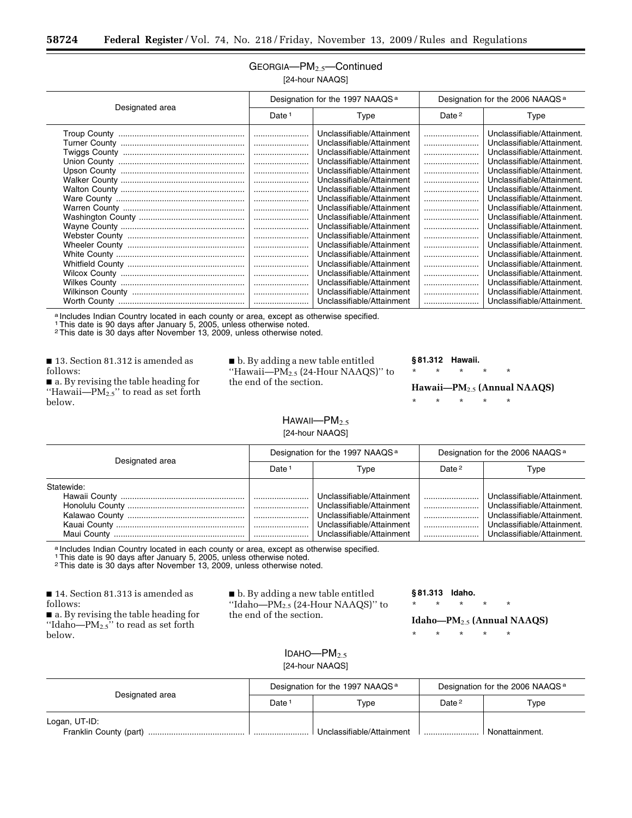## GEORGIA—PM2.5—Continued [24-hour NAAQS]

|                 | Designation for the 1997 NAAQS <sup>a</sup> |                                                                                                                                                                                                                                                                                                                                                                                                                                                                                                           | Designation for the 2006 NAAQS <sup>a</sup> |                                                                                                                                                                                                                                                                                                                                                                                                                                                                                                                            |
|-----------------|---------------------------------------------|-----------------------------------------------------------------------------------------------------------------------------------------------------------------------------------------------------------------------------------------------------------------------------------------------------------------------------------------------------------------------------------------------------------------------------------------------------------------------------------------------------------|---------------------------------------------|----------------------------------------------------------------------------------------------------------------------------------------------------------------------------------------------------------------------------------------------------------------------------------------------------------------------------------------------------------------------------------------------------------------------------------------------------------------------------------------------------------------------------|
| Designated area | Date $1$                                    | Type                                                                                                                                                                                                                                                                                                                                                                                                                                                                                                      | Date <sup>2</sup>                           | Type                                                                                                                                                                                                                                                                                                                                                                                                                                                                                                                       |
|                 |                                             | Unclassifiable/Attainment<br>Unclassifiable/Attainment<br>Unclassifiable/Attainment<br>Unclassifiable/Attainment<br>Unclassifiable/Attainment<br>Unclassifiable/Attainment<br>Unclassifiable/Attainment<br>Unclassifiable/Attainment<br>Unclassifiable/Attainment<br>Unclassifiable/Attainment<br>Unclassifiable/Attainment<br>Unclassifiable/Attainment<br>Unclassifiable/Attainment<br>Unclassifiable/Attainment<br>Unclassifiable/Attainment<br>Unclassifiable/Attainment<br>Unclassifiable/Attainment |                                             | Unclassifiable/Attainment.<br>Unclassifiable/Attainment.<br>Unclassifiable/Attainment.<br>Unclassifiable/Attainment.<br>Unclassifiable/Attainment.<br>Unclassifiable/Attainment.<br>Unclassifiable/Attainment.<br>Unclassifiable/Attainment.<br>Unclassifiable/Attainment.<br>Unclassifiable/Attainment.<br>Unclassifiable/Attainment.<br>Unclassifiable/Attainment.<br>Unclassifiable/Attainment.<br>Unclassifiable/Attainment.<br>Unclassifiable/Attainment.<br>Unclassifiable/Attainment.<br>Unclassifiable/Attainment. |
|                 |                                             | Unclassifiable/Attainment<br>Unclassifiable/Attainment                                                                                                                                                                                                                                                                                                                                                                                                                                                    |                                             | Unclassifiable/Attainment.<br>Unclassifiable/Attainment.                                                                                                                                                                                                                                                                                                                                                                                                                                                                   |

a Includes Indian Country located in each county or area, except as otherwise specified.

1This date is 90 days after January 5, 2005, unless otherwise noted. 2This date is 30 days after November 13, 2009, unless otherwise noted.

■ 13. Section 81.312 is amended as follows:

■ a. By revising the table heading for "Hawaii— $PM_{2.5}$ " to read as set forth below.

■ b. By adding a new table entitled "Hawaii— $PM_{2.5}$  (24-Hour NAAQS)" to the end of the section.

#### **§ 81.312 Hawaii.**

\* \* \* \* \*

**Hawaii—PM**2.5 **(Annual NAAQS)** 

\* \* \* \* \*

#### $HAWAll—PM<sub>2.5</sub>$ [24-hour NAAQS]

| Designated area | Designation for the 1997 NAAQS <sup>a</sup> |                                                                                                                                               | Designation for the 2006 NAAQS <sup>a</sup> |                                                                                                                                                    |
|-----------------|---------------------------------------------|-----------------------------------------------------------------------------------------------------------------------------------------------|---------------------------------------------|----------------------------------------------------------------------------------------------------------------------------------------------------|
|                 | Date <sup>1</sup>                           | Type                                                                                                                                          | Date <sup>2</sup>                           | Type                                                                                                                                               |
| Statewide:      |                                             | Unclassifiable/Attainment<br>Unclassifiable/Attainment<br>Unclassifiable/Attainment<br>Unclassifiable/Attainment<br>Unclassifiable/Attainment |                                             | Unclassifiable/Attainment.<br>Unclassifiable/Attainment.<br>Unclassifiable/Attainment.<br>Unclassifiable/Attainment.<br>Unclassifiable/Attainment. |

a Includes Indian Country located in each county or area, except as otherwise specified.<br>1 This date is 90 days after January 5, 2005, unless otherwise noted.

2This date is 30 days after November 13, 2009, unless otherwise noted.

■ 14. Section 81.313 is amended as follows:

■ a. By revising the table heading for "Idaho— $PM_{2.5}$ " to read as set forth below.

■ b. By adding a new table entitled ''Idaho—PM2.5 (24-Hour NAAQS)'' to the end of the section.

**§ 81.313 Idaho.** 

\* \* \* \* \*

**Idaho—PM**2.5 **(Annual NAAQS)** 

\* \* \* \* \*

## IDAHO $-$ PM<sub>2.5</sub> [24-hour NAAQS]

| Designated area                         | Designation for the 1997 NAAQS <sup>a</sup> |                           | Designation for the 2006 NAAQS <sup>a</sup> |                |
|-----------------------------------------|---------------------------------------------|---------------------------|---------------------------------------------|----------------|
|                                         | Date:                                       | Type                      | Date <sup>2</sup>                           | Type           |
| Logan, UT-ID:<br>Franklin County (part) |                                             | Unclassifiable/Attainment |                                             | Nonattainment. |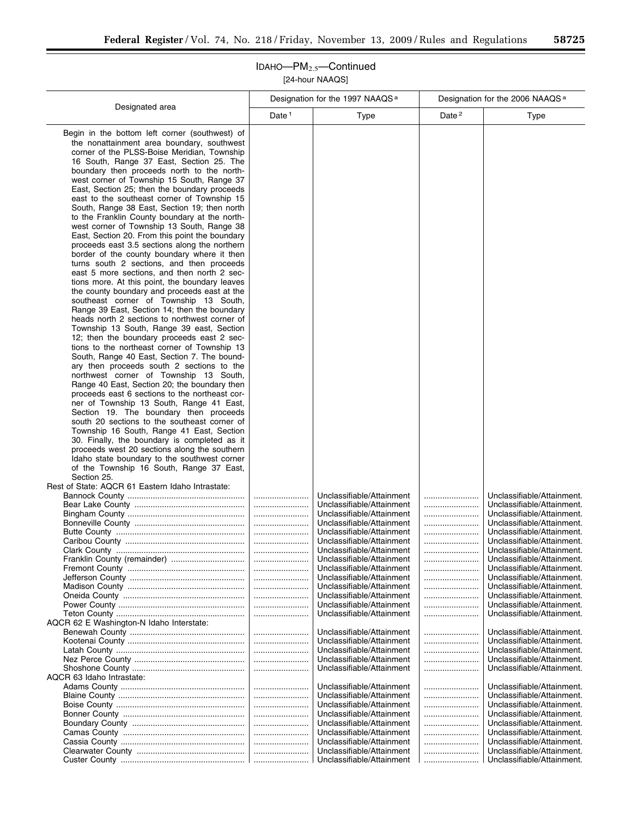IDAHO—PM2.5—Continued [24-hour NAAQS]

| Designation for the 1997 NAAQS <sup>a</sup>                                                                                                                                                                                                                                                                                                                                                                                                                                                                                                                                                                                                                                                                                                                                                                                                                                                                                                                                                                                                                                                                                                                                                                                                                                                                                                                                                                                                                                                                                                                                                                                                                                                                                                                                                    |                                  |                                                                                                                                                                                                                                                                                                                                                                                                                                                                                                                                                                     | Designation for the 2006 NAAQS <sup>a</sup> |                                                                                                                                                                                                                                                                                                                                                                                                                                                                                                                                                                                        |
|------------------------------------------------------------------------------------------------------------------------------------------------------------------------------------------------------------------------------------------------------------------------------------------------------------------------------------------------------------------------------------------------------------------------------------------------------------------------------------------------------------------------------------------------------------------------------------------------------------------------------------------------------------------------------------------------------------------------------------------------------------------------------------------------------------------------------------------------------------------------------------------------------------------------------------------------------------------------------------------------------------------------------------------------------------------------------------------------------------------------------------------------------------------------------------------------------------------------------------------------------------------------------------------------------------------------------------------------------------------------------------------------------------------------------------------------------------------------------------------------------------------------------------------------------------------------------------------------------------------------------------------------------------------------------------------------------------------------------------------------------------------------------------------------|----------------------------------|---------------------------------------------------------------------------------------------------------------------------------------------------------------------------------------------------------------------------------------------------------------------------------------------------------------------------------------------------------------------------------------------------------------------------------------------------------------------------------------------------------------------------------------------------------------------|---------------------------------------------|----------------------------------------------------------------------------------------------------------------------------------------------------------------------------------------------------------------------------------------------------------------------------------------------------------------------------------------------------------------------------------------------------------------------------------------------------------------------------------------------------------------------------------------------------------------------------------------|
| Designated area                                                                                                                                                                                                                                                                                                                                                                                                                                                                                                                                                                                                                                                                                                                                                                                                                                                                                                                                                                                                                                                                                                                                                                                                                                                                                                                                                                                                                                                                                                                                                                                                                                                                                                                                                                                | Date <sup>1</sup>                | Type                                                                                                                                                                                                                                                                                                                                                                                                                                                                                                                                                                | Date <sup>2</sup>                           | Type                                                                                                                                                                                                                                                                                                                                                                                                                                                                                                                                                                                   |
| Begin in the bottom left corner (southwest) of<br>the nonattainment area boundary, southwest<br>corner of the PLSS-Boise Meridian, Township<br>16 South, Range 37 East, Section 25. The<br>boundary then proceeds north to the north-<br>west corner of Township 15 South, Range 37<br>East, Section 25; then the boundary proceeds<br>east to the southeast corner of Township 15<br>South, Range 38 East, Section 19; then north<br>to the Franklin County boundary at the north-<br>west corner of Township 13 South, Range 38<br>East, Section 20. From this point the boundary<br>proceeds east 3.5 sections along the northern<br>border of the county boundary where it then<br>turns south 2 sections, and then proceeds<br>east 5 more sections, and then north 2 sec-<br>tions more. At this point, the boundary leaves<br>the county boundary and proceeds east at the<br>southeast corner of Township 13 South,<br>Range 39 East, Section 14; then the boundary<br>heads north 2 sections to northwest corner of<br>Township 13 South, Range 39 east, Section<br>12; then the boundary proceeds east 2 sec-<br>tions to the northeast corner of Township 13<br>South, Range 40 East, Section 7. The bound-<br>ary then proceeds south 2 sections to the<br>northwest corner of Township 13 South,<br>Range 40 East, Section 20; the boundary then<br>proceeds east 6 sections to the northeast cor-<br>ner of Township 13 South, Range 41 East,<br>Section 19. The boundary then proceeds<br>south 20 sections to the southeast corner of<br>Township 16 South, Range 41 East, Section<br>30. Finally, the boundary is completed as it<br>proceeds west 20 sections along the southern<br>Idaho state boundary to the southwest corner<br>of the Township 16 South, Range 37 East, |                                  |                                                                                                                                                                                                                                                                                                                                                                                                                                                                                                                                                                     |                                             |                                                                                                                                                                                                                                                                                                                                                                                                                                                                                                                                                                                        |
| Section 25.<br>Rest of State: AQCR 61 Eastern Idaho Intrastate:<br>Franklin County (remainder)<br>AQCR 62 E Washington-N Idaho Interstate:<br>AQCR 63 Idaho Intrastate:                                                                                                                                                                                                                                                                                                                                                                                                                                                                                                                                                                                                                                                                                                                                                                                                                                                                                                                                                                                                                                                                                                                                                                                                                                                                                                                                                                                                                                                                                                                                                                                                                        | <br><br><br><br><br><br><br><br> | Unclassifiable/Attainment<br>Unclassifiable/Attainment<br>Unclassifiable/Attainment<br>Unclassifiable/Attainment<br>Unclassifiable/Attainment<br>Unclassifiable/Attainment<br>Unclassifiable/Attainment<br>Unclassifiable/Attainment<br>Unclassifiable/Attainment<br>Unclassifiable/Attainment<br>Unclassifiable/Attainment<br>Unclassifiable/Attainment<br>Unclassifiable/Attainment<br>Unclassifiable/Attainment<br>Unclassifiable/Attainment<br>Unclassifiable/Attainment<br>Unclassifiable/Attainment<br>Unclassifiable/Attainment<br>Unclassifiable/Attainment | <br><br><br><br><br><br><br>                | Unclassifiable/Attainment.<br>Unclassifiable/Attainment.<br>Unclassifiable/Attainment.<br>Unclassifiable/Attainment.<br>Unclassifiable/Attainment.<br>Unclassifiable/Attainment.<br>Unclassifiable/Attainment.<br>Unclassifiable/Attainment.<br>Unclassifiable/Attainment.<br>Unclassifiable/Attainment.<br>Unclassifiable/Attainment.<br>Unclassifiable/Attainment.<br>Unclassifiable/Attainment.<br>Unclassifiable/Attainment.<br>Unclassifiable/Attainment.<br>Unclassifiable/Attainment.<br>Unclassifiable/Attainment.<br>Unclassifiable/Attainment.<br>Unclassifiable/Attainment. |
|                                                                                                                                                                                                                                                                                                                                                                                                                                                                                                                                                                                                                                                                                                                                                                                                                                                                                                                                                                                                                                                                                                                                                                                                                                                                                                                                                                                                                                                                                                                                                                                                                                                                                                                                                                                                | <br><br><br><br><br><br>         | Unclassifiable/Attainment<br>Unclassifiable/Attainment<br>Unclassifiable/Attainment<br>Unclassifiable/Attainment<br>Unclassifiable/Attainment<br>Unclassifiable/Attainment<br>Unclassifiable/Attainment<br>Unclassifiable/Attainment<br>Unclassifiable/Attainment                                                                                                                                                                                                                                                                                                   | <br><br><br><br><br><br><br><br>            | Unclassifiable/Attainment.<br>Unclassifiable/Attainment.<br>Unclassifiable/Attainment.<br>Unclassifiable/Attainment.<br>Unclassifiable/Attainment.<br>Unclassifiable/Attainment.<br>Unclassifiable/Attainment.<br>Unclassifiable/Attainment.<br>Unclassifiable/Attainment.                                                                                                                                                                                                                                                                                                             |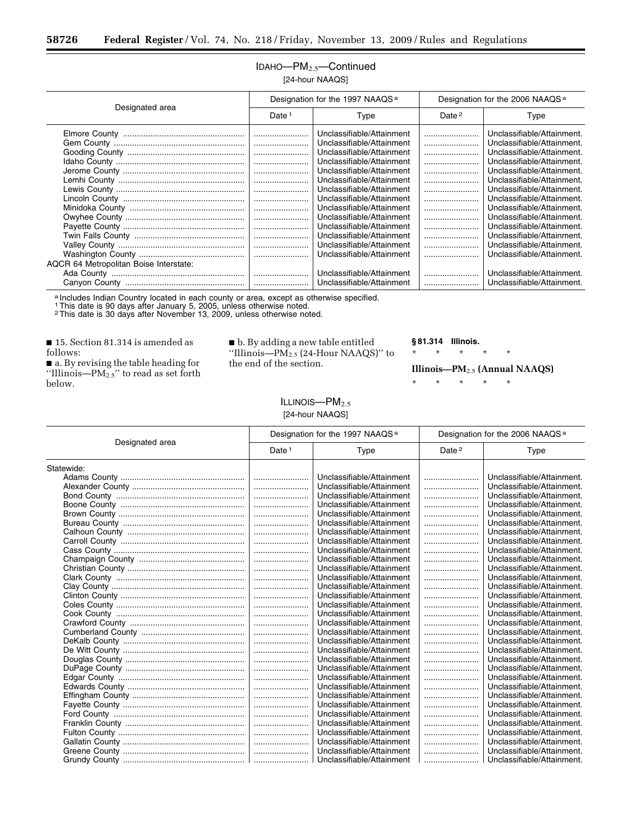## IDAHO—PM2.5—Continued [24-hour NAAQS]

| Designated area                        | Designation for the 1997 NAAQS <sup>a</sup> |                                                                                                                                                                                                                                                                                                                                                                                                                                                                              | Designation for the 2006 NAAQS <sup>a</sup> |                                                                                                                                                                                                                                                                                                                                                                                                                                                                                              |
|----------------------------------------|---------------------------------------------|------------------------------------------------------------------------------------------------------------------------------------------------------------------------------------------------------------------------------------------------------------------------------------------------------------------------------------------------------------------------------------------------------------------------------------------------------------------------------|---------------------------------------------|----------------------------------------------------------------------------------------------------------------------------------------------------------------------------------------------------------------------------------------------------------------------------------------------------------------------------------------------------------------------------------------------------------------------------------------------------------------------------------------------|
|                                        | Date <sup>1</sup>                           | Type                                                                                                                                                                                                                                                                                                                                                                                                                                                                         | Date <sup>2</sup>                           | Type                                                                                                                                                                                                                                                                                                                                                                                                                                                                                         |
| AQCR 64 Metropolitan Boise Interstate: | <br>                                        | Unclassifiable/Attainment<br>Unclassifiable/Attainment<br>Unclassifiable/Attainment<br>Unclassifiable/Attainment<br>Unclassifiable/Attainment<br>Unclassifiable/Attainment<br>Unclassifiable/Attainment<br>Unclassifiable/Attainment<br>Unclassifiable/Attainment<br>Unclassifiable/Attainment<br>Unclassifiable/Attainment<br>Unclassifiable/Attainment<br>Unclassifiable/Attainment<br>Unclassifiable/Attainment<br>Unclassifiable/Attainment<br>Unclassifiable/Attainment |                                             | Unclassifiable/Attainment.<br>Unclassifiable/Attainment.<br>Unclassifiable/Attainment.<br>Unclassifiable/Attainment.<br>Unclassifiable/Attainment.<br>Unclassifiable/Attainment.<br>Unclassifiable/Attainment.<br>Unclassifiable/Attainment.<br>Unclassifiable/Attainment.<br>Unclassifiable/Attainment.<br>Unclassifiable/Attainment.<br>Unclassifiable/Attainment.<br>Unclassifiable/Attainment.<br>Unclassifiable/Attainment.<br>Unclassifiable/Attainment.<br>Unclassifiable/Attainment. |
|                                        |                                             |                                                                                                                                                                                                                                                                                                                                                                                                                                                                              |                                             |                                                                                                                                                                                                                                                                                                                                                                                                                                                                                              |

a Includes Indian Country located in each county or area, except as otherwise specified.

1This date is 90 days after January 5, 2005, unless otherwise noted. 2This date is 30 days after November 13, 2009, unless otherwise noted.

■ 15. Section 81.314 is amended as follows:

■ a. By revising the table heading for ''Illinois—PM2.5'' to read as set forth below.

■ b. By adding a new table entitled "Illinois— $PM_{2.5}$  (24-Hour NAAQS)" to the end of the section.

## $ILLINOIS—PM<sub>2.5</sub>$ [24-hour NAAQS]

**§ 81.314 Illinois.** 

\* \* \* \* \*

**Illinois—PM**2.5 **(Annual NAAQS)** 

| Designated area | Designation for the 1997 NAAQS <sup>a</sup> |                           | Designation for the 2006 NAAQS <sup>a</sup> |                            |
|-----------------|---------------------------------------------|---------------------------|---------------------------------------------|----------------------------|
|                 | Date <sup>1</sup>                           | Type                      | Date <sup>2</sup>                           | Type                       |
| Statewide:      |                                             |                           |                                             |                            |
|                 |                                             | Unclassifiable/Attainment |                                             | Unclassifiable/Attainment. |
|                 |                                             | Unclassifiable/Attainment |                                             | Unclassifiable/Attainment. |
|                 |                                             | Unclassifiable/Attainment |                                             | Unclassifiable/Attainment. |
|                 |                                             | Unclassifiable/Attainment |                                             | Unclassifiable/Attainment. |
|                 |                                             | Unclassifiable/Attainment |                                             | Unclassifiable/Attainment. |
|                 |                                             | Unclassifiable/Attainment |                                             | Unclassifiable/Attainment. |
|                 |                                             | Unclassifiable/Attainment |                                             | Unclassifiable/Attainment. |
|                 |                                             | Unclassifiable/Attainment |                                             | Unclassifiable/Attainment. |
|                 |                                             | Unclassifiable/Attainment |                                             | Unclassifiable/Attainment. |
|                 |                                             | Unclassifiable/Attainment |                                             | Unclassifiable/Attainment. |
|                 |                                             | Unclassifiable/Attainment |                                             | Unclassifiable/Attainment. |
|                 |                                             | Unclassifiable/Attainment |                                             | Unclassifiable/Attainment. |
|                 |                                             | Unclassifiable/Attainment |                                             | Unclassifiable/Attainment. |
|                 |                                             | Unclassifiable/Attainment |                                             | Unclassifiable/Attainment. |
|                 |                                             | Unclassifiable/Attainment |                                             | Unclassifiable/Attainment. |
|                 |                                             | Unclassifiable/Attainment |                                             | Unclassifiable/Attainment. |
|                 |                                             | Unclassifiable/Attainment |                                             | Unclassifiable/Attainment. |
|                 |                                             | Unclassifiable/Attainment |                                             | Unclassifiable/Attainment. |
|                 |                                             | Unclassifiable/Attainment |                                             | Unclassifiable/Attainment. |
|                 |                                             | Unclassifiable/Attainment |                                             | Unclassifiable/Attainment. |
|                 |                                             | Unclassifiable/Attainment |                                             | Unclassifiable/Attainment. |
|                 |                                             | Unclassifiable/Attainment |                                             | Unclassifiable/Attainment. |
|                 |                                             | Unclassifiable/Attainment |                                             | Unclassifiable/Attainment. |
|                 |                                             | Unclassifiable/Attainment |                                             | Unclassifiable/Attainment. |
|                 |                                             | Unclassifiable/Attainment |                                             | Unclassifiable/Attainment. |
|                 |                                             | Unclassifiable/Attainment |                                             | Unclassifiable/Attainment. |
|                 |                                             | Unclassifiable/Attainment |                                             | Unclassifiable/Attainment. |
|                 |                                             | Unclassifiable/Attainment |                                             | Unclassifiable/Attainment. |
|                 |                                             | Unclassifiable/Attainment |                                             | Unclassifiable/Attainment. |
|                 |                                             | Unclassifiable/Attainment |                                             | Unclassifiable/Attainment. |
|                 |                                             | Unclassifiable/Attainment |                                             | Unclassifiable/Attainment. |
|                 |                                             | Unclassifiable/Attainment |                                             | Unclassifiable/Attainment. |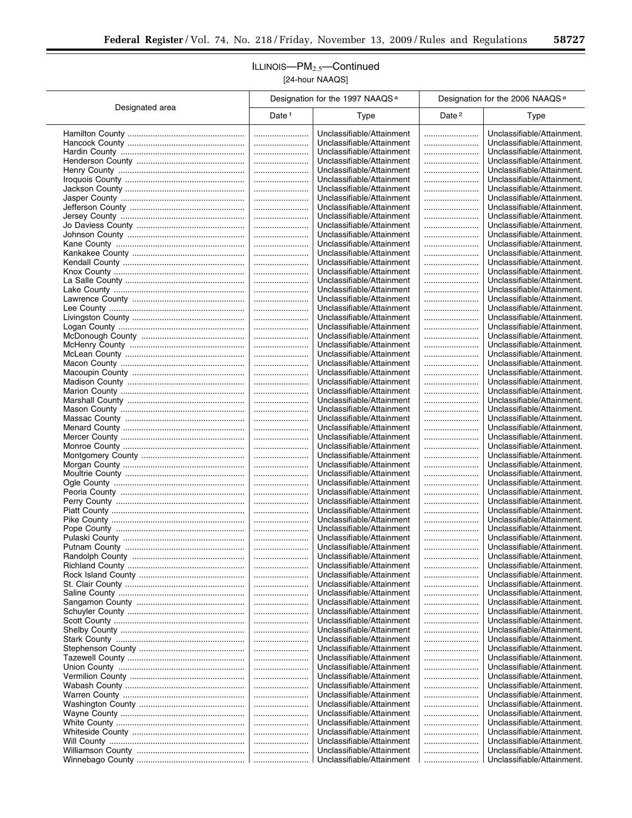## ILLINOIS-PM<sub>2.5</sub>-Continued [24-hour NAAQS]

 $\overline{a}$ 

|                 | Designation for the 1997 NAAQS <sup>a</sup> |                                                        | Designation for the 2006 NAAQS <sup>a</sup> |                                                          |
|-----------------|---------------------------------------------|--------------------------------------------------------|---------------------------------------------|----------------------------------------------------------|
| Designated area | Date $1$                                    | <b>Type</b>                                            | Date <sup>2</sup>                           | <b>Type</b>                                              |
|                 |                                             | Unclassifiable/Attainment                              |                                             | Unclassifiable/Attainment.                               |
|                 |                                             | Unclassifiable/Attainment                              |                                             | Unclassifiable/Attainment.                               |
|                 |                                             | Unclassifiable/Attainment                              |                                             | Unclassifiable/Attainment.                               |
|                 |                                             | Unclassifiable/Attainment                              |                                             | Unclassifiable/Attainment.                               |
|                 |                                             | Unclassifiable/Attainment                              |                                             | Unclassifiable/Attainment.                               |
|                 |                                             | Unclassifiable/Attainment                              |                                             | Unclassifiable/Attainment.                               |
|                 |                                             | Unclassifiable/Attainment<br>Unclassifiable/Attainment |                                             | Unclassifiable/Attainment.<br>Unclassifiable/Attainment. |
|                 |                                             | Unclassifiable/Attainment                              |                                             | Unclassifiable/Attainment.                               |
|                 |                                             | Unclassifiable/Attainment                              |                                             | Unclassifiable/Attainment.                               |
|                 |                                             | Unclassifiable/Attainment                              |                                             | Unclassifiable/Attainment.                               |
|                 |                                             | Unclassifiable/Attainment                              |                                             | Unclassifiable/Attainment.                               |
|                 |                                             | Unclassifiable/Attainment                              |                                             | Unclassifiable/Attainment.                               |
|                 |                                             | Unclassifiable/Attainment                              |                                             | Unclassifiable/Attainment.                               |
|                 |                                             | Unclassifiable/Attainment                              |                                             | Unclassifiable/Attainment.                               |
|                 |                                             | Unclassifiable/Attainment                              |                                             | Unclassifiable/Attainment.                               |
|                 |                                             | Unclassifiable/Attainment                              |                                             | Unclassifiable/Attainment.                               |
|                 |                                             | Unclassifiable/Attainment                              |                                             | Unclassifiable/Attainment.                               |
|                 |                                             | Unclassifiable/Attainment                              |                                             | Unclassifiable/Attainment.                               |
|                 |                                             | Unclassifiable/Attainment                              |                                             | Unclassifiable/Attainment.                               |
|                 |                                             | Unclassifiable/Attainment                              |                                             | Unclassifiable/Attainment.                               |
|                 |                                             | Unclassifiable/Attainment                              |                                             | Unclassifiable/Attainment.                               |
|                 |                                             | Unclassifiable/Attainment<br>Unclassifiable/Attainment |                                             | Unclassifiable/Attainment.<br>Unclassifiable/Attainment. |
|                 |                                             | Unclassifiable/Attainment                              |                                             | Unclassifiable/Attainment.                               |
|                 |                                             | Unclassifiable/Attainment                              |                                             | Unclassifiable/Attainment.                               |
|                 |                                             | Unclassifiable/Attainment                              |                                             | Unclassifiable/Attainment.                               |
|                 |                                             | Unclassifiable/Attainment                              |                                             | Unclassifiable/Attainment.                               |
|                 |                                             | Unclassifiable/Attainment                              |                                             | Unclassifiable/Attainment.                               |
|                 |                                             | Unclassifiable/Attainment                              |                                             | Unclassifiable/Attainment.                               |
|                 |                                             | Unclassifiable/Attainment                              |                                             | Unclassifiable/Attainment.                               |
|                 |                                             | Unclassifiable/Attainment                              |                                             | Unclassifiable/Attainment.                               |
|                 |                                             | Unclassifiable/Attainment                              |                                             | Unclassifiable/Attainment.                               |
|                 |                                             | Unclassifiable/Attainment                              |                                             | Unclassifiable/Attainment.                               |
|                 |                                             | Unclassifiable/Attainment                              |                                             | Unclassifiable/Attainment.                               |
|                 |                                             | Unclassifiable/Attainment                              |                                             | Unclassifiable/Attainment.                               |
|                 |                                             | Unclassifiable/Attainment                              |                                             | Unclassifiable/Attainment.                               |
|                 |                                             | Unclassifiable/Attainment                              |                                             | Unclassifiable/Attainment.                               |
|                 |                                             | Unclassifiable/Attainment<br>Unclassifiable/Attainment |                                             | Unclassifiable/Attainment.<br>Unclassifiable/Attainment. |
|                 |                                             | Unclassifiable/Attainment                              |                                             | Unclassifiable/Attainment.                               |
|                 |                                             | Unclassifiable/Attainment                              |                                             | Unclassifiable/Attainment.                               |
|                 |                                             | Unclassifiable/Attainment                              |                                             | Unclassifiable/Attainment.                               |
|                 |                                             | Unclassifiable/Attainment                              |                                             | Unclassifiable/Attainment.                               |
|                 |                                             | Unclassifiable/Attainment                              |                                             | Unclassifiable/Attainment.                               |
|                 |                                             | Unclassifiable/Attainment                              |                                             | Unclassifiable/Attainment.                               |
|                 |                                             | Unclassifiable/Attainment                              |                                             | Unclassifiable/Attainment.                               |
|                 |                                             | Unclassifiable/Attainment                              |                                             | Unclassifiable/Attainment.                               |
|                 |                                             | Unclassifiable/Attainment                              |                                             | Unclassifiable/Attainment.                               |
|                 |                                             | Unclassifiable/Attainment                              |                                             | Unclassifiable/Attainment.                               |
|                 |                                             | Unclassifiable/Attainment                              |                                             | Unclassifiable/Attainment.                               |
|                 |                                             | Unclassifiable/Attainment                              |                                             | Unclassifiable/Attainment.                               |
|                 |                                             | Unclassifiable/Attainment                              |                                             | Unclassifiable/Attainment.<br>Unclassifiable/Attainment. |
|                 |                                             | Unclassifiable/Attainment<br>Unclassifiable/Attainment | <br>                                        | Unclassifiable/Attainment.                               |
|                 |                                             | Unclassifiable/Attainment                              |                                             | Unclassifiable/Attainment.                               |
|                 |                                             | Unclassifiable/Attainment                              |                                             | Unclassifiable/Attainment.                               |
|                 |                                             | Unclassifiable/Attainment                              |                                             | Unclassifiable/Attainment.                               |
|                 |                                             | Unclassifiable/Attainment                              |                                             | Unclassifiable/Attainment.                               |
|                 |                                             | Unclassifiable/Attainment                              |                                             | Unclassifiable/Attainment.                               |
|                 |                                             | Unclassifiable/Attainment                              |                                             | Unclassifiable/Attainment.                               |
|                 |                                             | Unclassifiable/Attainment                              |                                             | Unclassifiable/Attainment.                               |
|                 |                                             | Unclassifiable/Attainment                              |                                             | Unclassifiable/Attainment.                               |
|                 |                                             | Unclassifiable/Attainment                              |                                             | Unclassifiable/Attainment.                               |
|                 |                                             | Unclassifiable/Attainment                              |                                             | Unclassifiable/Attainment.                               |
|                 |                                             | Unclassifiable/Attainment                              |                                             | Unclassifiable/Attainment.                               |
|                 |                                             | Unclassifiable/Attainment                              |                                             | Unclassifiable/Attainment.                               |
|                 |                                             | Unclassifiable/Attainment                              |                                             | Unclassifiable/Attainment.                               |
|                 |                                             | Unclassifiable/Attainment                              |                                             | Unclassifiable/Attainment.                               |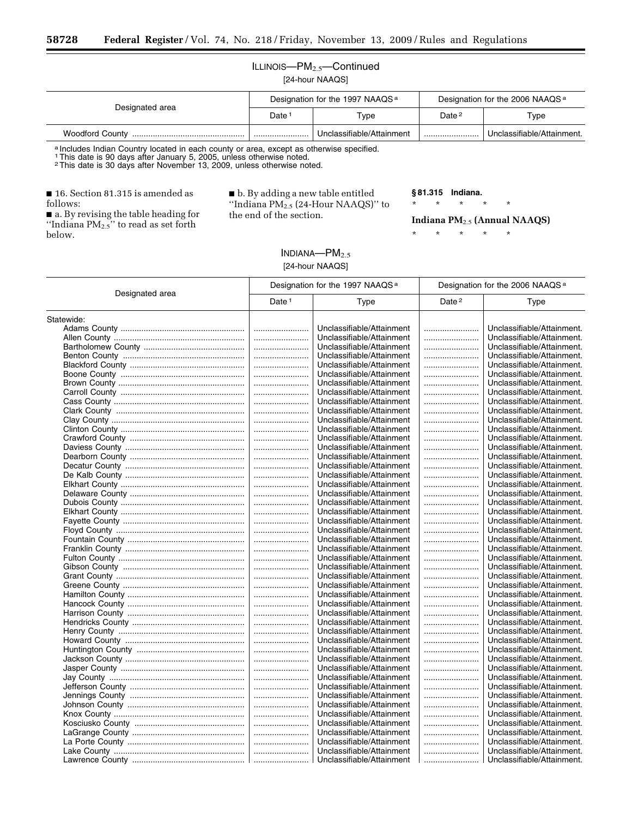## ILLINOIS-PM<sub>2.5</sub>-Continued [24-hour NAAQS]

| Designated area        | Designation for the 1997 NAAQS <sup>a</sup> |                           | Designation for the 2006 NAAQS <sup>a</sup> |                            |
|------------------------|---------------------------------------------|---------------------------|---------------------------------------------|----------------------------|
|                        | Date                                        | Type                      | Date <sup>2</sup>                           | Type                       |
| <b>Woodford County</b> |                                             | Unclassifiable/Attainment |                                             | Unclassifiable/Attainment. |

a Includes Indian Country located in each county or area, except as otherwise specified.<br>1 This date is 90 days after January 5, 2005, unless otherwise noted.

2This date is 30 days after November 13, 2009, unless otherwise noted.

■ 16. Section 81.315 is amended as follows:

■ a. By revising the table heading for "Indiana  $PM_{2.5}$ " to read as set forth below.

■ b. By adding a new table entitled ''Indiana PM2.5 (24-Hour NAAQS)'' to the end of the section.

> $INDIANA—PM<sub>2.5</sub>$ [24-hour NAAQS]

**§ 81.315 Indiana.** 

\* \* \* \* \*

#### **Indiana PM**2.5 **(Annual NAAQS)**

|                 | Designation for the 1997 NAAQS <sup>a</sup> |                           | Designation for the 2006 NAAQS <sup>a</sup> |                                                          |
|-----------------|---------------------------------------------|---------------------------|---------------------------------------------|----------------------------------------------------------|
| Designated area | Date <sup>1</sup>                           | Type                      | Date <sup>2</sup>                           | Type                                                     |
| Statewide:      |                                             |                           |                                             |                                                          |
|                 |                                             | Unclassifiable/Attainment |                                             | Unclassifiable/Attainment.                               |
|                 |                                             | Unclassifiable/Attainment |                                             | Unclassifiable/Attainment.                               |
|                 |                                             | Unclassifiable/Attainment |                                             | Unclassifiable/Attainment.                               |
|                 |                                             | Unclassifiable/Attainment |                                             | Unclassifiable/Attainment.                               |
|                 |                                             | Unclassifiable/Attainment |                                             | Unclassifiable/Attainment.                               |
|                 |                                             | Unclassifiable/Attainment |                                             | Unclassifiable/Attainment.                               |
|                 |                                             | Unclassifiable/Attainment |                                             | Unclassifiable/Attainment.                               |
|                 |                                             | Unclassifiable/Attainment |                                             | Unclassifiable/Attainment.                               |
|                 |                                             | Unclassifiable/Attainment |                                             | Unclassifiable/Attainment.                               |
|                 |                                             | Unclassifiable/Attainment |                                             | Unclassifiable/Attainment.                               |
|                 |                                             | Unclassifiable/Attainment |                                             | Unclassifiable/Attainment.                               |
|                 |                                             | Unclassifiable/Attainment |                                             | Unclassifiable/Attainment.                               |
|                 |                                             | Unclassifiable/Attainment |                                             | Unclassifiable/Attainment.                               |
|                 |                                             | Unclassifiable/Attainment |                                             | Unclassifiable/Attainment.                               |
|                 |                                             | Unclassifiable/Attainment |                                             | Unclassifiable/Attainment.                               |
|                 |                                             | Unclassifiable/Attainment |                                             | Unclassifiable/Attainment.                               |
|                 |                                             | Unclassifiable/Attainment |                                             | Unclassifiable/Attainment.                               |
|                 |                                             | Unclassifiable/Attainment |                                             | Unclassifiable/Attainment.                               |
|                 |                                             | Unclassifiable/Attainment |                                             | Unclassifiable/Attainment.                               |
|                 |                                             | Unclassifiable/Attainment |                                             | Unclassifiable/Attainment.                               |
|                 |                                             | Unclassifiable/Attainment |                                             | Unclassifiable/Attainment.                               |
|                 |                                             |                           |                                             |                                                          |
|                 |                                             | Unclassifiable/Attainment |                                             | Unclassifiable/Attainment.                               |
|                 |                                             | Unclassifiable/Attainment |                                             | Unclassifiable/Attainment.<br>Unclassifiable/Attainment. |
|                 |                                             | Unclassifiable/Attainment |                                             |                                                          |
|                 |                                             | Unclassifiable/Attainment |                                             | Unclassifiable/Attainment.                               |
|                 |                                             | Unclassifiable/Attainment |                                             | Unclassifiable/Attainment.                               |
|                 |                                             | Unclassifiable/Attainment |                                             | Unclassifiable/Attainment.                               |
|                 |                                             | Unclassifiable/Attainment |                                             | Unclassifiable/Attainment.                               |
|                 |                                             | Unclassifiable/Attainment |                                             | Unclassifiable/Attainment.                               |
|                 |                                             | Unclassifiable/Attainment |                                             | Unclassifiable/Attainment.                               |
|                 |                                             | Unclassifiable/Attainment |                                             | Unclassifiable/Attainment.                               |
|                 |                                             | Unclassifiable/Attainment |                                             | Unclassifiable/Attainment.                               |
|                 |                                             | Unclassifiable/Attainment |                                             | Unclassifiable/Attainment.                               |
|                 |                                             | Unclassifiable/Attainment |                                             | Unclassifiable/Attainment.                               |
|                 |                                             | Unclassifiable/Attainment |                                             | Unclassifiable/Attainment.                               |
|                 |                                             | Unclassifiable/Attainment |                                             | Unclassifiable/Attainment.                               |
|                 |                                             | Unclassifiable/Attainment |                                             | Unclassifiable/Attainment.                               |
|                 |                                             | Unclassifiable/Attainment |                                             | Unclassifiable/Attainment.                               |
|                 |                                             | Unclassifiable/Attainment |                                             | Unclassifiable/Attainment.                               |
|                 |                                             | Unclassifiable/Attainment |                                             | Unclassifiable/Attainment.                               |
|                 |                                             | Unclassifiable/Attainment |                                             | Unclassifiable/Attainment.                               |
|                 |                                             | Unclassifiable/Attainment |                                             | Unclassifiable/Attainment.                               |
|                 |                                             | Unclassifiable/Attainment |                                             | Unclassifiable/Attainment.                               |
|                 |                                             | Unclassifiable/Attainment |                                             | Unclassifiable/Attainment.                               |
|                 |                                             | Unclassifiable/Attainment |                                             | Unclassifiable/Attainment.                               |
|                 |                                             | Unclassifiable/Attainment |                                             | Unclassifiable/Attainment.                               |
|                 |                                             | Unclassifiable/Attainment |                                             | Unclassifiable/Attainment.                               |
|                 |                                             | Unclassifiable/Attainment |                                             | Unclassifiable/Attainment.                               |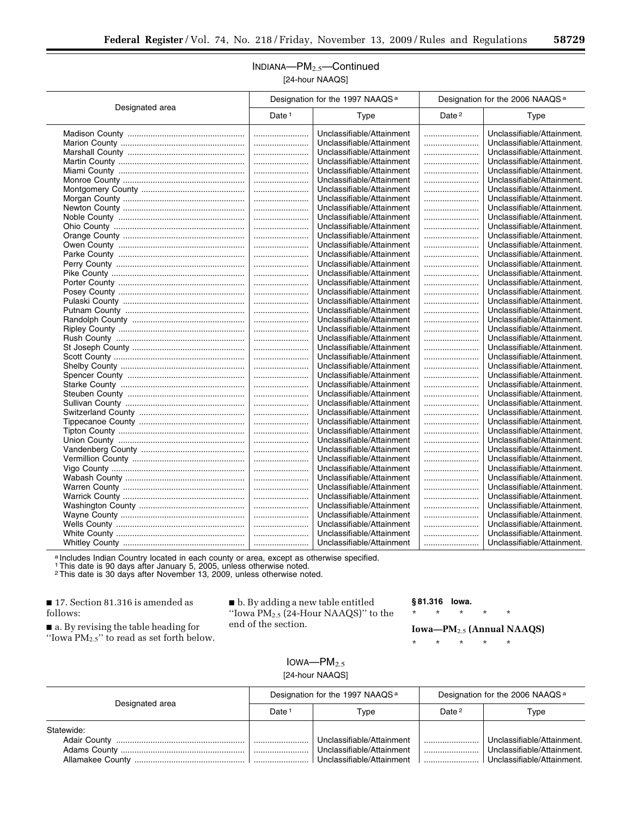## INDIANA—PM2.5—Continued [24-hour NAAQS]

|                 |          | Designation for the 1997 NAAQS <sup>a</sup> | Designation for the 2006 NAAQS <sup>a</sup> |                            |
|-----------------|----------|---------------------------------------------|---------------------------------------------|----------------------------|
| Designated area | Date $1$ | Type                                        | Date <sup>2</sup>                           | Type                       |
|                 |          | Unclassifiable/Attainment                   |                                             | Unclassifiable/Attainment. |
|                 |          | Unclassifiable/Attainment                   |                                             | Unclassifiable/Attainment. |
|                 |          | Unclassifiable/Attainment                   |                                             | Unclassifiable/Attainment. |
|                 |          | Unclassifiable/Attainment                   |                                             | Unclassifiable/Attainment. |
|                 |          | Unclassifiable/Attainment                   |                                             | Unclassifiable/Attainment. |
|                 |          | Unclassifiable/Attainment                   |                                             | Unclassifiable/Attainment. |
|                 |          | Unclassifiable/Attainment                   |                                             | Unclassifiable/Attainment. |
|                 |          | Unclassifiable/Attainment                   |                                             | Unclassifiable/Attainment. |
|                 |          | Unclassifiable/Attainment                   |                                             | Unclassifiable/Attainment. |
|                 |          | Unclassifiable/Attainment                   |                                             | Unclassifiable/Attainment. |
|                 |          | Unclassifiable/Attainment                   |                                             | Unclassifiable/Attainment. |
|                 |          | Unclassifiable/Attainment                   |                                             | Unclassifiable/Attainment. |
|                 |          | Unclassifiable/Attainment                   |                                             | Unclassifiable/Attainment. |
|                 |          | Unclassifiable/Attainment                   |                                             | Unclassifiable/Attainment. |
|                 |          | Unclassifiable/Attainment                   |                                             | Unclassifiable/Attainment. |
|                 |          | Unclassifiable/Attainment                   |                                             | Unclassifiable/Attainment. |
|                 |          | Unclassifiable/Attainment                   |                                             | Unclassifiable/Attainment. |
|                 |          | Unclassifiable/Attainment                   |                                             | Unclassifiable/Attainment. |
|                 |          | Unclassifiable/Attainment                   |                                             | Unclassifiable/Attainment. |
|                 |          | Unclassifiable/Attainment                   |                                             | Unclassifiable/Attainment. |
|                 |          | Unclassifiable/Attainment                   |                                             | Unclassifiable/Attainment. |
|                 |          | Unclassifiable/Attainment                   |                                             | Unclassifiable/Attainment. |
|                 |          | Unclassifiable/Attainment                   |                                             | Unclassifiable/Attainment. |
|                 |          | Unclassifiable/Attainment                   |                                             | Unclassifiable/Attainment. |
|                 |          | Unclassifiable/Attainment                   |                                             | Unclassifiable/Attainment. |
|                 |          | Unclassifiable/Attainment                   |                                             | Unclassifiable/Attainment. |
|                 |          | Unclassifiable/Attainment                   |                                             | Unclassifiable/Attainment. |
|                 |          | Unclassifiable/Attainment                   |                                             | Unclassifiable/Attainment. |
|                 |          | Unclassifiable/Attainment                   |                                             | Unclassifiable/Attainment. |
|                 |          | Unclassifiable/Attainment                   |                                             | Unclassifiable/Attainment. |
|                 |          | Unclassifiable/Attainment                   |                                             | Unclassifiable/Attainment. |
|                 |          | Unclassifiable/Attainment                   |                                             | Unclassifiable/Attainment. |
|                 |          | Unclassifiable/Attainment                   |                                             | Unclassifiable/Attainment. |
|                 |          | Unclassifiable/Attainment                   |                                             | Unclassifiable/Attainment. |
|                 |          | Unclassifiable/Attainment                   |                                             | Unclassifiable/Attainment. |
|                 |          | Unclassifiable/Attainment                   |                                             | Unclassifiable/Attainment. |
|                 |          | Unclassifiable/Attainment                   |                                             | Unclassifiable/Attainment. |
|                 |          | Unclassifiable/Attainment                   |                                             | Unclassifiable/Attainment. |
|                 |          | Unclassifiable/Attainment                   |                                             | Unclassifiable/Attainment. |
|                 |          | Unclassifiable/Attainment                   |                                             | Unclassifiable/Attainment. |
|                 |          | Unclassifiable/Attainment                   |                                             | Unclassifiable/Attainment. |
|                 |          | Unclassifiable/Attainment                   |                                             | Unclassifiable/Attainment. |
|                 |          | Unclassifiable/Attainment                   |                                             | Unclassifiable/Attainment. |
|                 |          | Unclassifiable/Attainment                   |                                             | Unclassifiable/Attainment. |
|                 |          | Unclassifiable/Attainment                   |                                             | Unclassifiable/Attainment. |
|                 |          |                                             |                                             |                            |

a Includes Indian Country located in each county or area, except as otherwise specified.<br>1 This date is 90 days after January 5, 2005, unless otherwise noted.<br><sup>2</sup> This date is 30 days after November 13, 2009, unless otherw

■ 17. Section 81.316 is amended as follows:

■ a. By revising the table heading for "Iowa  $PM_{2.5}$ " to read as set forth below. ■ b. By adding a new table entitled ''Iowa PM2.5 (24-Hour NAAQS)'' to the end of the section.

**§ 81.316 Iowa.** 

\* \* \* \* \*

**Iowa—PM**2.5 **(Annual NAAQS)** 

\* \* \* \* \*

 $IOWA$ – $PM<sub>2.5</sub>$ [24-hour NAAQS]

| Designated area | Designation for the 1997 NAAQS <sup>a</sup> |                                                                                     | Designation for the 2006 NAAQS <sup>a</sup> |                                                                                        |
|-----------------|---------------------------------------------|-------------------------------------------------------------------------------------|---------------------------------------------|----------------------------------------------------------------------------------------|
|                 | Date                                        | Type                                                                                | Date $2$                                    | Type                                                                                   |
| Statewide:      |                                             |                                                                                     |                                             |                                                                                        |
|                 |                                             | Unclassifiable/Attainment<br>Unclassifiable/Attainment<br>Unclassifiable/Attainment |                                             | Unclassifiable/Attainment.<br>Unclassifiable/Attainment.<br>Unclassifiable/Attainment. |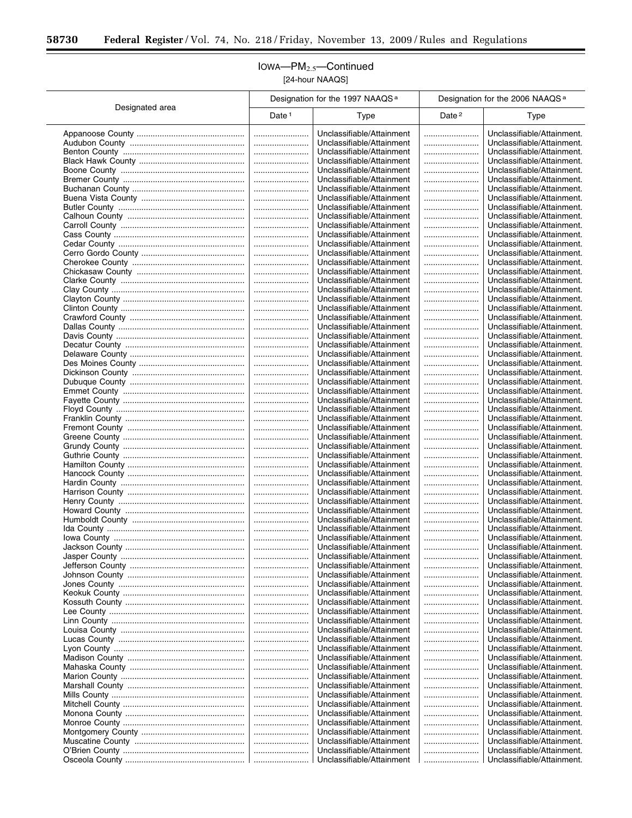$\equiv$ 

## IOWA—PM2.5—Continued [24-hour NAAQS]

|                 | Designation for the 1997 NAAQS <sup>a</sup> |                                                        | Designation for the 2006 NAAQS <sup>a</sup> |                                                          |  |
|-----------------|---------------------------------------------|--------------------------------------------------------|---------------------------------------------|----------------------------------------------------------|--|
| Designated area | Date $1$                                    | Type                                                   | Date <sup>2</sup>                           | Type                                                     |  |
|                 |                                             | Unclassifiable/Attainment                              |                                             | Unclassifiable/Attainment.                               |  |
|                 |                                             | Unclassifiable/Attainment                              |                                             | Unclassifiable/Attainment.                               |  |
|                 |                                             | Unclassifiable/Attainment                              |                                             | Unclassifiable/Attainment.                               |  |
|                 |                                             | Unclassifiable/Attainment                              |                                             | Unclassifiable/Attainment.                               |  |
|                 |                                             | Unclassifiable/Attainment<br>Unclassifiable/Attainment |                                             | Unclassifiable/Attainment.<br>Unclassifiable/Attainment. |  |
|                 |                                             | Unclassifiable/Attainment                              |                                             | Unclassifiable/Attainment.                               |  |
|                 |                                             | Unclassifiable/Attainment                              |                                             | Unclassifiable/Attainment.                               |  |
|                 |                                             | Unclassifiable/Attainment                              |                                             | Unclassifiable/Attainment.                               |  |
|                 |                                             | Unclassifiable/Attainment                              |                                             | Unclassifiable/Attainment.                               |  |
|                 |                                             | Unclassifiable/Attainment                              |                                             | Unclassifiable/Attainment.                               |  |
|                 |                                             | Unclassifiable/Attainment                              |                                             | Unclassifiable/Attainment.                               |  |
|                 |                                             | Unclassifiable/Attainment<br>Unclassifiable/Attainment |                                             | Unclassifiable/Attainment.<br>Unclassifiable/Attainment. |  |
|                 |                                             | Unclassifiable/Attainment                              | <br>                                        | Unclassifiable/Attainment.                               |  |
|                 |                                             | Unclassifiable/Attainment                              |                                             | Unclassifiable/Attainment.                               |  |
|                 |                                             | Unclassifiable/Attainment                              |                                             | Unclassifiable/Attainment.                               |  |
|                 |                                             | Unclassifiable/Attainment                              |                                             | Unclassifiable/Attainment.                               |  |
|                 |                                             | Unclassifiable/Attainment                              |                                             | Unclassifiable/Attainment.                               |  |
|                 |                                             | Unclassifiable/Attainment                              |                                             | Unclassifiable/Attainment.                               |  |
|                 |                                             | Unclassifiable/Attainment<br>Unclassifiable/Attainment |                                             | Unclassifiable/Attainment.<br>Unclassifiable/Attainment. |  |
|                 |                                             | Unclassifiable/Attainment                              |                                             | Unclassifiable/Attainment.                               |  |
|                 |                                             | Unclassifiable/Attainment                              |                                             | Unclassifiable/Attainment.                               |  |
|                 |                                             | Unclassifiable/Attainment                              |                                             | Unclassifiable/Attainment.                               |  |
|                 |                                             | Unclassifiable/Attainment                              |                                             | Unclassifiable/Attainment.                               |  |
|                 |                                             | Unclassifiable/Attainment                              |                                             | Unclassifiable/Attainment.                               |  |
|                 |                                             | Unclassifiable/Attainment                              |                                             | Unclassifiable/Attainment.                               |  |
|                 |                                             | Unclassifiable/Attainment<br>Unclassifiable/Attainment |                                             | Unclassifiable/Attainment.<br>Unclassifiable/Attainment. |  |
|                 |                                             | Unclassifiable/Attainment                              | <br>                                        | Unclassifiable/Attainment.                               |  |
|                 |                                             | Unclassifiable/Attainment                              |                                             | Unclassifiable/Attainment.                               |  |
|                 |                                             | Unclassifiable/Attainment                              |                                             | Unclassifiable/Attainment.                               |  |
|                 |                                             | Unclassifiable/Attainment                              |                                             | Unclassifiable/Attainment.                               |  |
|                 |                                             | Unclassifiable/Attainment                              |                                             | Unclassifiable/Attainment.                               |  |
|                 |                                             | Unclassifiable/Attainment                              |                                             | Unclassifiable/Attainment.                               |  |
|                 |                                             | Unclassifiable/Attainment<br>Unclassifiable/Attainment |                                             | Unclassifiable/Attainment.<br>Unclassifiable/Attainment. |  |
|                 |                                             | Unclassifiable/Attainment                              |                                             | Unclassifiable/Attainment.                               |  |
|                 |                                             | Unclassifiable/Attainment                              |                                             | Unclassifiable/Attainment.                               |  |
|                 |                                             | Unclassifiable/Attainment                              |                                             | Unclassifiable/Attainment.                               |  |
|                 |                                             | Unclassifiable/Attainment                              |                                             | Unclassifiable/Attainment.                               |  |
|                 |                                             | Unclassifiable/Attainment                              |                                             | Unclassifiable/Attainment.                               |  |
|                 |                                             | Unclassifiable/Attainment                              |                                             | Unclassifiable/Attainment.                               |  |
|                 |                                             | Unclassifiable/Attainment<br>Unclassifiable/Attainment |                                             | Unclassifiable/Attainment.<br>Unclassifiable/Attainment. |  |
|                 |                                             | Unclassifiable/Attainment                              |                                             | Unclassifiable/Attainment.                               |  |
|                 |                                             | Unclassifiable/Attainment                              |                                             | Unclassifiable/Attainment.                               |  |
|                 |                                             | Unclassifiable/Attainment                              |                                             | Unclassifiable/Attainment.                               |  |
|                 |                                             | Unclassifiable/Attainment                              |                                             | Unclassifiable/Attainment.                               |  |
|                 |                                             | Unclassifiable/Attainment                              |                                             | Unclassifiable/Attainment.                               |  |
|                 |                                             | Unclassifiable/Attainment<br>Unclassifiable/Attainment |                                             | Unclassifiable/Attainment.<br>Unclassifiable/Attainment. |  |
|                 |                                             | Unclassifiable/Attainment                              |                                             | Unclassifiable/Attainment.                               |  |
|                 |                                             | Unclassifiable/Attainment                              |                                             | Unclassifiable/Attainment.                               |  |
|                 |                                             | Unclassifiable/Attainment                              |                                             | Unclassifiable/Attainment.                               |  |
|                 |                                             | Unclassifiable/Attainment                              |                                             | Unclassifiable/Attainment.                               |  |
|                 |                                             | Unclassifiable/Attainment                              |                                             | Unclassifiable/Attainment.                               |  |
|                 |                                             | Unclassifiable/Attainment                              |                                             | Unclassifiable/Attainment.                               |  |
|                 |                                             | Unclassifiable/Attainment<br>Unclassifiable/Attainment |                                             | Unclassifiable/Attainment.<br>Unclassifiable/Attainment. |  |
|                 |                                             | Unclassifiable/Attainment                              |                                             | Unclassifiable/Attainment.                               |  |
|                 |                                             | Unclassifiable/Attainment                              |                                             | Unclassifiable/Attainment.                               |  |
|                 |                                             | Unclassifiable/Attainment                              |                                             | Unclassifiable/Attainment.                               |  |
|                 |                                             | Unclassifiable/Attainment                              |                                             | Unclassifiable/Attainment.                               |  |
|                 |                                             | Unclassifiable/Attainment                              |                                             | Unclassifiable/Attainment.                               |  |
|                 |                                             | Unclassifiable/Attainment                              |                                             | Unclassifiable/Attainment.                               |  |
|                 |                                             | Unclassifiable/Attainment                              |                                             | Unclassifiable/Attainment.                               |  |
|                 |                                             | Unclassifiable/Attainment                              |                                             | Unclassifiable/Attainment.                               |  |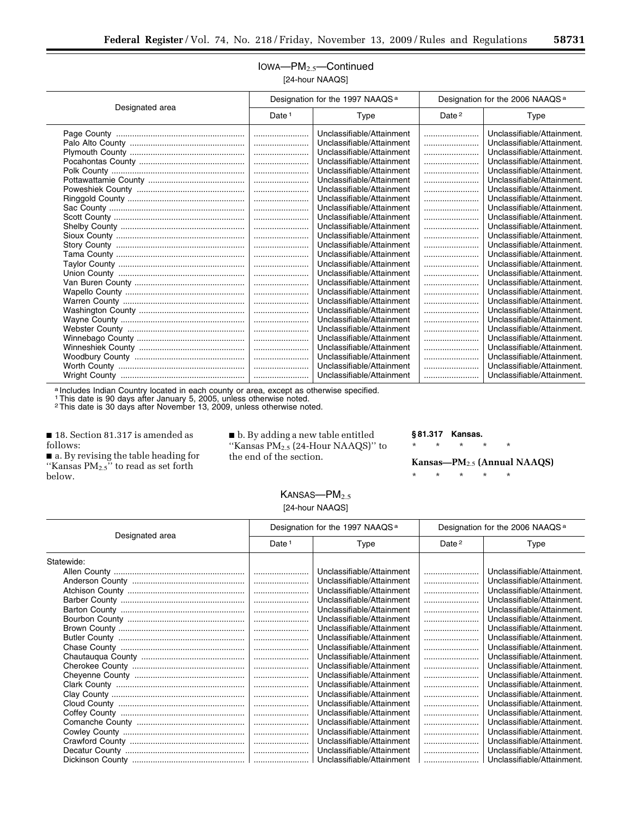#### IOWA—PM2.5—Continued [24-hour NAAQS]

| <b>EXA-TIOUT IVAAWS</b> |
|-------------------------|
|                         |

|                 | Designation for the 1997 NAAQS <sup>a</sup> |                           | Designation for the 2006 NAAQS <sup>a</sup> |                            |
|-----------------|---------------------------------------------|---------------------------|---------------------------------------------|----------------------------|
| Designated area | Date $1$                                    | Type                      | Date $2$                                    | Type                       |
|                 |                                             | Unclassifiable/Attainment |                                             | Unclassifiable/Attainment. |
|                 |                                             | Unclassifiable/Attainment |                                             | Unclassifiable/Attainment. |
|                 |                                             | Unclassifiable/Attainment |                                             | Unclassifiable/Attainment. |
|                 |                                             | Unclassifiable/Attainment |                                             | Unclassifiable/Attainment. |
|                 |                                             | Unclassifiable/Attainment |                                             | Unclassifiable/Attainment. |
|                 |                                             | Unclassifiable/Attainment |                                             | Unclassifiable/Attainment. |
|                 |                                             | Unclassifiable/Attainment |                                             | Unclassifiable/Attainment. |
|                 |                                             | Unclassifiable/Attainment |                                             | Unclassifiable/Attainment. |
|                 |                                             | Unclassifiable/Attainment |                                             | Unclassifiable/Attainment. |
|                 |                                             | Unclassifiable/Attainment |                                             | Unclassifiable/Attainment. |
|                 |                                             | Unclassifiable/Attainment |                                             | Unclassifiable/Attainment. |
|                 |                                             | Unclassifiable/Attainment |                                             | Unclassifiable/Attainment. |
|                 |                                             | Unclassifiable/Attainment |                                             | Unclassifiable/Attainment. |
|                 |                                             | Unclassifiable/Attainment |                                             | Unclassifiable/Attainment. |
|                 |                                             | Unclassifiable/Attainment |                                             | Unclassifiable/Attainment. |
|                 |                                             | Unclassifiable/Attainment |                                             | Unclassifiable/Attainment. |
|                 |                                             | Unclassifiable/Attainment |                                             | Unclassifiable/Attainment. |
|                 |                                             | Unclassifiable/Attainment |                                             | Unclassifiable/Attainment. |
|                 |                                             | Unclassifiable/Attainment |                                             | Unclassifiable/Attainment. |
|                 |                                             | Unclassifiable/Attainment |                                             | Unclassifiable/Attainment. |
|                 |                                             | Unclassifiable/Attainment |                                             | Unclassifiable/Attainment. |
|                 |                                             | Unclassifiable/Attainment |                                             | Unclassifiable/Attainment. |
|                 |                                             | Unclassifiable/Attainment |                                             | Unclassifiable/Attainment. |
|                 |                                             | Unclassifiable/Attainment |                                             | Unclassifiable/Attainment. |
|                 |                                             | Unclassifiable/Attainment |                                             | Unclassifiable/Attainment. |
|                 |                                             | Unclassifiable/Attainment |                                             | Unclassifiable/Attainment. |
|                 |                                             | Unclassifiable/Attainment |                                             | Unclassifiable/Attainment. |

a Includes Indian Country located in each county or area, except as otherwise specified.

1This date is 90 days after January 5, 2005, unless otherwise noted.

2This date is 30 days after November 13, 2009, unless otherwise noted.

■ 18. Section 81.317 is amended as follows:

■ a. By revising the table heading for "Kansas  $PM_{2.5}$ " to read as set forth below.

■ b. By adding a new table entitled ''Kansas PM2.5 (24-Hour NAAQS)'' to the end of the section.

**§ 81.317 Kansas.** 

\* \* \* \* \*

**Kansas—PM**2.5 **(Annual NAAQS)** 

\* \* \* \* \*

 $KANSAS$ -PM $_{2.5}$ [24-hour NAAQS]

|                 | Designation for the 1997 NAAQS <sup>a</sup> |                           | Designation for the 2006 NAAQS <sup>a</sup> |                            |
|-----------------|---------------------------------------------|---------------------------|---------------------------------------------|----------------------------|
| Designated area | Date $1$                                    | Type                      | Date <sup>2</sup>                           | Type                       |
| Statewide:      |                                             |                           |                                             |                            |
|                 |                                             | Unclassifiable/Attainment |                                             | Unclassifiable/Attainment. |
|                 |                                             | Unclassifiable/Attainment |                                             | Unclassifiable/Attainment. |
|                 |                                             | Unclassifiable/Attainment |                                             | Unclassifiable/Attainment. |
|                 |                                             | Unclassifiable/Attainment |                                             | Unclassifiable/Attainment. |
|                 |                                             | Unclassifiable/Attainment |                                             | Unclassifiable/Attainment. |
|                 |                                             | Unclassifiable/Attainment |                                             | Unclassifiable/Attainment. |
|                 |                                             | Unclassifiable/Attainment |                                             | Unclassifiable/Attainment. |
|                 |                                             | Unclassifiable/Attainment |                                             | Unclassifiable/Attainment. |
|                 |                                             | Unclassifiable/Attainment |                                             | Unclassifiable/Attainment. |
|                 |                                             | Unclassifiable/Attainment |                                             | Unclassifiable/Attainment. |
|                 |                                             | Unclassifiable/Attainment |                                             | Unclassifiable/Attainment. |
|                 |                                             | Unclassifiable/Attainment |                                             | Unclassifiable/Attainment. |
|                 |                                             | Unclassifiable/Attainment |                                             | Unclassifiable/Attainment. |
|                 |                                             | Unclassifiable/Attainment |                                             | Unclassifiable/Attainment. |
|                 |                                             | Unclassifiable/Attainment |                                             | Unclassifiable/Attainment. |
|                 |                                             | Unclassifiable/Attainment |                                             | Unclassifiable/Attainment. |
|                 |                                             | Unclassifiable/Attainment |                                             | Unclassifiable/Attainment. |
|                 |                                             | Unclassifiable/Attainment |                                             | Unclassifiable/Attainment. |
|                 |                                             | Unclassifiable/Attainment |                                             | Unclassifiable/Attainment. |
|                 |                                             | Unclassifiable/Attainment |                                             | Unclassifiable/Attainment. |
|                 |                                             | Unclassifiable/Attainment |                                             | Unclassifiable/Attainment. |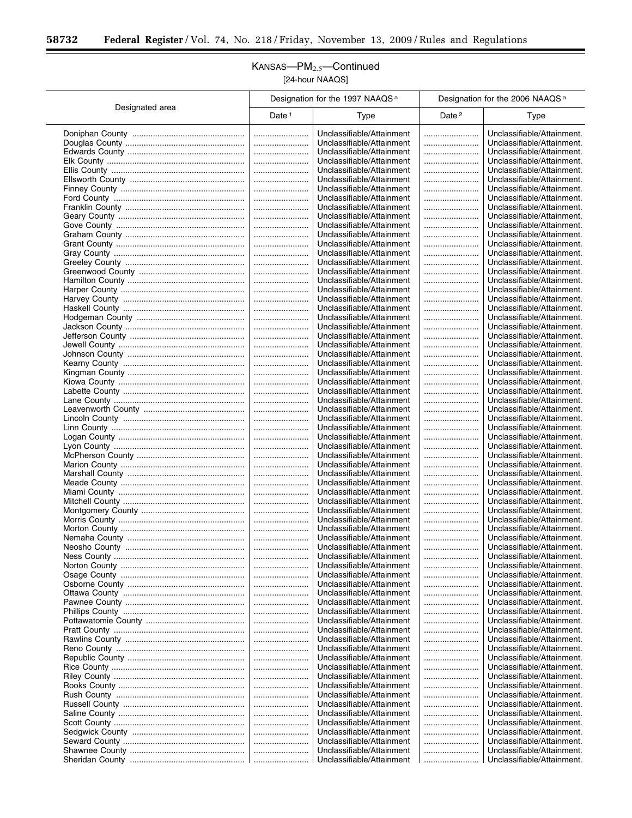$\equiv$ 

 $\overline{\phantom{0}}$ 

## KANSAS—PM2.5—Continued [24-hour NAAQS]

|                 | Designation for the 1997 NAAQS <sup>a</sup> |                                                        | Designation for the 2006 NAAQS <sup>a</sup> |                                                          |  |
|-----------------|---------------------------------------------|--------------------------------------------------------|---------------------------------------------|----------------------------------------------------------|--|
| Designated area | Date <sup>1</sup>                           | Type                                                   | Date <sup>2</sup>                           | Type                                                     |  |
|                 |                                             | Unclassifiable/Attainment                              |                                             | Unclassifiable/Attainment.                               |  |
|                 |                                             | Unclassifiable/Attainment                              |                                             | Unclassifiable/Attainment.                               |  |
|                 |                                             | Unclassifiable/Attainment                              |                                             | Unclassifiable/Attainment.                               |  |
|                 |                                             | Unclassifiable/Attainment                              |                                             | Unclassifiable/Attainment.                               |  |
|                 |                                             | Unclassifiable/Attainment                              |                                             | Unclassifiable/Attainment.                               |  |
|                 |                                             | Unclassifiable/Attainment                              |                                             | Unclassifiable/Attainment.                               |  |
|                 |                                             | Unclassifiable/Attainment<br>Unclassifiable/Attainment |                                             | Unclassifiable/Attainment.<br>Unclassifiable/Attainment. |  |
|                 |                                             | Unclassifiable/Attainment                              |                                             | Unclassifiable/Attainment.                               |  |
|                 |                                             | Unclassifiable/Attainment                              |                                             | Unclassifiable/Attainment.                               |  |
|                 |                                             | Unclassifiable/Attainment                              |                                             | Unclassifiable/Attainment.                               |  |
|                 |                                             | Unclassifiable/Attainment                              |                                             | Unclassifiable/Attainment.                               |  |
|                 |                                             | Unclassifiable/Attainment                              |                                             | Unclassifiable/Attainment.                               |  |
|                 |                                             | Unclassifiable/Attainment                              |                                             | Unclassifiable/Attainment.                               |  |
|                 |                                             | Unclassifiable/Attainment<br>Unclassifiable/Attainment |                                             | Unclassifiable/Attainment.<br>Unclassifiable/Attainment. |  |
|                 |                                             | Unclassifiable/Attainment                              |                                             | Unclassifiable/Attainment.                               |  |
|                 |                                             | Unclassifiable/Attainment                              |                                             | Unclassifiable/Attainment.                               |  |
|                 |                                             | Unclassifiable/Attainment                              |                                             | Unclassifiable/Attainment.                               |  |
|                 |                                             | Unclassifiable/Attainment                              |                                             | Unclassifiable/Attainment.                               |  |
|                 |                                             | Unclassifiable/Attainment                              |                                             | Unclassifiable/Attainment.                               |  |
|                 |                                             | Unclassifiable/Attainment                              |                                             | Unclassifiable/Attainment.                               |  |
|                 |                                             | Unclassifiable/Attainment<br>Unclassifiable/Attainment |                                             | Unclassifiable/Attainment.<br>Unclassifiable/Attainment. |  |
|                 |                                             | Unclassifiable/Attainment                              | <br>                                        | Unclassifiable/Attainment.                               |  |
|                 |                                             | Unclassifiable/Attainment                              |                                             | Unclassifiable/Attainment.                               |  |
|                 |                                             | Unclassifiable/Attainment                              |                                             | Unclassifiable/Attainment.                               |  |
|                 |                                             | Unclassifiable/Attainment                              |                                             | Unclassifiable/Attainment.                               |  |
|                 |                                             | Unclassifiable/Attainment                              |                                             | Unclassifiable/Attainment.                               |  |
|                 |                                             | Unclassifiable/Attainment                              |                                             | Unclassifiable/Attainment.                               |  |
|                 |                                             | Unclassifiable/Attainment<br>Unclassifiable/Attainment | <br>                                        | Unclassifiable/Attainment.<br>Unclassifiable/Attainment. |  |
|                 |                                             | Unclassifiable/Attainment                              |                                             | Unclassifiable/Attainment.                               |  |
|                 |                                             | Unclassifiable/Attainment                              |                                             | Unclassifiable/Attainment.                               |  |
|                 |                                             | Unclassifiable/Attainment                              |                                             | Unclassifiable/Attainment.                               |  |
|                 |                                             | Unclassifiable/Attainment                              |                                             | Unclassifiable/Attainment.                               |  |
|                 |                                             | Unclassifiable/Attainment<br>Unclassifiable/Attainment |                                             | Unclassifiable/Attainment.<br>Unclassifiable/Attainment. |  |
|                 |                                             | Unclassifiable/Attainment                              | <br>                                        | Unclassifiable/Attainment.                               |  |
|                 |                                             | Unclassifiable/Attainment                              |                                             | Unclassifiable/Attainment.                               |  |
|                 |                                             | Unclassifiable/Attainment                              |                                             | Unclassifiable/Attainment.                               |  |
|                 |                                             | Unclassifiable/Attainment                              |                                             | Unclassifiable/Attainment.                               |  |
|                 |                                             | Unclassifiable/Attainment                              |                                             | Unclassifiable/Attainment.                               |  |
|                 |                                             | Unclassifiable/Attainment                              |                                             | Unclassifiable/Attainment.                               |  |
|                 |                                             | Unclassifiable/Attainment<br>Unclassifiable/Attainment |                                             | Unclassifiable/Attainment.<br>Unclassifiable/Attainment. |  |
|                 |                                             | Unclassifiable/Attainment                              |                                             | Unclassifiable/Attainment.                               |  |
|                 |                                             | Unclassifiable/Attainment                              |                                             | Unclassifiable/Attainment.                               |  |
|                 |                                             | Unclassifiable/Attainment                              |                                             | Unclassifiable/Attainment.                               |  |
|                 |                                             | Unclassifiable/Attainment                              |                                             | Unclassifiable/Attainment.                               |  |
|                 |                                             | Unclassifiable/Attainment                              |                                             | Unclassifiable/Attainment.                               |  |
|                 |                                             | Unclassifiable/Attainment<br>Unclassifiable/Attainment |                                             | Unclassifiable/Attainment.<br>Unclassifiable/Attainment. |  |
|                 |                                             | Unclassifiable/Attainment                              |                                             | Unclassifiable/Attainment.                               |  |
|                 |                                             | Unclassifiable/Attainment                              |                                             | Unclassifiable/Attainment.                               |  |
|                 |                                             | Unclassifiable/Attainment                              |                                             | Unclassifiable/Attainment.                               |  |
|                 |                                             | Unclassifiable/Attainment                              |                                             | Unclassifiable/Attainment.                               |  |
|                 |                                             | Unclassifiable/Attainment                              |                                             | Unclassifiable/Attainment.                               |  |
|                 |                                             | Unclassifiable/Attainment<br>Unclassifiable/Attainment |                                             | Unclassifiable/Attainment.<br>Unclassifiable/Attainment. |  |
|                 |                                             | Unclassifiable/Attainment                              |                                             | Unclassifiable/Attainment.                               |  |
|                 |                                             | Unclassifiable/Attainment                              |                                             | Unclassifiable/Attainment.                               |  |
|                 |                                             | Unclassifiable/Attainment                              |                                             | Unclassifiable/Attainment.                               |  |
|                 |                                             | Unclassifiable/Attainment                              |                                             | Unclassifiable/Attainment.                               |  |
|                 |                                             | Unclassifiable/Attainment                              |                                             | Unclassifiable/Attainment.                               |  |
|                 |                                             | Unclassifiable/Attainment                              |                                             | Unclassifiable/Attainment.                               |  |
|                 |                                             | Unclassifiable/Attainment<br>Unclassifiable/Attainment |                                             | Unclassifiable/Attainment.<br>Unclassifiable/Attainment. |  |
|                 |                                             | Unclassifiable/Attainment                              |                                             | Unclassifiable/Attainment.                               |  |
|                 |                                             |                                                        |                                             |                                                          |  |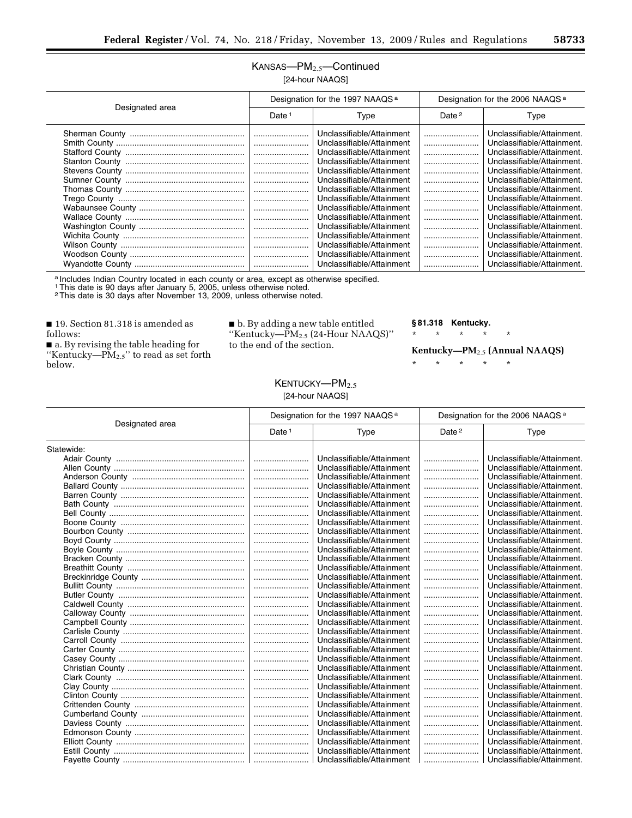## KANSAS—PM2.5—Continued [24-hour NAAQS]

| Designated area |                      | Designation for the 1997 NAAQS <sup>a</sup>                                                                                                                                                                                                                                                                                                                                                                        |              | Designation for the 2006 NAAQS <sup>a</sup>                                                                                                                                                                                                                                                                                                                                                                                      |  |
|-----------------|----------------------|--------------------------------------------------------------------------------------------------------------------------------------------------------------------------------------------------------------------------------------------------------------------------------------------------------------------------------------------------------------------------------------------------------------------|--------------|----------------------------------------------------------------------------------------------------------------------------------------------------------------------------------------------------------------------------------------------------------------------------------------------------------------------------------------------------------------------------------------------------------------------------------|--|
|                 | Date <sup>1</sup>    | Type                                                                                                                                                                                                                                                                                                                                                                                                               | Date $2$     | Type                                                                                                                                                                                                                                                                                                                                                                                                                             |  |
|                 | <br><br><br><br><br> | Unclassifiable/Attainment<br>Unclassifiable/Attainment<br>Unclassifiable/Attainment<br>Unclassifiable/Attainment<br>Unclassifiable/Attainment<br>Unclassifiable/Attainment<br>Unclassifiable/Attainment<br>Unclassifiable/Attainment<br>Unclassifiable/Attainment<br>Unclassifiable/Attainment<br>Unclassifiable/Attainment<br>Unclassifiable/Attainment<br>Unclassifiable/Attainment<br>Unclassifiable/Attainment | <br><br><br> | Unclassifiable/Attainment.<br>Unclassifiable/Attainment.<br>Unclassifiable/Attainment.<br>Unclassifiable/Attainment.<br>Unclassifiable/Attainment.<br>Unclassifiable/Attainment.<br>Unclassifiable/Attainment.<br>Unclassifiable/Attainment.<br>Unclassifiable/Attainment.<br>Unclassifiable/Attainment.<br>Unclassifiable/Attainment.<br>Unclassifiable/Attainment.<br>Unclassifiable/Attainment.<br>Unclassifiable/Attainment. |  |
|                 |                      | Unclassifiable/Attainment                                                                                                                                                                                                                                                                                                                                                                                          |              | Unclassifiable/Attainment.                                                                                                                                                                                                                                                                                                                                                                                                       |  |

a Includes Indian Country located in each county or area, except as otherwise specified.

1This date is 90 days after January 5, 2005, unless otherwise noted. 2This date is 30 days after November 13, 2009, unless otherwise noted.

■ 19. Section 81.318 is amended as follows:

■ a. By revising the table heading for "Kentucky— $PM_{2.5}$ " to read as set forth below.

■ b. By adding a new table entitled ''Kentucky—PM2.5 (24-Hour NAAQS)'' to the end of the section.

#### **§ 81.318 Kentucky.**

\* \* \* \* \*

**Kentucky—PM**2.5 **(Annual NAAQS)** 

| <b>KENTUCKY--- PM</b> <sub>2.5</sub> |  |
|--------------------------------------|--|
| [24-hour NAAQS]                      |  |

|                 | Designation for the 1997 NAAQS <sup>a</sup> |                           | Designation for the 2006 NAAQS <sup>a</sup> |                            |
|-----------------|---------------------------------------------|---------------------------|---------------------------------------------|----------------------------|
| Designated area | Date <sup>1</sup>                           | Type                      | Date <sup>2</sup>                           | Type                       |
| Statewide:      |                                             |                           |                                             |                            |
|                 |                                             | Unclassifiable/Attainment |                                             | Unclassifiable/Attainment. |
|                 |                                             | Unclassifiable/Attainment |                                             | Unclassifiable/Attainment. |
|                 |                                             | Unclassifiable/Attainment |                                             | Unclassifiable/Attainment. |
|                 |                                             | Unclassifiable/Attainment |                                             | Unclassifiable/Attainment. |
|                 |                                             | Unclassifiable/Attainment |                                             | Unclassifiable/Attainment. |
|                 |                                             | Unclassifiable/Attainment |                                             | Unclassifiable/Attainment. |
|                 |                                             | Unclassifiable/Attainment |                                             | Unclassifiable/Attainment. |
|                 |                                             | Unclassifiable/Attainment |                                             | Unclassifiable/Attainment. |
|                 |                                             | Unclassifiable/Attainment |                                             | Unclassifiable/Attainment. |
|                 |                                             | Unclassifiable/Attainment |                                             | Unclassifiable/Attainment. |
|                 |                                             | Unclassifiable/Attainment |                                             | Unclassifiable/Attainment. |
|                 |                                             | Unclassifiable/Attainment |                                             | Unclassifiable/Attainment. |
|                 |                                             | Unclassifiable/Attainment |                                             | Unclassifiable/Attainment. |
|                 |                                             | Unclassifiable/Attainment |                                             | Unclassifiable/Attainment. |
|                 |                                             | Unclassifiable/Attainment |                                             | Unclassifiable/Attainment. |
|                 |                                             | Unclassifiable/Attainment |                                             | Unclassifiable/Attainment. |
|                 |                                             | Unclassifiable/Attainment |                                             | Unclassifiable/Attainment. |
|                 |                                             | Unclassifiable/Attainment |                                             | Unclassifiable/Attainment. |
|                 |                                             | Unclassifiable/Attainment |                                             | Unclassifiable/Attainment. |
|                 |                                             | Unclassifiable/Attainment |                                             | Unclassifiable/Attainment. |
|                 |                                             | Unclassifiable/Attainment |                                             | Unclassifiable/Attainment. |
|                 |                                             | Unclassifiable/Attainment |                                             | Unclassifiable/Attainment. |
|                 |                                             | Unclassifiable/Attainment |                                             | Unclassifiable/Attainment. |
|                 |                                             | Unclassifiable/Attainment |                                             | Unclassifiable/Attainment. |
|                 |                                             | Unclassifiable/Attainment |                                             | Unclassifiable/Attainment. |
|                 |                                             | Unclassifiable/Attainment |                                             | Unclassifiable/Attainment. |
|                 |                                             | Unclassifiable/Attainment |                                             | Unclassifiable/Attainment. |
|                 |                                             | Unclassifiable/Attainment |                                             | Unclassifiable/Attainment. |
|                 |                                             | Unclassifiable/Attainment |                                             | Unclassifiable/Attainment. |
|                 |                                             | Unclassifiable/Attainment |                                             | Unclassifiable/Attainment. |
|                 |                                             | Unclassifiable/Attainment |                                             | Unclassifiable/Attainment. |
|                 |                                             | Unclassifiable/Attainment |                                             | Unclassifiable/Attainment. |
|                 |                                             | Unclassifiable/Attainment |                                             | Unclassifiable/Attainment. |
|                 |                                             | Unclassifiable/Attainment |                                             | Unclassifiable/Attainment. |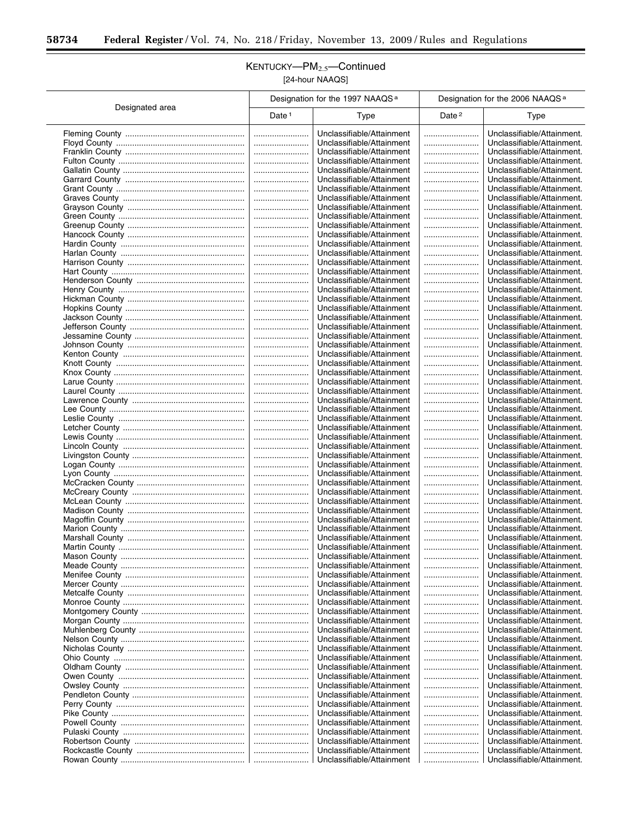$\equiv$ 

 $\overline{a}$ 

T

## KENTUCKY—PM2.5—Continued [24-hour NAAQS]

|                 |                   | Designation for the 1997 NAAQS <sup>a</sup>            | Designation for the 2006 NAAQS <sup>a</sup> |                                                          |  |
|-----------------|-------------------|--------------------------------------------------------|---------------------------------------------|----------------------------------------------------------|--|
| Designated area | Date <sup>1</sup> | Type                                                   | Date <sup>2</sup>                           | Type                                                     |  |
|                 |                   | Unclassifiable/Attainment                              |                                             | Unclassifiable/Attainment.                               |  |
|                 |                   | Unclassifiable/Attainment                              |                                             | Unclassifiable/Attainment.                               |  |
|                 |                   | Unclassifiable/Attainment                              |                                             | Unclassifiable/Attainment.                               |  |
|                 |                   | Unclassifiable/Attainment                              |                                             | Unclassifiable/Attainment.                               |  |
|                 |                   | Unclassifiable/Attainment                              |                                             | Unclassifiable/Attainment.                               |  |
|                 |                   | Unclassifiable/Attainment                              |                                             | Unclassifiable/Attainment.                               |  |
|                 |                   | Unclassifiable/Attainment<br>Unclassifiable/Attainment | <br>                                        | Unclassifiable/Attainment.<br>Unclassifiable/Attainment. |  |
|                 |                   | Unclassifiable/Attainment                              |                                             | Unclassifiable/Attainment.                               |  |
|                 |                   | Unclassifiable/Attainment                              |                                             | Unclassifiable/Attainment.                               |  |
|                 |                   | Unclassifiable/Attainment                              |                                             | Unclassifiable/Attainment.                               |  |
|                 |                   | Unclassifiable/Attainment                              |                                             | Unclassifiable/Attainment.                               |  |
|                 |                   | Unclassifiable/Attainment                              |                                             | Unclassifiable/Attainment.                               |  |
|                 |                   | Unclassifiable/Attainment                              |                                             | Unclassifiable/Attainment.                               |  |
|                 |                   | Unclassifiable/Attainment<br>Unclassifiable/Attainment | <br>                                        | Unclassifiable/Attainment.<br>Unclassifiable/Attainment. |  |
|                 |                   | Unclassifiable/Attainment                              |                                             | Unclassifiable/Attainment.                               |  |
|                 |                   | Unclassifiable/Attainment                              |                                             | Unclassifiable/Attainment.                               |  |
|                 |                   | Unclassifiable/Attainment                              |                                             | Unclassifiable/Attainment.                               |  |
|                 |                   | Unclassifiable/Attainment                              |                                             | Unclassifiable/Attainment.                               |  |
|                 |                   | Unclassifiable/Attainment                              |                                             | Unclassifiable/Attainment.                               |  |
|                 |                   | Unclassifiable/Attainment                              |                                             | Unclassifiable/Attainment.                               |  |
|                 |                   | Unclassifiable/Attainment<br>Unclassifiable/Attainment | <br>                                        | Unclassifiable/Attainment.<br>Unclassifiable/Attainment. |  |
|                 |                   | Unclassifiable/Attainment                              |                                             | Unclassifiable/Attainment.                               |  |
|                 |                   | Unclassifiable/Attainment                              |                                             | Unclassifiable/Attainment.                               |  |
|                 |                   | Unclassifiable/Attainment                              |                                             | Unclassifiable/Attainment.                               |  |
|                 |                   | Unclassifiable/Attainment                              |                                             | Unclassifiable/Attainment.                               |  |
|                 |                   | Unclassifiable/Attainment                              |                                             | Unclassifiable/Attainment.                               |  |
|                 |                   | Unclassifiable/Attainment<br>Unclassifiable/Attainment | <br>                                        | Unclassifiable/Attainment.<br>Unclassifiable/Attainment. |  |
|                 |                   | Unclassifiable/Attainment                              |                                             | Unclassifiable/Attainment.                               |  |
|                 |                   | Unclassifiable/Attainment                              |                                             | Unclassifiable/Attainment.                               |  |
|                 |                   | Unclassifiable/Attainment                              |                                             | Unclassifiable/Attainment.                               |  |
|                 |                   | Unclassifiable/Attainment                              |                                             | Unclassifiable/Attainment.                               |  |
|                 |                   | Unclassifiable/Attainment                              |                                             | Unclassifiable/Attainment.                               |  |
|                 |                   | Unclassifiable/Attainment<br>Unclassifiable/Attainment | <br>                                        | Unclassifiable/Attainment.<br>Unclassifiable/Attainment. |  |
|                 |                   | Unclassifiable/Attainment                              |                                             | Unclassifiable/Attainment.                               |  |
|                 |                   | Unclassifiable/Attainment                              |                                             | Unclassifiable/Attainment.                               |  |
|                 |                   | Unclassifiable/Attainment                              |                                             | Unclassifiable/Attainment.                               |  |
|                 |                   | Unclassifiable/Attainment                              |                                             | Unclassifiable/Attainment.                               |  |
|                 |                   | Unclassifiable/Attainment                              |                                             | Unclassifiable/Attainment.                               |  |
|                 |                   | Unclassifiable/Attainment<br>Unclassifiable/Attainment |                                             | Unclassifiable/Attainment.<br>Unclassifiable/Attainment. |  |
|                 |                   | Unclassifiable/Attainment                              |                                             | Unclassifiable/Attainment.                               |  |
|                 |                   | Unclassifiable/Attainment                              |                                             | Unclassifiable/Attainment.                               |  |
|                 |                   | Unclassifiable/Attainment                              |                                             | Unclassifiable/Attainment.                               |  |
|                 |                   | Unclassifiable/Attainment                              |                                             | Unclassifiable/Attainment.                               |  |
|                 |                   | Unclassifiable/Attainment                              |                                             | Unclassifiable/Attainment.                               |  |
|                 |                   | Unclassifiable/Attainment<br>Unclassifiable/Attainment |                                             | Unclassifiable/Attainment.<br>Unclassifiable/Attainment. |  |
|                 |                   | Unclassifiable/Attainment                              |                                             | Unclassifiable/Attainment.                               |  |
|                 |                   | Unclassifiable/Attainment                              |                                             | Unclassifiable/Attainment.                               |  |
|                 |                   | Unclassifiable/Attainment                              |                                             | Unclassifiable/Attainment.                               |  |
|                 |                   | Unclassifiable/Attainment                              |                                             | Unclassifiable/Attainment.                               |  |
|                 |                   | Unclassifiable/Attainment                              |                                             | Unclassifiable/Attainment.                               |  |
|                 |                   | Unclassifiable/Attainment                              |                                             | Unclassifiable/Attainment.                               |  |
|                 |                   | Unclassifiable/Attainment<br>Unclassifiable/Attainment | <br>                                        | Unclassifiable/Attainment.<br>Unclassifiable/Attainment. |  |
|                 |                   | Unclassifiable/Attainment                              |                                             | Unclassifiable/Attainment.                               |  |
|                 |                   | Unclassifiable/Attainment                              |                                             | Unclassifiable/Attainment.                               |  |
|                 |                   | Unclassifiable/Attainment                              |                                             | Unclassifiable/Attainment.                               |  |
|                 |                   | Unclassifiable/Attainment                              |                                             | Unclassifiable/Attainment.                               |  |
|                 |                   | Unclassifiable/Attainment                              |                                             | Unclassifiable/Attainment.                               |  |
|                 |                   | Unclassifiable/Attainment<br>Unclassifiable/Attainment | <br>                                        | Unclassifiable/Attainment.<br>Unclassifiable/Attainment. |  |
|                 |                   | Unclassifiable/Attainment                              |                                             | Unclassifiable/Attainment.                               |  |
|                 |                   | Unclassifiable/Attainment                              |                                             | Unclassifiable/Attainment.                               |  |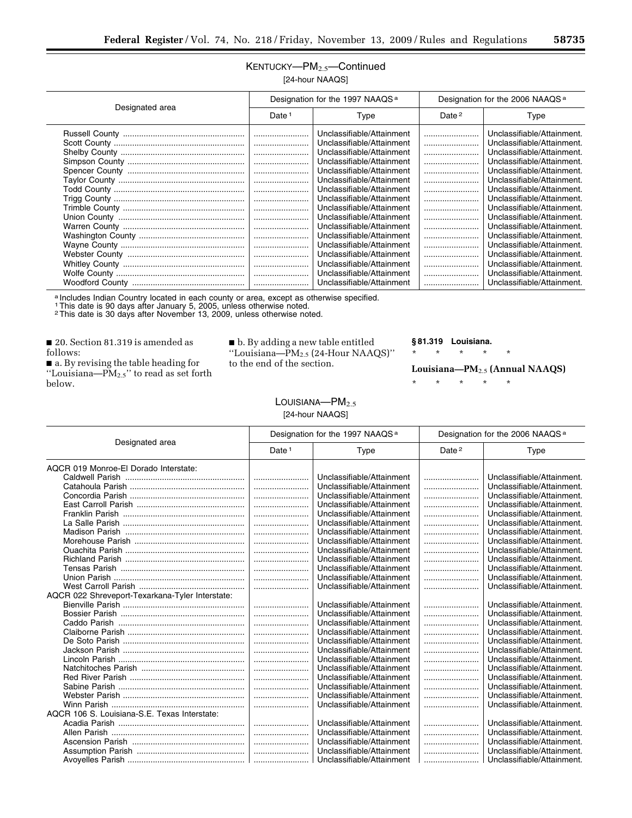## KENTUCKY-PM<sub>2.5</sub>-Continued [24-hour NAAQS]

|                 |          | Designation for the 1997 NAAQS <sup>a</sup>                                                                                                                                                                                                                                                    |                   | Designation for the 2006 NAAQS <sup>a</sup>                                                                                                                                                                                                                                                              |  |
|-----------------|----------|------------------------------------------------------------------------------------------------------------------------------------------------------------------------------------------------------------------------------------------------------------------------------------------------|-------------------|----------------------------------------------------------------------------------------------------------------------------------------------------------------------------------------------------------------------------------------------------------------------------------------------------------|--|
| Designated area | Date $1$ | Type                                                                                                                                                                                                                                                                                           | Date <sup>2</sup> | Type                                                                                                                                                                                                                                                                                                     |  |
|                 |          | Unclassifiable/Attainment<br>Unclassifiable/Attainment<br>Unclassifiable/Attainment<br>Unclassifiable/Attainment<br>Unclassifiable/Attainment<br>Unclassifiable/Attainment                                                                                                                     |                   | Unclassifiable/Attainment.<br>Unclassifiable/Attainment.<br>Unclassifiable/Attainment.<br>Unclassifiable/Attainment.<br>Unclassifiable/Attainment.<br>Unclassifiable/Attainment.                                                                                                                         |  |
|                 | <br>     | Unclassifiable/Attainment<br>Unclassifiable/Attainment<br>Unclassifiable/Attainment<br>Unclassifiable/Attainment<br>Unclassifiable/Attainment<br>Unclassifiable/Attainment<br>Unclassifiable/Attainment<br>Unclassifiable/Attainment<br>Unclassifiable/Attainment<br>Unclassifiable/Attainment | <br>              | Unclassifiable/Attainment.<br>Unclassifiable/Attainment.<br>Unclassifiable/Attainment.<br>Unclassifiable/Attainment.<br>Unclassifiable/Attainment.<br>Unclassifiable/Attainment.<br>Unclassifiable/Attainment.<br>Unclassifiable/Attainment.<br>Unclassifiable/Attainment.<br>Unclassifiable/Attainment. |  |
|                 |          | Unclassifiable/Attainment                                                                                                                                                                                                                                                                      |                   | Unclassifiable/Attainment.                                                                                                                                                                                                                                                                               |  |

a Includes Indian Country located in each county or area, except as otherwise specified.

1This date is 90 days after January 5, 2005, unless otherwise noted. 2This date is 30 days after November 13, 2009, unless otherwise noted.

■ 20. Section 81.319 is amended as follows:

■ a. By revising the table heading for "Louisiana— $PM_{2.5}$ " to read as set forth below.

■ b. By adding a new table entitled ''Louisiana—PM2.5 (24-Hour NAAQS)'' to the end of the section.

> $L$ OUISIANA— $PM_{2.5}$ [24-hour NAAQS]

#### **§ 81.319 Louisiana.**

\* \* \* \* \*

**Louisiana—PM**2.5 **(Annual NAAQS)** 

|                                                 | Designation for the 1997 NAAQS <sup>a</sup> |                           | Designation for the 2006 NAAQS <sup>a</sup> |                            |
|-------------------------------------------------|---------------------------------------------|---------------------------|---------------------------------------------|----------------------------|
| Designated area                                 | Date <sup>1</sup>                           | Type                      | Date <sup>2</sup>                           | Type                       |
| AQCR 019 Monroe-El Dorado Interstate:           |                                             |                           |                                             |                            |
|                                                 |                                             | Unclassifiable/Attainment |                                             | Unclassifiable/Attainment. |
|                                                 |                                             | Unclassifiable/Attainment |                                             | Unclassifiable/Attainment. |
|                                                 |                                             | Unclassifiable/Attainment |                                             | Unclassifiable/Attainment. |
|                                                 |                                             | Unclassifiable/Attainment |                                             | Unclassifiable/Attainment. |
|                                                 |                                             | Unclassifiable/Attainment |                                             | Unclassifiable/Attainment. |
|                                                 |                                             | Unclassifiable/Attainment |                                             | Unclassifiable/Attainment. |
|                                                 |                                             | Unclassifiable/Attainment |                                             | Unclassifiable/Attainment. |
|                                                 |                                             | Unclassifiable/Attainment |                                             | Unclassifiable/Attainment. |
|                                                 |                                             | Unclassifiable/Attainment |                                             | Unclassifiable/Attainment. |
|                                                 |                                             | Unclassifiable/Attainment |                                             | Unclassifiable/Attainment. |
|                                                 |                                             | Unclassifiable/Attainment |                                             | Unclassifiable/Attainment. |
|                                                 |                                             | Unclassifiable/Attainment |                                             | Unclassifiable/Attainment. |
|                                                 |                                             | Unclassifiable/Attainment |                                             | Unclassifiable/Attainment. |
| AQCR 022 Shreveport-Texarkana-Tyler Interstate: |                                             |                           |                                             |                            |
|                                                 |                                             | Unclassifiable/Attainment |                                             | Unclassifiable/Attainment. |
|                                                 |                                             | Unclassifiable/Attainment |                                             | Unclassifiable/Attainment. |
|                                                 |                                             | Unclassifiable/Attainment |                                             | Unclassifiable/Attainment. |
|                                                 |                                             | Unclassifiable/Attainment |                                             | Unclassifiable/Attainment. |
|                                                 |                                             | Unclassifiable/Attainment |                                             | Unclassifiable/Attainment. |
|                                                 |                                             | Unclassifiable/Attainment |                                             | Unclassifiable/Attainment. |
|                                                 |                                             | Unclassifiable/Attainment |                                             | Unclassifiable/Attainment. |
|                                                 |                                             | Unclassifiable/Attainment |                                             | Unclassifiable/Attainment. |
|                                                 |                                             | Unclassifiable/Attainment |                                             | Unclassifiable/Attainment. |
|                                                 |                                             | Unclassifiable/Attainment |                                             | Unclassifiable/Attainment. |
|                                                 |                                             | Unclassifiable/Attainment |                                             | Unclassifiable/Attainment. |
|                                                 |                                             | Unclassifiable/Attainment |                                             | Unclassifiable/Attainment. |
| AQCR 106 S. Louisiana-S.E. Texas Interstate:    |                                             |                           |                                             |                            |
|                                                 |                                             | Unclassifiable/Attainment |                                             | Unclassifiable/Attainment. |
|                                                 |                                             | Unclassifiable/Attainment |                                             | Unclassifiable/Attainment. |
|                                                 |                                             | Unclassifiable/Attainment |                                             | Unclassifiable/Attainment. |
|                                                 |                                             | Unclassifiable/Attainment |                                             | Unclassifiable/Attainment. |
|                                                 |                                             | Unclassifiable/Attainment |                                             | Unclassifiable/Attainment. |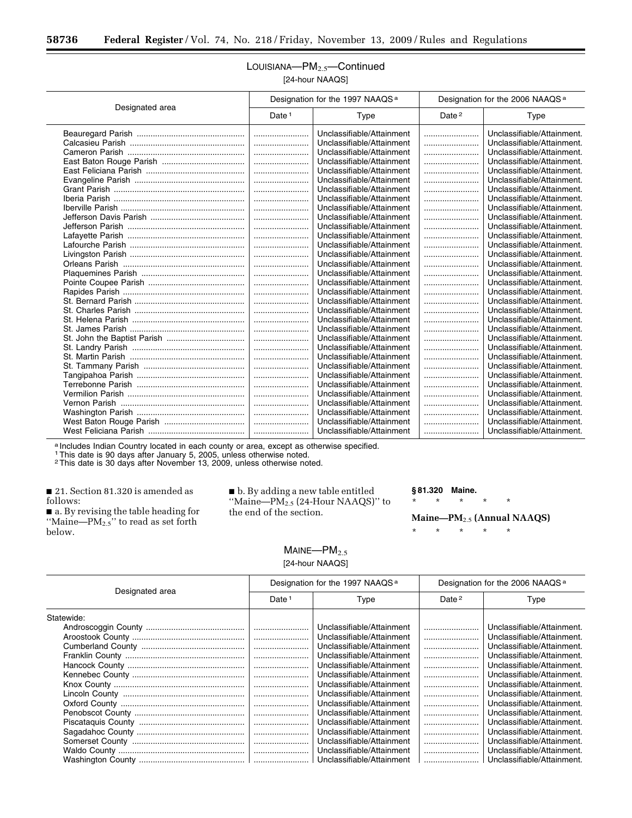۳

## LOUISIANA—PM<sub>2.5</sub>—Continued [24-hour NAAQS]

|                 | Designation for the 1997 NAAQS <sup>a</sup> |                           | Designation for the 2006 NAAQS <sup>a</sup> |                            |
|-----------------|---------------------------------------------|---------------------------|---------------------------------------------|----------------------------|
| Designated area | Date <sup>1</sup>                           | Type                      | Date <sup>2</sup>                           | <b>Type</b>                |
|                 |                                             | Unclassifiable/Attainment |                                             | Unclassifiable/Attainment. |
|                 |                                             | Unclassifiable/Attainment |                                             | Unclassifiable/Attainment. |
|                 |                                             | Unclassifiable/Attainment |                                             | Unclassifiable/Attainment. |
|                 |                                             | Unclassifiable/Attainment |                                             | Unclassifiable/Attainment. |
|                 |                                             | Unclassifiable/Attainment |                                             | Unclassifiable/Attainment. |
|                 |                                             | Unclassifiable/Attainment |                                             | Unclassifiable/Attainment. |
|                 |                                             | Unclassifiable/Attainment |                                             | Unclassifiable/Attainment. |
|                 |                                             | Unclassifiable/Attainment |                                             | Unclassifiable/Attainment. |
|                 |                                             | Unclassifiable/Attainment |                                             | Unclassifiable/Attainment. |
|                 |                                             | Unclassifiable/Attainment |                                             | Unclassifiable/Attainment. |
|                 |                                             | Unclassifiable/Attainment |                                             | Unclassifiable/Attainment. |
|                 |                                             | Unclassifiable/Attainment |                                             | Unclassifiable/Attainment. |
|                 |                                             | Unclassifiable/Attainment |                                             | Unclassifiable/Attainment. |
|                 |                                             | Unclassifiable/Attainment |                                             | Unclassifiable/Attainment. |
|                 |                                             | Unclassifiable/Attainment |                                             | Unclassifiable/Attainment. |
|                 |                                             | Unclassifiable/Attainment |                                             | Unclassifiable/Attainment. |
|                 |                                             | Unclassifiable/Attainment |                                             | Unclassifiable/Attainment. |
|                 | $\vert$                                     | Unclassifiable/Attainment |                                             | Unclassifiable/Attainment. |
|                 |                                             | Unclassifiable/Attainment |                                             | Unclassifiable/Attainment. |
|                 |                                             | Unclassifiable/Attainment |                                             | Unclassifiable/Attainment. |
|                 | l                                           | Unclassifiable/Attainment |                                             | Unclassifiable/Attainment. |
|                 |                                             | Unclassifiable/Attainment |                                             | Unclassifiable/Attainment. |
|                 |                                             | Unclassifiable/Attainment |                                             | Unclassifiable/Attainment. |
|                 |                                             | Unclassifiable/Attainment |                                             | Unclassifiable/Attainment. |
|                 |                                             | Unclassifiable/Attainment |                                             | Unclassifiable/Attainment. |
|                 |                                             | Unclassifiable/Attainment |                                             | Unclassifiable/Attainment. |
|                 |                                             | Unclassifiable/Attainment |                                             | Unclassifiable/Attainment. |
|                 |                                             | Unclassifiable/Attainment |                                             | Unclassifiable/Attainment. |
|                 |                                             | Unclassifiable/Attainment |                                             | Unclassifiable/Attainment. |
|                 | l                                           | Unclassifiable/Attainment |                                             | Unclassifiable/Attainment. |
|                 |                                             | Unclassifiable/Attainment |                                             | Unclassifiable/Attainment. |
|                 |                                             | Unclassifiable/Attainment |                                             | Unclassifiable/Attainment. |
|                 |                                             | Unclassifiable/Attainment |                                             | Unclassifiable/Attainment. |

a Includes Indian Country located in each county or area, except as otherwise specified.

1This date is 90 days after January 5, 2005, unless otherwise noted.

2This date is 30 days after November 13, 2009, unless otherwise noted.

■ 21. Section 81.320 is amended as follows:

■ a. By revising the table heading for "Maine—PM<sub>2.5</sub>" to read as set forth below.

■ b. By adding a new table entitled "Maine—PM2.5 (24-Hour NAAQS)" to the end of the section.

#### **§ 81.320 Maine.**

\* \* \* \* \*

**Maine—PM**2.5 **(Annual NAAQS)** 

\* \* \* \* \*

#### $M$ AINE— $PM$ <sub>2.5</sub> [24-hour NAAQS]

|                 | Designation for the 1997 NAAQS <sup>a</sup> |                           | Designation for the 2006 NAAQS <sup>a</sup> |                            |
|-----------------|---------------------------------------------|---------------------------|---------------------------------------------|----------------------------|
| Designated area | Date <sup>1</sup>                           | Type                      | Date <sup>2</sup>                           | Type                       |
| Statewide:      |                                             |                           |                                             |                            |
|                 |                                             | Unclassifiable/Attainment |                                             | Unclassifiable/Attainment. |
|                 |                                             | Unclassifiable/Attainment |                                             | Unclassifiable/Attainment. |
|                 |                                             | Unclassifiable/Attainment |                                             | Unclassifiable/Attainment. |
|                 |                                             | Unclassifiable/Attainment |                                             | Unclassifiable/Attainment. |
|                 |                                             | Unclassifiable/Attainment |                                             | Unclassifiable/Attainment. |
|                 |                                             | Unclassifiable/Attainment |                                             | Unclassifiable/Attainment. |
|                 |                                             | Unclassifiable/Attainment |                                             | Unclassifiable/Attainment. |
|                 |                                             | Unclassifiable/Attainment |                                             | Unclassifiable/Attainment. |
|                 |                                             | Unclassifiable/Attainment |                                             | Unclassifiable/Attainment. |
|                 |                                             | Unclassifiable/Attainment |                                             | Unclassifiable/Attainment. |
|                 |                                             | Unclassifiable/Attainment |                                             | Unclassifiable/Attainment. |
|                 |                                             | Unclassifiable/Attainment |                                             | Unclassifiable/Attainment. |
|                 |                                             | Unclassifiable/Attainment |                                             | Unclassifiable/Attainment. |
|                 |                                             | Unclassifiable/Attainment |                                             | Unclassifiable/Attainment. |
|                 |                                             | Unclassifiable/Attainment |                                             | Unclassifiable/Attainment. |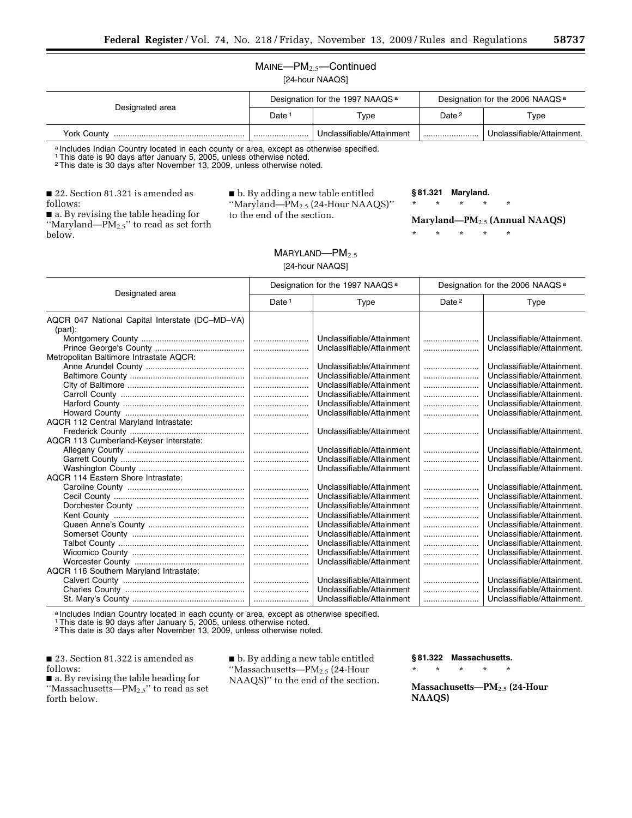#### MAINE—PM2.5—Continued [24-hour NAAQS]

| Designated area | Designation for the 1997 NAAQS <sup>a</sup> |                           | Designation for the 2006 NAAQS <sup>a</sup> |                            |
|-----------------|---------------------------------------------|---------------------------|---------------------------------------------|----------------------------|
|                 | Date                                        | $\tau_\mathsf{VDE}$       | Date <sup>2</sup>                           | Type                       |
| York County     |                                             | Unclassifiable/Attainment |                                             | Unclassifiable/Attainment. |

a Includes Indian Country located in each county or area, except as otherwise specified.

1This date is 90 days after January 5, 2005, unless otherwise noted.

2This date is 30 days after November 13, 2009, unless otherwise noted.

■ 22. Section 81.321 is amended as follows:

■ b. By adding a new table entitled ''Maryland—PM2.5 (24-Hour NAAQS)'' to the end of the section.

**§ 81.321 Maryland.** 

\* \* \* \* \*

\* \* \* \* \*

**Maryland—PM**2.5 **(Annual NAAQS)** 

■ a. By revising the table heading for ''Maryland—PM2.5'' to read as set forth below.

> MARYLAND—PM<sub>2.5</sub> [24-hour NAAQS]

|                                                 | Designation for the 1997 NAAQS <sup>a</sup> |                           | Designation for the 2006 NAAQS <sup>a</sup> |                            |
|-------------------------------------------------|---------------------------------------------|---------------------------|---------------------------------------------|----------------------------|
| Designated area                                 | Date <sup>1</sup>                           | Type                      | Date <sup>2</sup>                           | Type                       |
| AQCR 047 National Capital Interstate (DC-MD-VA) |                                             |                           |                                             |                            |
| $(part)$ :                                      |                                             |                           |                                             |                            |
|                                                 |                                             | Unclassifiable/Attainment |                                             | Unclassifiable/Attainment. |
|                                                 |                                             | Unclassifiable/Attainment |                                             | Unclassifiable/Attainment. |
| Metropolitan Baltimore Intrastate AQCR:         |                                             |                           |                                             |                            |
|                                                 |                                             | Unclassifiable/Attainment |                                             | Unclassifiable/Attainment. |
|                                                 |                                             | Unclassifiable/Attainment |                                             | Unclassifiable/Attainment. |
|                                                 |                                             | Unclassifiable/Attainment |                                             | Unclassifiable/Attainment. |
|                                                 |                                             | Unclassifiable/Attainment |                                             | Unclassifiable/Attainment. |
|                                                 |                                             | Unclassifiable/Attainment |                                             | Unclassifiable/Attainment. |
|                                                 |                                             | Unclassifiable/Attainment |                                             | Unclassifiable/Attainment. |
| AQCR 112 Central Maryland Intrastate:           |                                             |                           |                                             |                            |
|                                                 |                                             | Unclassifiable/Attainment |                                             | Unclassifiable/Attainment. |
| AQCR 113 Cumberland-Keyser Interstate:          |                                             |                           |                                             |                            |
|                                                 |                                             | Unclassifiable/Attainment |                                             | Unclassifiable/Attainment. |
|                                                 |                                             | Unclassifiable/Attainment |                                             | Unclassifiable/Attainment. |
|                                                 |                                             | Unclassifiable/Attainment |                                             | Unclassifiable/Attainment. |
| AQCR 114 Eastern Shore Intrastate:              |                                             |                           |                                             |                            |
|                                                 |                                             | Unclassifiable/Attainment |                                             | Unclassifiable/Attainment. |
|                                                 |                                             | Unclassifiable/Attainment |                                             | Unclassifiable/Attainment. |
|                                                 |                                             | Unclassifiable/Attainment |                                             | Unclassifiable/Attainment. |
|                                                 |                                             | Unclassifiable/Attainment |                                             | Unclassifiable/Attainment. |
|                                                 |                                             | Unclassifiable/Attainment |                                             | Unclassifiable/Attainment. |
|                                                 |                                             | Unclassifiable/Attainment |                                             | Unclassifiable/Attainment. |
|                                                 |                                             | Unclassifiable/Attainment |                                             | Unclassifiable/Attainment. |
|                                                 |                                             | Unclassifiable/Attainment |                                             | Unclassifiable/Attainment. |
|                                                 |                                             | Unclassifiable/Attainment |                                             | Unclassifiable/Attainment. |
| AQCR 116 Southern Maryland Intrastate:          |                                             |                           |                                             |                            |
|                                                 |                                             | Unclassifiable/Attainment |                                             | Unclassifiable/Attainment. |
|                                                 |                                             | Unclassifiable/Attainment |                                             | Unclassifiable/Attainment. |
|                                                 |                                             | Unclassifiable/Attainment |                                             | Unclassifiable/Attainment. |

a Includes Indian Country located in each county or area, except as otherwise specified.

1This date is 90 days after January 5, 2005, unless otherwise noted.

2This date is 30 days after November 13, 2009, unless otherwise noted.

■ 23. Section 81.322 is amended as follows:

■ a. By revising the table heading for ''Massachusetts—PM2.5'' to read as set forth below.

■ b. By adding a new table entitled ''Massachusetts—PM2.5 (24-Hour NAAQS)'' to the end of the section. **§ 81.322 Massachusetts.** 

\* \* \* \* \*

**Massachusetts—PM**2.5 **(24-Hour NAAQS)**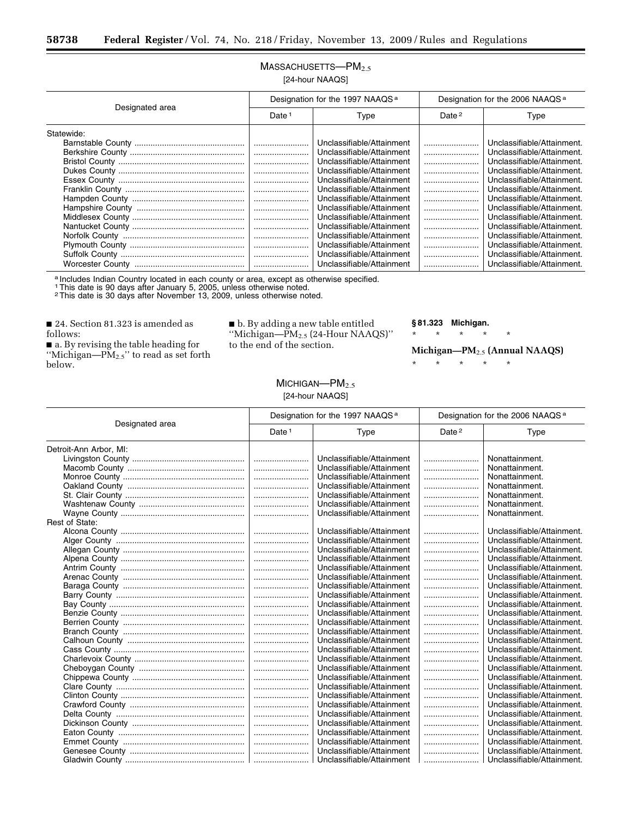۳

## $M$ ASSACHUSETTS-P $M_{2.5}$ [24-hour NAAQS]

| Designated area | Designation for the 1997 NAAQS <sup>a</sup> |                           | Designation for the 2006 NAAQS <sup>a</sup> |                            |
|-----------------|---------------------------------------------|---------------------------|---------------------------------------------|----------------------------|
|                 | Date <sup>1</sup>                           | Type                      | Date $2$                                    | Type                       |
| Statewide:      |                                             |                           |                                             |                            |
|                 |                                             | Unclassifiable/Attainment |                                             | Unclassifiable/Attainment. |
|                 |                                             | Unclassifiable/Attainment |                                             | Unclassifiable/Attainment. |
|                 |                                             | Unclassifiable/Attainment |                                             | Unclassifiable/Attainment. |
|                 |                                             | Unclassifiable/Attainment |                                             | Unclassifiable/Attainment. |
|                 |                                             | Unclassifiable/Attainment |                                             | Unclassifiable/Attainment. |
|                 |                                             | Unclassifiable/Attainment |                                             | Unclassifiable/Attainment. |
|                 |                                             | Unclassifiable/Attainment |                                             | Unclassifiable/Attainment. |
|                 |                                             | Unclassifiable/Attainment |                                             | Unclassifiable/Attainment. |
|                 |                                             | Unclassifiable/Attainment |                                             | Unclassifiable/Attainment. |
|                 |                                             | Unclassifiable/Attainment |                                             | Unclassifiable/Attainment. |
|                 |                                             | Unclassifiable/Attainment |                                             | Unclassifiable/Attainment. |
|                 |                                             | Unclassifiable/Attainment |                                             | Unclassifiable/Attainment. |
|                 |                                             | Unclassifiable/Attainment |                                             | Unclassifiable/Attainment. |
|                 |                                             | Unclassifiable/Attainment |                                             | Unclassifiable/Attainment. |

a Includes Indian Country located in each county or area, except as otherwise specified.

1This date is 90 days after January 5, 2005, unless otherwise noted. 2This date is 30 days after November 13, 2009, unless otherwise noted.

■ 24. Section 81.323 is amended as follows:

■ a. By revising the table heading for "Michigan— $PM_{2.5}$ " to read as set forth below.

■ b. By adding a new table entitled ''Michigan—PM2.5 (24-Hour NAAQS)'' to the end of the section.

#### **§ 81.323 Michigan.**

\* \* \* \* \*

**Michigan—PM**2.5 **(Annual NAAQS)** 

| MICHIGAN- $PM_{2.5}$ |  |
|----------------------|--|
| [24-hour NAAQS]      |  |

|                        | Designation for the 1997 NAAQS <sup>a</sup> |                           | Designation for the 2006 NAAQS <sup>a</sup> |                            |
|------------------------|---------------------------------------------|---------------------------|---------------------------------------------|----------------------------|
| Designated area        | Date <sup>1</sup>                           | Type                      | Date <sup>2</sup>                           | Type                       |
| Detroit-Ann Arbor, MI: |                                             |                           |                                             |                            |
|                        |                                             | Unclassifiable/Attainment |                                             | Nonattainment.             |
|                        |                                             | Unclassifiable/Attainment |                                             | Nonattainment.             |
|                        |                                             | Unclassifiable/Attainment |                                             | Nonattainment.             |
|                        |                                             | Unclassifiable/Attainment |                                             | Nonattainment.             |
|                        |                                             | Unclassifiable/Attainment |                                             | Nonattainment.             |
|                        |                                             | Unclassifiable/Attainment |                                             | Nonattainment.             |
|                        |                                             | Unclassifiable/Attainment |                                             | Nonattainment.             |
| Rest of State:         |                                             |                           |                                             |                            |
|                        |                                             | Unclassifiable/Attainment |                                             | Unclassifiable/Attainment. |
|                        |                                             | Unclassifiable/Attainment |                                             | Unclassifiable/Attainment. |
|                        |                                             | Unclassifiable/Attainment |                                             | Unclassifiable/Attainment. |
|                        |                                             | Unclassifiable/Attainment |                                             | Unclassifiable/Attainment. |
|                        |                                             | Unclassifiable/Attainment |                                             | Unclassifiable/Attainment. |
|                        |                                             | Unclassifiable/Attainment |                                             | Unclassifiable/Attainment. |
|                        |                                             | Unclassifiable/Attainment |                                             | Unclassifiable/Attainment. |
|                        |                                             | Unclassifiable/Attainment |                                             | Unclassifiable/Attainment. |
|                        |                                             | Unclassifiable/Attainment |                                             | Unclassifiable/Attainment. |
|                        |                                             | Unclassifiable/Attainment |                                             | Unclassifiable/Attainment. |
|                        |                                             | Unclassifiable/Attainment |                                             | Unclassifiable/Attainment. |
|                        |                                             | Unclassifiable/Attainment |                                             | Unclassifiable/Attainment. |
|                        |                                             | Unclassifiable/Attainment |                                             | Unclassifiable/Attainment. |
|                        |                                             | Unclassifiable/Attainment |                                             | Unclassifiable/Attainment. |
|                        |                                             | Unclassifiable/Attainment |                                             | Unclassifiable/Attainment. |
|                        |                                             | Unclassifiable/Attainment |                                             | Unclassifiable/Attainment. |
|                        |                                             | Unclassifiable/Attainment |                                             | Unclassifiable/Attainment. |
|                        |                                             | Unclassifiable/Attainment |                                             | Unclassifiable/Attainment. |
|                        |                                             | Unclassifiable/Attainment |                                             | Unclassifiable/Attainment. |
|                        |                                             | Unclassifiable/Attainment |                                             | Unclassifiable/Attainment. |
|                        |                                             | Unclassifiable/Attainment |                                             | Unclassifiable/Attainment. |
|                        |                                             | Unclassifiable/Attainment |                                             | Unclassifiable/Attainment. |
|                        |                                             | Unclassifiable/Attainment |                                             | Unclassifiable/Attainment. |
|                        |                                             | Unclassifiable/Attainment |                                             | Unclassifiable/Attainment. |
|                        |                                             | Unclassifiable/Attainment |                                             | Unclassifiable/Attainment. |
|                        |                                             | Unclassifiable/Attainment |                                             | Unclassifiable/Attainment. |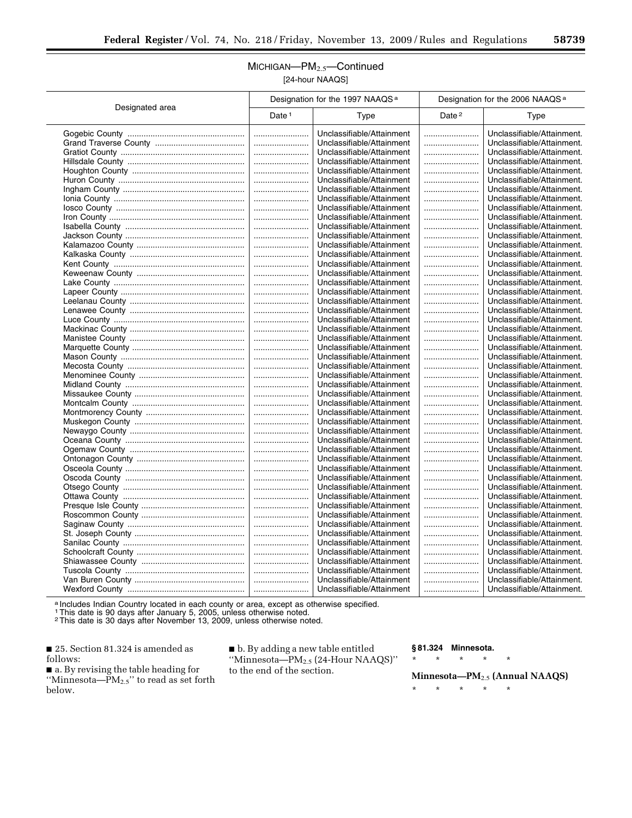## MICHIGAN—PM2.5—Continued [24-hour NAAQS]

|                 | Designation for the 1997 NAAQS <sup>a</sup> |                           | Designation for the 2006 NAAQS <sup>a</sup> |                                                          |
|-----------------|---------------------------------------------|---------------------------|---------------------------------------------|----------------------------------------------------------|
| Designated area | Date <sup>1</sup>                           | Type                      | Date <sup>2</sup>                           | Type                                                     |
|                 |                                             | Unclassifiable/Attainment |                                             | Unclassifiable/Attainment.                               |
|                 |                                             | Unclassifiable/Attainment |                                             | Unclassifiable/Attainment.                               |
|                 |                                             | Unclassifiable/Attainment |                                             | Unclassifiable/Attainment.                               |
|                 |                                             | Unclassifiable/Attainment |                                             | Unclassifiable/Attainment.                               |
|                 |                                             | Unclassifiable/Attainment |                                             | Unclassifiable/Attainment.                               |
|                 |                                             | Unclassifiable/Attainment |                                             | Unclassifiable/Attainment.                               |
|                 |                                             | Unclassifiable/Attainment |                                             | Unclassifiable/Attainment.                               |
|                 |                                             | Unclassifiable/Attainment |                                             | Unclassifiable/Attainment.                               |
|                 |                                             | Unclassifiable/Attainment |                                             | Unclassifiable/Attainment.                               |
|                 |                                             | Unclassifiable/Attainment |                                             | Unclassifiable/Attainment.                               |
|                 |                                             | Unclassifiable/Attainment |                                             | Unclassifiable/Attainment.                               |
|                 |                                             | Unclassifiable/Attainment |                                             | Unclassifiable/Attainment.                               |
|                 |                                             | Unclassifiable/Attainment |                                             | Unclassifiable/Attainment.                               |
|                 |                                             | Unclassifiable/Attainment |                                             | Unclassifiable/Attainment.                               |
|                 |                                             | Unclassifiable/Attainment |                                             | Unclassifiable/Attainment.                               |
|                 |                                             | Unclassifiable/Attainment |                                             | Unclassifiable/Attainment.                               |
|                 |                                             | Unclassifiable/Attainment |                                             | Unclassifiable/Attainment.                               |
|                 |                                             | Unclassifiable/Attainment |                                             | Unclassifiable/Attainment.                               |
|                 |                                             | Unclassifiable/Attainment |                                             | Unclassifiable/Attainment.                               |
|                 |                                             | Unclassifiable/Attainment |                                             | Unclassifiable/Attainment.                               |
|                 |                                             | Unclassifiable/Attainment |                                             | Unclassifiable/Attainment.                               |
|                 |                                             | Unclassifiable/Attainment |                                             | Unclassifiable/Attainment.                               |
|                 |                                             | Unclassifiable/Attainment |                                             | Unclassifiable/Attainment.                               |
|                 |                                             | Unclassifiable/Attainment |                                             | Unclassifiable/Attainment.                               |
|                 |                                             | Unclassifiable/Attainment |                                             | Unclassifiable/Attainment.                               |
|                 |                                             | Unclassifiable/Attainment |                                             | Unclassifiable/Attainment.                               |
|                 |                                             | Unclassifiable/Attainment |                                             | Unclassifiable/Attainment.                               |
|                 |                                             | Unclassifiable/Attainment |                                             | Unclassifiable/Attainment.                               |
|                 |                                             | Unclassifiable/Attainment |                                             | Unclassifiable/Attainment.                               |
|                 |                                             | Unclassifiable/Attainment |                                             |                                                          |
|                 |                                             | Unclassifiable/Attainment |                                             | Unclassifiable/Attainment.<br>Unclassifiable/Attainment. |
|                 |                                             | Unclassifiable/Attainment |                                             | Unclassifiable/Attainment.                               |
|                 |                                             |                           |                                             |                                                          |
|                 |                                             | Unclassifiable/Attainment |                                             | Unclassifiable/Attainment.                               |
|                 |                                             | Unclassifiable/Attainment |                                             | Unclassifiable/Attainment.                               |
|                 |                                             | Unclassifiable/Attainment |                                             | Unclassifiable/Attainment.                               |
|                 |                                             | Unclassifiable/Attainment |                                             | Unclassifiable/Attainment.                               |
|                 |                                             | Unclassifiable/Attainment |                                             | Unclassifiable/Attainment.                               |
|                 |                                             | Unclassifiable/Attainment |                                             | Unclassifiable/Attainment.                               |
|                 |                                             | Unclassifiable/Attainment |                                             | Unclassifiable/Attainment.                               |
|                 |                                             | Unclassifiable/Attainment |                                             | Unclassifiable/Attainment.                               |
|                 |                                             | Unclassifiable/Attainment |                                             | Unclassifiable/Attainment.                               |
|                 |                                             | Unclassifiable/Attainment |                                             | Unclassifiable/Attainment.                               |
|                 |                                             | Unclassifiable/Attainment |                                             | Unclassifiable/Attainment.                               |
|                 |                                             | Unclassifiable/Attainment |                                             | Unclassifiable/Attainment.                               |
|                 |                                             | Unclassifiable/Attainment |                                             | Unclassifiable/Attainment.                               |
|                 |                                             | Unclassifiable/Attainment |                                             | Unclassifiable/Attainment.                               |
|                 |                                             | Unclassifiable/Attainment |                                             | Unclassifiable/Attainment.                               |
|                 |                                             | Unclassifiable/Attainment |                                             | Unclassifiable/Attainment.                               |
|                 |                                             | Unclassifiable/Attainment |                                             | Unclassifiable/Attainment.                               |
|                 |                                             | Unclassifiable/Attainment |                                             | Unclassifiable/Attainment.                               |

a Includes Indian Country located in each county or area, except as otherwise specified.

1This date is 90 days after January 5, 2005, unless otherwise noted.

2This date is 30 days after November 13, 2009, unless otherwise noted.

■ 25. Section 81.324 is amended as follows:

■ a. By revising the table heading for "Minnesota— $PM_{2.5}$ " to read as set forth below.

■ b. By adding a new table entitled ''Minnesota—PM2.5 (24-Hour NAAQS)'' to the end of the section.

#### **§ 81.324 Minnesota.**

\* \* \* \* \* **Minnesota—PM**2.5 **(Annual NAAQS)**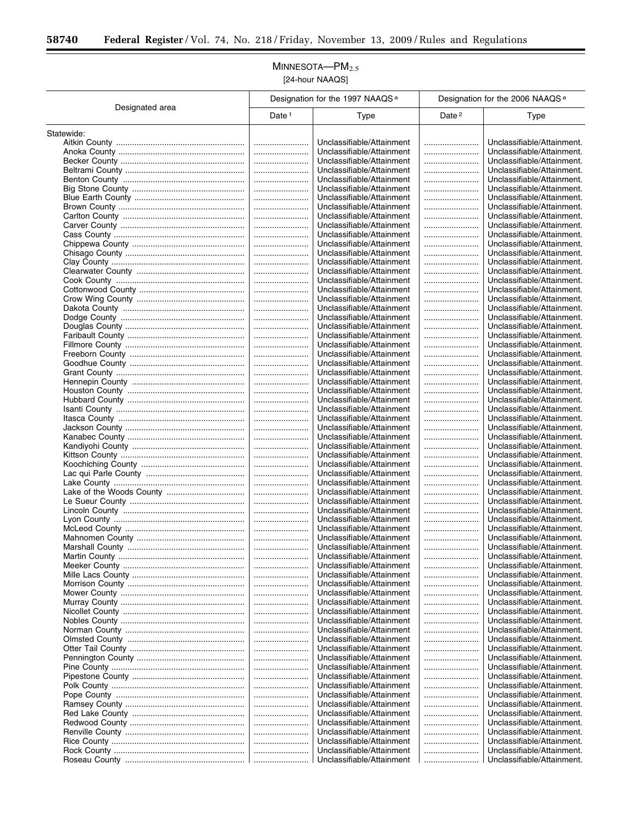Ξ

## MINNESOTA-PM<sub>2.5</sub> [24-hour NAAQS]

|                 | Designation for the 1997 NAAQS <sup>a</sup> |                                                        | Designation for the 2006 NAAQS <sup>a</sup> |                                                          |
|-----------------|---------------------------------------------|--------------------------------------------------------|---------------------------------------------|----------------------------------------------------------|
| Designated area | Date <sup>1</sup>                           | Type                                                   | Date <sup>2</sup>                           | <b>Type</b>                                              |
| Statewide:      |                                             |                                                        |                                             |                                                          |
|                 |                                             | Unclassifiable/Attainment                              |                                             | Unclassifiable/Attainment.                               |
|                 |                                             | Unclassifiable/Attainment                              |                                             | Unclassifiable/Attainment.                               |
|                 |                                             | Unclassifiable/Attainment                              |                                             | Unclassifiable/Attainment.                               |
|                 |                                             | Unclassifiable/Attainment                              |                                             | Unclassifiable/Attainment.                               |
|                 |                                             | Unclassifiable/Attainment                              |                                             | Unclassifiable/Attainment.                               |
|                 |                                             | Unclassifiable/Attainment                              |                                             | Unclassifiable/Attainment.                               |
|                 |                                             | Unclassifiable/Attainment                              |                                             | Unclassifiable/Attainment.                               |
|                 |                                             | Unclassifiable/Attainment                              |                                             | Unclassifiable/Attainment.                               |
|                 |                                             | Unclassifiable/Attainment<br>Unclassifiable/Attainment |                                             | Unclassifiable/Attainment.<br>Unclassifiable/Attainment. |
|                 | <br>                                        | Unclassifiable/Attainment                              | <br>                                        | Unclassifiable/Attainment.                               |
|                 |                                             | Unclassifiable/Attainment                              |                                             | Unclassifiable/Attainment.                               |
|                 |                                             | Unclassifiable/Attainment                              |                                             | Unclassifiable/Attainment.                               |
|                 |                                             | Unclassifiable/Attainment                              |                                             | Unclassifiable/Attainment.                               |
|                 |                                             | Unclassifiable/Attainment                              |                                             | Unclassifiable/Attainment.                               |
|                 |                                             | Unclassifiable/Attainment                              |                                             | Unclassifiable/Attainment.                               |
|                 |                                             | Unclassifiable/Attainment                              |                                             | Unclassifiable/Attainment.                               |
|                 |                                             | Unclassifiable/Attainment                              |                                             | Unclassifiable/Attainment.                               |
|                 |                                             | Unclassifiable/Attainment                              |                                             | Unclassifiable/Attainment.                               |
|                 |                                             | Unclassifiable/Attainment                              |                                             | Unclassifiable/Attainment.                               |
|                 |                                             | Unclassifiable/Attainment                              |                                             | Unclassifiable/Attainment.<br>Unclassifiable/Attainment. |
|                 | <br>                                        | Unclassifiable/Attainment<br>Unclassifiable/Attainment |                                             | Unclassifiable/Attainment.                               |
|                 |                                             | Unclassifiable/Attainment                              |                                             | Unclassifiable/Attainment.                               |
|                 |                                             | Unclassifiable/Attainment                              |                                             | Unclassifiable/Attainment.                               |
|                 |                                             | Unclassifiable/Attainment                              |                                             | Unclassifiable/Attainment.                               |
|                 |                                             | Unclassifiable/Attainment                              |                                             | Unclassifiable/Attainment.                               |
|                 |                                             | Unclassifiable/Attainment                              |                                             | Unclassifiable/Attainment.                               |
|                 |                                             | Unclassifiable/Attainment                              |                                             | Unclassifiable/Attainment.                               |
|                 |                                             | Unclassifiable/Attainment                              |                                             | Unclassifiable/Attainment.                               |
|                 |                                             | Unclassifiable/Attainment                              |                                             | Unclassifiable/Attainment.                               |
|                 |                                             | Unclassifiable/Attainment                              |                                             | Unclassifiable/Attainment.                               |
|                 |                                             | Unclassifiable/Attainment                              |                                             | Unclassifiable/Attainment.                               |
|                 |                                             | Unclassifiable/Attainment<br>Unclassifiable/Attainment |                                             | Unclassifiable/Attainment.<br>Unclassifiable/Attainment. |
|                 | <br>                                        | Unclassifiable/Attainment                              |                                             | Unclassifiable/Attainment.                               |
|                 |                                             | Unclassifiable/Attainment                              |                                             | Unclassifiable/Attainment.                               |
|                 |                                             | Unclassifiable/Attainment                              |                                             | Unclassifiable/Attainment.                               |
|                 |                                             | Unclassifiable/Attainment                              |                                             | Unclassifiable/Attainment.                               |
|                 |                                             | Unclassifiable/Attainment                              |                                             | Unclassifiable/Attainment.                               |
|                 |                                             | Unclassifiable/Attainment                              |                                             | Unclassifiable/Attainment.                               |
|                 |                                             | Unclassifiable/Attainment                              |                                             | Unclassifiable/Attainment.                               |
|                 |                                             | Unclassifiable/Attainment                              |                                             | Unclassifiable/Attainment.                               |
|                 |                                             | Unclassifiable/Attainment                              |                                             | Unclassifiable/Attainment.                               |
|                 |                                             | Unclassifiable/Attainment                              |                                             | Unclassifiable/Attainment.<br>Unclassifiable/Attainment. |
|                 | <br>                                        | Unclassifiable/Attainment<br>Unclassifiable/Attainment | <br>                                        | Unclassifiable/Attainment.                               |
|                 |                                             | Unclassifiable/Attainment                              |                                             | Unclassifiable/Attainment.                               |
|                 |                                             | Unclassifiable/Attainment                              |                                             | Unclassifiable/Attainment.                               |
|                 |                                             | Unclassifiable/Attainment                              |                                             | Unclassifiable/Attainment.                               |
|                 |                                             | Unclassifiable/Attainment                              |                                             | Unclassifiable/Attainment.                               |
|                 |                                             | Unclassifiable/Attainment                              |                                             | Unclassifiable/Attainment.                               |
|                 |                                             | Unclassifiable/Attainment                              |                                             | Unclassifiable/Attainment.                               |
|                 |                                             | Unclassifiable/Attainment                              |                                             | Unclassifiable/Attainment.                               |
|                 |                                             | Unclassifiable/Attainment                              |                                             | Unclassifiable/Attainment.                               |
|                 |                                             | Unclassifiable/Attainment                              |                                             | Unclassifiable/Attainment.                               |
|                 |                                             | Unclassifiable/Attainment                              |                                             | Unclassifiable/Attainment.                               |
|                 |                                             | Unclassifiable/Attainment                              |                                             | Unclassifiable/Attainment.                               |
|                 |                                             | Unclassifiable/Attainment<br>Unclassifiable/Attainment |                                             | Unclassifiable/Attainment.<br>Unclassifiable/Attainment. |
|                 |                                             | Unclassifiable/Attainment                              |                                             | Unclassifiable/Attainment.                               |
|                 |                                             | Unclassifiable/Attainment                              |                                             | Unclassifiable/Attainment.                               |
|                 |                                             | Unclassifiable/Attainment                              |                                             | Unclassifiable/Attainment.                               |
|                 |                                             | Unclassifiable/Attainment                              |                                             | Unclassifiable/Attainment.                               |
|                 |                                             | Unclassifiable/Attainment                              |                                             | Unclassifiable/Attainment.                               |
|                 |                                             | Unclassifiable/Attainment                              |                                             | Unclassifiable/Attainment.                               |
|                 |                                             | Unclassifiable/Attainment                              |                                             | Unclassifiable/Attainment.                               |
|                 |                                             | Unclassifiable/Attainment                              |                                             | Unclassifiable/Attainment.                               |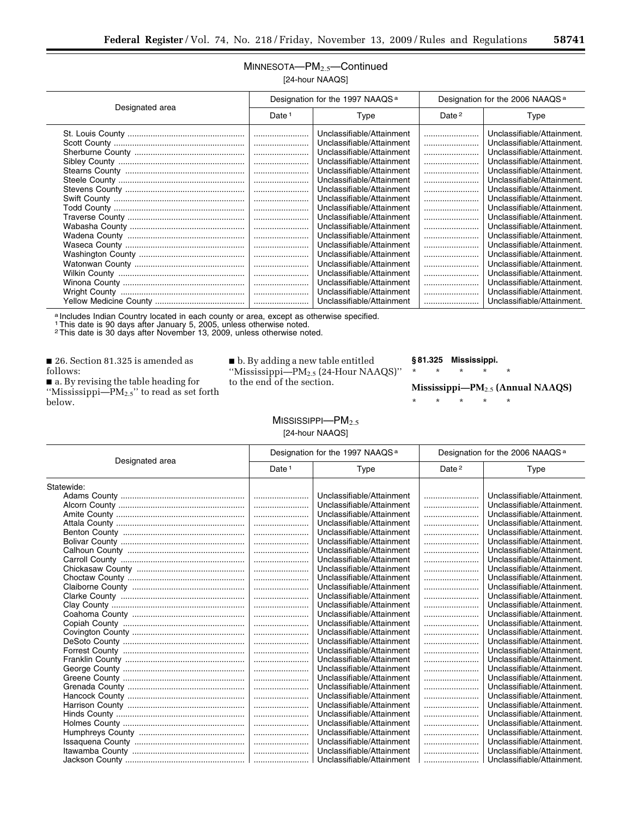## MINNESOTA—PM2.5—Continued [24-hour NAAQS]

| Designated area | Designation for the 1997 NAAQS <sup>a</sup> |                           | Designation for the 2006 NAAQS <sup>a</sup> |                            |
|-----------------|---------------------------------------------|---------------------------|---------------------------------------------|----------------------------|
|                 | Date <sup>1</sup>                           | Type                      | Date <sup>2</sup>                           | Type                       |
|                 |                                             | Unclassifiable/Attainment |                                             | Unclassifiable/Attainment. |
|                 |                                             | Unclassifiable/Attainment |                                             | Unclassifiable/Attainment. |
|                 |                                             | Unclassifiable/Attainment |                                             | Unclassifiable/Attainment. |
|                 |                                             | Unclassifiable/Attainment |                                             | Unclassifiable/Attainment. |
|                 |                                             | Unclassifiable/Attainment |                                             | Unclassifiable/Attainment. |
|                 |                                             | Unclassifiable/Attainment |                                             | Unclassifiable/Attainment. |
|                 |                                             | Unclassifiable/Attainment |                                             | Unclassifiable/Attainment. |
|                 |                                             | Unclassifiable/Attainment |                                             | Unclassifiable/Attainment. |
|                 |                                             | Unclassifiable/Attainment |                                             | Unclassifiable/Attainment. |
|                 |                                             | Unclassifiable/Attainment |                                             | Unclassifiable/Attainment. |
|                 |                                             | Unclassifiable/Attainment |                                             | Unclassifiable/Attainment. |
|                 |                                             | Unclassifiable/Attainment |                                             | Unclassifiable/Attainment. |
|                 |                                             | Unclassifiable/Attainment |                                             | Unclassifiable/Attainment. |
|                 |                                             | Unclassifiable/Attainment |                                             | Unclassifiable/Attainment. |
|                 |                                             | Unclassifiable/Attainment |                                             | Unclassifiable/Attainment. |
|                 |                                             | Unclassifiable/Attainment |                                             | Unclassifiable/Attainment. |
|                 |                                             | Unclassifiable/Attainment |                                             | Unclassifiable/Attainment. |
|                 |                                             | Unclassifiable/Attainment |                                             | Unclassifiable/Attainment. |
|                 |                                             | Unclassifiable/Attainment |                                             | Unclassifiable/Attainment. |

a Includes Indian Country located in each county or area, except as otherwise specified.

1This date is 90 days after January 5, 2005, unless otherwise noted. 2This date is 30 days after November 13, 2009, unless otherwise noted.

■ 26. Section 81.325 is amended as follows:

■ a. By revising the table heading for ''Mississippi—PM2.5'' to read as set forth below.

■ b. By adding a new table entitled ''Mississippi—PM2.5 (24-Hour NAAQS)'' to the end of the section.

#### **§ 81.325 Mississippi.**

\* \* \* \* \*

\* \* \* \* \*

#### $M$ ISSISSIPPI— $PM_{2.5}$ [24-hour NAAQS]

| Designated area | Designation for the 1997 NAAQS <sup>a</sup> |                           | Designation for the 2006 NAAQS <sup>a</sup> |                            |
|-----------------|---------------------------------------------|---------------------------|---------------------------------------------|----------------------------|
|                 | Date <sup>1</sup>                           | Type                      | Date <sup>2</sup>                           | Type                       |
| Statewide:      |                                             |                           |                                             |                            |
|                 |                                             | Unclassifiable/Attainment |                                             | Unclassifiable/Attainment. |
|                 |                                             | Unclassifiable/Attainment |                                             | Unclassifiable/Attainment. |
|                 |                                             | Unclassifiable/Attainment |                                             | Unclassifiable/Attainment. |
|                 |                                             | Unclassifiable/Attainment |                                             | Unclassifiable/Attainment. |
|                 |                                             | Unclassifiable/Attainment |                                             | Unclassifiable/Attainment. |
|                 |                                             | Unclassifiable/Attainment |                                             | Unclassifiable/Attainment. |
|                 |                                             | Unclassifiable/Attainment |                                             | Unclassifiable/Attainment. |
|                 |                                             | Unclassifiable/Attainment |                                             | Unclassifiable/Attainment. |
|                 |                                             | Unclassifiable/Attainment |                                             | Unclassifiable/Attainment. |
|                 |                                             | Unclassifiable/Attainment |                                             | Unclassifiable/Attainment. |
|                 |                                             | Unclassifiable/Attainment |                                             | Unclassifiable/Attainment. |
|                 |                                             | Unclassifiable/Attainment |                                             | Unclassifiable/Attainment. |
|                 |                                             | Unclassifiable/Attainment |                                             | Unclassifiable/Attainment. |
|                 |                                             | Unclassifiable/Attainment |                                             | Unclassifiable/Attainment. |
|                 |                                             | Unclassifiable/Attainment |                                             | Unclassifiable/Attainment. |
|                 |                                             | Unclassifiable/Attainment |                                             | Unclassifiable/Attainment. |
|                 |                                             | Unclassifiable/Attainment |                                             | Unclassifiable/Attainment. |
|                 |                                             | Unclassifiable/Attainment |                                             | Unclassifiable/Attainment. |
|                 |                                             | Unclassifiable/Attainment |                                             | Unclassifiable/Attainment. |
|                 |                                             | Unclassifiable/Attainment |                                             | Unclassifiable/Attainment. |
|                 |                                             | Unclassifiable/Attainment |                                             | Unclassifiable/Attainment. |
|                 |                                             | Unclassifiable/Attainment |                                             | Unclassifiable/Attainment. |
|                 |                                             | Unclassifiable/Attainment |                                             | Unclassifiable/Attainment. |
|                 |                                             | Unclassifiable/Attainment |                                             | Unclassifiable/Attainment. |
|                 |                                             | Unclassifiable/Attainment |                                             | Unclassifiable/Attainment. |
|                 |                                             | Unclassifiable/Attainment |                                             | Unclassifiable/Attainment. |
|                 |                                             | Unclassifiable/Attainment |                                             | Unclassifiable/Attainment. |
|                 |                                             | Unclassifiable/Attainment |                                             | Unclassifiable/Attainment. |
|                 |                                             | Unclassifiable/Attainment |                                             | Unclassifiable/Attainment. |
|                 |                                             | Unclassifiable/Attainment |                                             | Unclassifiable/Attainment. |

**Mississippi—PM**2.5 **(Annual NAAQS)**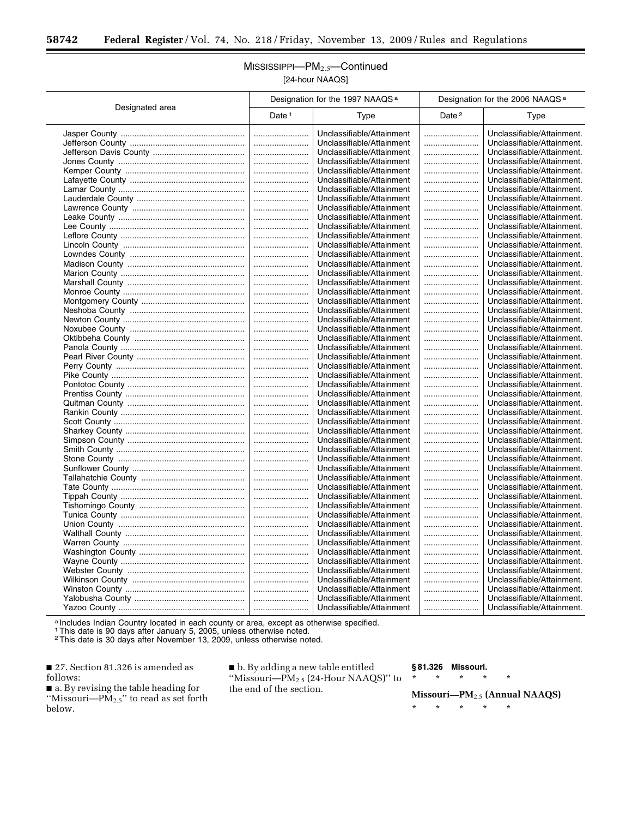۳

## MISSISSIPPI—PM2.5—Continued [24-hour NAAQS]

|                 | Designation for the 1997 NAAQS <sup>a</sup> |                           | Designation for the 2006 NAAQS <sup>a</sup> |                            |
|-----------------|---------------------------------------------|---------------------------|---------------------------------------------|----------------------------|
| Designated area | Date $1$                                    | Type                      | Date <sup>2</sup>                           | Type                       |
|                 |                                             | Unclassifiable/Attainment |                                             | Unclassifiable/Attainment. |
|                 |                                             | Unclassifiable/Attainment |                                             | Unclassifiable/Attainment. |
|                 |                                             | Unclassifiable/Attainment |                                             | Unclassifiable/Attainment. |
|                 |                                             | Unclassifiable/Attainment |                                             | Unclassifiable/Attainment. |
|                 |                                             | Unclassifiable/Attainment |                                             | Unclassifiable/Attainment. |
|                 |                                             | Unclassifiable/Attainment |                                             | Unclassifiable/Attainment. |
|                 |                                             | Unclassifiable/Attainment |                                             | Unclassifiable/Attainment. |
|                 |                                             | Unclassifiable/Attainment |                                             | Unclassifiable/Attainment. |
|                 |                                             | Unclassifiable/Attainment |                                             | Unclassifiable/Attainment. |
|                 |                                             | Unclassifiable/Attainment |                                             | Unclassifiable/Attainment. |
|                 |                                             | Unclassifiable/Attainment |                                             | Unclassifiable/Attainment. |
|                 |                                             | Unclassifiable/Attainment |                                             | Unclassifiable/Attainment. |
|                 |                                             | Unclassifiable/Attainment |                                             | Unclassifiable/Attainment. |
|                 |                                             | Unclassifiable/Attainment |                                             | Unclassifiable/Attainment. |
|                 |                                             | Unclassifiable/Attainment |                                             | Unclassifiable/Attainment. |
|                 |                                             | Unclassifiable/Attainment |                                             | Unclassifiable/Attainment. |
|                 |                                             | Unclassifiable/Attainment |                                             | Unclassifiable/Attainment. |
|                 |                                             | Unclassifiable/Attainment |                                             | Unclassifiable/Attainment. |
|                 |                                             | Unclassifiable/Attainment |                                             | Unclassifiable/Attainment. |
|                 |                                             | Unclassifiable/Attainment |                                             | Unclassifiable/Attainment. |
|                 |                                             | Unclassifiable/Attainment |                                             | Unclassifiable/Attainment. |
|                 |                                             | Unclassifiable/Attainment |                                             | Unclassifiable/Attainment. |
|                 |                                             | Unclassifiable/Attainment |                                             | Unclassifiable/Attainment. |
|                 |                                             | Unclassifiable/Attainment |                                             | Unclassifiable/Attainment. |
|                 |                                             | Unclassifiable/Attainment |                                             | Unclassifiable/Attainment. |
|                 |                                             | Unclassifiable/Attainment |                                             | Unclassifiable/Attainment. |
|                 |                                             | Unclassifiable/Attainment |                                             | Unclassifiable/Attainment. |
|                 |                                             | Unclassifiable/Attainment |                                             | Unclassifiable/Attainment. |
|                 |                                             | Unclassifiable/Attainment |                                             | Unclassifiable/Attainment. |
|                 |                                             | Unclassifiable/Attainment |                                             | Unclassifiable/Attainment. |
|                 |                                             | Unclassifiable/Attainment |                                             | Unclassifiable/Attainment. |
|                 |                                             | Unclassifiable/Attainment |                                             | Unclassifiable/Attainment. |
|                 |                                             | Unclassifiable/Attainment |                                             | Unclassifiable/Attainment. |
|                 |                                             | Unclassifiable/Attainment |                                             | Unclassifiable/Attainment. |
|                 |                                             | Unclassifiable/Attainment |                                             | Unclassifiable/Attainment. |
|                 |                                             | Unclassifiable/Attainment |                                             | Unclassifiable/Attainment. |
|                 |                                             | Unclassifiable/Attainment |                                             | Unclassifiable/Attainment. |
|                 |                                             | Unclassifiable/Attainment |                                             | Unclassifiable/Attainment. |
|                 |                                             | Unclassifiable/Attainment |                                             | Unclassifiable/Attainment. |
|                 |                                             | Unclassifiable/Attainment |                                             | Unclassifiable/Attainment. |
|                 |                                             | Unclassifiable/Attainment |                                             | Unclassifiable/Attainment. |
|                 |                                             | Unclassifiable/Attainment |                                             | Unclassifiable/Attainment. |
|                 |                                             | Unclassifiable/Attainment |                                             | Unclassifiable/Attainment. |
|                 |                                             | Unclassifiable/Attainment |                                             | Unclassifiable/Attainment. |
|                 |                                             | Unclassifiable/Attainment |                                             | Unclassifiable/Attainment. |
|                 |                                             | Unclassifiable/Attainment |                                             | Unclassifiable/Attainment. |
|                 |                                             | Unclassifiable/Attainment |                                             | Unclassifiable/Attainment. |
|                 |                                             | Unclassifiable/Attainment |                                             | Unclassifiable/Attainment. |
|                 |                                             | Unclassifiable/Attainment |                                             | Unclassifiable/Attainment. |
|                 |                                             | Unclassifiable/Attainment |                                             | Unclassifiable/Attainment. |
|                 |                                             | Unclassifiable/Attainment |                                             | Unclassifiable/Attainment. |
|                 |                                             | Unclassifiable/Attainment |                                             | Unclassifiable/Attainment. |
|                 |                                             |                           |                                             |                            |

a Includes Indian Country located in each county or area, except as otherwise specified.

1This date is 90 days after January 5, 2005, unless otherwise noted.

2This date is 30 days after November 13, 2009, unless otherwise noted.

■ 27. Section 81.326 is amended as follows:

■ a. By revising the table heading for ''Missouri—PM2.5'' to read as set forth below.

■ b. By adding a new table entitled ''Missouri—PM2.5 (24-Hour NAAQS)'' to the end of the section.

#### **§ 81.326 Missouri.**

\* \* \* \* \*

**Missouri—PM**2.5 **(Annual NAAQS)**  \* \* \* \* \*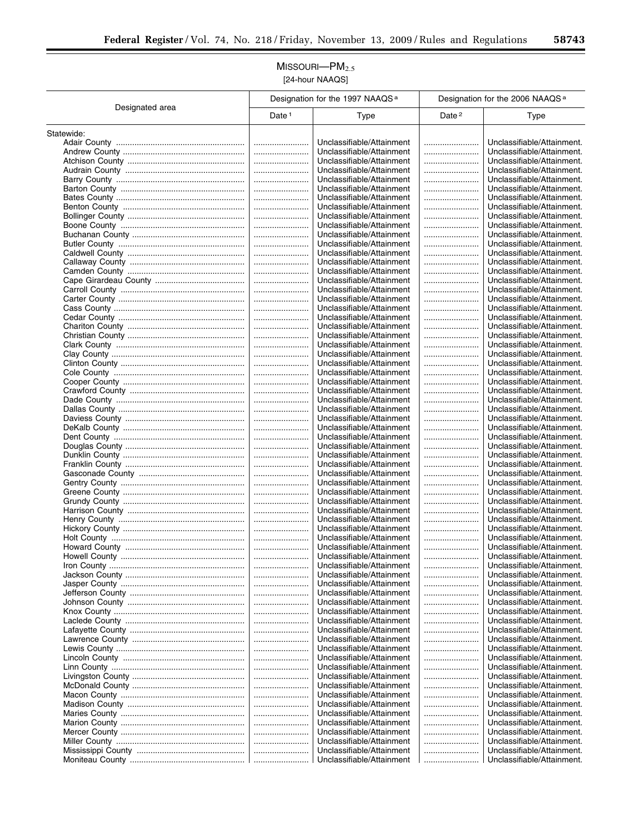## $M$ ISSOURI $-PM_{2.5}$ [24-hour NAAQS]

|                 | Designation for the 1997 NAAQS <sup>a</sup> |                                                        | Designation for the 2006 NAAQS <sup>a</sup> |                                                          |  |
|-----------------|---------------------------------------------|--------------------------------------------------------|---------------------------------------------|----------------------------------------------------------|--|
| Designated area | Date <sup>1</sup>                           | Type                                                   | Date <sup>2</sup>                           | Type                                                     |  |
| Statewide:      |                                             |                                                        |                                             |                                                          |  |
|                 |                                             | Unclassifiable/Attainment                              |                                             | Unclassifiable/Attainment.                               |  |
|                 |                                             | Unclassifiable/Attainment                              |                                             | Unclassifiable/Attainment.                               |  |
|                 |                                             | Unclassifiable/Attainment                              |                                             | Unclassifiable/Attainment.                               |  |
|                 |                                             | Unclassifiable/Attainment                              |                                             | Unclassifiable/Attainment.                               |  |
|                 |                                             | Unclassifiable/Attainment                              |                                             | Unclassifiable/Attainment.                               |  |
|                 |                                             | Unclassifiable/Attainment                              |                                             | Unclassifiable/Attainment.                               |  |
|                 |                                             | Unclassifiable/Attainment                              |                                             | Unclassifiable/Attainment.                               |  |
|                 |                                             | Unclassifiable/Attainment                              |                                             | Unclassifiable/Attainment.                               |  |
|                 |                                             | Unclassifiable/Attainment                              |                                             | Unclassifiable/Attainment.<br>Unclassifiable/Attainment. |  |
|                 |                                             | Unclassifiable/Attainment<br>Unclassifiable/Attainment |                                             | Unclassifiable/Attainment.                               |  |
|                 |                                             | Unclassifiable/Attainment                              |                                             | Unclassifiable/Attainment.                               |  |
|                 |                                             | Unclassifiable/Attainment                              |                                             | Unclassifiable/Attainment.                               |  |
|                 |                                             | Unclassifiable/Attainment                              |                                             | Unclassifiable/Attainment.                               |  |
|                 |                                             | Unclassifiable/Attainment                              |                                             | Unclassifiable/Attainment.                               |  |
|                 |                                             | Unclassifiable/Attainment                              |                                             | Unclassifiable/Attainment.                               |  |
|                 |                                             | Unclassifiable/Attainment                              |                                             | Unclassifiable/Attainment.                               |  |
|                 |                                             | Unclassifiable/Attainment                              |                                             | Unclassifiable/Attainment.                               |  |
|                 |                                             | Unclassifiable/Attainment                              |                                             | Unclassifiable/Attainment.                               |  |
|                 |                                             | Unclassifiable/Attainment                              |                                             | Unclassifiable/Attainment.                               |  |
|                 |                                             | Unclassifiable/Attainment                              |                                             | Unclassifiable/Attainment.                               |  |
|                 |                                             | Unclassifiable/Attainment                              |                                             | Unclassifiable/Attainment.<br>Unclassifiable/Attainment. |  |
|                 |                                             | Unclassifiable/Attainment<br>Unclassifiable/Attainment |                                             | Unclassifiable/Attainment.                               |  |
|                 | <br>                                        | Unclassifiable/Attainment                              | <br>                                        | Unclassifiable/Attainment.                               |  |
|                 |                                             | Unclassifiable/Attainment                              |                                             | Unclassifiable/Attainment.                               |  |
|                 |                                             | Unclassifiable/Attainment                              |                                             | Unclassifiable/Attainment.                               |  |
|                 |                                             | Unclassifiable/Attainment                              |                                             | Unclassifiable/Attainment.                               |  |
|                 |                                             | Unclassifiable/Attainment                              |                                             | Unclassifiable/Attainment.                               |  |
|                 |                                             | Unclassifiable/Attainment                              |                                             | Unclassifiable/Attainment.                               |  |
|                 |                                             | Unclassifiable/Attainment                              |                                             | Unclassifiable/Attainment.                               |  |
|                 |                                             | Unclassifiable/Attainment                              |                                             | Unclassifiable/Attainment.                               |  |
|                 |                                             | Unclassifiable/Attainment                              |                                             | Unclassifiable/Attainment.                               |  |
|                 |                                             | Unclassifiable/Attainment                              |                                             | Unclassifiable/Attainment.                               |  |
|                 |                                             | Unclassifiable/Attainment                              |                                             | Unclassifiable/Attainment.                               |  |
|                 |                                             | Unclassifiable/Attainment<br>Unclassifiable/Attainment |                                             | Unclassifiable/Attainment.<br>Unclassifiable/Attainment. |  |
|                 | <br>                                        | Unclassifiable/Attainment                              | <br>                                        | Unclassifiable/Attainment.                               |  |
|                 |                                             | Unclassifiable/Attainment                              |                                             | Unclassifiable/Attainment.                               |  |
|                 |                                             | Unclassifiable/Attainment                              |                                             | Unclassifiable/Attainment.                               |  |
|                 |                                             | Unclassifiable/Attainment                              |                                             | Unclassifiable/Attainment.                               |  |
|                 |                                             | Unclassifiable/Attainment                              |                                             | Unclassifiable/Attainment.                               |  |
|                 |                                             | Unclassifiable/Attainment                              |                                             | Unclassifiable/Attainment.                               |  |
|                 |                                             | Unclassifiable/Attainment                              |                                             | Unclassifiable/Attainment.                               |  |
|                 |                                             | Unclassifiable/Attainment                              |                                             | Unclassifiable/Attainment.                               |  |
|                 |                                             | Unclassifiable/Attainment                              |                                             | Unclassifiable/Attainment.                               |  |
|                 |                                             | Unclassifiable/Attainment                              |                                             | Unclassifiable/Attainment.                               |  |
|                 |                                             | Unclassifiable/Attainment                              |                                             | Unclassifiable/Attainment.                               |  |
|                 |                                             | Unclassifiable/Attainment<br>Unclassifiable/Attainment |                                             | Unclassifiable/Attainment.                               |  |
|                 |                                             | Unclassifiable/Attainment                              |                                             | Unclassifiable/Attainment.<br>Unclassifiable/Attainment. |  |
|                 |                                             | Unclassifiable/Attainment                              |                                             | Unclassifiable/Attainment.                               |  |
|                 |                                             | Unclassifiable/Attainment                              |                                             | Unclassifiable/Attainment.                               |  |
|                 |                                             | Unclassifiable/Attainment                              |                                             | Unclassifiable/Attainment.                               |  |
|                 |                                             | Unclassifiable/Attainment                              |                                             | Unclassifiable/Attainment.                               |  |
|                 |                                             | Unclassifiable/Attainment                              |                                             | Unclassifiable/Attainment.                               |  |
|                 |                                             | Unclassifiable/Attainment                              |                                             | Unclassifiable/Attainment.                               |  |
|                 |                                             | Unclassifiable/Attainment                              |                                             | Unclassifiable/Attainment.                               |  |
|                 |                                             | Unclassifiable/Attainment                              |                                             | Unclassifiable/Attainment.                               |  |
|                 |                                             | Unclassifiable/Attainment                              |                                             | Unclassifiable/Attainment.                               |  |
|                 |                                             | Unclassifiable/Attainment                              |                                             | Unclassifiable/Attainment.                               |  |
|                 |                                             | Unclassifiable/Attainment                              |                                             | Unclassifiable/Attainment.                               |  |
|                 |                                             | Unclassifiable/Attainment                              |                                             | Unclassifiable/Attainment.                               |  |
|                 |                                             | Unclassifiable/Attainment                              |                                             | Unclassifiable/Attainment.                               |  |
|                 |                                             | Unclassifiable/Attainment                              |                                             | Unclassifiable/Attainment.                               |  |
|                 |                                             | Unclassifiable/Attainment<br>Unclassifiable/Attainment |                                             | Unclassifiable/Attainment.<br>Unclassifiable/Attainment. |  |
|                 |                                             | Unclassifiable/Attainment                              |                                             | Unclassifiable/Attainment.                               |  |
|                 |                                             |                                                        |                                             |                                                          |  |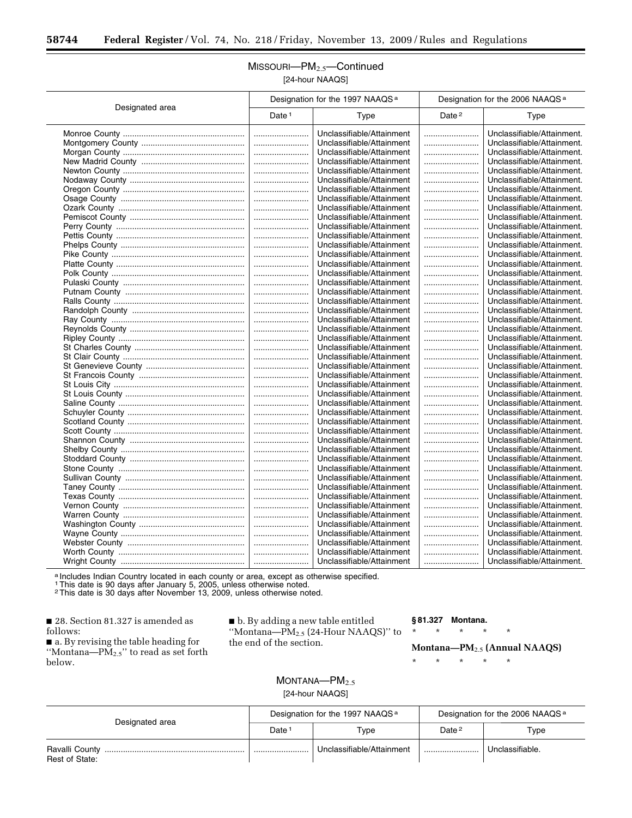## MISSOURI—PM2.5—Continued [24-hour NAAQS]

|                 | Designation for the 1997 NAAQS <sup>a</sup> |                           | Designation for the 2006 NAAQS <sup>a</sup> |                            |
|-----------------|---------------------------------------------|---------------------------|---------------------------------------------|----------------------------|
| Designated area | Date <sup>1</sup>                           | Type                      | Date <sup>2</sup>                           | Type                       |
|                 |                                             | Unclassifiable/Attainment |                                             | Unclassifiable/Attainment. |
|                 |                                             | Unclassifiable/Attainment |                                             | Unclassifiable/Attainment. |
|                 |                                             | Unclassifiable/Attainment |                                             | Unclassifiable/Attainment. |
|                 |                                             | Unclassifiable/Attainment |                                             | Unclassifiable/Attainment. |
|                 |                                             | Unclassifiable/Attainment |                                             | Unclassifiable/Attainment. |
|                 |                                             | Unclassifiable/Attainment |                                             | Unclassifiable/Attainment. |
|                 |                                             | Unclassifiable/Attainment |                                             | Unclassifiable/Attainment. |
|                 |                                             | Unclassifiable/Attainment |                                             | Unclassifiable/Attainment. |
|                 |                                             | Unclassifiable/Attainment |                                             | Unclassifiable/Attainment. |
|                 |                                             | Unclassifiable/Attainment |                                             | Unclassifiable/Attainment. |
|                 |                                             | Unclassifiable/Attainment |                                             | Unclassifiable/Attainment. |
|                 |                                             | Unclassifiable/Attainment |                                             | Unclassifiable/Attainment. |
|                 |                                             | Unclassifiable/Attainment |                                             | Unclassifiable/Attainment. |
|                 |                                             | Unclassifiable/Attainment |                                             | Unclassifiable/Attainment. |
|                 |                                             | Unclassifiable/Attainment |                                             | Unclassifiable/Attainment. |
|                 |                                             | Unclassifiable/Attainment |                                             | Unclassifiable/Attainment. |
|                 |                                             | Unclassifiable/Attainment |                                             | Unclassifiable/Attainment. |
|                 |                                             | Unclassifiable/Attainment |                                             | Unclassifiable/Attainment. |
|                 |                                             | Unclassifiable/Attainment |                                             | Unclassifiable/Attainment. |
|                 |                                             | Unclassifiable/Attainment |                                             | Unclassifiable/Attainment. |
|                 |                                             | Unclassifiable/Attainment |                                             | Unclassifiable/Attainment. |
|                 |                                             | Unclassifiable/Attainment |                                             | Unclassifiable/Attainment. |
|                 |                                             | Unclassifiable/Attainment |                                             | Unclassifiable/Attainment. |
|                 |                                             | Unclassifiable/Attainment |                                             | Unclassifiable/Attainment. |
|                 |                                             | Unclassifiable/Attainment |                                             | Unclassifiable/Attainment. |
|                 |                                             | Unclassifiable/Attainment |                                             | Unclassifiable/Attainment. |
|                 |                                             | Unclassifiable/Attainment |                                             | Unclassifiable/Attainment. |
|                 |                                             | Unclassifiable/Attainment |                                             | Unclassifiable/Attainment. |
|                 |                                             | Unclassifiable/Attainment |                                             | Unclassifiable/Attainment. |
|                 |                                             | Unclassifiable/Attainment |                                             | Unclassifiable/Attainment. |
|                 |                                             | Unclassifiable/Attainment |                                             | Unclassifiable/Attainment. |
|                 |                                             | Unclassifiable/Attainment |                                             | Unclassifiable/Attainment. |
|                 |                                             | Unclassifiable/Attainment |                                             | Unclassifiable/Attainment. |
|                 |                                             | Unclassifiable/Attainment |                                             | Unclassifiable/Attainment. |
|                 |                                             | Unclassifiable/Attainment |                                             | Unclassifiable/Attainment. |
|                 |                                             | Unclassifiable/Attainment |                                             | Unclassifiable/Attainment. |
|                 |                                             | Unclassifiable/Attainment |                                             | Unclassifiable/Attainment. |
|                 |                                             | Unclassifiable/Attainment |                                             | Unclassifiable/Attainment. |
|                 |                                             | Unclassifiable/Attainment |                                             | Unclassifiable/Attainment. |
|                 |                                             | Unclassifiable/Attainment |                                             | Unclassifiable/Attainment. |
|                 |                                             | Unclassifiable/Attainment |                                             | Unclassifiable/Attainment. |
|                 |                                             | Unclassifiable/Attainment |                                             | Unclassifiable/Attainment. |
|                 |                                             | Unclassifiable/Attainment |                                             | Unclassifiable/Attainment. |
|                 | <br>                                        | Unclassifiable/Attainment |                                             | Unclassifiable/Attainment. |
|                 |                                             | Unclassifiable/Attainment |                                             | Unclassifiable/Attainment. |
|                 |                                             | Unclassifiable/Attainment |                                             | Unclassifiable/Attainment. |
|                 |                                             | Unclassifiable/Attainment |                                             | Unclassifiable/Attainment. |
|                 |                                             |                           |                                             |                            |

a Includes Indian Country located in each county or area, except as otherwise specified.

1This date is 90 days after January 5, 2005, unless otherwise noted. 2This date is 30 days after November 13, 2009, unless otherwise noted.

■ 28. Section 81.327 is amended as follows:

■ a. By revising the table heading for ''Montana—PM2.5'' to read as set forth below.

■ b. By adding a new table entitled ''Montana—PM2.5 (24-Hour NAAQS)'' to the end of the section.

> $MONTANA—PM<sub>2.5</sub>$ [24-hour NAAQS]

#### **§ 81.327 Montana.**

\* \* \* \* \*

#### **Montana—PM**2.5 **(Annual NAAQS)**

| Designated area | Designation for the 1997 NAAQS <sup>a</sup> |                           | Designation for the 2006 NAAQS <sup>a</sup> |                 |
|-----------------|---------------------------------------------|---------------------------|---------------------------------------------|-----------------|
|                 | Date <sup>1</sup>                           | Type                      | Date <sup>2</sup>                           | Type            |
| Rest of State:  |                                             | Unclassifiable/Attainment |                                             | Unclassifiable. |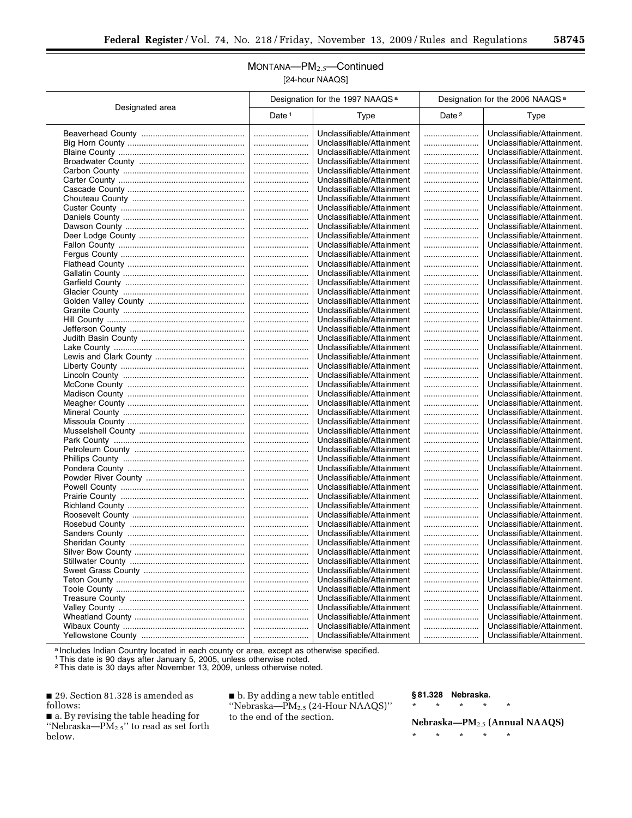## MONTANA—PM2.5—Continued [24-hour NAAQS]

|                 | Designation for the 1997 NAAQS <sup>a</sup> |                                                        | Designation for the 2006 NAAQS <sup>a</sup> |                                                          |  |
|-----------------|---------------------------------------------|--------------------------------------------------------|---------------------------------------------|----------------------------------------------------------|--|
| Designated area | Date $1$                                    | <b>Type</b>                                            | Date <sup>2</sup>                           | Type                                                     |  |
|                 |                                             | Unclassifiable/Attainment                              |                                             | Unclassifiable/Attainment.                               |  |
|                 |                                             | Unclassifiable/Attainment                              |                                             | Unclassifiable/Attainment.                               |  |
|                 |                                             | Unclassifiable/Attainment                              |                                             | Unclassifiable/Attainment.                               |  |
|                 |                                             | Unclassifiable/Attainment                              |                                             | Unclassifiable/Attainment.                               |  |
|                 |                                             | Unclassifiable/Attainment                              |                                             | Unclassifiable/Attainment.                               |  |
|                 |                                             | Unclassifiable/Attainment                              |                                             | Unclassifiable/Attainment.                               |  |
|                 |                                             | Unclassifiable/Attainment                              |                                             | Unclassifiable/Attainment.                               |  |
|                 |                                             | Unclassifiable/Attainment                              |                                             | Unclassifiable/Attainment.                               |  |
|                 |                                             | Unclassifiable/Attainment                              |                                             | Unclassifiable/Attainment.                               |  |
|                 |                                             | Unclassifiable/Attainment                              |                                             | Unclassifiable/Attainment.                               |  |
|                 |                                             | Unclassifiable/Attainment                              |                                             | Unclassifiable/Attainment.                               |  |
|                 |                                             | Unclassifiable/Attainment                              |                                             | Unclassifiable/Attainment.                               |  |
|                 |                                             | Unclassifiable/Attainment                              |                                             | Unclassifiable/Attainment.                               |  |
|                 |                                             | Unclassifiable/Attainment                              |                                             | Unclassifiable/Attainment.                               |  |
|                 |                                             | Unclassifiable/Attainment                              |                                             | Unclassifiable/Attainment.                               |  |
|                 |                                             | Unclassifiable/Attainment                              |                                             | Unclassifiable/Attainment.                               |  |
|                 |                                             |                                                        |                                             |                                                          |  |
|                 |                                             | Unclassifiable/Attainment                              |                                             | Unclassifiable/Attainment.                               |  |
|                 |                                             | Unclassifiable/Attainment                              |                                             | Unclassifiable/Attainment.                               |  |
|                 |                                             | Unclassifiable/Attainment                              |                                             | Unclassifiable/Attainment.                               |  |
|                 |                                             | Unclassifiable/Attainment                              |                                             | Unclassifiable/Attainment.                               |  |
|                 |                                             | Unclassifiable/Attainment                              |                                             | Unclassifiable/Attainment.                               |  |
|                 |                                             | Unclassifiable/Attainment                              |                                             | Unclassifiable/Attainment.                               |  |
|                 |                                             | Unclassifiable/Attainment                              |                                             | Unclassifiable/Attainment.                               |  |
|                 |                                             | Unclassifiable/Attainment                              |                                             | Unclassifiable/Attainment.                               |  |
|                 |                                             | Unclassifiable/Attainment                              |                                             | Unclassifiable/Attainment.                               |  |
|                 |                                             | Unclassifiable/Attainment                              |                                             | Unclassifiable/Attainment.                               |  |
|                 |                                             | Unclassifiable/Attainment                              |                                             | Unclassifiable/Attainment.                               |  |
|                 |                                             | Unclassifiable/Attainment                              |                                             | Unclassifiable/Attainment.                               |  |
|                 |                                             | Unclassifiable/Attainment                              |                                             | Unclassifiable/Attainment.                               |  |
|                 |                                             | Unclassifiable/Attainment<br>Unclassifiable/Attainment |                                             | Unclassifiable/Attainment.<br>Unclassifiable/Attainment. |  |
|                 |                                             | Unclassifiable/Attainment                              |                                             | Unclassifiable/Attainment.                               |  |
|                 |                                             | Unclassifiable/Attainment                              |                                             | Unclassifiable/Attainment.                               |  |
|                 |                                             | Unclassifiable/Attainment                              |                                             | Unclassifiable/Attainment.                               |  |
|                 |                                             | Unclassifiable/Attainment                              |                                             | Unclassifiable/Attainment.                               |  |
|                 |                                             | Unclassifiable/Attainment                              | <br>                                        | Unclassifiable/Attainment.                               |  |
|                 |                                             | Unclassifiable/Attainment                              |                                             | Unclassifiable/Attainment.                               |  |
|                 | <br>                                        | Unclassifiable/Attainment                              |                                             | Unclassifiable/Attainment.                               |  |
|                 |                                             | Unclassifiable/Attainment                              |                                             | Unclassifiable/Attainment.                               |  |
|                 |                                             | Unclassifiable/Attainment                              |                                             | Unclassifiable/Attainment.                               |  |
|                 |                                             | Unclassifiable/Attainment                              |                                             | Unclassifiable/Attainment.                               |  |
|                 |                                             | Unclassifiable/Attainment                              |                                             | Unclassifiable/Attainment.                               |  |
|                 |                                             | Unclassifiable/Attainment                              |                                             | Unclassifiable/Attainment.                               |  |
|                 |                                             | Unclassifiable/Attainment                              |                                             | Unclassifiable/Attainment.                               |  |
|                 |                                             | Unclassifiable/Attainment                              |                                             | Unclassifiable/Attainment.                               |  |
|                 |                                             | Unclassifiable/Attainment                              |                                             | Unclassifiable/Attainment.                               |  |
|                 |                                             | Unclassifiable/Attainment                              |                                             | Unclassifiable/Attainment.                               |  |
|                 |                                             | Unclassifiable/Attainment                              |                                             | Unclassifiable/Attainment.                               |  |
|                 |                                             | Unclassifiable/Attainment                              |                                             | Unclassifiable/Attainment.                               |  |
|                 |                                             | Unclassifiable/Attainment                              |                                             | Unclassifiable/Attainment.                               |  |
|                 |                                             | Unclassifiable/Attainment                              |                                             | Unclassifiable/Attainment.                               |  |
|                 |                                             | Unclassifiable/Attainment                              |                                             | Unclassifiable/Attainment.                               |  |
|                 |                                             | Unclassifiable/Attainment                              |                                             | Unclassifiable/Attainment.                               |  |
|                 |                                             | Unclassifiable/Attainment                              |                                             | Unclassifiable/Attainment.                               |  |
|                 |                                             | Unclassifiable/Attainment                              |                                             | Unclassifiable/Attainment.                               |  |
|                 |                                             |                                                        |                                             |                                                          |  |

a Includes Indian Country located in each county or area, except as otherwise specified.

1This date is 90 days after January 5, 2005, unless otherwise noted.

2This date is 30 days after November 13, 2009, unless otherwise noted.

■ 29. Section 81.328 is amended as follows: ■ a. By revising the table heading for

below.

''Nebraska—PM2.5'' to read as set forth

■ b. By adding a new table entitled ''Nebraska—PM2.5 (24-Hour NAAQS)'' to the end of the section.

#### **§ 81.328 Nebraska.**

\* \* \* \* \*

#### **Nebraska—PM**2.5 **(Annual NAAQS)**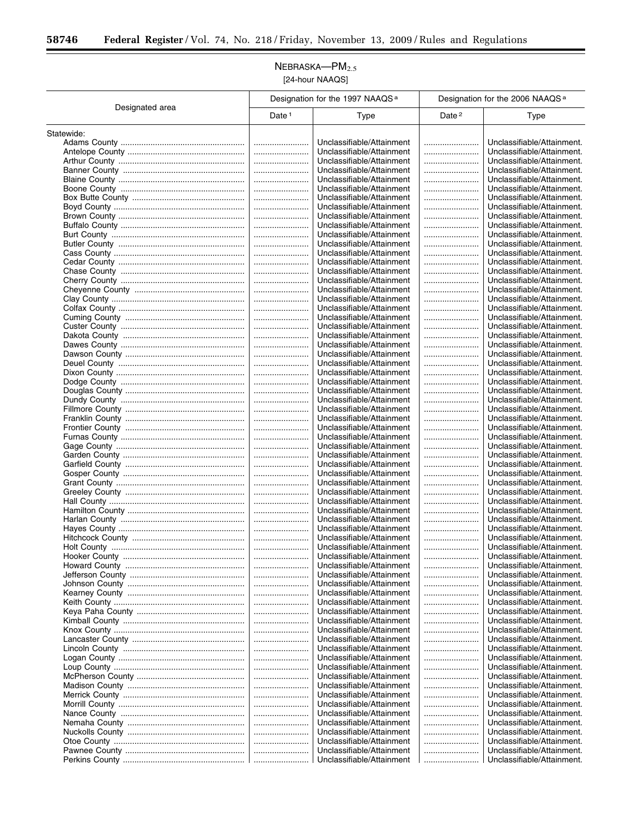$\equiv$ 

Ĭ.

## $NEBRASKA$ -PM $_{2.5}$ [24-hour NAAQS]

|                 | Designation for the 1997 NAAQS <sup>a</sup> |                                                        | Designation for the 2006 NAAQS <sup>a</sup> |                                                          |
|-----------------|---------------------------------------------|--------------------------------------------------------|---------------------------------------------|----------------------------------------------------------|
| Designated area | Date <sup>1</sup>                           | <b>Type</b>                                            | Date <sup>2</sup>                           | <b>Type</b>                                              |
| Statewide:      |                                             |                                                        |                                             |                                                          |
|                 |                                             | Unclassifiable/Attainment                              |                                             | Unclassifiable/Attainment.                               |
|                 |                                             | Unclassifiable/Attainment                              |                                             | Unclassifiable/Attainment.                               |
|                 |                                             | Unclassifiable/Attainment                              |                                             | Unclassifiable/Attainment.                               |
|                 |                                             | Unclassifiable/Attainment                              |                                             | Unclassifiable/Attainment.                               |
|                 |                                             | Unclassifiable/Attainment                              |                                             | Unclassifiable/Attainment.                               |
|                 |                                             | Unclassifiable/Attainment                              |                                             | Unclassifiable/Attainment.                               |
|                 |                                             | Unclassifiable/Attainment                              |                                             | Unclassifiable/Attainment.                               |
|                 |                                             | Unclassifiable/Attainment                              |                                             | Unclassifiable/Attainment.                               |
|                 |                                             | Unclassifiable/Attainment                              |                                             | Unclassifiable/Attainment.                               |
|                 |                                             | Unclassifiable/Attainment                              |                                             | Unclassifiable/Attainment.                               |
|                 |                                             | Unclassifiable/Attainment                              |                                             | Unclassifiable/Attainment.                               |
|                 |                                             | Unclassifiable/Attainment                              |                                             | Unclassifiable/Attainment.                               |
|                 |                                             | Unclassifiable/Attainment                              |                                             | Unclassifiable/Attainment.                               |
|                 |                                             | Unclassifiable/Attainment<br>Unclassifiable/Attainment |                                             | Unclassifiable/Attainment.<br>Unclassifiable/Attainment. |
|                 | <br>                                        | Unclassifiable/Attainment                              |                                             | Unclassifiable/Attainment.                               |
|                 |                                             | Unclassifiable/Attainment                              |                                             | Unclassifiable/Attainment.                               |
|                 |                                             | Unclassifiable/Attainment                              |                                             | Unclassifiable/Attainment.                               |
|                 |                                             | Unclassifiable/Attainment                              |                                             | Unclassifiable/Attainment.                               |
|                 |                                             | Unclassifiable/Attainment                              |                                             | Unclassifiable/Attainment.                               |
|                 |                                             | Unclassifiable/Attainment                              |                                             | Unclassifiable/Attainment.                               |
|                 |                                             | Unclassifiable/Attainment                              |                                             | Unclassifiable/Attainment.                               |
|                 |                                             | Unclassifiable/Attainment                              |                                             | Unclassifiable/Attainment.                               |
|                 |                                             | Unclassifiable/Attainment                              |                                             | Unclassifiable/Attainment.                               |
|                 |                                             | Unclassifiable/Attainment                              |                                             | Unclassifiable/Attainment.                               |
|                 |                                             | Unclassifiable/Attainment                              |                                             | Unclassifiable/Attainment.                               |
|                 |                                             | Unclassifiable/Attainment                              |                                             | Unclassifiable/Attainment.                               |
|                 |                                             | Unclassifiable/Attainment                              |                                             | Unclassifiable/Attainment.                               |
|                 |                                             | Unclassifiable/Attainment                              |                                             | Unclassifiable/Attainment.                               |
|                 |                                             | Unclassifiable/Attainment                              |                                             | Unclassifiable/Attainment.                               |
|                 |                                             | Unclassifiable/Attainment                              |                                             | Unclassifiable/Attainment.                               |
|                 |                                             | Unclassifiable/Attainment                              |                                             | Unclassifiable/Attainment.                               |
|                 |                                             | Unclassifiable/Attainment                              |                                             | Unclassifiable/Attainment.                               |
|                 |                                             | Unclassifiable/Attainment                              |                                             | Unclassifiable/Attainment.<br>Unclassifiable/Attainment. |
|                 | <br>                                        | Unclassifiable/Attainment<br>Unclassifiable/Attainment |                                             | Unclassifiable/Attainment.                               |
|                 |                                             | Unclassifiable/Attainment                              |                                             | Unclassifiable/Attainment.                               |
|                 |                                             | Unclassifiable/Attainment                              |                                             | Unclassifiable/Attainment.                               |
|                 |                                             | Unclassifiable/Attainment                              |                                             | Unclassifiable/Attainment.                               |
|                 |                                             | Unclassifiable/Attainment                              |                                             | Unclassifiable/Attainment.                               |
|                 |                                             | Unclassifiable/Attainment                              |                                             | Unclassifiable/Attainment.                               |
|                 |                                             | Unclassifiable/Attainment                              |                                             | Unclassifiable/Attainment.                               |
|                 |                                             | Unclassifiable/Attainment                              |                                             | Unclassifiable/Attainment.                               |
|                 |                                             | Unclassifiable/Attainment                              |                                             | Unclassifiable/Attainment.                               |
|                 |                                             | Unclassifiable/Attainment                              |                                             | Unclassifiable/Attainment.                               |
|                 |                                             | Unclassifiable/Attainment                              |                                             | Unclassifiable/Attainment.                               |
|                 |                                             | Unclassifiable/Attainment                              |                                             | Unclassifiable/Attainment.                               |
|                 |                                             | Unclassifiable/Attainment                              |                                             | Unclassifiable/Attainment.                               |
|                 |                                             | Unclassifiable/Attainment                              |                                             | Unclassifiable/Attainment.                               |
|                 |                                             | Unclassifiable/Attainment<br>Unclassifiable/Attainment |                                             | Unclassifiable/Attainment.<br>Unclassifiable/Attainment. |
|                 |                                             | Unclassifiable/Attainment                              |                                             | Unclassifiable/Attainment.                               |
|                 |                                             | Unclassifiable/Attainment                              |                                             | Unclassifiable/Attainment.                               |
|                 |                                             | Unclassifiable/Attainment                              |                                             | Unclassifiable/Attainment.                               |
|                 |                                             | Unclassifiable/Attainment                              |                                             | Unclassifiable/Attainment.                               |
|                 |                                             | Unclassifiable/Attainment                              |                                             | Unclassifiable/Attainment.                               |
|                 |                                             | Unclassifiable/Attainment                              |                                             | Unclassifiable/Attainment.                               |
|                 |                                             | Unclassifiable/Attainment                              |                                             | Unclassifiable/Attainment.                               |
|                 |                                             | Unclassifiable/Attainment                              |                                             | Unclassifiable/Attainment.                               |
|                 |                                             | Unclassifiable/Attainment                              |                                             | Unclassifiable/Attainment.                               |
|                 |                                             | Unclassifiable/Attainment                              |                                             | Unclassifiable/Attainment.                               |
|                 |                                             | Unclassifiable/Attainment                              |                                             | Unclassifiable/Attainment.                               |
|                 |                                             | Unclassifiable/Attainment                              |                                             | Unclassifiable/Attainment.                               |
|                 |                                             | Unclassifiable/Attainment                              |                                             | Unclassifiable/Attainment.                               |
|                 |                                             | Unclassifiable/Attainment                              |                                             | Unclassifiable/Attainment.                               |
|                 |                                             | Unclassifiable/Attainment                              |                                             | Unclassifiable/Attainment.                               |
|                 |                                             | Unclassifiable/Attainment                              |                                             | Unclassifiable/Attainment.                               |
|                 |                                             | Unclassifiable/Attainment                              |                                             | Unclassifiable/Attainment.                               |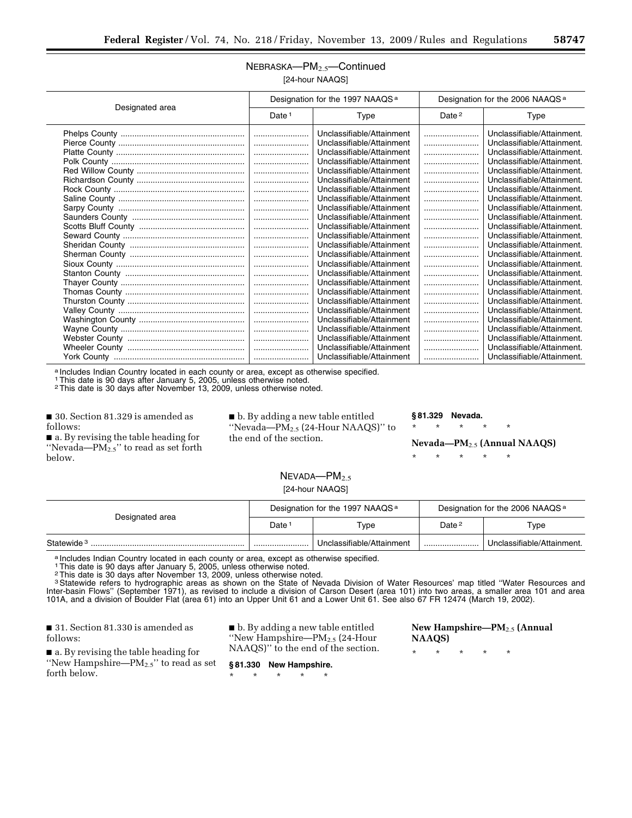#### NEBRASKA—PM2.5—Continued [24-hour NAAQS]

| Designated area | Designation for the 1997 NAAQS <sup>a</sup> |                           | Designation for the 2006 NAAQS <sup>a</sup> |                            |
|-----------------|---------------------------------------------|---------------------------|---------------------------------------------|----------------------------|
|                 | Date <sup>1</sup>                           | Type                      | Date $2$                                    | Type                       |
|                 |                                             | Unclassifiable/Attainment |                                             | Unclassifiable/Attainment. |
|                 |                                             | Unclassifiable/Attainment |                                             | Unclassifiable/Attainment. |
|                 |                                             | Unclassifiable/Attainment |                                             | Unclassifiable/Attainment. |
|                 |                                             | Unclassifiable/Attainment |                                             | Unclassifiable/Attainment. |
|                 |                                             | Unclassifiable/Attainment |                                             | Unclassifiable/Attainment. |
|                 |                                             | Unclassifiable/Attainment |                                             | Unclassifiable/Attainment. |
|                 |                                             | Unclassifiable/Attainment |                                             | Unclassifiable/Attainment. |
|                 |                                             | Unclassifiable/Attainment |                                             | Unclassifiable/Attainment. |
|                 |                                             | Unclassifiable/Attainment |                                             | Unclassifiable/Attainment. |
|                 |                                             | Unclassifiable/Attainment |                                             | Unclassifiable/Attainment. |
|                 |                                             | Unclassifiable/Attainment |                                             | Unclassifiable/Attainment. |
|                 |                                             | Unclassifiable/Attainment |                                             | Unclassifiable/Attainment. |
|                 |                                             | Unclassifiable/Attainment |                                             | Unclassifiable/Attainment. |
|                 |                                             | Unclassifiable/Attainment |                                             | Unclassifiable/Attainment. |
|                 |                                             | Unclassifiable/Attainment |                                             | Unclassifiable/Attainment. |
|                 |                                             | Unclassifiable/Attainment |                                             | Unclassifiable/Attainment. |
|                 |                                             | Unclassifiable/Attainment |                                             | Unclassifiable/Attainment. |
|                 |                                             | Unclassifiable/Attainment |                                             | Unclassifiable/Attainment. |
|                 |                                             | Unclassifiable/Attainment |                                             | Unclassifiable/Attainment. |
|                 |                                             | Unclassifiable/Attainment |                                             | Unclassifiable/Attainment. |
|                 |                                             | Unclassifiable/Attainment |                                             | Unclassifiable/Attainment. |
|                 |                                             | Unclassifiable/Attainment |                                             | Unclassifiable/Attainment. |
|                 |                                             | Unclassifiable/Attainment |                                             | Unclassifiable/Attainment. |
|                 |                                             | Unclassifiable/Attainment |                                             | Unclassifiable/Attainment. |
|                 |                                             | Unclassifiable/Attainment |                                             | Unclassifiable/Attainment. |

a Includes Indian Country located in each county or area, except as otherwise specified.

1This date is 90 days after January 5, 2005, unless otherwise noted.

2This date is 30 days after November 13, 2009, unless otherwise noted.

■ 30. Section 81.329 is amended as follows:

■ a. By revising the table heading for "Nevada— $PM_{2.5}$ " to read as set forth below.

■ b. By adding a new table entitled ''Nevada—PM2.5 (24-Hour NAAQS)'' to the end of the section.

#### **§ 81.329 Nevada.**

\* \* \* \* \*

#### **Nevada—PM**2.5 **(Annual NAAQS)**

\* \* \* \* \*

#### NEVADA-PM<sub>2.5</sub> [24-hour NAAQS]

| Designated area        | Designation for the 1997 NAAQS <sup>a</sup> |                           | Designation for the 2006 NAAQS <sup>a</sup> |                            |
|------------------------|---------------------------------------------|---------------------------|---------------------------------------------|----------------------------|
|                        | Date <sup>:</sup>                           | $\tau_\mathsf{VDE}$       | Date <sup>2</sup>                           | Type                       |
| Statewide <sup>3</sup> |                                             | Unclassifiable/Attainment |                                             | Unclassifiable/Attainment. |

a Includes Indian Country located in each county or area, except as otherwise specified.<br>1 This date is 90 days after January 5, 2005, unless otherwise noted.

2This date is 30 days after November 13, 2009, unless otherwise noted.

3 Statewide refers to hydrographic areas as shown on the State of Nevada Division of Water Resources' map titled "Water Resources and Inter-basin Flows'' (September 1971), as revised to include a division of Carson Desert (area 101) into two areas, a smaller area 101 and area 101A, and a division of Boulder Flat (area 61) into an Upper Unit 61 and a Lower Unit 61. See also 67 FR 12474 (March 19, 2002).

■ 31. Section 81.330 is amended as follows:

■ a. By revising the table heading for "New Hampshire—PM<sub>2.5</sub>" to read as set forth below.

■ b. By adding a new table entitled ''New Hampshire—PM2.5 (24-Hour NAAQS)'' to the end of the section.

**§ 81.330 New Hampshire.**  \* \* \* \* \*

**New Hampshire—PM**2.5 **(Annual NAAQS)**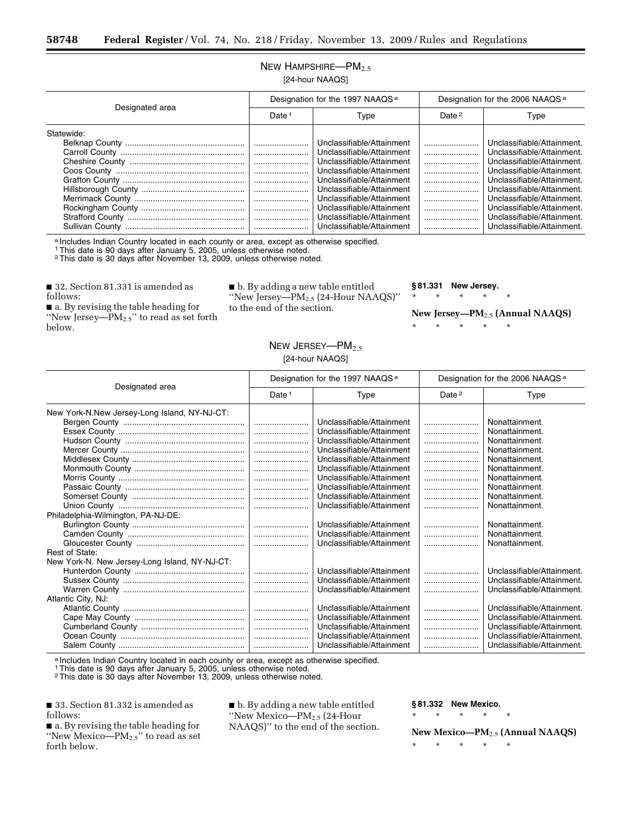## NEW HAMPSHIRE-PM<sub>2.5</sub> [24-hour NAAQS]

| Designated area | Designation for the 1997 NAAQS <sup>a</sup> |                           | Designation for the 2006 NAAQS <sup>a</sup> |                            |
|-----------------|---------------------------------------------|---------------------------|---------------------------------------------|----------------------------|
|                 | Date <sup>1</sup>                           | Type                      | Date <sup>2</sup>                           | Type                       |
| Statewide:      |                                             |                           |                                             |                            |
|                 |                                             | Unclassifiable/Attainment |                                             | Unclassifiable/Attainment. |
|                 |                                             | Unclassifiable/Attainment |                                             | Unclassifiable/Attainment. |
|                 |                                             | Unclassifiable/Attainment |                                             | Unclassifiable/Attainment. |
|                 |                                             | Unclassifiable/Attainment |                                             | Unclassifiable/Attainment. |
|                 |                                             | Unclassifiable/Attainment |                                             | Unclassifiable/Attainment. |
|                 |                                             | Unclassifiable/Attainment |                                             | Unclassifiable/Attainment. |
|                 |                                             | Unclassifiable/Attainment |                                             | Unclassifiable/Attainment. |
|                 |                                             | Unclassifiable/Attainment |                                             | Unclassifiable/Attainment. |
|                 |                                             | Unclassifiable/Attainment |                                             | Unclassifiable/Attainment. |
|                 |                                             | Unclassifiable/Attainment |                                             | Unclassifiable/Attainment. |

a Includes Indian Country located in each county or area, except as otherwise specified.

1This date is 90 days after January 5, 2005, unless otherwise noted.

2This date is 30 days after November 13, 2009, unless otherwise noted.

■ 32. Section 81.331 is amended as follows:

■ a. By revising the table heading for ''New Jersey—PM2.5'' to read as set forth below.

■ b. By adding a new table entitled ''New Jersey—PM2.5 (24-Hour NAAQS)'' to the end of the section.

**§ 81.331 New Jersey.** 

\* \* \* \* \*

\* \* \* \* \*

**New Jersey—PM**2.5 **(Annual NAAQS)** 

#### NEW JERSEY-PM<sub>2.5</sub> [24-hour NAAQS]

| Designated area                               | Designation for the 1997 NAAQS <sup>a</sup> |                           | Designation for the 2006 NAAQS <sup>a</sup> |                            |
|-----------------------------------------------|---------------------------------------------|---------------------------|---------------------------------------------|----------------------------|
|                                               | Date $1$                                    | Type                      | Date $2$                                    | Type                       |
| New York-N.New Jersey-Long Island, NY-NJ-CT:  |                                             |                           |                                             |                            |
|                                               |                                             | Unclassifiable/Attainment |                                             | Nonattainment.             |
|                                               |                                             | Unclassifiable/Attainment |                                             | Nonattainment.             |
|                                               |                                             | Unclassifiable/Attainment |                                             | Nonattainment.             |
|                                               |                                             | Unclassifiable/Attainment |                                             | Nonattainment.             |
|                                               |                                             | Unclassifiable/Attainment |                                             | Nonattainment.             |
|                                               |                                             | Unclassifiable/Attainment |                                             | Nonattainment.             |
|                                               |                                             | Unclassifiable/Attainment |                                             | Nonattainment.             |
|                                               |                                             | Unclassifiable/Attainment |                                             | Nonattainment.             |
|                                               |                                             | Unclassifiable/Attainment |                                             | Nonattainment.             |
|                                               |                                             | Unclassifiable/Attainment |                                             | Nonattainment.             |
| Philadelphia-Wilmington, PA-NJ-DE:            |                                             |                           |                                             |                            |
|                                               |                                             | Unclassifiable/Attainment |                                             | Nonattainment.             |
|                                               |                                             | Unclassifiable/Attainment |                                             | Nonattainment.             |
|                                               |                                             | Unclassifiable/Attainment |                                             | Nonattainment.             |
| Rest of State:                                |                                             |                           |                                             |                            |
| New York-N. New Jersey-Long Island, NY-NJ-CT: |                                             |                           |                                             |                            |
|                                               |                                             | Unclassifiable/Attainment |                                             | Unclassifiable/Attainment. |
|                                               |                                             | Unclassifiable/Attainment |                                             | Unclassifiable/Attainment. |
|                                               |                                             | Unclassifiable/Attainment |                                             | Unclassifiable/Attainment. |
| Atlantic City, NJ:                            |                                             |                           |                                             |                            |
|                                               |                                             | Unclassifiable/Attainment |                                             | Unclassifiable/Attainment. |
|                                               |                                             | Unclassifiable/Attainment |                                             | Unclassifiable/Attainment. |
|                                               |                                             | Unclassifiable/Attainment |                                             | Unclassifiable/Attainment. |
|                                               |                                             | Unclassifiable/Attainment |                                             | Unclassifiable/Attainment. |
|                                               |                                             | Unclassifiable/Attainment |                                             | Unclassifiable/Attainment. |

a Includes Indian Country located in each county or area, except as otherwise specified.

1This date is 90 days after January 5, 2005, unless otherwise noted.

2This date is 30 days after November 13, 2009, unless otherwise noted.

■ 33. Section 81.332 is amended as follows:

■ b. By adding a new table entitled ''New Mexico—PM2.5 (24-Hour NAAQS)'' to the end of the section. **§ 81.332 New Mexico.** 

\* \* \* \* \*

**New Mexico—PM**2.5 **(Annual NAAQS)** 

\* \* \* \* \*

■ a. By revising the table heading for ''New Mexico—PM2.5'' to read as set forth below.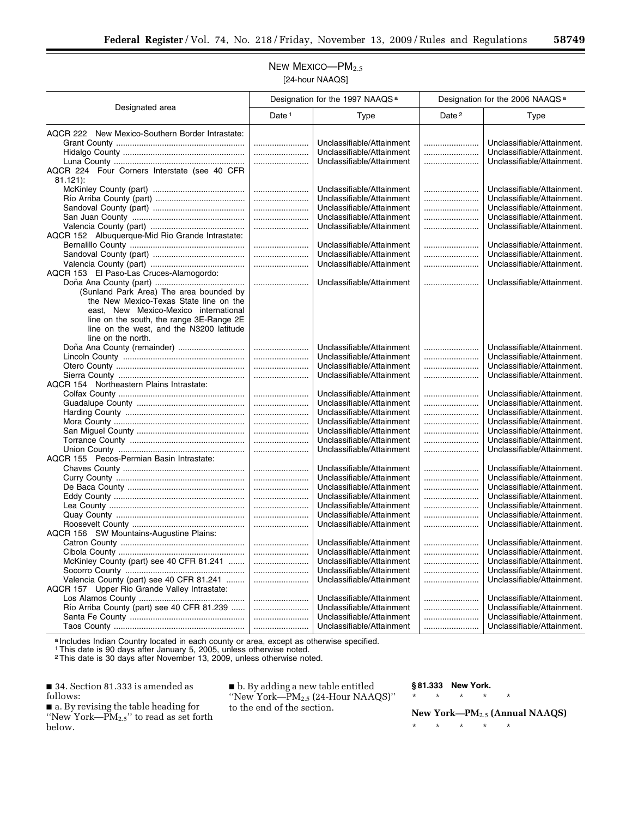## NEW MEXICO-PM<sub>2.5</sub> [24-hour NAAQS]

| Designated area                                                                      | Designation for the 1997 NAAQS <sup>a</sup> |                           | Designation for the 2006 NAAQS <sup>a</sup> |                                                          |
|--------------------------------------------------------------------------------------|---------------------------------------------|---------------------------|---------------------------------------------|----------------------------------------------------------|
|                                                                                      | Date <sup>1</sup>                           | Type                      | Date <sup>2</sup>                           | <b>Type</b>                                              |
| AQCR 222 New Mexico-Southern Border Intrastate:                                      |                                             |                           |                                             |                                                          |
|                                                                                      |                                             | Unclassifiable/Attainment |                                             | Unclassifiable/Attainment.                               |
|                                                                                      |                                             | Unclassifiable/Attainment |                                             | Unclassifiable/Attainment.                               |
|                                                                                      |                                             | Unclassifiable/Attainment |                                             | Unclassifiable/Attainment.                               |
| AQCR 224 Four Corners Interstate (see 40 CFR                                         |                                             |                           |                                             |                                                          |
| $81.121$ :                                                                           |                                             |                           |                                             |                                                          |
|                                                                                      |                                             | Unclassifiable/Attainment |                                             | Unclassifiable/Attainment.                               |
|                                                                                      |                                             | Unclassifiable/Attainment |                                             | Unclassifiable/Attainment.                               |
|                                                                                      |                                             | Unclassifiable/Attainment |                                             | Unclassifiable/Attainment.                               |
|                                                                                      |                                             | Unclassifiable/Attainment |                                             | Unclassifiable/Attainment.                               |
|                                                                                      |                                             | Unclassifiable/Attainment |                                             | Unclassifiable/Attainment.                               |
| AQCR 152 Albuquerque-Mid Rio Grande Intrastate:                                      |                                             |                           |                                             |                                                          |
|                                                                                      |                                             | Unclassifiable/Attainment |                                             | Unclassifiable/Attainment.                               |
|                                                                                      |                                             | Unclassifiable/Attainment |                                             | Unclassifiable/Attainment.                               |
|                                                                                      |                                             | Unclassifiable/Attainment |                                             | Unclassifiable/Attainment.                               |
| AQCR 153 El Paso-Las Cruces-Alamogordo:                                              |                                             |                           |                                             |                                                          |
|                                                                                      |                                             | Unclassifiable/Attainment |                                             | Unclassifiable/Attainment.                               |
| (Sunland Park Area) The area bounded by                                              |                                             |                           |                                             |                                                          |
| the New Mexico-Texas State line on the                                               |                                             |                           |                                             |                                                          |
| east, New Mexico-Mexico international                                                |                                             |                           |                                             |                                                          |
| line on the south, the range 3E-Range 2E<br>line on the west, and the N3200 latitude |                                             |                           |                                             |                                                          |
| line on the north.                                                                   |                                             |                           |                                             |                                                          |
| Doña Ana County (remainder)                                                          |                                             | Unclassifiable/Attainment |                                             | Unclassifiable/Attainment.                               |
|                                                                                      |                                             | Unclassifiable/Attainment |                                             | Unclassifiable/Attainment.                               |
|                                                                                      |                                             | Unclassifiable/Attainment |                                             | Unclassifiable/Attainment.                               |
|                                                                                      |                                             | Unclassifiable/Attainment |                                             | Unclassifiable/Attainment.                               |
| AQCR 154 Northeastern Plains Intrastate:                                             |                                             |                           |                                             |                                                          |
|                                                                                      |                                             | Unclassifiable/Attainment |                                             | Unclassifiable/Attainment.                               |
|                                                                                      |                                             | Unclassifiable/Attainment |                                             | Unclassifiable/Attainment.                               |
|                                                                                      |                                             | Unclassifiable/Attainment |                                             | Unclassifiable/Attainment.                               |
|                                                                                      |                                             | Unclassifiable/Attainment |                                             | Unclassifiable/Attainment.                               |
|                                                                                      |                                             | Unclassifiable/Attainment |                                             | Unclassifiable/Attainment.                               |
|                                                                                      |                                             | Unclassifiable/Attainment |                                             | Unclassifiable/Attainment.                               |
|                                                                                      |                                             | Unclassifiable/Attainment |                                             | Unclassifiable/Attainment.                               |
| AQCR 155 Pecos-Permian Basin Intrastate:                                             |                                             |                           |                                             |                                                          |
|                                                                                      |                                             | Unclassifiable/Attainment |                                             | Unclassifiable/Attainment.                               |
|                                                                                      |                                             | Unclassifiable/Attainment |                                             | Unclassifiable/Attainment.                               |
|                                                                                      |                                             | Unclassifiable/Attainment |                                             | Unclassifiable/Attainment.                               |
|                                                                                      |                                             | Unclassifiable/Attainment |                                             | Unclassifiable/Attainment.                               |
|                                                                                      |                                             | Unclassifiable/Attainment |                                             | Unclassifiable/Attainment.                               |
|                                                                                      |                                             | Unclassifiable/Attainment |                                             | Unclassifiable/Attainment.                               |
|                                                                                      |                                             | Unclassifiable/Attainment |                                             | Unclassifiable/Attainment.                               |
| AQCR 156 SW Mountains-Augustine Plains:                                              |                                             | Unclassifiable/Attainment |                                             | Unclassifiable/Attainment.                               |
|                                                                                      |                                             | Unclassifiable/Attainment |                                             |                                                          |
| McKinley County (part) see 40 CFR 81.241                                             |                                             | Unclassifiable/Attainment |                                             | Unclassifiable/Attainment.<br>Unclassifiable/Attainment. |
|                                                                                      |                                             | Unclassifiable/Attainment |                                             | Unclassifiable/Attainment.                               |
| Valencia County (part) see 40 CFR 81.241                                             |                                             | Unclassifiable/Attainment |                                             | Unclassifiable/Attainment.                               |
| AQCR 157 Upper Rio Grande Valley Intrastate:                                         |                                             |                           |                                             |                                                          |
|                                                                                      |                                             | Unclassifiable/Attainment |                                             | Unclassifiable/Attainment.                               |
| Río Arriba County (part) see 40 CFR 81.239                                           |                                             | Unclassifiable/Attainment |                                             | Unclassifiable/Attainment.                               |
|                                                                                      |                                             | Unclassifiable/Attainment |                                             | Unclassifiable/Attainment.                               |
|                                                                                      |                                             | Unclassifiable/Attainment |                                             | Unclassifiable/Attainment.                               |
|                                                                                      |                                             |                           |                                             |                                                          |

a Includes Indian Country located in each county or area, except as otherwise specified.

1This date is 90 days after January 5, 2005, unless otherwise noted.

2This date is 30 days after November 13, 2009, unless otherwise noted.

■ 34. Section 81.333 is amended as follows:

■ a. By revising the table heading for ''New York—PM2.5'' to read as set forth below.

■ b. By adding a new table entitled ''New York—PM2.5 (24-Hour NAAQS)'' to the end of the section.

**§ 81.333 New York.** 

\* \* \* \* \* **New York—PM**2.5 **(Annual NAAQS)**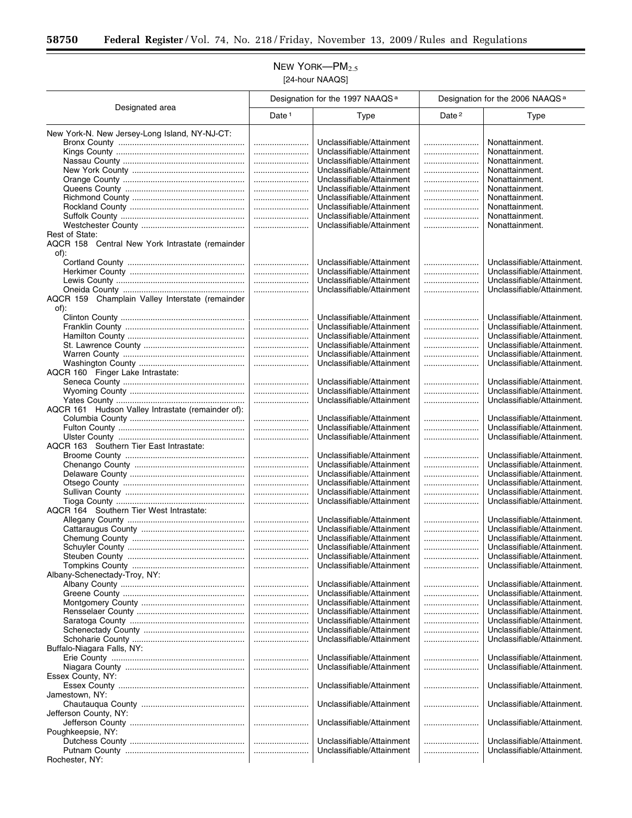#### $New$  YORK- $PM$ <sub>2.5</sub> [24-hour NAAQS]

Designated area Designation for the 1997 NAAQS<sup>a</sup> | Designation for the 2006 NAAQS<sup>a</sup> Date 1 Type 1 Date 2 Type New York-N. New Jersey-Long Island, NY-NJ-CT: Bronx County ....................................................... ........................ Unclassifiable/Attainment ........................ Nonattainment. Kings County ........................................................ ........................ Unclassifiable/Attainment ........................ Nonattainment. Nassau County ..................................................... ........................ Unclassifiable/Attainment ........................ Nonattainment. New York County ................................................. ........................ Unclassifiable/Attainment ........................ Nonattainment. Orange County ..................................................... ........................ Unclassifiable/Attainment ........................ Nonattainment. Queens County .................................................... ........................ Unclassifiable/Attainment ........................ Nonattainment. Richmond County ................................................. ........................ Unclassifiable/Attainment ........................ Nonattainment. Rockland County .................................................. ........................ Unclassifiable/Attainment ........................ Nonattainment. Suffolk County ...................................................... ........................ Unclassifiable/Attainment ........................ Nonattainment. Westchester County ............................................. ........................ Unclassifiable/Attainment ........................ Nonattainment. Rest of State: AQCR 158 Central New York Intrastate (remainder of): Cortland County ................................................... ........................ Unclassifiable/Attainment ........................ Unclassifiable/Attainment. Herkimer County .................................................. ........................ Unclassifiable/Attainment ........................ Unclassifiable/Attainment. Lewis County ........................................................ ........................ Unclassifiable/Attainment ........................ Unclassifiable/Attainment. Oneida County ..................................................... ........................ Unclassifiable/Attainment ........................ Unclassifiable/Attainment. AQCR 159 Champlain Valley Interstate (remainder of): Clinton County ...................................................... ........................ Unclassifiable/Attainment ........................ Unclassifiable/Attainment. Franklin County .................................................... ........................ Unclassifiable/Attainment ........................ Unclassifiable/Attainment. Hamilton County ................................................... ........................ Unclassifiable/Attainment ........................ Unclassifiable/Attainment. St. Lawrence County ............................................ ........................ Unclassifiable/Attainment ........................ Unclassifiable/Attainment. Warren County ..................................................... ........................ Unclassifiable/Attainment ........................ Unclassifiable/Attainment. Washington County .............................................. ........................ Unclassifiable/Attainment ........................ Unclassifiable/Attainment. AQCR 160 Finger Lake Intrastate: Seneca County ..................................................... ........................ Unclassifiable/Attainment ........................ Unclassifiable/Attainment. Wyoming County .................................................. ........................ Unclassifiable/Attainment ........................ Unclassifiable/Attainment. Yates County ........................................................ ........................ Unclassifiable/Attainment ........................ Unclassifiable/Attainment. AQCR 161 Hudson Valley Intrastate (remainder of): Columbia County .................................................. ........................ Unclassifiable/Attainment ........................ Unclassifiable/Attainment. Fulton County ....................................................... ........................ Unclassifiable/Attainment ........................ Unclassifiable/Attainment. Ulster County ....................................................... ........................ Unclassifiable/Attainment ........................ Unclassifiable/Attainment. AQCR 163 Southern Tier East Intrastate: Broome County .................................................... ........................ Unclassifiable/Attainment ........................ Unclassifiable/Attainment. Chenango County ................................................ ........................ Unclassifiable/Attainment ........................ Unclassifiable/Attainment. Delaware County .................................................. ........................ Unclassifiable/Attainment ........................ Unclassifiable/Attainment. Otsego County ..................................................... ........................ Unclassifiable/Attainment ........................ Unclassifiable/Attainment. Sullivan County .................................................... ........................ Unclassifiable/Attainment ........................ Unclassifiable/Attainment. Tioga County ........................................................ ........................ Unclassifiable/Attainment ........................ Unclassifiable/Attainment. AQCR 164 Southern Tier West Intrastate: Allegany County ................................................... ........................ Unclassifiable/Attainment ........................ Unclassifiable/Attainment. Cattaraugus County ............................................. ........................ Unclassifiable/Attainment ........................ Unclassifiable/Attainment. Chemung County ................................................. ........................ Unclassifiable/Attainment ........................ Unclassifiable/Attainment. Schuyler County ................................................... ........................ Unclassifiable/Attainment ........................ Unclassifiable/Attainment. Steuben County ................................................... ........................ Unclassifiable/Attainment ........................ Unclassifiable/Attainment. Tompkins County ................................................. ........................ Unclassifiable/Attainment ........................ Unclassifiable/Attainment. Albany-Schenectady-Troy, NY: Albany County ...................................................... ........................ Unclassifiable/Attainment ........................ Unclassifiable/Attainment. Greene County ..................................................... ........................ Unclassifiable/Attainment ........................ Unclassifiable/Attainment. Montgomery County ............................................. ........................ Unclassifiable/Attainment ........................ Unclassifiable/Attainment. Rensselaer County ............................................... ........................ Unclassifiable/Attainment ........................ Unclassifiable/Attainment. Saratoga County .................................................. ........................ Unclassifiable/Attainment ........................ Unclassifiable/Attainment. Schenectady County ............................................ ........................ Unclassifiable/Attainment ........................ Unclassifiable/Attainment. Schoharie County ................................................. ........................ Unclassifiable/Attainment ........................ Unclassifiable/Attainment. Buffalo-Niagara Falls, NY: Erie County .......................................................... ........................ Unclassifiable/Attainment ........................ Unclassifiable/Attainment. Niagara County .................................................... ........................ Unclassifiable/Attainment ........................ Unclassifiable/Attainment. Essex County, NY: Essex County ....................................................... ........................ Unclassifiable/Attainment ........................ Unclassifiable/Attainment. Jamestown, NY: Chautauqua County ............................................. ........................ Unclassifiable/Attainment ........................ Unclassifiable/Attainment. Jefferson County, NY: Jefferson County .................................................. ........................ Unclassifiable/Attainment ........................ Unclassifiable/Attainment. Poughkeepsie, NY: Dutchess County .................................................. ........................ Unclassifiable/Attainment ........................ Unclassifiable/Attainment. Putnam County .................................................... ........................ Unclassifiable/Attainment ........................ Unclassifiable/Attainment. Rochester, NY: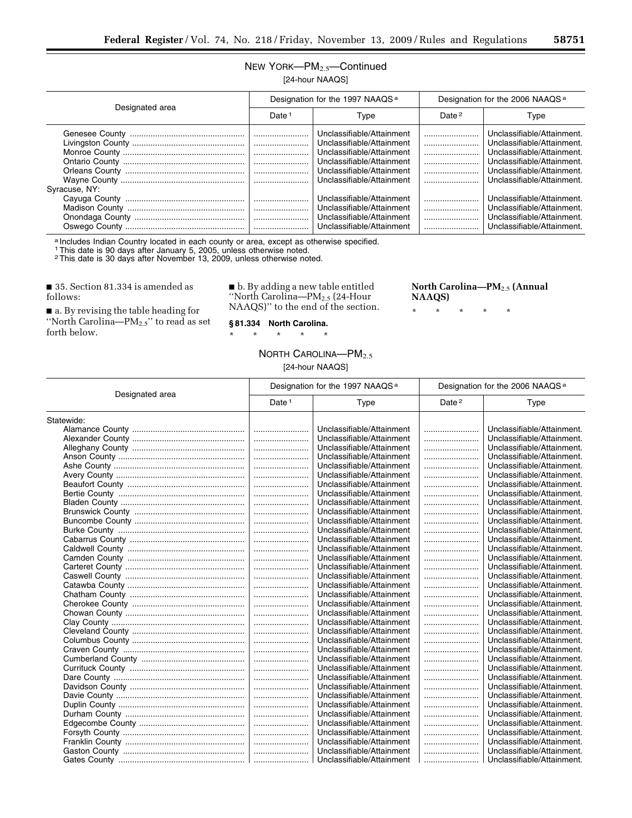## NEW YORK—PM2.5—Continued [24-hour NAAQS]

| Designated area | Designation for the 1997 NAAQS <sup>a</sup> |                                                                                                                                                                            | Designation for the 2006 NAAQS <sup>a</sup> |                                                                                                                                                                                  |
|-----------------|---------------------------------------------|----------------------------------------------------------------------------------------------------------------------------------------------------------------------------|---------------------------------------------|----------------------------------------------------------------------------------------------------------------------------------------------------------------------------------|
|                 | Date <sup>1</sup>                           | Type                                                                                                                                                                       | Date <sup>2</sup>                           | Type                                                                                                                                                                             |
| Syracuse, NY:   |                                             | Unclassifiable/Attainment<br>Unclassifiable/Attainment<br>Unclassifiable/Attainment<br>Unclassifiable/Attainment<br>Unclassifiable/Attainment<br>Unclassifiable/Attainment | <br><br><br><br><br>                        | Unclassifiable/Attainment.<br>Unclassifiable/Attainment.<br>Unclassifiable/Attainment.<br>Unclassifiable/Attainment.<br>Unclassifiable/Attainment.<br>Unclassifiable/Attainment. |
|                 |                                             | Unclassifiable/Attainment<br>Unclassifiable/Attainment<br>Unclassifiable/Attainment<br>Unclassifiable/Attainment                                                           |                                             | Unclassifiable/Attainment.<br>Unclassifiable/Attainment.<br>Unclassifiable/Attainment.<br>Unclassifiable/Attainment.                                                             |

a Includes Indian Country located in each county or area, except as otherwise specified.

1This date is 90 days after January 5, 2005, unless otherwise noted.

2This date is 30 days after November 13, 2009, unless otherwise noted.

■ 35. Section 81.334 is amended as follows:

Ĭ.

■ a. By revising the table heading for "North Carolina— $PM_{2.5}$ " to read as set forth below.

■ b. By adding a new table entitled ''North Carolina—PM2.5 (24-Hour NAAQS)'' to the end of the section.

## **North Carolina—PM**2.5 **(Annual NAAQS)**

\* \* \* \* \*

**§ 81.334 North Carolina.**  \* \* \* \* \*

#### NORTH CAROLINA-PM<sub>2.5</sub> [24-hour NAAQS]

| Designated area | Designation for the 1997 NAAQS <sup>a</sup> |                           | Designation for the 2006 NAAQS <sup>a</sup> |                            |
|-----------------|---------------------------------------------|---------------------------|---------------------------------------------|----------------------------|
|                 | Date <sup>1</sup>                           | Type                      | Date <sup>2</sup>                           | Type                       |
| Statewide:      |                                             |                           |                                             |                            |
|                 |                                             | Unclassifiable/Attainment |                                             | Unclassifiable/Attainment. |
|                 |                                             | Unclassifiable/Attainment |                                             | Unclassifiable/Attainment. |
|                 |                                             | Unclassifiable/Attainment |                                             | Unclassifiable/Attainment. |
|                 |                                             | Unclassifiable/Attainment |                                             | Unclassifiable/Attainment. |
|                 |                                             | Unclassifiable/Attainment |                                             | Unclassifiable/Attainment. |
|                 |                                             | Unclassifiable/Attainment |                                             | Unclassifiable/Attainment. |
|                 |                                             | Unclassifiable/Attainment |                                             | Unclassifiable/Attainment. |
|                 |                                             | Unclassifiable/Attainment |                                             | Unclassifiable/Attainment. |
|                 |                                             | Unclassifiable/Attainment |                                             | Unclassifiable/Attainment. |
|                 |                                             | Unclassifiable/Attainment |                                             | Unclassifiable/Attainment. |
|                 |                                             | Unclassifiable/Attainment |                                             | Unclassifiable/Attainment. |
|                 |                                             | Unclassifiable/Attainment |                                             | Unclassifiable/Attainment. |
|                 |                                             | Unclassifiable/Attainment |                                             | Unclassifiable/Attainment. |
|                 |                                             | Unclassifiable/Attainment |                                             | Unclassifiable/Attainment. |
|                 |                                             | Unclassifiable/Attainment |                                             | Unclassifiable/Attainment. |
|                 |                                             | Unclassifiable/Attainment |                                             | Unclassifiable/Attainment. |
|                 |                                             | Unclassifiable/Attainment |                                             | Unclassifiable/Attainment. |
|                 |                                             | Unclassifiable/Attainment |                                             | Unclassifiable/Attainment. |
|                 |                                             | Unclassifiable/Attainment |                                             | Unclassifiable/Attainment. |
|                 |                                             | Unclassifiable/Attainment |                                             | Unclassifiable/Attainment. |
|                 |                                             | Unclassifiable/Attainment |                                             | Unclassifiable/Attainment. |
|                 |                                             | Unclassifiable/Attainment |                                             | Unclassifiable/Attainment. |
|                 |                                             | Unclassifiable/Attainment |                                             | Unclassifiable/Attainment. |
|                 |                                             | Unclassifiable/Attainment |                                             | Unclassifiable/Attainment. |
|                 |                                             | Unclassifiable/Attainment |                                             | Unclassifiable/Attainment. |
|                 |                                             | Unclassifiable/Attainment |                                             | Unclassifiable/Attainment. |
|                 |                                             | Unclassifiable/Attainment |                                             | Unclassifiable/Attainment. |
|                 |                                             | Unclassifiable/Attainment |                                             | Unclassifiable/Attainment. |
|                 |                                             | Unclassifiable/Attainment |                                             | Unclassifiable/Attainment. |
|                 |                                             | Unclassifiable/Attainment |                                             | Unclassifiable/Attainment. |
|                 |                                             | Unclassifiable/Attainment |                                             | Unclassifiable/Attainment. |
|                 |                                             | Unclassifiable/Attainment |                                             | Unclassifiable/Attainment. |
|                 |                                             | Unclassifiable/Attainment |                                             | Unclassifiable/Attainment. |
|                 |                                             | Unclassifiable/Attainment |                                             | Unclassifiable/Attainment. |
|                 |                                             | Unclassifiable/Attainment |                                             | Unclassifiable/Attainment. |
|                 |                                             | Unclassifiable/Attainment |                                             | Unclassifiable/Attainment. |
|                 |                                             | Unclassifiable/Attainment |                                             | Unclassifiable/Attainment. |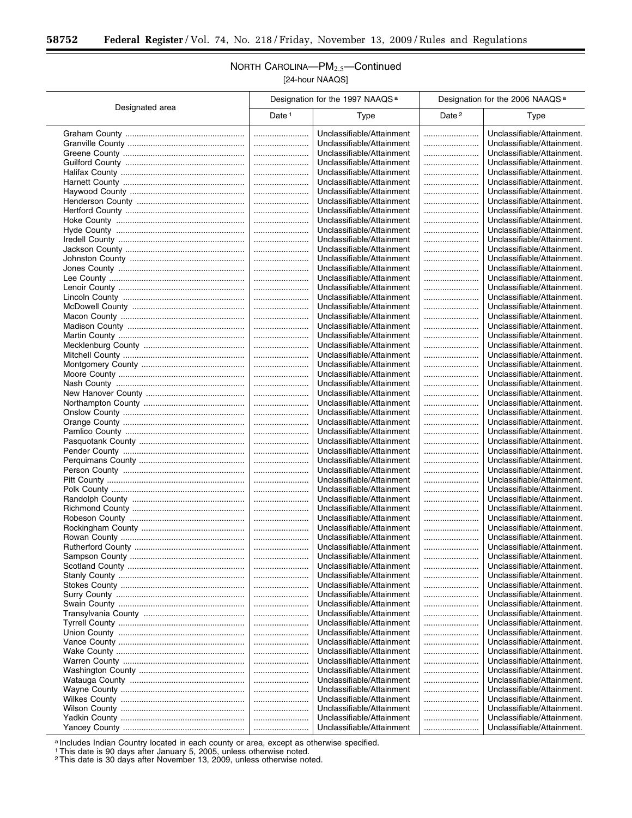Ξ

## NORTH CAROLINA—PM2.5—Continued [24-hour NAAQS]

|                 | Designation for the 1997 NAAQS <sup>a</sup> |                           | Designation for the 2006 NAAQS <sup>a</sup> |                            |
|-----------------|---------------------------------------------|---------------------------|---------------------------------------------|----------------------------|
| Designated area | Date <sup>1</sup>                           | Type                      | Date <sup>2</sup>                           | Type                       |
|                 |                                             | Unclassifiable/Attainment |                                             | Unclassifiable/Attainment. |
|                 |                                             | Unclassifiable/Attainment |                                             | Unclassifiable/Attainment. |
|                 |                                             | Unclassifiable/Attainment |                                             | Unclassifiable/Attainment. |
|                 |                                             | Unclassifiable/Attainment |                                             | Unclassifiable/Attainment. |
|                 |                                             | Unclassifiable/Attainment |                                             | Unclassifiable/Attainment. |
|                 |                                             | Unclassifiable/Attainment |                                             | Unclassifiable/Attainment. |
|                 |                                             | Unclassifiable/Attainment |                                             | Unclassifiable/Attainment. |
|                 |                                             | Unclassifiable/Attainment |                                             | Unclassifiable/Attainment. |
|                 |                                             | Unclassifiable/Attainment |                                             | Unclassifiable/Attainment. |
|                 |                                             | Unclassifiable/Attainment |                                             | Unclassifiable/Attainment. |
|                 |                                             | Unclassifiable/Attainment |                                             | Unclassifiable/Attainment. |
|                 |                                             | Unclassifiable/Attainment |                                             | Unclassifiable/Attainment. |
|                 |                                             | Unclassifiable/Attainment |                                             | Unclassifiable/Attainment. |
|                 |                                             |                           |                                             |                            |
|                 |                                             | Unclassifiable/Attainment |                                             | Unclassifiable/Attainment. |
|                 |                                             | Unclassifiable/Attainment |                                             | Unclassifiable/Attainment. |
|                 |                                             | Unclassifiable/Attainment |                                             | Unclassifiable/Attainment. |
|                 |                                             | Unclassifiable/Attainment |                                             | Unclassifiable/Attainment. |
|                 |                                             | Unclassifiable/Attainment |                                             | Unclassifiable/Attainment. |
|                 |                                             | Unclassifiable/Attainment |                                             | Unclassifiable/Attainment. |
|                 |                                             | Unclassifiable/Attainment |                                             | Unclassifiable/Attainment. |
|                 |                                             | Unclassifiable/Attainment |                                             | Unclassifiable/Attainment. |
|                 |                                             | Unclassifiable/Attainment |                                             | Unclassifiable/Attainment. |
|                 |                                             | Unclassifiable/Attainment |                                             | Unclassifiable/Attainment. |
|                 |                                             | Unclassifiable/Attainment |                                             | Unclassifiable/Attainment. |
|                 |                                             | Unclassifiable/Attainment |                                             | Unclassifiable/Attainment. |
|                 |                                             | Unclassifiable/Attainment |                                             | Unclassifiable/Attainment. |
|                 |                                             | Unclassifiable/Attainment |                                             | Unclassifiable/Attainment. |
|                 |                                             | Unclassifiable/Attainment |                                             | Unclassifiable/Attainment. |
|                 |                                             | Unclassifiable/Attainment |                                             | Unclassifiable/Attainment. |
|                 |                                             | Unclassifiable/Attainment |                                             | Unclassifiable/Attainment. |
|                 |                                             | Unclassifiable/Attainment |                                             | Unclassifiable/Attainment. |
|                 |                                             | Unclassifiable/Attainment |                                             | Unclassifiable/Attainment. |
|                 |                                             | Unclassifiable/Attainment |                                             | Unclassifiable/Attainment. |
|                 |                                             | Unclassifiable/Attainment |                                             | Unclassifiable/Attainment. |
|                 |                                             | Unclassifiable/Attainment |                                             | Unclassifiable/Attainment. |
|                 |                                             | Unclassifiable/Attainment |                                             | Unclassifiable/Attainment. |
|                 |                                             | Unclassifiable/Attainment |                                             | Unclassifiable/Attainment. |
|                 |                                             | Unclassifiable/Attainment |                                             | Unclassifiable/Attainment. |
|                 |                                             | Unclassifiable/Attainment |                                             | Unclassifiable/Attainment. |
|                 |                                             | Unclassifiable/Attainment |                                             | Unclassifiable/Attainment. |
|                 |                                             | Unclassifiable/Attainment |                                             | Unclassifiable/Attainment. |
|                 |                                             | Unclassifiable/Attainment |                                             | Unclassifiable/Attainment. |
|                 |                                             | Unclassifiable/Attainment |                                             | Unclassifiable/Attainment. |
|                 |                                             | Unclassifiable/Attainment |                                             | Unclassifiable/Attainment. |
|                 |                                             | Unclassifiable/Attainment |                                             | Unclassifiable/Attainment. |
|                 |                                             | Unclassifiable/Attainment |                                             | Unclassifiable/Attainment. |
|                 |                                             | Unclassifiable/Attainment |                                             | Unclassifiable/Attainment. |
|                 |                                             | Unclassifiable/Attainment |                                             | Unclassifiable/Attainment. |
|                 |                                             | Unclassifiable/Attainment |                                             | Unclassifiable/Attainment. |
|                 |                                             | Unclassifiable/Attainment |                                             | Unclassifiable/Attainment. |
|                 |                                             | Unclassifiable/Attainment |                                             | Unclassifiable/Attainment. |
|                 |                                             | Unclassifiable/Attainment |                                             | Unclassifiable/Attainment. |
|                 |                                             | Unclassifiable/Attainment |                                             | Unclassifiable/Attainment. |
|                 |                                             | Unclassifiable/Attainment |                                             | Unclassifiable/Attainment. |
|                 |                                             | Unclassifiable/Attainment |                                             | Unclassifiable/Attainment. |
|                 |                                             | Unclassifiable/Attainment |                                             | Unclassifiable/Attainment. |
|                 |                                             | Unclassifiable/Attainment |                                             | Unclassifiable/Attainment. |
|                 |                                             | Unclassifiable/Attainment |                                             | Unclassifiable/Attainment. |
|                 |                                             | Unclassifiable/Attainment |                                             | Unclassifiable/Attainment. |
|                 |                                             | Unclassifiable/Attainment |                                             | Unclassifiable/Attainment. |
|                 |                                             | Unclassifiable/Attainment |                                             | Unclassifiable/Attainment. |
|                 |                                             | Unclassifiable/Attainment |                                             | Unclassifiable/Attainment. |
|                 |                                             | Unclassifiable/Attainment |                                             | Unclassifiable/Attainment. |

a Includes Indian Country located in each county or area, except as otherwise specified.

1This date is 90 days after January 5, 2005, unless otherwise noted.

2This date is 30 days after November 13, 2009, unless otherwise noted.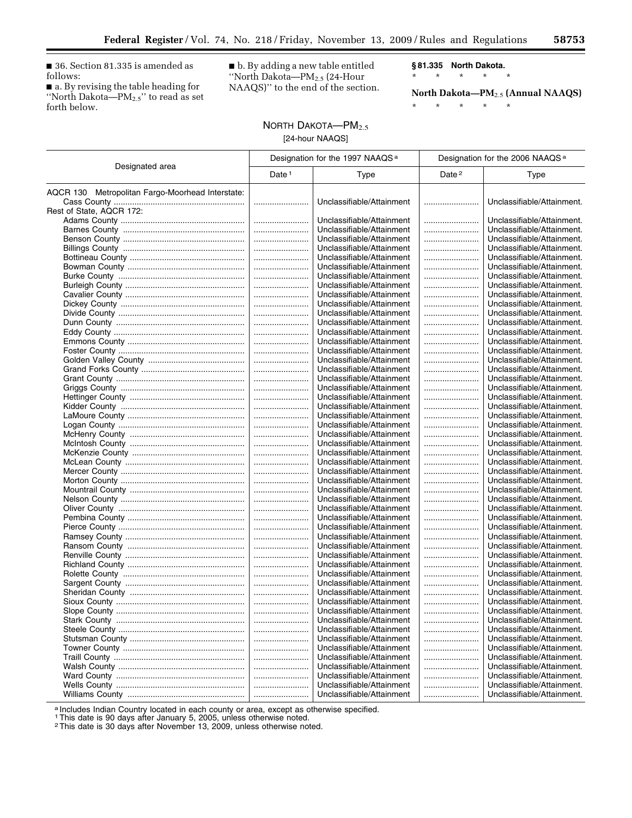■ 36. Section 81.335 is amended as follows:

■ a. By revising the table heading for ''North Dakota—PM2.5'' to read as set forth below.

■ b. By adding a new table entitled ''North Dakota—PM2.5 (24-Hour NAAQS)'' to the end of the section. **§ 81.335 North Dakota.** 

\* \* \* \* \*

\* \* \* \* \* **North Dakota—PM**2.5 **(Annual NAAQS)** 

#### NORTH DAKOTA-PM<sub>2.5</sub> [24-hour NAAQS]

| Designated area                                  | Designation for the 1997 NAAQS <sup>a</sup> |                           | Designation for the 2006 NAAQS <sup>a</sup> |                            |
|--------------------------------------------------|---------------------------------------------|---------------------------|---------------------------------------------|----------------------------|
|                                                  | Date $1$                                    | <b>Type</b>               | Date <sup>2</sup>                           | Type                       |
| AQCR 130 Metropolitan Fargo-Moorhead Interstate: |                                             |                           |                                             |                            |
|                                                  |                                             | Unclassifiable/Attainment |                                             | Unclassifiable/Attainment. |
| Rest of State, AQCR 172:                         |                                             |                           |                                             |                            |
|                                                  |                                             | Unclassifiable/Attainment |                                             | Unclassifiable/Attainment. |
|                                                  |                                             | Unclassifiable/Attainment |                                             | Unclassifiable/Attainment. |
|                                                  |                                             | Unclassifiable/Attainment |                                             | Unclassifiable/Attainment. |
|                                                  |                                             | Unclassifiable/Attainment |                                             | Unclassifiable/Attainment. |
|                                                  |                                             | Unclassifiable/Attainment |                                             | Unclassifiable/Attainment. |
|                                                  |                                             | Unclassifiable/Attainment |                                             | Unclassifiable/Attainment. |
|                                                  |                                             | Unclassifiable/Attainment |                                             | Unclassifiable/Attainment. |
|                                                  |                                             | Unclassifiable/Attainment |                                             | Unclassifiable/Attainment. |
|                                                  |                                             | Unclassifiable/Attainment |                                             | Unclassifiable/Attainment. |
|                                                  |                                             | Unclassifiable/Attainment |                                             | Unclassifiable/Attainment. |
|                                                  |                                             | Unclassifiable/Attainment |                                             | Unclassifiable/Attainment. |
|                                                  |                                             | Unclassifiable/Attainment |                                             | Unclassifiable/Attainment. |
|                                                  |                                             | Unclassifiable/Attainment |                                             | Unclassifiable/Attainment. |
|                                                  |                                             | Unclassifiable/Attainment |                                             | Unclassifiable/Attainment. |
|                                                  |                                             | Unclassifiable/Attainment |                                             | Unclassifiable/Attainment. |
|                                                  |                                             | Unclassifiable/Attainment |                                             | Unclassifiable/Attainment. |
|                                                  |                                             | Unclassifiable/Attainment |                                             | Unclassifiable/Attainment. |
|                                                  |                                             | Unclassifiable/Attainment |                                             | Unclassifiable/Attainment. |
|                                                  |                                             | Unclassifiable/Attainment |                                             | Unclassifiable/Attainment. |
|                                                  |                                             | Unclassifiable/Attainment |                                             | Unclassifiable/Attainment. |
|                                                  |                                             | Unclassifiable/Attainment |                                             | Unclassifiable/Attainment. |
|                                                  |                                             | Unclassifiable/Attainment |                                             | Unclassifiable/Attainment. |
|                                                  |                                             | Unclassifiable/Attainment |                                             | Unclassifiable/Attainment. |
|                                                  |                                             | Unclassifiable/Attainment |                                             | Unclassifiable/Attainment. |
|                                                  |                                             | Unclassifiable/Attainment |                                             | Unclassifiable/Attainment. |
|                                                  |                                             | Unclassifiable/Attainment |                                             | Unclassifiable/Attainment. |
|                                                  |                                             | Unclassifiable/Attainment |                                             | Unclassifiable/Attainment. |
|                                                  |                                             | Unclassifiable/Attainment |                                             | Unclassifiable/Attainment. |
|                                                  |                                             | Unclassifiable/Attainment |                                             | Unclassifiable/Attainment. |
|                                                  |                                             | Unclassifiable/Attainment |                                             | Unclassifiable/Attainment. |
|                                                  |                                             | Unclassifiable/Attainment |                                             | Unclassifiable/Attainment. |
|                                                  |                                             | Unclassifiable/Attainment |                                             | Unclassifiable/Attainment. |
|                                                  |                                             | Unclassifiable/Attainment |                                             | Unclassifiable/Attainment. |
|                                                  |                                             | Unclassifiable/Attainment |                                             | Unclassifiable/Attainment. |
|                                                  |                                             | Unclassifiable/Attainment |                                             | Unclassifiable/Attainment. |
|                                                  |                                             | Unclassifiable/Attainment |                                             | Unclassifiable/Attainment. |
|                                                  |                                             | Unclassifiable/Attainment |                                             | Unclassifiable/Attainment. |
|                                                  |                                             | Unclassifiable/Attainment |                                             | Unclassifiable/Attainment. |
|                                                  |                                             | Unclassifiable/Attainment |                                             | Unclassifiable/Attainment. |
|                                                  |                                             | Unclassifiable/Attainment |                                             | Unclassifiable/Attainment. |
|                                                  |                                             | Unclassifiable/Attainment |                                             | Unclassifiable/Attainment. |
|                                                  |                                             | Unclassifiable/Attainment |                                             | Unclassifiable/Attainment. |
|                                                  |                                             | Unclassifiable/Attainment | .                                           | Unclassifiable/Attainment. |
|                                                  |                                             | Unclassifiable/Attainment |                                             | Unclassifiable/Attainment. |
|                                                  |                                             | Unclassifiable/Attainment |                                             | Unclassifiable/Attainment. |
|                                                  |                                             | Unclassifiable/Attainment |                                             | Unclassifiable/Attainment. |
|                                                  |                                             | Unclassifiable/Attainment |                                             | Unclassifiable/Attainment. |
|                                                  |                                             | Unclassifiable/Attainment |                                             | Unclassifiable/Attainment. |
|                                                  |                                             | Unclassifiable/Attainment |                                             | Unclassifiable/Attainment. |
|                                                  |                                             | Unclassifiable/Attainment |                                             | Unclassifiable/Attainment. |
|                                                  |                                             | Unclassifiable/Attainment |                                             | Unclassifiable/Attainment. |
|                                                  |                                             | Unclassifiable/Attainment |                                             | Unclassifiable/Attainment. |

a Includes Indian Country located in each county or area, except as otherwise specified.

1This date is 90 days after January 5, 2005, unless otherwise noted. 2This date is 30 days after November 13, 2009, unless otherwise noted.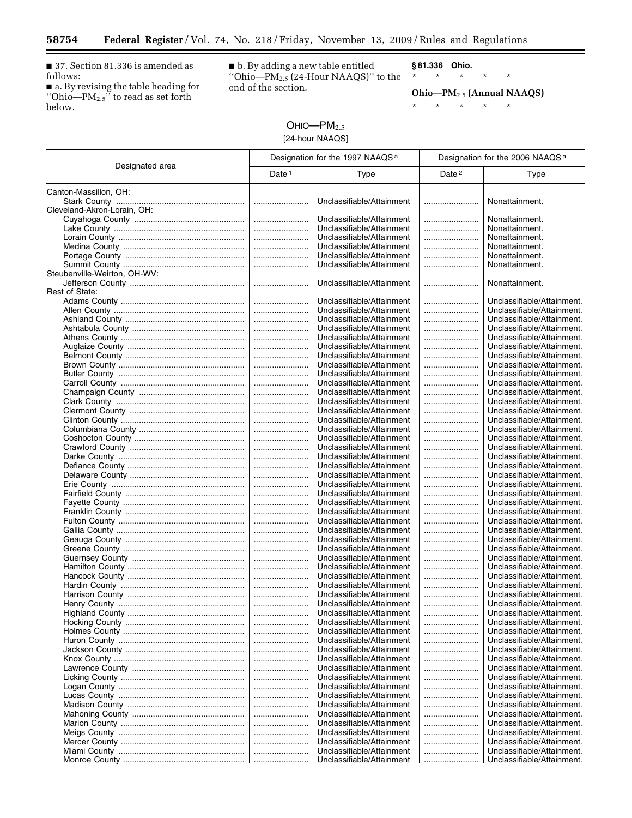■ 37. Section 81.336 is amended as follows:

 $\equiv$ 

■ a. By revising the table heading for ''Ohio—PM2.5'' to read as set forth below.

■ b. By adding a new table entitled ''Ohio—PM2.5 (24-Hour NAAQS)'' to the end of the section.

**§ 81.336 Ohio.** 

\* \* \* \* \*

**Ohio—PM**2.5 **(Annual NAAQS)** 

\* \* \* \* \*

# $OHIO—PM<sub>2.5</sub>$ [24-hour NAAQS]

|                              | Designation for the 1997 NAAQS <sup>a</sup> |                                                        | Designation for the 2006 NAAQS <sup>a</sup> |                                                          |
|------------------------------|---------------------------------------------|--------------------------------------------------------|---------------------------------------------|----------------------------------------------------------|
| Designated area              | Date $1$                                    | Type                                                   | Date <sup>2</sup>                           | Type                                                     |
| Canton-Massillon, OH:        |                                             |                                                        |                                             |                                                          |
|                              |                                             | Unclassifiable/Attainment                              |                                             | Nonattainment.                                           |
| Cleveland-Akron-Lorain, OH:  |                                             |                                                        |                                             |                                                          |
|                              |                                             | Unclassifiable/Attainment                              |                                             | Nonattainment.                                           |
|                              |                                             | Unclassifiable/Attainment                              |                                             | Nonattainment.                                           |
|                              |                                             | Unclassifiable/Attainment                              |                                             | Nonattainment.                                           |
|                              |                                             | Unclassifiable/Attainment                              |                                             | Nonattainment.                                           |
|                              | <br>                                        | Unclassifiable/Attainment<br>Unclassifiable/Attainment |                                             | Nonattainment.<br>Nonattainment.                         |
| Steubenville-Weirton, OH-WV: |                                             |                                                        |                                             |                                                          |
|                              |                                             | Unclassifiable/Attainment                              |                                             | Nonattainment.                                           |
| Rest of State:               |                                             |                                                        |                                             |                                                          |
|                              |                                             | Unclassifiable/Attainment                              |                                             | Unclassifiable/Attainment.                               |
|                              |                                             | Unclassifiable/Attainment                              |                                             | Unclassifiable/Attainment.                               |
|                              |                                             | Unclassifiable/Attainment                              |                                             | Unclassifiable/Attainment.                               |
|                              |                                             | Unclassifiable/Attainment                              |                                             | Unclassifiable/Attainment.                               |
|                              |                                             | Unclassifiable/Attainment                              |                                             | Unclassifiable/Attainment.                               |
|                              |                                             | Unclassifiable/Attainment                              |                                             | Unclassifiable/Attainment.                               |
|                              | <br>                                        | Unclassifiable/Attainment<br>Unclassifiable/Attainment |                                             | Unclassifiable/Attainment.<br>Unclassifiable/Attainment. |
|                              |                                             | Unclassifiable/Attainment                              |                                             | Unclassifiable/Attainment.                               |
|                              |                                             | Unclassifiable/Attainment                              |                                             | Unclassifiable/Attainment.                               |
|                              |                                             | Unclassifiable/Attainment                              |                                             | Unclassifiable/Attainment.                               |
|                              |                                             | Unclassifiable/Attainment                              |                                             | Unclassifiable/Attainment.                               |
|                              |                                             | Unclassifiable/Attainment                              |                                             | Unclassifiable/Attainment.                               |
|                              |                                             | Unclassifiable/Attainment                              |                                             | Unclassifiable/Attainment.                               |
|                              |                                             | Unclassifiable/Attainment                              |                                             | Unclassifiable/Attainment.                               |
|                              |                                             | Unclassifiable/Attainment                              |                                             | Unclassifiable/Attainment.                               |
|                              |                                             | Unclassifiable/Attainment                              |                                             | Unclassifiable/Attainment.                               |
|                              |                                             | Unclassifiable/Attainment                              |                                             | Unclassifiable/Attainment.                               |
|                              |                                             | Unclassifiable/Attainment<br>Unclassifiable/Attainment |                                             | Unclassifiable/Attainment.<br>Unclassifiable/Attainment. |
|                              | <br>                                        | Unclassifiable/Attainment                              | <br>                                        | Unclassifiable/Attainment.                               |
|                              |                                             | Unclassifiable/Attainment                              |                                             | Unclassifiable/Attainment.                               |
|                              |                                             | Unclassifiable/Attainment                              |                                             | Unclassifiable/Attainment.                               |
|                              |                                             | Unclassifiable/Attainment                              |                                             | Unclassifiable/Attainment.                               |
|                              |                                             | Unclassifiable/Attainment                              |                                             | Unclassifiable/Attainment.                               |
|                              |                                             | Unclassifiable/Attainment                              |                                             | Unclassifiable/Attainment.                               |
|                              |                                             | Unclassifiable/Attainment                              |                                             | Unclassifiable/Attainment.                               |
|                              |                                             | Unclassifiable/Attainment                              |                                             | Unclassifiable/Attainment.                               |
|                              |                                             | Unclassifiable/Attainment                              |                                             | Unclassifiable/Attainment.                               |
|                              |                                             | Unclassifiable/Attainment<br>Unclassifiable/Attainment |                                             | Unclassifiable/Attainment.<br>Unclassifiable/Attainment. |
|                              |                                             | Unclassifiable/Attainment                              |                                             | Unclassifiable/Attainment.                               |
|                              |                                             | Unclassifiable/Attainment                              |                                             | Unclassifiable/Attainment.                               |
|                              |                                             | Unclassifiable/Attainment                              |                                             | Unclassifiable/Attainment.                               |
|                              |                                             | Unclassifiable/Attainment                              |                                             | Unclassifiable/Attainment.                               |
|                              |                                             | Unclassifiable/Attainment                              |                                             | Unclassifiable/Attainment.                               |
|                              |                                             | Unclassifiable/Attainment                              |                                             | Unclassifiable/Attainment.                               |
|                              |                                             | Unclassifiable/Attainment                              |                                             | Unclassifiable/Attainment.                               |
|                              |                                             | Unclassifiable/Attainment                              |                                             | Unclassifiable/Attainment.                               |
|                              |                                             | Unclassifiable/Attainment                              |                                             | Unclassifiable/Attainment.                               |
|                              |                                             | Unclassifiable/Attainment                              |                                             | Unclassifiable/Attainment.                               |
|                              |                                             | Unclassifiable/Attainment                              |                                             | Unclassifiable/Attainment.                               |
|                              |                                             | Unclassifiable/Attainment<br>Unclassifiable/Attainment | <br>                                        | Unclassifiable/Attainment.<br>Unclassifiable/Attainment. |
|                              |                                             | Unclassifiable/Attainment                              |                                             | Unclassifiable/Attainment.                               |
|                              |                                             | Unclassifiable/Attainment                              |                                             | Unclassifiable/Attainment.                               |
|                              |                                             | Unclassifiable/Attainment                              |                                             | Unclassifiable/Attainment.                               |
|                              |                                             | Unclassifiable/Attainment                              |                                             | Unclassifiable/Attainment.                               |
|                              |                                             | Unclassifiable/Attainment                              |                                             | Unclassifiable/Attainment.                               |
|                              |                                             | Unclassifiable/Attainment                              |                                             | Unclassifiable/Attainment.                               |
|                              |                                             | Unclassifiable/Attainment                              |                                             | Unclassifiable/Attainment.                               |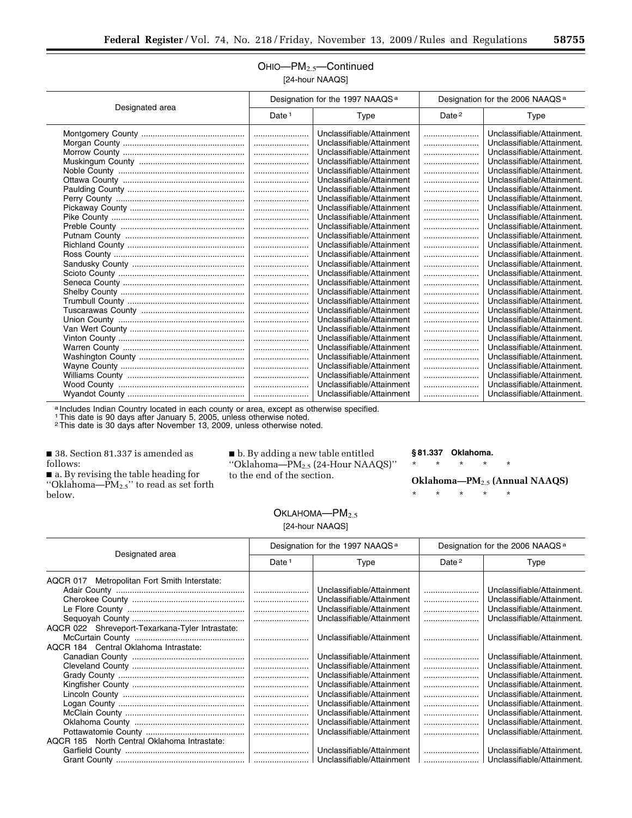#### OHIO—PM2.5—Continued [24-hour NAAQS]

| Designated area | Designation for the 1997 NAAQS <sup>a</sup> |                           | Designation for the 2006 NAAQS <sup>a</sup> |                            |
|-----------------|---------------------------------------------|---------------------------|---------------------------------------------|----------------------------|
|                 | Date $1$                                    | Type                      | Date <sup>2</sup>                           | Type                       |
|                 |                                             | Unclassifiable/Attainment |                                             | Unclassifiable/Attainment. |
|                 |                                             | Unclassifiable/Attainment |                                             | Unclassifiable/Attainment. |
|                 |                                             | Unclassifiable/Attainment |                                             | Unclassifiable/Attainment. |
|                 |                                             | Unclassifiable/Attainment |                                             | Unclassifiable/Attainment. |
|                 |                                             | Unclassifiable/Attainment |                                             | Unclassifiable/Attainment. |
|                 |                                             | Unclassifiable/Attainment |                                             | Unclassifiable/Attainment. |
|                 |                                             | Unclassifiable/Attainment |                                             | Unclassifiable/Attainment. |
|                 |                                             | Unclassifiable/Attainment |                                             | Unclassifiable/Attainment. |
|                 |                                             | Unclassifiable/Attainment |                                             | Unclassifiable/Attainment. |
|                 |                                             | Unclassifiable/Attainment |                                             | Unclassifiable/Attainment. |
|                 |                                             | Unclassifiable/Attainment |                                             | Unclassifiable/Attainment. |
|                 |                                             | Unclassifiable/Attainment |                                             | Unclassifiable/Attainment. |
|                 |                                             | Unclassifiable/Attainment |                                             | Unclassifiable/Attainment. |
|                 |                                             | Unclassifiable/Attainment |                                             | Unclassifiable/Attainment. |
|                 |                                             | Unclassifiable/Attainment |                                             | Unclassifiable/Attainment. |
|                 |                                             | Unclassifiable/Attainment |                                             | Unclassifiable/Attainment. |
|                 |                                             | Unclassifiable/Attainment |                                             | Unclassifiable/Attainment. |
|                 |                                             | Unclassifiable/Attainment |                                             | Unclassifiable/Attainment. |
|                 |                                             | Unclassifiable/Attainment |                                             | Unclassifiable/Attainment. |
|                 |                                             | Unclassifiable/Attainment |                                             | Unclassifiable/Attainment. |
|                 |                                             | Unclassifiable/Attainment |                                             | Unclassifiable/Attainment. |
|                 |                                             | Unclassifiable/Attainment |                                             | Unclassifiable/Attainment. |
|                 |                                             | Unclassifiable/Attainment |                                             | Unclassifiable/Attainment. |
|                 |                                             | Unclassifiable/Attainment |                                             | Unclassifiable/Attainment. |
|                 |                                             | Unclassifiable/Attainment |                                             | Unclassifiable/Attainment. |
|                 |                                             | Unclassifiable/Attainment |                                             | Unclassifiable/Attainment. |
|                 |                                             | Unclassifiable/Attainment |                                             | Unclassifiable/Attainment. |
|                 |                                             | Unclassifiable/Attainment |                                             | Unclassifiable/Attainment. |
|                 |                                             | Unclassifiable/Attainment |                                             | Unclassifiable/Attainment. |

a Includes Indian Country located in each county or area, except as otherwise specified.

1This date is 90 days after January 5, 2005, unless otherwise noted.

2This date is 30 days after November 13, 2009, unless otherwise noted.

■ 38. Section 81.337 is amended as follows:

■ a. By revising the table heading for "Oklahoma— $PM_{2.5}$ " to read as set forth below.

■ b. By adding a new table entitled ''Oklahoma—PM2.5 (24-Hour NAAQS)'' to the end of the section.

#### **§ 81.337 Oklahoma.**

\* \* \* \* \*

\* \* \* \* \*

**Oklahoma—PM**2.5 **(Annual NAAQS)** 

 $OKLAHOMA—PM<sub>2.5</sub>$ [24-hour NAAQS]

| Designated area                                 | Designation for the 1997 NAAQS <sup>a</sup> |                           | Designation for the 2006 NAAQS <sup>a</sup> |                            |
|-------------------------------------------------|---------------------------------------------|---------------------------|---------------------------------------------|----------------------------|
|                                                 | Date <sup>1</sup>                           | Type                      | Date $2$                                    | Type                       |
| AQCR 017 Metropolitan Fort Smith Interstate:    |                                             |                           |                                             |                            |
|                                                 |                                             | Unclassifiable/Attainment |                                             | Unclassifiable/Attainment. |
|                                                 |                                             | Unclassifiable/Attainment |                                             | Unclassifiable/Attainment. |
|                                                 |                                             | Unclassifiable/Attainment |                                             | Unclassifiable/Attainment. |
|                                                 |                                             | Unclassifiable/Attainment |                                             | Unclassifiable/Attainment. |
| AQCR 022 Shreveport-Texarkana-Tyler Intrastate: |                                             |                           |                                             |                            |
|                                                 |                                             | Unclassifiable/Attainment |                                             | Unclassifiable/Attainment. |
| AQCR 184 Central Oklahoma Intrastate:           |                                             |                           |                                             |                            |
|                                                 |                                             | Unclassifiable/Attainment |                                             | Unclassifiable/Attainment. |
|                                                 |                                             | Unclassifiable/Attainment |                                             | Unclassifiable/Attainment. |
|                                                 |                                             | Unclassifiable/Attainment |                                             | Unclassifiable/Attainment. |
|                                                 |                                             | Unclassifiable/Attainment |                                             | Unclassifiable/Attainment. |
|                                                 |                                             | Unclassifiable/Attainment |                                             | Unclassifiable/Attainment. |
|                                                 |                                             | Unclassifiable/Attainment |                                             | Unclassifiable/Attainment. |
|                                                 |                                             | Unclassifiable/Attainment |                                             | Unclassifiable/Attainment. |
|                                                 |                                             | Unclassifiable/Attainment |                                             | Unclassifiable/Attainment. |
|                                                 |                                             | Unclassifiable/Attainment |                                             | Unclassifiable/Attainment. |
| AQCR 185 North Central Oklahoma Intrastate:     |                                             |                           |                                             |                            |
|                                                 |                                             | Unclassifiable/Attainment |                                             | Unclassifiable/Attainment. |
|                                                 |                                             | Unclassifiable/Attainment |                                             | Unclassifiable/Attainment. |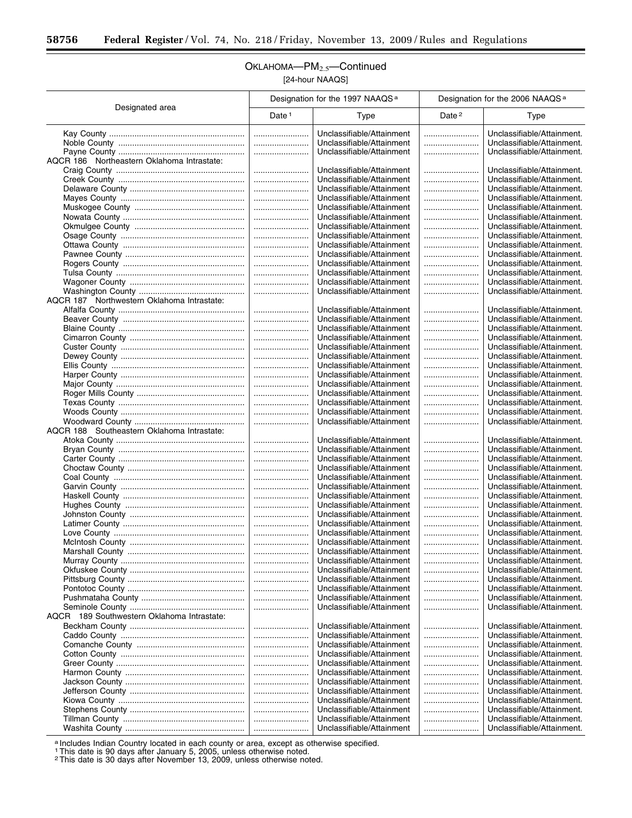Ξ

## OKLAHOMA-PM<sub>2.5</sub>-Continued [24-hour NAAQS]

|                                            | Designation for the 1997 NAAQS <sup>a</sup> |                                                        | Designation for the 2006 NAAQS <sup>a</sup> |                                                          |
|--------------------------------------------|---------------------------------------------|--------------------------------------------------------|---------------------------------------------|----------------------------------------------------------|
| Designated area                            | Date $1$                                    | Type                                                   | Date <sup>2</sup>                           | Type                                                     |
|                                            |                                             | Unclassifiable/Attainment                              |                                             | Unclassifiable/Attainment.                               |
|                                            |                                             | Unclassifiable/Attainment                              |                                             | Unclassifiable/Attainment.                               |
|                                            |                                             | Unclassifiable/Attainment                              |                                             | Unclassifiable/Attainment.                               |
| AQCR 186 Northeastern Oklahoma Intrastate: |                                             |                                                        |                                             |                                                          |
|                                            |                                             | Unclassifiable/Attainment                              |                                             | Unclassifiable/Attainment.                               |
|                                            |                                             | Unclassifiable/Attainment                              |                                             | Unclassifiable/Attainment.                               |
|                                            |                                             | Unclassifiable/Attainment                              |                                             | Unclassifiable/Attainment.                               |
|                                            |                                             | Unclassifiable/Attainment                              |                                             | Unclassifiable/Attainment.                               |
|                                            |                                             | Unclassifiable/Attainment                              |                                             | Unclassifiable/Attainment.                               |
|                                            |                                             | Unclassifiable/Attainment                              |                                             | Unclassifiable/Attainment.                               |
|                                            |                                             | Unclassifiable/Attainment                              |                                             | Unclassifiable/Attainment.                               |
|                                            |                                             | Unclassifiable/Attainment<br>Unclassifiable/Attainment |                                             | Unclassifiable/Attainment.<br>Unclassifiable/Attainment. |
|                                            | <br>                                        | Unclassifiable/Attainment                              |                                             | Unclassifiable/Attainment.                               |
|                                            |                                             | Unclassifiable/Attainment                              |                                             | Unclassifiable/Attainment.                               |
|                                            |                                             | Unclassifiable/Attainment                              |                                             | Unclassifiable/Attainment.                               |
|                                            |                                             | Unclassifiable/Attainment                              |                                             | Unclassifiable/Attainment.                               |
|                                            |                                             | Unclassifiable/Attainment                              |                                             | Unclassifiable/Attainment.                               |
| AQCR 187 Northwestern Oklahoma Intrastate: |                                             |                                                        |                                             |                                                          |
|                                            |                                             | Unclassifiable/Attainment                              |                                             | Unclassifiable/Attainment.                               |
|                                            |                                             | Unclassifiable/Attainment                              |                                             | Unclassifiable/Attainment.                               |
|                                            |                                             | Unclassifiable/Attainment                              |                                             | Unclassifiable/Attainment.                               |
|                                            |                                             | Unclassifiable/Attainment                              |                                             | Unclassifiable/Attainment.                               |
|                                            |                                             | Unclassifiable/Attainment                              |                                             | Unclassifiable/Attainment.                               |
|                                            |                                             | Unclassifiable/Attainment                              |                                             | Unclassifiable/Attainment.                               |
|                                            |                                             | Unclassifiable/Attainment                              |                                             | Unclassifiable/Attainment.<br>Unclassifiable/Attainment. |
|                                            |                                             | Unclassifiable/Attainment<br>Unclassifiable/Attainment |                                             | Unclassifiable/Attainment.                               |
|                                            | <br>                                        | Unclassifiable/Attainment                              |                                             | Unclassifiable/Attainment.                               |
|                                            |                                             | Unclassifiable/Attainment                              |                                             | Unclassifiable/Attainment.                               |
|                                            |                                             | Unclassifiable/Attainment                              |                                             | Unclassifiable/Attainment.                               |
|                                            |                                             | Unclassifiable/Attainment                              |                                             | Unclassifiable/Attainment.                               |
| AQCR 188 Southeastern Oklahoma Intrastate: |                                             |                                                        |                                             |                                                          |
|                                            |                                             | Unclassifiable/Attainment                              |                                             | Unclassifiable/Attainment.                               |
|                                            |                                             | Unclassifiable/Attainment                              |                                             | Unclassifiable/Attainment.                               |
|                                            |                                             | Unclassifiable/Attainment                              |                                             | Unclassifiable/Attainment.                               |
|                                            |                                             | Unclassifiable/Attainment                              |                                             | Unclassifiable/Attainment.                               |
|                                            |                                             | Unclassifiable/Attainment                              |                                             | Unclassifiable/Attainment.                               |
|                                            |                                             | Unclassifiable/Attainment<br>Unclassifiable/Attainment |                                             | Unclassifiable/Attainment.<br>Unclassifiable/Attainment. |
|                                            | <br>                                        | Unclassifiable/Attainment                              |                                             | Unclassifiable/Attainment.                               |
|                                            |                                             | Unclassifiable/Attainment                              |                                             | Unclassifiable/Attainment.                               |
|                                            |                                             | Unclassifiable/Attainment                              |                                             | Unclassifiable/Attainment.                               |
|                                            |                                             | Unclassifiable/Attainment                              |                                             | Unclassifiable/Attainment.                               |
|                                            |                                             | Unclassifiable/Attainment                              |                                             | Unclassifiable/Attainment.                               |
|                                            |                                             | Unclassifiable/Attainment                              |                                             | Unclassifiable/Attainment.                               |
|                                            |                                             | Unclassifiable/Attainment                              |                                             | Unclassifiable/Attainment.                               |
|                                            |                                             | Unclassifiable/Attainment                              |                                             | Unclassifiable/Attainment.                               |
|                                            |                                             | Unclassifiable/Attainment                              |                                             | Unclassifiable/Attainment.                               |
|                                            |                                             | Unclassifiable/Attainment                              |                                             | Unclassifiable/Attainment.                               |
|                                            |                                             | Unclassifiable/Attainment                              |                                             | Unclassifiable/Attainment.                               |
| AQCR 189 Southwestern Oklahoma Intrastate: |                                             | Unclassifiable/Attainment                              |                                             | Unclassifiable/Attainment.                               |
|                                            |                                             | Unclassifiable/Attainment                              |                                             | Unclassifiable/Attainment.                               |
|                                            |                                             | Unclassifiable/Attainment                              |                                             | Unclassifiable/Attainment.                               |
|                                            |                                             | Unclassifiable/Attainment                              |                                             | Unclassifiable/Attainment.                               |
|                                            |                                             | Unclassifiable/Attainment                              |                                             | Unclassifiable/Attainment.                               |
|                                            |                                             | Unclassifiable/Attainment                              |                                             | Unclassifiable/Attainment.                               |
|                                            |                                             | Unclassifiable/Attainment                              |                                             | Unclassifiable/Attainment.                               |
|                                            |                                             | Unclassifiable/Attainment                              |                                             | Unclassifiable/Attainment.                               |
|                                            |                                             | Unclassifiable/Attainment                              |                                             | Unclassifiable/Attainment.                               |
|                                            |                                             | Unclassifiable/Attainment                              |                                             | Unclassifiable/Attainment.                               |
|                                            |                                             | Unclassifiable/Attainment                              |                                             | Unclassifiable/Attainment.                               |
|                                            |                                             | Unclassifiable/Attainment                              |                                             | Unclassifiable/Attainment.                               |
|                                            |                                             | Unclassifiable/Attainment                              |                                             | Unclassifiable/Attainment.                               |

a Includes Indian Country located in each county or area, except as otherwise specified.

1This date is 90 days after January 5, 2005, unless otherwise noted. 2This date is 30 days after November 13, 2009, unless otherwise noted.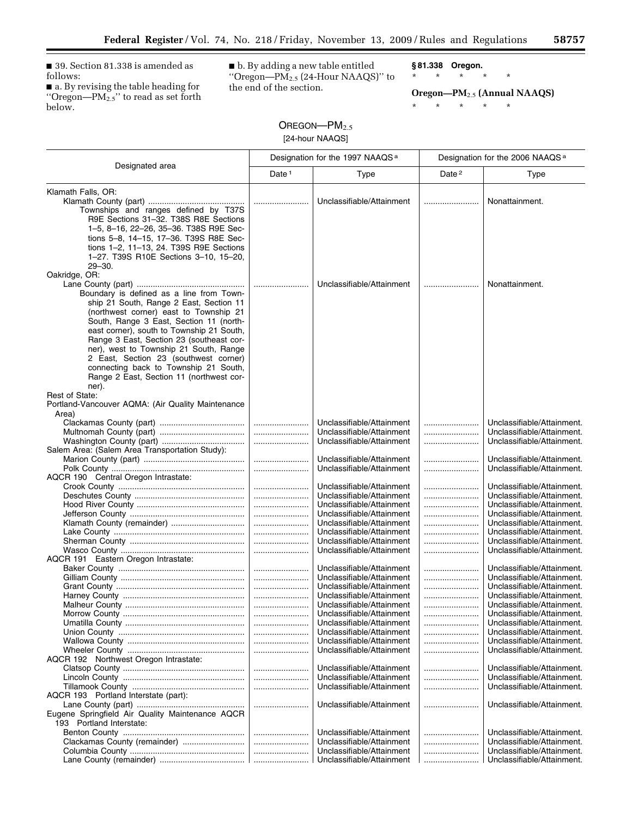■ 39. Section 81.338 is amended as follows:

■ a. By revising the table heading for ''Oregon—PM2.5'' to read as set forth below.

■ b. By adding a new table entitled "Oregon— $PM_{2.5}$  (24-Hour NAAQS)" to the end of the section.

**§ 81.338 Oregon.** 

\* \* \* \* \* **Oregon—PM**2.5 **(Annual NAAQS)** 

 $\equiv$ 

\* \* \* \* \*

# OREGON-PM<sub>2.5</sub> [24-hour NAAQS]

| Designated area                                                                                                                                                                                                                                                                                                                                                                                                                                                     | Designation for the 1997 NAAQS <sup>a</sup> |                                                                                                                                                                                                                                                                   | Designation for the 2006 NAAQS <sup>a</sup> |                                                                                                                                                                                                                                                                            |
|---------------------------------------------------------------------------------------------------------------------------------------------------------------------------------------------------------------------------------------------------------------------------------------------------------------------------------------------------------------------------------------------------------------------------------------------------------------------|---------------------------------------------|-------------------------------------------------------------------------------------------------------------------------------------------------------------------------------------------------------------------------------------------------------------------|---------------------------------------------|----------------------------------------------------------------------------------------------------------------------------------------------------------------------------------------------------------------------------------------------------------------------------|
|                                                                                                                                                                                                                                                                                                                                                                                                                                                                     | Date <sup>1</sup>                           | Type                                                                                                                                                                                                                                                              | Date <sup>2</sup>                           | <b>Type</b>                                                                                                                                                                                                                                                                |
| Klamath Falls, OR:<br>Townships and ranges defined by T37S<br>R9E Sections 31-32. T38S R8E Sections<br>1-5, 8-16, 22-26, 35-36. T38S R9E Sec-<br>tions 5-8, 14-15, 17-36. T39S R8E Sec-<br>tions 1-2, 11-13, 24. T39S R9E Sections<br>1-27. T39S R10E Sections 3-10, 15-20,<br>$29 - 30.$                                                                                                                                                                           |                                             | Unclassifiable/Attainment                                                                                                                                                                                                                                         |                                             | Nonattainment.                                                                                                                                                                                                                                                             |
| Oakridge, OR:<br>Boundary is defined as a line from Town-<br>ship 21 South, Range 2 East, Section 11<br>(northwest corner) east to Township 21<br>South, Range 3 East, Section 11 (north-<br>east corner), south to Township 21 South,<br>Range 3 East, Section 23 (southeast cor-<br>ner), west to Township 21 South, Range<br>2 East, Section 23 (southwest corner)<br>connecting back to Township 21 South,<br>Range 2 East, Section 11 (northwest cor-<br>ner). |                                             | Unclassifiable/Attainment                                                                                                                                                                                                                                         |                                             | Nonattainment.                                                                                                                                                                                                                                                             |
| Rest of State:<br>Portland-Vancouver AQMA: (Air Quality Maintenance                                                                                                                                                                                                                                                                                                                                                                                                 |                                             |                                                                                                                                                                                                                                                                   |                                             |                                                                                                                                                                                                                                                                            |
| Area)<br>Salem Area: (Salem Area Transportation Study):                                                                                                                                                                                                                                                                                                                                                                                                             | <br>                                        | Unclassifiable/Attainment<br>Unclassifiable/Attainment<br>Unclassifiable/Attainment<br>Unclassifiable/Attainment<br>Unclassifiable/Attainment                                                                                                                     | <br>                                        | Unclassifiable/Attainment.<br>Unclassifiable/Attainment.<br>Unclassifiable/Attainment.<br>Unclassifiable/Attainment.<br>Unclassifiable/Attainment.                                                                                                                         |
| AQCR 190 Central Oregon Intrastate:                                                                                                                                                                                                                                                                                                                                                                                                                                 |                                             | Unclassifiable/Attainment                                                                                                                                                                                                                                         |                                             | Unclassifiable/Attainment.                                                                                                                                                                                                                                                 |
| AQCR 191 Eastern Oregon Intrastate:                                                                                                                                                                                                                                                                                                                                                                                                                                 | <br><br><br><br><br>                        | Unclassifiable/Attainment<br>Unclassifiable/Attainment<br>Unclassifiable/Attainment<br>Unclassifiable/Attainment<br>Unclassifiable/Attainment<br>Unclassifiable/Attainment<br>Unclassifiable/Attainment                                                           |                                             | Unclassifiable/Attainment.<br>Unclassifiable/Attainment.<br>Unclassifiable/Attainment.<br>Unclassifiable/Attainment.<br>Unclassifiable/Attainment.<br>Unclassifiable/Attainment.<br>Unclassifiable/Attainment.                                                             |
|                                                                                                                                                                                                                                                                                                                                                                                                                                                                     | <br><br><br><br>                            | Unclassifiable/Attainment<br>Unclassifiable/Attainment<br>Unclassifiable/Attainment<br>Unclassifiable/Attainment<br>Unclassifiable/Attainment<br>Unclassifiable/Attainment<br>Unclassifiable/Attainment<br>Unclassifiable/Attainment<br>Unclassifiable/Attainment | <br><br>                                    | Unclassifiable/Attainment.<br>Unclassifiable/Attainment.<br>Unclassifiable/Attainment.<br>Unclassifiable/Attainment.<br>Unclassifiable/Attainment.<br>Unclassifiable/Attainment.<br>Unclassifiable/Attainment.<br>Unclassifiable/Attainment.<br>Unclassifiable/Attainment. |
| AQCR 192 Northwest Oregon Intrastate:                                                                                                                                                                                                                                                                                                                                                                                                                               |                                             | Unclassifiable/Attainment                                                                                                                                                                                                                                         |                                             | Unclassifiable/Attainment.                                                                                                                                                                                                                                                 |
| AQCR 193 Portland Interstate (part):<br>Eugene Springfield Air Quality Maintenance AQCR<br>193 Portland Interstate:                                                                                                                                                                                                                                                                                                                                                 | <br>                                        | Unclassifiable/Attainment<br>Unclassifiable/Attainment<br>Unclassifiable/Attainment<br>Unclassifiable/Attainment                                                                                                                                                  |                                             | Unclassifiable/Attainment.<br>Unclassifiable/Attainment.<br>Unclassifiable/Attainment.<br>Unclassifiable/Attainment.                                                                                                                                                       |
| Clackamas County (remainder)                                                                                                                                                                                                                                                                                                                                                                                                                                        |                                             | Unclassifiable/Attainment<br>Unclassifiable/Attainment<br>Unclassifiable/Attainment<br>Unclassifiable/Attainment                                                                                                                                                  | <br><br><br>                                | Unclassifiable/Attainment.<br>Unclassifiable/Attainment.<br>Unclassifiable/Attainment.<br>Unclassifiable/Attainment.                                                                                                                                                       |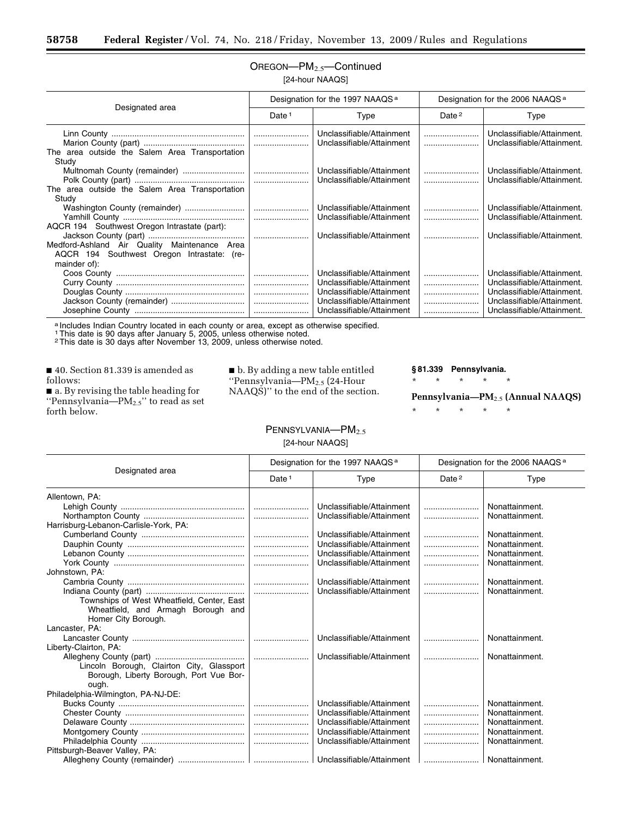## OREGON—PM2.5—Continued [24-hour NAAQS]

| Designated area                                                                                            | Designation for the 1997 NAAQS <sup>a</sup> |                                                                                                                                               | Designation for the 2006 NAAQS <sup>a</sup> |                                                                                                                                                    |
|------------------------------------------------------------------------------------------------------------|---------------------------------------------|-----------------------------------------------------------------------------------------------------------------------------------------------|---------------------------------------------|----------------------------------------------------------------------------------------------------------------------------------------------------|
|                                                                                                            | Date <sup>1</sup>                           | Type                                                                                                                                          | Date <sup>2</sup>                           | Type                                                                                                                                               |
| The area outside the Salem Area Transportation<br>Study                                                    |                                             | Unclassifiable/Attainment<br>Unclassifiable/Attainment                                                                                        |                                             | Unclassifiable/Attainment.<br>Unclassifiable/Attainment.                                                                                           |
| The area outside the Salem Area Transportation<br>Study                                                    |                                             | Unclassifiable/Attainment<br>Unclassifiable/Attainment                                                                                        |                                             | Unclassifiable/Attainment.<br>Unclassifiable/Attainment.                                                                                           |
| AQCR 194 Southwest Oregon Intrastate (part):                                                               |                                             | Unclassifiable/Attainment<br>Unclassifiable/Attainment                                                                                        |                                             | Unclassifiable/Attainment.<br>Unclassifiable/Attainment.                                                                                           |
| Medford-Ashland Air Quality Maintenance Area<br>AQCR 194 Southwest Oregon Intrastate: (re-<br>mainder of): |                                             | Unclassifiable/Attainment                                                                                                                     |                                             | Unclassifiable/Attainment.                                                                                                                         |
|                                                                                                            |                                             | Unclassifiable/Attainment<br>Unclassifiable/Attainment<br>Unclassifiable/Attainment<br>Unclassifiable/Attainment<br>Unclassifiable/Attainment |                                             | Unclassifiable/Attainment.<br>Unclassifiable/Attainment.<br>Unclassifiable/Attainment.<br>Unclassifiable/Attainment.<br>Unclassifiable/Attainment. |

a Includes Indian Country located in each county or area, except as otherwise specified.

1This date is 90 days after January 5, 2005, unless otherwise noted. 2This date is 30 days after November 13, 2009, unless otherwise noted.

■ 40. Section 81.339 is amended as follows:

Ξ

■ a. By revising the table heading for ''Pennsylvania—PM2.5'' to read as set forth below.

■ b. By adding a new table entitled ''Pennsylvania—PM2.5 (24-Hour NAAQS)'' to the end of the section.

#### **§ 81.339 Pennsylvania.**

\* \* \* \* \*

**Pennsylvania—PM**2.5 **(Annual NAAQS)** 

L.

\* \* \* \* \*

#### PENNSYLVANIA—PM<sub>2.5</sub> [24-hour NAAQS]

| Designated area                            | Designation for the 1997 NAAQS <sup>a</sup> |                           | Designation for the 2006 NAAQS <sup>a</sup> |                |
|--------------------------------------------|---------------------------------------------|---------------------------|---------------------------------------------|----------------|
|                                            | Date $1$                                    | Type                      | Date <sup>2</sup>                           | Type           |
| Allentown, PA:                             |                                             |                           |                                             |                |
|                                            |                                             | Unclassifiable/Attainment |                                             | Nonattainment. |
|                                            |                                             | Unclassifiable/Attainment |                                             | Nonattainment. |
| Harrisburg-Lebanon-Carlisle-York, PA:      |                                             |                           |                                             |                |
|                                            |                                             | Unclassifiable/Attainment |                                             | Nonattainment. |
|                                            |                                             | Unclassifiable/Attainment |                                             | Nonattainment. |
|                                            |                                             | Unclassifiable/Attainment |                                             | Nonattainment. |
|                                            |                                             | Unclassifiable/Attainment |                                             | Nonattainment. |
| Johnstown, PA:                             |                                             |                           |                                             |                |
|                                            |                                             | Unclassifiable/Attainment |                                             | Nonattainment. |
|                                            |                                             | Unclassifiable/Attainment |                                             | Nonattainment. |
| Townships of West Wheatfield, Center, East |                                             |                           |                                             |                |
| Wheatfield, and Armagh Borough and         |                                             |                           |                                             |                |
| Homer City Borough.                        |                                             |                           |                                             |                |
| Lancaster, PA:                             |                                             |                           |                                             |                |
|                                            |                                             | Unclassifiable/Attainment |                                             | Nonattainment. |
| Liberty-Clairton, PA:                      |                                             |                           |                                             |                |
|                                            |                                             | Unclassifiable/Attainment |                                             | Nonattainment. |
| Lincoln Borough, Clairton City, Glassport  |                                             |                           |                                             |                |
| Borough, Liberty Borough, Port Vue Bor-    |                                             |                           |                                             |                |
| ough.                                      |                                             |                           |                                             |                |
| Philadelphia-Wilmington, PA-NJ-DE:         |                                             |                           |                                             |                |
|                                            |                                             | Unclassifiable/Attainment |                                             | Nonattainment. |
|                                            |                                             | Unclassifiable/Attainment |                                             | Nonattainment. |
|                                            |                                             | Unclassifiable/Attainment |                                             | Nonattainment. |
|                                            |                                             | Unclassifiable/Attainment |                                             | Nonattainment. |
|                                            | l                                           | Unclassifiable/Attainment |                                             | Nonattainment. |
| Pittsburgh-Beaver Valley, PA:              |                                             |                           |                                             |                |
|                                            |                                             | Unclassifiable/Attainment |                                             | Nonattainment. |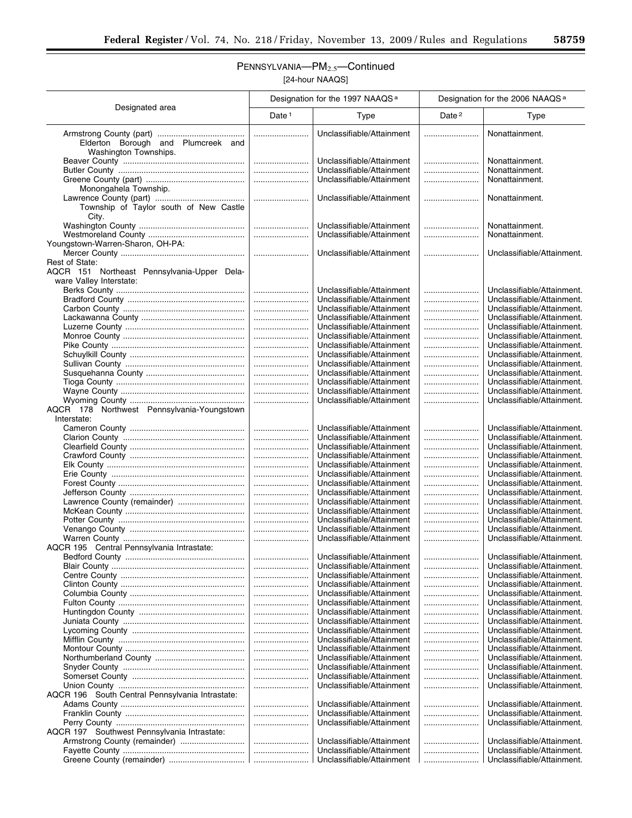$\overline{\phantom{a}}$ 

## PENNSYLVANIA—PM<sub>2.5</sub>—Continued [24-hour NAAQS]

|                                                             | Designation for the 1997 NAAQS <sup>a</sup> |                                                        | Designation for the 2006 NAAQS <sup>a</sup> |                                                          |
|-------------------------------------------------------------|---------------------------------------------|--------------------------------------------------------|---------------------------------------------|----------------------------------------------------------|
| Designated area                                             | Date <sup>1</sup>                           | <b>Type</b>                                            | Date <sup>2</sup>                           | Type                                                     |
| Elderton Borough and Plumcreek and<br>Washington Townships. |                                             | Unclassifiable/Attainment                              |                                             | Nonattainment.                                           |
|                                                             |                                             | Unclassifiable/Attainment                              |                                             | Nonattainment.                                           |
|                                                             |                                             | Unclassifiable/Attainment                              |                                             | Nonattainment.                                           |
|                                                             |                                             | Unclassifiable/Attainment                              |                                             | Nonattainment.                                           |
| Monongahela Township.                                       |                                             | Unclassifiable/Attainment                              |                                             | Nonattainment.                                           |
| Township of Taylor south of New Castle<br>City.             |                                             |                                                        |                                             |                                                          |
|                                                             |                                             | Unclassifiable/Attainment                              |                                             | Nonattainment.                                           |
|                                                             |                                             | Unclassifiable/Attainment                              |                                             | Nonattainment.                                           |
| Youngstown-Warren-Sharon, OH-PA:                            |                                             | Unclassifiable/Attainment                              |                                             | Unclassifiable/Attainment.                               |
| Rest of State:                                              |                                             |                                                        |                                             |                                                          |
| AQCR 151 Northeast Pennsylvania-Upper Dela-                 |                                             |                                                        |                                             |                                                          |
| ware Valley Interstate:                                     |                                             |                                                        |                                             |                                                          |
|                                                             |                                             | Unclassifiable/Attainment                              |                                             | Unclassifiable/Attainment.                               |
|                                                             |                                             | Unclassifiable/Attainment                              |                                             | Unclassifiable/Attainment.<br>Unclassifiable/Attainment. |
|                                                             |                                             | Unclassifiable/Attainment<br>Unclassifiable/Attainment |                                             | Unclassifiable/Attainment.                               |
|                                                             |                                             | Unclassifiable/Attainment                              |                                             | Unclassifiable/Attainment.                               |
|                                                             |                                             | Unclassifiable/Attainment                              |                                             | Unclassifiable/Attainment.                               |
|                                                             |                                             | Unclassifiable/Attainment                              |                                             | Unclassifiable/Attainment.                               |
|                                                             |                                             | Unclassifiable/Attainment                              |                                             | Unclassifiable/Attainment.                               |
|                                                             |                                             | Unclassifiable/Attainment                              |                                             | Unclassifiable/Attainment.                               |
|                                                             |                                             | Unclassifiable/Attainment<br>Unclassifiable/Attainment |                                             | Unclassifiable/Attainment.<br>Unclassifiable/Attainment. |
|                                                             |                                             | Unclassifiable/Attainment                              |                                             | Unclassifiable/Attainment.                               |
|                                                             |                                             | Unclassifiable/Attainment                              |                                             | Unclassifiable/Attainment.                               |
| AQCR 178 Northwest Pennsylvania-Youngstown                  |                                             |                                                        |                                             |                                                          |
| Interstate:                                                 |                                             |                                                        |                                             |                                                          |
|                                                             |                                             | Unclassifiable/Attainment                              |                                             | Unclassifiable/Attainment.                               |
|                                                             |                                             | Unclassifiable/Attainment                              |                                             | Unclassifiable/Attainment.                               |
|                                                             |                                             | Unclassifiable/Attainment<br>Unclassifiable/Attainment | <br>                                        | Unclassifiable/Attainment.<br>Unclassifiable/Attainment. |
|                                                             |                                             | Unclassifiable/Attainment                              |                                             | Unclassifiable/Attainment.                               |
|                                                             |                                             | Unclassifiable/Attainment                              |                                             | Unclassifiable/Attainment.                               |
|                                                             |                                             | Unclassifiable/Attainment                              |                                             | Unclassifiable/Attainment.                               |
|                                                             |                                             | Unclassifiable/Attainment                              |                                             | Unclassifiable/Attainment.                               |
| Lawrence County (remainder)                                 |                                             | Unclassifiable/Attainment                              |                                             | Unclassifiable/Attainment.                               |
|                                                             |                                             | Unclassifiable/Attainment<br>Unclassifiable/Attainment |                                             | Unclassifiable/Attainment.<br>Unclassifiable/Attainment. |
|                                                             |                                             | Unclassifiable/Attainment                              |                                             | Unclassifiable/Attainment.                               |
|                                                             |                                             | Unclassifiable/Attainment                              |                                             | Unclassifiable/Attainment.                               |
| AQCR 195 Central Pennsylvania Intrastate:                   |                                             |                                                        |                                             |                                                          |
|                                                             |                                             | Unclassifiable/Attainment                              |                                             | Unclassifiable/Attainment.                               |
|                                                             |                                             | Unclassifiable/Attainment                              |                                             | Unclassifiable/Attainment.                               |
|                                                             |                                             | Unclassifiable/Attainment<br>Unclassifiable/Attainment |                                             | Unclassifiable/Attainment.<br>Unclassifiable/Attainment. |
|                                                             |                                             | Unclassifiable/Attainment                              |                                             | Unclassifiable/Attainment.                               |
|                                                             |                                             | Unclassifiable/Attainment                              |                                             | Unclassifiable/Attainment.                               |
|                                                             |                                             | Unclassifiable/Attainment                              |                                             | Unclassifiable/Attainment.                               |
|                                                             |                                             | Unclassifiable/Attainment                              |                                             | Unclassifiable/Attainment.                               |
|                                                             |                                             | Unclassifiable/Attainment                              |                                             | Unclassifiable/Attainment.                               |
|                                                             |                                             | Unclassifiable/Attainment<br>Unclassifiable/Attainment |                                             | Unclassifiable/Attainment.                               |
|                                                             |                                             | Unclassifiable/Attainment                              | <br>                                        | Unclassifiable/Attainment.<br>Unclassifiable/Attainment. |
|                                                             |                                             | Unclassifiable/Attainment                              |                                             | Unclassifiable/Attainment.                               |
|                                                             |                                             | Unclassifiable/Attainment                              |                                             | Unclassifiable/Attainment.                               |
|                                                             |                                             | Unclassifiable/Attainment                              |                                             | Unclassifiable/Attainment.                               |
| AQCR 196 South Central Pennsylvania Intrastate:             |                                             |                                                        |                                             |                                                          |
|                                                             |                                             | Unclassifiable/Attainment                              |                                             | Unclassifiable/Attainment.                               |
|                                                             |                                             | Unclassifiable/Attainment                              |                                             | Unclassifiable/Attainment.                               |
| AQCR 197 Southwest Pennsylvania Intrastate:                 |                                             | Unclassifiable/Attainment                              |                                             | Unclassifiable/Attainment.                               |
|                                                             |                                             | Unclassifiable/Attainment                              |                                             | Unclassifiable/Attainment.                               |
|                                                             |                                             | Unclassifiable/Attainment                              |                                             | Unclassifiable/Attainment.                               |
|                                                             |                                             | Unclassifiable/Attainment                              |                                             | Unclassifiable/Attainment.                               |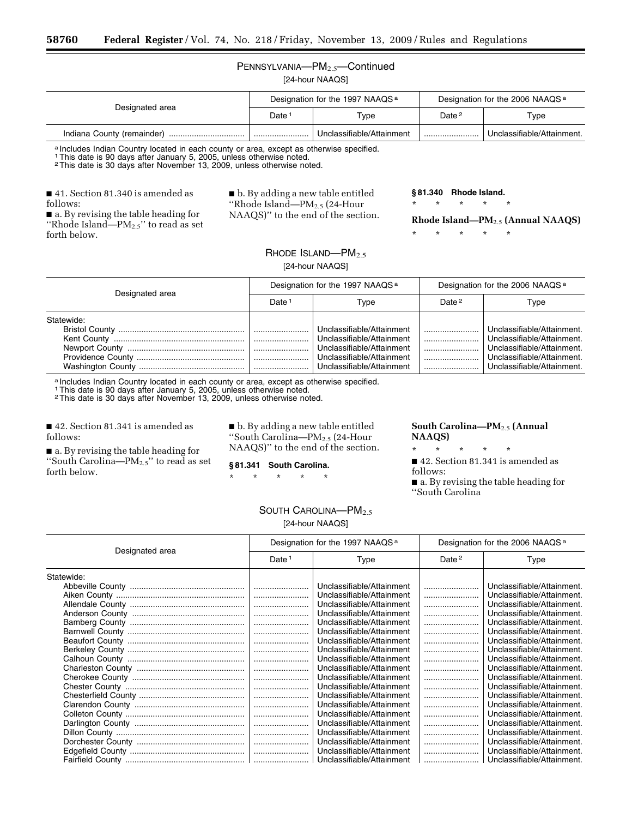### PENNSYLVANIA—PM<sub>2.5</sub>—Continued [24-hour NAAQS]

| Designated area            | Designation for the 1997 NAAQS <sup>a</sup> |                           | Designation for the 2006 NAAQS <sup>a</sup> |                            |
|----------------------------|---------------------------------------------|---------------------------|---------------------------------------------|----------------------------|
|                            | Date 1                                      | Type                      | Date <sup>2</sup>                           | Type                       |
| Indiana County (remainder) |                                             | Unclassifiable/Attainment |                                             | Unclassifiable/Attainment. |

a Includes Indian Country located in each county or area, except as otherwise specified.

1This date is 90 days after January 5, 2005, unless otherwise noted.

2This date is 30 days after November 13, 2009, unless otherwise noted.

■ 41. Section 81.340 is amended as follows:

■ a. By revising the table heading for "Rhode Island— $PM_{2.5}$ " to read as set forth below.

■ b. By adding a new table entitled ''Rhode Island—PM2.5 (24-Hour NAAQS)'' to the end of the section. **§ 81.340 Rhode Island.**  \* \* \* \* \*

**Rhode Island—PM**2.5 **(Annual NAAQS)** 

\* \* \* \* \*

RHODE ISLAND-PM<sub>2.5</sub> [24-hour NAAQS]

| Designated area | Designation for the 1997 NAAQS <sup>a</sup> |                           | Designation for the 2006 NAAQS <sup>a</sup> |                            |
|-----------------|---------------------------------------------|---------------------------|---------------------------------------------|----------------------------|
|                 | Date <sup>1</sup>                           | Type                      | Date $2$                                    | Type                       |
| Statewide:      |                                             |                           |                                             |                            |
|                 |                                             | Unclassifiable/Attainment |                                             | Unclassifiable/Attainment. |
|                 |                                             | Unclassifiable/Attainment |                                             | Unclassifiable/Attainment. |
|                 |                                             | Unclassifiable/Attainment |                                             | Unclassifiable/Attainment. |
|                 |                                             | Unclassifiable/Attainment |                                             | Unclassifiable/Attainment. |
|                 |                                             | Unclassifiable/Attainment |                                             | Unclassifiable/Attainment. |

a Includes Indian Country located in each county or area, except as otherwise specified.

1This date is 90 days after January 5, 2005, unless otherwise noted.

2This date is 30 days after November 13, 2009, unless otherwise noted.

■ 42. Section 81.341 is amended as follows:

■ b. By adding a new table entitled ''South Carolina—PM2.5 (24-Hour NAAQS)'' to the end of the section.

■ a. By revising the table heading for "South Carolina— $PM_{2.5}$ " to read as set forth below.

**§ 81.341 South Carolina.** 

\* \* \* \* \*

### **South Carolina—PM**2.5 **(Annual NAAQS)**

\* \* \* \* \*

■ 42. Section 81.341 is amended as follows:

■ a. By revising the table heading for ''South Carolina

| SOUTH CAROLINA- $PM_{2.5}$ |
|----------------------------|
| [24-hour NAAQS]            |

| Designated area | Designation for the 1997 NAAQS <sup>a</sup> |                           | Designation for the 2006 NAAQS <sup>a</sup> |                            |
|-----------------|---------------------------------------------|---------------------------|---------------------------------------------|----------------------------|
|                 | Date $1$                                    | Type                      | Date $2$                                    | Type                       |
| Statewide:      |                                             |                           |                                             |                            |
|                 |                                             | Unclassifiable/Attainment |                                             | Unclassifiable/Attainment. |
|                 |                                             | Unclassifiable/Attainment |                                             | Unclassifiable/Attainment. |
|                 |                                             | Unclassifiable/Attainment |                                             | Unclassifiable/Attainment. |
|                 |                                             | Unclassifiable/Attainment |                                             | Unclassifiable/Attainment. |
|                 |                                             | Unclassifiable/Attainment |                                             | Unclassifiable/Attainment. |
|                 |                                             | Unclassifiable/Attainment |                                             | Unclassifiable/Attainment. |
|                 |                                             | Unclassifiable/Attainment |                                             | Unclassifiable/Attainment. |
|                 |                                             | Unclassifiable/Attainment |                                             | Unclassifiable/Attainment. |
|                 |                                             | Unclassifiable/Attainment |                                             | Unclassifiable/Attainment. |
|                 |                                             | Unclassifiable/Attainment |                                             | Unclassifiable/Attainment. |
|                 |                                             | Unclassifiable/Attainment |                                             | Unclassifiable/Attainment. |
|                 |                                             | Unclassifiable/Attainment |                                             | Unclassifiable/Attainment. |
|                 |                                             | Unclassifiable/Attainment |                                             | Unclassifiable/Attainment. |
|                 |                                             | Unclassifiable/Attainment |                                             | Unclassifiable/Attainment. |
|                 |                                             | Unclassifiable/Attainment |                                             | Unclassifiable/Attainment. |
|                 |                                             | Unclassifiable/Attainment |                                             | Unclassifiable/Attainment. |
|                 |                                             | Unclassifiable/Attainment |                                             | Unclassifiable/Attainment. |
|                 |                                             | Unclassifiable/Attainment |                                             | Unclassifiable/Attainment. |
|                 |                                             | Unclassifiable/Attainment |                                             | Unclassifiable/Attainment. |
|                 |                                             | Unclassifiable/Attainment |                                             | Unclassifiable/Attainment. |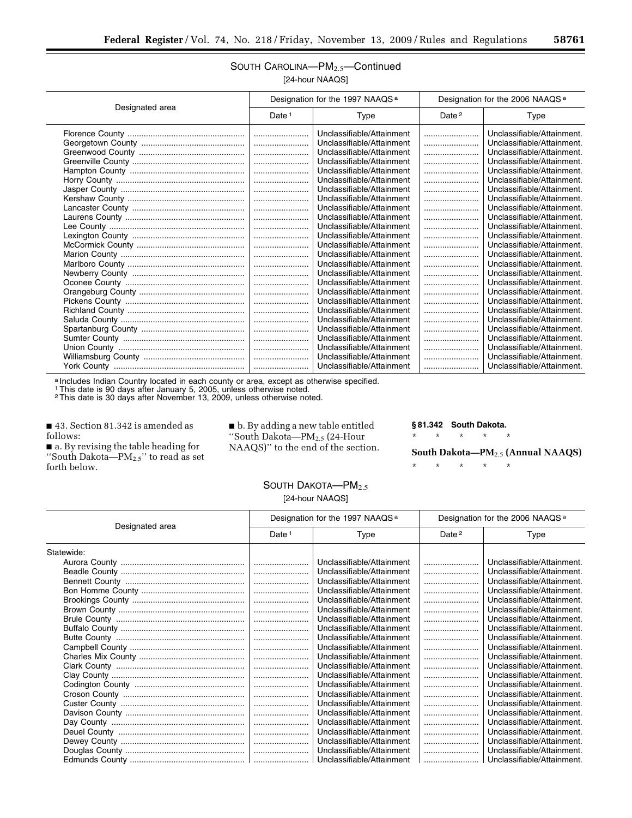### SOUTH CAROLINA—PM2.5—Continued [24-hour NAAQS]

|                 |                   | Designation for the 1997 NAAQS <sup>a</sup> |          | Designation for the 2006 NAAQS <sup>a</sup> |  |
|-----------------|-------------------|---------------------------------------------|----------|---------------------------------------------|--|
| Designated area | Date <sup>1</sup> | Type                                        | Date $2$ | Type                                        |  |
|                 |                   | Unclassifiable/Attainment                   |          | Unclassifiable/Attainment.                  |  |
|                 |                   | Unclassifiable/Attainment                   |          | Unclassifiable/Attainment.                  |  |
|                 |                   | Unclassifiable/Attainment                   |          | Unclassifiable/Attainment.                  |  |
|                 |                   | Unclassifiable/Attainment                   |          | Unclassifiable/Attainment.                  |  |
|                 |                   | Unclassifiable/Attainment                   |          | Unclassifiable/Attainment.                  |  |
|                 |                   | Unclassifiable/Attainment                   |          | Unclassifiable/Attainment.                  |  |
|                 |                   | Unclassifiable/Attainment                   |          | Unclassifiable/Attainment.                  |  |
|                 |                   | Unclassifiable/Attainment                   |          | Unclassifiable/Attainment.                  |  |
|                 |                   | Unclassifiable/Attainment                   |          | Unclassifiable/Attainment.                  |  |
|                 |                   | Unclassifiable/Attainment                   |          | Unclassifiable/Attainment.                  |  |
|                 |                   | Unclassifiable/Attainment                   |          | Unclassifiable/Attainment.                  |  |
|                 |                   | Unclassifiable/Attainment                   |          | Unclassifiable/Attainment.                  |  |
|                 |                   | Unclassifiable/Attainment                   |          | Unclassifiable/Attainment.                  |  |
|                 |                   | Unclassifiable/Attainment                   |          | Unclassifiable/Attainment.                  |  |
|                 |                   | Unclassifiable/Attainment                   |          | Unclassifiable/Attainment.                  |  |
|                 |                   | Unclassifiable/Attainment                   |          | Unclassifiable/Attainment.                  |  |
|                 |                   | Unclassifiable/Attainment                   |          | Unclassifiable/Attainment.                  |  |
|                 |                   | Unclassifiable/Attainment                   |          | Unclassifiable/Attainment.                  |  |
|                 |                   | Unclassifiable/Attainment                   |          | Unclassifiable/Attainment.                  |  |
|                 |                   | Unclassifiable/Attainment                   |          | Unclassifiable/Attainment.                  |  |
|                 |                   | Unclassifiable/Attainment                   |          | Unclassifiable/Attainment.                  |  |
|                 |                   | Unclassifiable/Attainment                   |          | Unclassifiable/Attainment.                  |  |
|                 |                   | Unclassifiable/Attainment                   |          | Unclassifiable/Attainment.                  |  |
|                 |                   | Unclassifiable/Attainment                   |          | Unclassifiable/Attainment.                  |  |
|                 |                   | Unclassifiable/Attainment                   |          | Unclassifiable/Attainment.                  |  |
|                 |                   | Unclassifiable/Attainment                   |          | Unclassifiable/Attainment.                  |  |
|                 |                   |                                             |          |                                             |  |

a Includes Indian Country located in each county or area, except as otherwise specified.

1This date is 90 days after January 5, 2005, unless otherwise noted.

2This date is 30 days after November 13, 2009, unless otherwise noted.

■ 43. Section 81.342 is amended as follows:

■ a. By revising the table heading for ''South Dakota—PM2.5'' to read as set forth below.

 $\blacksquare$  b. By adding a new table entitled ''South Dakota—PM2.5 (24-Hour NAAQS)'' to the end of the section.

#### **§ 81.342 South Dakota.**

\* \* \* \* \*

**South Dakota—PM**2.5 **(Annual NAAQS)** 

\* \* \* \* \*

### SOUTH DAKOTA-PM<sub>2.5</sub> [24-hour NAAQS]

| Designated area | Designation for the 1997 NAAQS <sup>a</sup> |                           | Designation for the 2006 NAAQS <sup>a</sup> |                            |
|-----------------|---------------------------------------------|---------------------------|---------------------------------------------|----------------------------|
|                 | Date $1$                                    | Type                      | Date $2$                                    | Type                       |
| Statewide:      |                                             |                           |                                             |                            |
|                 |                                             | Unclassifiable/Attainment |                                             | Unclassifiable/Attainment. |
|                 |                                             | Unclassifiable/Attainment |                                             | Unclassifiable/Attainment. |
|                 |                                             | Unclassifiable/Attainment |                                             | Unclassifiable/Attainment. |
|                 |                                             | Unclassifiable/Attainment |                                             | Unclassifiable/Attainment. |
|                 |                                             | Unclassifiable/Attainment |                                             | Unclassifiable/Attainment. |
|                 |                                             | Unclassifiable/Attainment |                                             | Unclassifiable/Attainment. |
|                 |                                             | Unclassifiable/Attainment |                                             | Unclassifiable/Attainment. |
|                 |                                             | Unclassifiable/Attainment |                                             | Unclassifiable/Attainment. |
|                 |                                             | Unclassifiable/Attainment |                                             | Unclassifiable/Attainment. |
|                 |                                             | Unclassifiable/Attainment |                                             | Unclassifiable/Attainment. |
|                 |                                             | Unclassifiable/Attainment |                                             | Unclassifiable/Attainment. |
|                 |                                             | Unclassifiable/Attainment |                                             | Unclassifiable/Attainment. |
|                 |                                             | Unclassifiable/Attainment |                                             | Unclassifiable/Attainment. |
|                 |                                             | Unclassifiable/Attainment |                                             | Unclassifiable/Attainment. |
|                 |                                             | Unclassifiable/Attainment |                                             | Unclassifiable/Attainment. |
|                 |                                             | Unclassifiable/Attainment |                                             | Unclassifiable/Attainment. |
|                 |                                             | Unclassifiable/Attainment |                                             | Unclassifiable/Attainment. |
|                 |                                             | Unclassifiable/Attainment |                                             | Unclassifiable/Attainment. |
|                 |                                             | Unclassifiable/Attainment |                                             | Unclassifiable/Attainment. |
|                 |                                             | Unclassifiable/Attainment |                                             | Unclassifiable/Attainment. |
|                 |                                             | Unclassifiable/Attainment |                                             | Unclassifiable/Attainment. |
|                 |                                             | Unclassifiable/Attainment |                                             | Unclassifiable/Attainment. |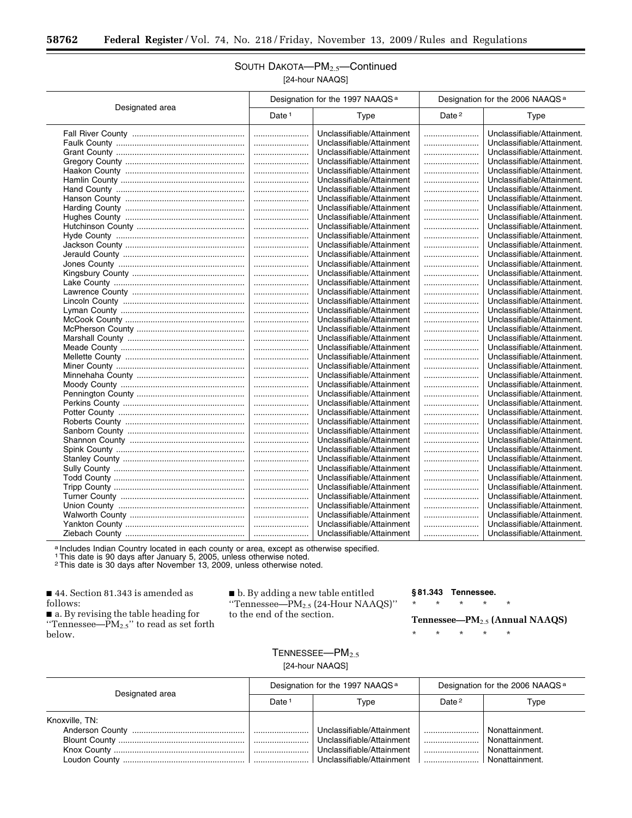## SOUTH DAKOTA-PM<sub>2.5</sub>-Continued [24-hour NAAQS]

|                 | Designation for the 1997 NAAQS <sup>a</sup> |                           | Designation for the 2006 NAAQS <sup>a</sup> |                            |
|-----------------|---------------------------------------------|---------------------------|---------------------------------------------|----------------------------|
| Designated area | Date <sup>1</sup>                           | Type                      | Date <sup>2</sup>                           | Type                       |
|                 |                                             | Unclassifiable/Attainment |                                             | Unclassifiable/Attainment. |
|                 |                                             | Unclassifiable/Attainment |                                             | Unclassifiable/Attainment. |
|                 |                                             | Unclassifiable/Attainment |                                             | Unclassifiable/Attainment. |
|                 |                                             | Unclassifiable/Attainment |                                             | Unclassifiable/Attainment. |
|                 |                                             | Unclassifiable/Attainment |                                             | Unclassifiable/Attainment. |
|                 |                                             | Unclassifiable/Attainment |                                             | Unclassifiable/Attainment. |
|                 |                                             | Unclassifiable/Attainment |                                             | Unclassifiable/Attainment. |
|                 |                                             | Unclassifiable/Attainment |                                             | Unclassifiable/Attainment. |
|                 |                                             | Unclassifiable/Attainment |                                             | Unclassifiable/Attainment. |
|                 |                                             | Unclassifiable/Attainment |                                             | Unclassifiable/Attainment. |
|                 |                                             | Unclassifiable/Attainment |                                             | Unclassifiable/Attainment. |
|                 |                                             | Unclassifiable/Attainment |                                             | Unclassifiable/Attainment. |
|                 |                                             | Unclassifiable/Attainment |                                             | Unclassifiable/Attainment. |
|                 |                                             | Unclassifiable/Attainment |                                             | Unclassifiable/Attainment. |
|                 |                                             | Unclassifiable/Attainment |                                             | Unclassifiable/Attainment. |
|                 |                                             | Unclassifiable/Attainment |                                             | Unclassifiable/Attainment. |
|                 |                                             | Unclassifiable/Attainment |                                             | Unclassifiable/Attainment. |
|                 |                                             | Unclassifiable/Attainment |                                             | Unclassifiable/Attainment. |
|                 |                                             | Unclassifiable/Attainment |                                             | Unclassifiable/Attainment. |
|                 |                                             | Unclassifiable/Attainment |                                             | Unclassifiable/Attainment. |
|                 |                                             | Unclassifiable/Attainment |                                             | Unclassifiable/Attainment. |
|                 |                                             | Unclassifiable/Attainment |                                             | Unclassifiable/Attainment. |
|                 |                                             | Unclassifiable/Attainment |                                             | Unclassifiable/Attainment. |
|                 |                                             | Unclassifiable/Attainment |                                             | Unclassifiable/Attainment. |
|                 |                                             | Unclassifiable/Attainment |                                             | Unclassifiable/Attainment. |
|                 |                                             | Unclassifiable/Attainment |                                             | Unclassifiable/Attainment. |
|                 |                                             | Unclassifiable/Attainment |                                             | Unclassifiable/Attainment. |
|                 |                                             | Unclassifiable/Attainment |                                             | Unclassifiable/Attainment. |
|                 |                                             | Unclassifiable/Attainment |                                             | Unclassifiable/Attainment. |
|                 |                                             | Unclassifiable/Attainment |                                             | Unclassifiable/Attainment. |
|                 |                                             | Unclassifiable/Attainment |                                             | Unclassifiable/Attainment. |
|                 |                                             | Unclassifiable/Attainment |                                             | Unclassifiable/Attainment. |
|                 |                                             | Unclassifiable/Attainment |                                             | Unclassifiable/Attainment. |
|                 |                                             | Unclassifiable/Attainment |                                             | Unclassifiable/Attainment. |
|                 |                                             | Unclassifiable/Attainment |                                             | Unclassifiable/Attainment. |
|                 |                                             | Unclassifiable/Attainment |                                             | Unclassifiable/Attainment. |
|                 |                                             | Unclassifiable/Attainment |                                             | Unclassifiable/Attainment. |
|                 |                                             | Unclassifiable/Attainment |                                             | Unclassifiable/Attainment. |
|                 |                                             | Unclassifiable/Attainment |                                             | Unclassifiable/Attainment. |
|                 |                                             | Unclassifiable/Attainment |                                             | Unclassifiable/Attainment. |
|                 |                                             | Unclassifiable/Attainment |                                             | Unclassifiable/Attainment. |
|                 |                                             | Unclassifiable/Attainment |                                             | Unclassifiable/Attainment. |
|                 |                                             | Unclassifiable/Attainment |                                             | Unclassifiable/Attainment. |
|                 |                                             | Unclassifiable/Attainment |                                             | Unclassifiable/Attainment. |

a Includes Indian Country located in each county or area, except as otherwise specified.<br>1 This date is 90 days after January 5, 2005, unless otherwise noted.<br><sup>2</sup> This date is 30 days after November 13, 2009, unless otherw

■ 44. Section 81.343 is amended as follows:

■ a. By revising the table heading for "Tennessee— $PM_{2.5}$ " to read as set forth below.

■ b. By adding a new table entitled ''Tennessee—PM2.5 (24-Hour NAAQS)'' to the end of the section.

**§ 81.343 Tennessee.** 

\* \* \* \* \*

\* \* \* \* \*

**Tennessee—PM**2.5 **(Annual NAAQS)** 

 $TENNESSEE - PM<sub>2.5</sub>$ [24-hour NAAQS]

| Designated area | Designation for the 1997 NAAQS <sup>a</sup> |                           | Designation for the 2006 NAAQS <sup>a</sup> |                       |
|-----------------|---------------------------------------------|---------------------------|---------------------------------------------|-----------------------|
|                 | Date <sup>1</sup>                           | Type                      | Date $2$                                    | Type                  |
| Knoxville, TN:  |                                             |                           |                                             |                       |
|                 |                                             | Unclassifiable/Attainment |                                             | Nonattainment.        |
|                 |                                             | Unclassifiable/Attainment |                                             | Nonattainment.        |
|                 |                                             | Unclassifiable/Attainment |                                             | Nonattainment.        |
|                 |                                             |                           |                                             | $\mid$ Nonattainment. |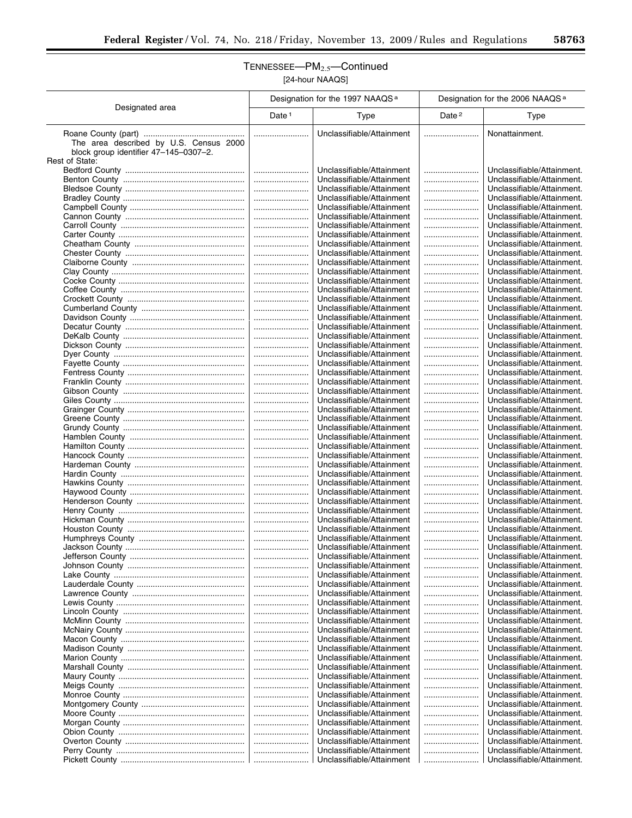## TENNESSEE-PM<sub>2.5</sub>-Continued [24-hour NAAQS]

|                                                                                                   | Designation for the 1997 NAAQS <sup>a</sup> |                                                        | Designation for the 2006 NAAQS <sup>a</sup> |                                                          |
|---------------------------------------------------------------------------------------------------|---------------------------------------------|--------------------------------------------------------|---------------------------------------------|----------------------------------------------------------|
| Designated area                                                                                   | Date $1$                                    | Type                                                   | Date <sup>2</sup>                           | Type                                                     |
| The area described by U.S. Census 2000<br>block group identifier 47-145-0307-2.<br>Rest of State: |                                             | Unclassifiable/Attainment                              |                                             | Nonattainment.                                           |
|                                                                                                   |                                             | Unclassifiable/Attainment                              |                                             | Unclassifiable/Attainment.                               |
|                                                                                                   |                                             | Unclassifiable/Attainment                              |                                             | Unclassifiable/Attainment.                               |
|                                                                                                   |                                             | Unclassifiable/Attainment                              |                                             | Unclassifiable/Attainment.                               |
|                                                                                                   |                                             | Unclassifiable/Attainment                              |                                             | Unclassifiable/Attainment.                               |
|                                                                                                   |                                             | Unclassifiable/Attainment<br>Unclassifiable/Attainment | <br>                                        | Unclassifiable/Attainment.<br>Unclassifiable/Attainment. |
|                                                                                                   |                                             | Unclassifiable/Attainment                              |                                             | Unclassifiable/Attainment.                               |
|                                                                                                   |                                             | Unclassifiable/Attainment                              |                                             | Unclassifiable/Attainment.                               |
|                                                                                                   |                                             | Unclassifiable/Attainment                              |                                             | Unclassifiable/Attainment.                               |
|                                                                                                   |                                             | Unclassifiable/Attainment                              |                                             | Unclassifiable/Attainment.                               |
|                                                                                                   |                                             | Unclassifiable/Attainment                              |                                             | Unclassifiable/Attainment.                               |
|                                                                                                   | <br>                                        | Unclassifiable/Attainment<br>Unclassifiable/Attainment |                                             | Unclassifiable/Attainment.<br>Unclassifiable/Attainment. |
|                                                                                                   |                                             | Unclassifiable/Attainment                              |                                             | Unclassifiable/Attainment.                               |
|                                                                                                   |                                             | Unclassifiable/Attainment                              |                                             | Unclassifiable/Attainment.                               |
|                                                                                                   |                                             | Unclassifiable/Attainment                              |                                             | Unclassifiable/Attainment.                               |
|                                                                                                   |                                             | Unclassifiable/Attainment                              |                                             | Unclassifiable/Attainment.                               |
|                                                                                                   | <br>                                        | Unclassifiable/Attainment<br>Unclassifiable/Attainment |                                             | Unclassifiable/Attainment.<br>Unclassifiable/Attainment. |
|                                                                                                   |                                             | Unclassifiable/Attainment                              |                                             | Unclassifiable/Attainment.                               |
|                                                                                                   |                                             | Unclassifiable/Attainment                              |                                             | Unclassifiable/Attainment.                               |
|                                                                                                   |                                             | Unclassifiable/Attainment                              |                                             | Unclassifiable/Attainment.                               |
|                                                                                                   |                                             | Unclassifiable/Attainment                              |                                             | Unclassifiable/Attainment.                               |
|                                                                                                   |                                             | Unclassifiable/Attainment<br>Unclassifiable/Attainment | <br>                                        | Unclassifiable/Attainment.<br>Unclassifiable/Attainment. |
|                                                                                                   |                                             | Unclassifiable/Attainment                              |                                             | Unclassifiable/Attainment.                               |
|                                                                                                   |                                             | Unclassifiable/Attainment                              |                                             | Unclassifiable/Attainment.                               |
|                                                                                                   |                                             | Unclassifiable/Attainment                              |                                             | Unclassifiable/Attainment.                               |
|                                                                                                   |                                             | Unclassifiable/Attainment                              |                                             | Unclassifiable/Attainment.                               |
|                                                                                                   | <br>                                        | Unclassifiable/Attainment<br>Unclassifiable/Attainment | <br>                                        | Unclassifiable/Attainment.<br>Unclassifiable/Attainment. |
|                                                                                                   |                                             | Unclassifiable/Attainment                              |                                             | Unclassifiable/Attainment.                               |
|                                                                                                   |                                             | Unclassifiable/Attainment                              |                                             | Unclassifiable/Attainment.                               |
|                                                                                                   |                                             | Unclassifiable/Attainment                              |                                             | Unclassifiable/Attainment.                               |
|                                                                                                   |                                             | Unclassifiable/Attainment                              |                                             | Unclassifiable/Attainment.                               |
|                                                                                                   |                                             | Unclassifiable/Attainment<br>Unclassifiable/Attainment |                                             | Unclassifiable/Attainment.<br>Unclassifiable/Attainment. |
|                                                                                                   |                                             | Unclassifiable/Attainment                              |                                             | Unclassifiable/Attainment.                               |
|                                                                                                   |                                             | Unclassifiable/Attainment                              |                                             | Unclassifiable/Attainment.                               |
|                                                                                                   |                                             | Unclassifiable/Attainment                              |                                             | Unclassifiable/Attainment.                               |
|                                                                                                   |                                             | Unclassifiable/Attainment                              |                                             | Unclassifiable/Attainment.                               |
|                                                                                                   |                                             | Unclassifiable/Attainment<br>Unclassifiable/Attainment | <br>                                        | Unclassifiable/Attainment.<br>Unclassifiable/Attainment. |
|                                                                                                   |                                             | Unclassifiable/Attainment                              |                                             | Unclassifiable/Attainment.                               |
|                                                                                                   |                                             | Unclassifiable/Attainment                              |                                             | Unclassifiable/Attainment.                               |
|                                                                                                   |                                             | Unclassifiable/Attainment                              |                                             | Unclassifiable/Attainment.                               |
|                                                                                                   |                                             | Unclassifiable/Attainment<br>Unclassifiable/Attainment |                                             | Unclassifiable/Attainment.<br>Unclassifiable/Attainment. |
|                                                                                                   |                                             | Unclassifiable/Attainment                              |                                             | Unclassifiable/Attainment.                               |
|                                                                                                   |                                             | Unclassifiable/Attainment                              |                                             | Unclassifiable/Attainment.                               |
|                                                                                                   |                                             | Unclassifiable/Attainment                              |                                             | Unclassifiable/Attainment.                               |
|                                                                                                   |                                             | Unclassifiable/Attainment                              |                                             | Unclassifiable/Attainment.                               |
|                                                                                                   |                                             | Unclassifiable/Attainment<br>Unclassifiable/Attainment |                                             | Unclassifiable/Attainment.<br>Unclassifiable/Attainment. |
|                                                                                                   |                                             | Unclassifiable/Attainment                              |                                             | Unclassifiable/Attainment.                               |
|                                                                                                   |                                             | Unclassifiable/Attainment                              |                                             | Unclassifiable/Attainment.                               |
|                                                                                                   |                                             | Unclassifiable/Attainment                              |                                             | Unclassifiable/Attainment.                               |
|                                                                                                   |                                             | Unclassifiable/Attainment                              |                                             | Unclassifiable/Attainment.                               |
|                                                                                                   |                                             | Unclassifiable/Attainment<br>Unclassifiable/Attainment |                                             | Unclassifiable/Attainment.<br>Unclassifiable/Attainment. |
|                                                                                                   |                                             | Unclassifiable/Attainment                              |                                             | Unclassifiable/Attainment.                               |
|                                                                                                   |                                             | Unclassifiable/Attainment                              |                                             | Unclassifiable/Attainment.                               |
|                                                                                                   |                                             | Unclassifiable/Attainment                              |                                             | Unclassifiable/Attainment.                               |
|                                                                                                   |                                             | Unclassifiable/Attainment                              |                                             | Unclassifiable/Attainment.                               |
|                                                                                                   |                                             | Unclassifiable/Attainment                              |                                             | Unclassifiable/Attainment.                               |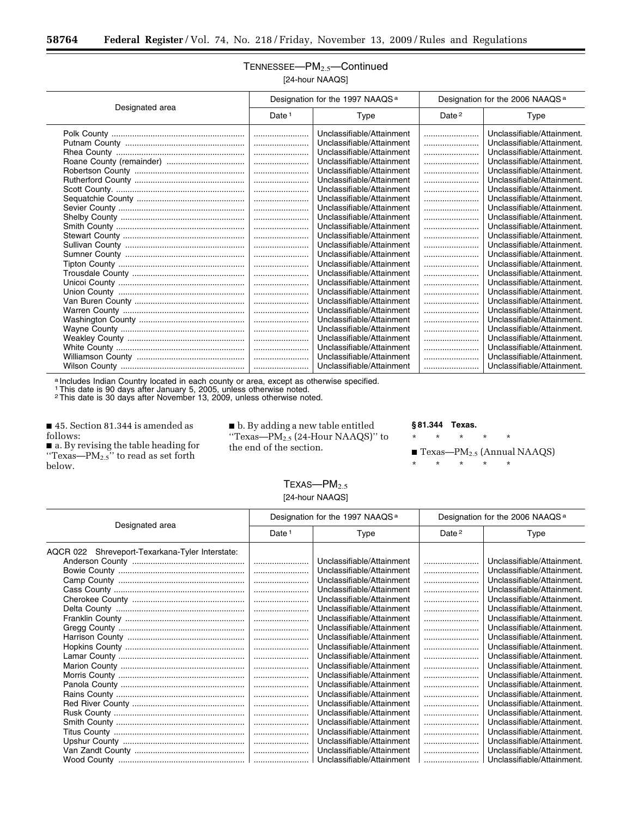## TENNESSEE-PM<sub>2.5</sub>-Continued [24-hour NAAQS]

| Designated area | Designation for the 1997 NAAQS <sup>a</sup> |                           | Designation for the 2006 NAAQS <sup>a</sup> |                            |
|-----------------|---------------------------------------------|---------------------------|---------------------------------------------|----------------------------|
|                 | Date $1$                                    | Type                      | Date <sup>2</sup>                           | Type                       |
|                 |                                             | Unclassifiable/Attainment |                                             | Unclassifiable/Attainment. |
|                 |                                             | Unclassifiable/Attainment |                                             | Unclassifiable/Attainment. |
|                 |                                             | Unclassifiable/Attainment |                                             | Unclassifiable/Attainment. |
|                 |                                             | Unclassifiable/Attainment |                                             | Unclassifiable/Attainment. |
|                 |                                             | Unclassifiable/Attainment |                                             | Unclassifiable/Attainment. |
|                 |                                             | Unclassifiable/Attainment |                                             | Unclassifiable/Attainment. |
|                 |                                             | Unclassifiable/Attainment |                                             | Unclassifiable/Attainment. |
|                 |                                             | Unclassifiable/Attainment |                                             | Unclassifiable/Attainment. |
|                 |                                             | Unclassifiable/Attainment |                                             | Unclassifiable/Attainment. |
|                 |                                             | Unclassifiable/Attainment |                                             | Unclassifiable/Attainment. |
|                 |                                             | Unclassifiable/Attainment |                                             | Unclassifiable/Attainment. |
|                 |                                             | Unclassifiable/Attainment |                                             | Unclassifiable/Attainment. |
|                 |                                             | Unclassifiable/Attainment |                                             | Unclassifiable/Attainment. |
|                 |                                             | Unclassifiable/Attainment |                                             | Unclassifiable/Attainment. |
|                 |                                             | Unclassifiable/Attainment |                                             | Unclassifiable/Attainment. |
|                 |                                             | Unclassifiable/Attainment |                                             | Unclassifiable/Attainment. |
|                 |                                             | Unclassifiable/Attainment |                                             | Unclassifiable/Attainment. |
|                 |                                             | Unclassifiable/Attainment |                                             | Unclassifiable/Attainment. |
|                 |                                             | Unclassifiable/Attainment |                                             | Unclassifiable/Attainment. |
|                 |                                             | Unclassifiable/Attainment |                                             | Unclassifiable/Attainment. |
|                 |                                             | Unclassifiable/Attainment |                                             | Unclassifiable/Attainment. |
|                 |                                             | Unclassifiable/Attainment |                                             | Unclassifiable/Attainment. |
|                 |                                             | Unclassifiable/Attainment |                                             | Unclassifiable/Attainment. |
|                 |                                             | Unclassifiable/Attainment |                                             | Unclassifiable/Attainment. |
|                 |                                             | Unclassifiable/Attainment |                                             | Unclassifiable/Attainment. |
|                 |                                             | Unclassifiable/Attainment |                                             | Unclassifiable/Attainment. |
|                 |                                             |                           |                                             |                            |

a Includes Indian Country located in each county or area, except as otherwise specified.

1This date is 90 days after January 5, 2005, unless otherwise noted.

2This date is 30 days after November 13, 2009, unless otherwise noted.

■ 45. Section 81.344 is amended as follows:

■ a. By revising the table heading for "Texas— $PM_{2.5}$ " to read as set forth below.

■ b. By adding a new table entitled ''Texas—PM2.5 (24-Hour NAAQS)'' to the end of the section.

#### **§ 81.344 Texas.**

\* \* \* \* \*

 $\blacksquare$  Texas—PM<sub>2.5</sub> (Annual NAAQS)

\* \* \* \* \*

## TEXAS-PM<sub>2.5</sub> [24-hour NAAQS]

| Designated area                                 | Designation for the 1997 NAAQS <sup>a</sup> |                           | Designation for the 2006 NAAQS <sup>a</sup> |                            |
|-------------------------------------------------|---------------------------------------------|---------------------------|---------------------------------------------|----------------------------|
|                                                 | Date <sup>1</sup>                           | Type                      | Date $2$                                    | Type                       |
| AQCR 022 Shreveport-Texarkana-Tyler Interstate: |                                             |                           |                                             |                            |
|                                                 |                                             | Unclassifiable/Attainment |                                             | Unclassifiable/Attainment. |
|                                                 |                                             | Unclassifiable/Attainment |                                             | Unclassifiable/Attainment. |
|                                                 |                                             | Unclassifiable/Attainment |                                             | Unclassifiable/Attainment. |
|                                                 |                                             | Unclassifiable/Attainment |                                             | Unclassifiable/Attainment. |
|                                                 |                                             | Unclassifiable/Attainment |                                             | Unclassifiable/Attainment. |
|                                                 |                                             | Unclassifiable/Attainment |                                             | Unclassifiable/Attainment. |
|                                                 |                                             | Unclassifiable/Attainment |                                             | Unclassifiable/Attainment. |
|                                                 |                                             | Unclassifiable/Attainment |                                             | Unclassifiable/Attainment. |
|                                                 |                                             | Unclassifiable/Attainment |                                             | Unclassifiable/Attainment. |
|                                                 |                                             | Unclassifiable/Attainment |                                             | Unclassifiable/Attainment. |
|                                                 |                                             | Unclassifiable/Attainment |                                             | Unclassifiable/Attainment. |
|                                                 |                                             | Unclassifiable/Attainment |                                             | Unclassifiable/Attainment. |
|                                                 |                                             | Unclassifiable/Attainment |                                             | Unclassifiable/Attainment. |
|                                                 |                                             | Unclassifiable/Attainment |                                             | Unclassifiable/Attainment. |
|                                                 |                                             | Unclassifiable/Attainment |                                             | Unclassifiable/Attainment. |
|                                                 |                                             | Unclassifiable/Attainment |                                             | Unclassifiable/Attainment. |
|                                                 |                                             | Unclassifiable/Attainment |                                             | Unclassifiable/Attainment. |
|                                                 |                                             | Unclassifiable/Attainment |                                             | Unclassifiable/Attainment. |
|                                                 |                                             | Unclassifiable/Attainment |                                             | Unclassifiable/Attainment. |
|                                                 |                                             | Unclassifiable/Attainment |                                             | Unclassifiable/Attainment. |
|                                                 |                                             | Unclassifiable/Attainment |                                             | Unclassifiable/Attainment. |
|                                                 |                                             | Unclassifiable/Attainment |                                             | Unclassifiable/Attainment. |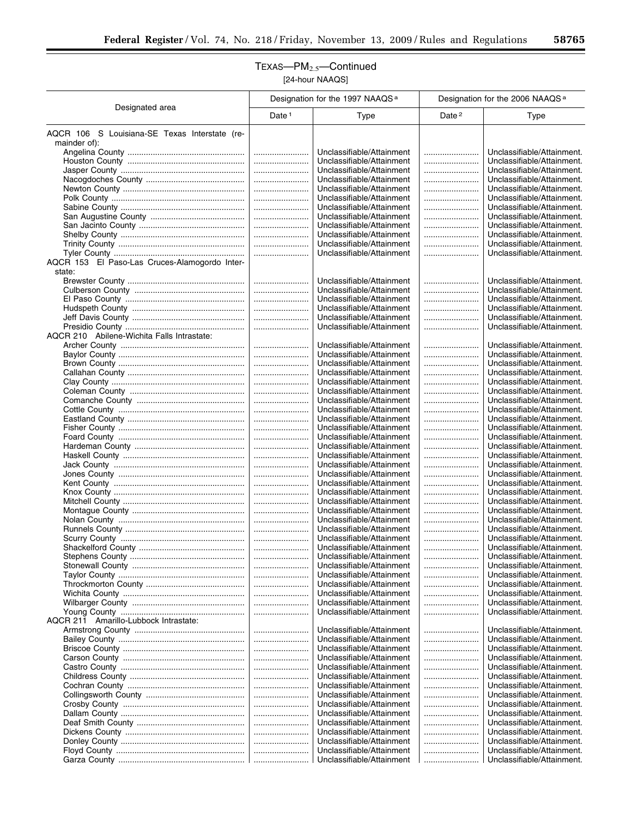## TEXAS—PM2.5—Continued [24-hour NAAQS]

|                                                               | Designation for the 1997 NAAQS <sup>a</sup> |                                                        | Designation for the 2006 NAAQS <sup>a</sup> |                                                          |
|---------------------------------------------------------------|---------------------------------------------|--------------------------------------------------------|---------------------------------------------|----------------------------------------------------------|
| Designated area                                               | Date <sup>1</sup>                           | Type                                                   | Date <sup>2</sup>                           | Type                                                     |
| AQCR 106 S Louisiana-SE Texas Interstate (re-<br>mainder of): |                                             |                                                        |                                             |                                                          |
|                                                               |                                             | Unclassifiable/Attainment                              |                                             | Unclassifiable/Attainment.                               |
|                                                               |                                             | Unclassifiable/Attainment                              |                                             | Unclassifiable/Attainment.                               |
|                                                               |                                             | Unclassifiable/Attainment                              |                                             | Unclassifiable/Attainment.                               |
|                                                               |                                             | Unclassifiable/Attainment                              |                                             | Unclassifiable/Attainment.                               |
|                                                               |                                             | Unclassifiable/Attainment<br>Unclassifiable/Attainment |                                             | Unclassifiable/Attainment.<br>Unclassifiable/Attainment. |
|                                                               |                                             | Unclassifiable/Attainment                              |                                             | Unclassifiable/Attainment.                               |
|                                                               |                                             | Unclassifiable/Attainment                              |                                             | Unclassifiable/Attainment.                               |
|                                                               |                                             | Unclassifiable/Attainment                              |                                             | Unclassifiable/Attainment.                               |
|                                                               |                                             | Unclassifiable/Attainment                              |                                             | Unclassifiable/Attainment.                               |
|                                                               |                                             | Unclassifiable/Attainment                              |                                             | Unclassifiable/Attainment.                               |
| AQCR 153 El Paso-Las Cruces-Alamogordo Inter-                 |                                             | Unclassifiable/Attainment                              |                                             | Unclassifiable/Attainment.                               |
| state:                                                        |                                             |                                                        |                                             |                                                          |
|                                                               |                                             | Unclassifiable/Attainment                              |                                             | Unclassifiable/Attainment.                               |
|                                                               |                                             | Unclassifiable/Attainment                              |                                             | Unclassifiable/Attainment.                               |
|                                                               |                                             | Unclassifiable/Attainment                              |                                             | Unclassifiable/Attainment.                               |
|                                                               |                                             | Unclassifiable/Attainment                              |                                             | Unclassifiable/Attainment.                               |
|                                                               |                                             | Unclassifiable/Attainment                              |                                             | Unclassifiable/Attainment.                               |
| AQCR 210 Abilene-Wichita Falls Intrastate:                    |                                             | Unclassifiable/Attainment                              |                                             | Unclassifiable/Attainment.                               |
|                                                               |                                             | Unclassifiable/Attainment                              |                                             | Unclassifiable/Attainment.                               |
|                                                               |                                             | Unclassifiable/Attainment                              |                                             | Unclassifiable/Attainment.                               |
|                                                               |                                             | Unclassifiable/Attainment                              |                                             | Unclassifiable/Attainment.                               |
|                                                               |                                             | Unclassifiable/Attainment                              |                                             | Unclassifiable/Attainment.                               |
|                                                               |                                             | Unclassifiable/Attainment                              |                                             | Unclassifiable/Attainment.                               |
|                                                               | <br>                                        | Unclassifiable/Attainment<br>Unclassifiable/Attainment |                                             | Unclassifiable/Attainment.<br>Unclassifiable/Attainment. |
|                                                               |                                             | Unclassifiable/Attainment                              |                                             | Unclassifiable/Attainment.                               |
|                                                               |                                             | Unclassifiable/Attainment                              |                                             | Unclassifiable/Attainment.                               |
|                                                               |                                             | Unclassifiable/Attainment                              |                                             | Unclassifiable/Attainment.                               |
|                                                               |                                             | Unclassifiable/Attainment                              |                                             | Unclassifiable/Attainment.                               |
|                                                               |                                             | Unclassifiable/Attainment<br>Unclassifiable/Attainment |                                             | Unclassifiable/Attainment.<br>Unclassifiable/Attainment. |
|                                                               | <br>                                        | Unclassifiable/Attainment                              | <br>                                        | Unclassifiable/Attainment.                               |
|                                                               |                                             | Unclassifiable/Attainment                              |                                             | Unclassifiable/Attainment.                               |
|                                                               |                                             | Unclassifiable/Attainment                              |                                             | Unclassifiable/Attainment.                               |
|                                                               |                                             | Unclassifiable/Attainment                              |                                             | Unclassifiable/Attainment.                               |
|                                                               |                                             | Unclassifiable/Attainment                              |                                             | Unclassifiable/Attainment.                               |
|                                                               | <br>                                        | Unclassifiable/Attainment<br>Unclassifiable/Attainment |                                             | Unclassifiable/Attainment.<br>Unclassifiable/Attainment. |
|                                                               |                                             | Unclassifiable/Attainment                              |                                             | Unclassifiable/Attainment.                               |
|                                                               |                                             | Unclassifiable/Attainment                              |                                             | Unclassifiable/Attainment.                               |
|                                                               |                                             | Unclassifiable/Attainment                              |                                             | Unclassifiable/Attainment.                               |
|                                                               |                                             | Unclassifiable/Attainment                              |                                             | Unclassifiable/Attainment.                               |
|                                                               |                                             | Unclassifiable/Attainment                              |                                             | Unclassifiable/Attainment.                               |
|                                                               |                                             | Unclassifiable/Attainment<br>Unclassifiable/Attainment |                                             | Unclassifiable/Attainment.<br>Unclassifiable/Attainment. |
|                                                               |                                             | Unclassifiable/Attainment                              |                                             | Unclassifiable/Attainment.                               |
|                                                               |                                             | Unclassifiable/Attainment                              |                                             | Unclassifiable/Attainment.                               |
|                                                               |                                             | Unclassifiable/Attainment                              |                                             | Unclassifiable/Attainment.                               |
| AQCR 211 Amarillo-Lubbock Intrastate:                         |                                             |                                                        |                                             |                                                          |
|                                                               |                                             | Unclassifiable/Attainment<br>Unclassifiable/Attainment |                                             | Unclassifiable/Attainment.<br>Unclassifiable/Attainment. |
|                                                               |                                             | Unclassifiable/Attainment                              |                                             | Unclassifiable/Attainment.                               |
|                                                               |                                             | Unclassifiable/Attainment                              |                                             | Unclassifiable/Attainment.                               |
|                                                               |                                             | Unclassifiable/Attainment                              |                                             | Unclassifiable/Attainment.                               |
|                                                               |                                             | Unclassifiable/Attainment                              |                                             | Unclassifiable/Attainment.                               |
|                                                               |                                             | Unclassifiable/Attainment                              |                                             | Unclassifiable/Attainment.                               |
|                                                               |                                             | Unclassifiable/Attainment<br>Unclassifiable/Attainment |                                             | Unclassifiable/Attainment.<br>Unclassifiable/Attainment. |
|                                                               |                                             | Unclassifiable/Attainment                              |                                             | Unclassifiable/Attainment.                               |
|                                                               |                                             | Unclassifiable/Attainment                              |                                             | Unclassifiable/Attainment.                               |
|                                                               |                                             | Unclassifiable/Attainment                              |                                             | Unclassifiable/Attainment.                               |
|                                                               |                                             | Unclassifiable/Attainment                              |                                             | Unclassifiable/Attainment.                               |
|                                                               |                                             | Unclassifiable/Attainment                              |                                             | Unclassifiable/Attainment.                               |
|                                                               |                                             | Unclassifiable/Attainment                              |                                             | Unclassifiable/Attainment.                               |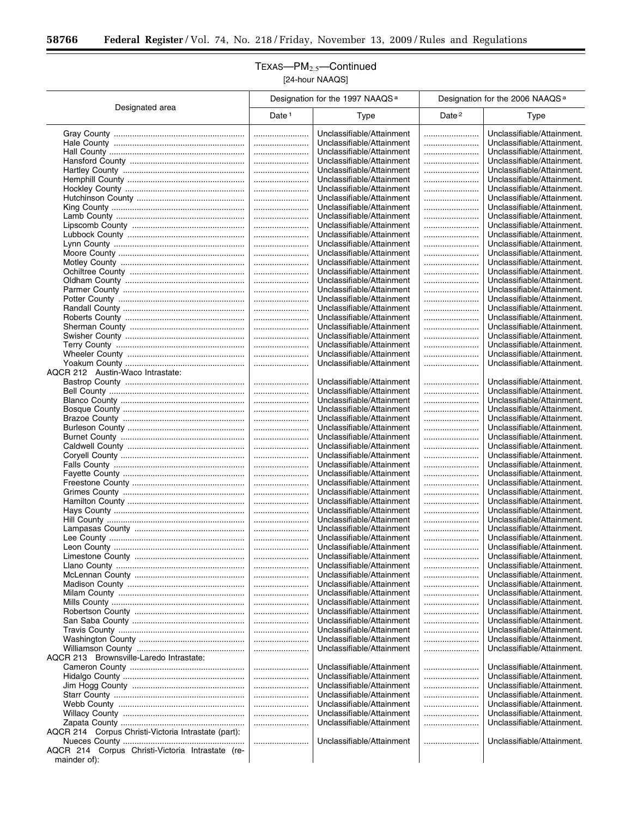$\equiv$ 

## TEXAS—PM2.5—Continued [24-hour NAAQS]

|                                                     |          | Designation for the 1997 NAAQS <sup>a</sup>            |                   | Designation for the 2006 NAAQS <sup>a</sup>              |
|-----------------------------------------------------|----------|--------------------------------------------------------|-------------------|----------------------------------------------------------|
| Designated area                                     | Date $1$ | Type                                                   | Date <sup>2</sup> | Type                                                     |
|                                                     |          | Unclassifiable/Attainment                              |                   | Unclassifiable/Attainment.                               |
|                                                     |          | Unclassifiable/Attainment                              |                   | Unclassifiable/Attainment.                               |
|                                                     |          | Unclassifiable/Attainment                              |                   | Unclassifiable/Attainment.                               |
|                                                     |          | Unclassifiable/Attainment                              |                   | Unclassifiable/Attainment.                               |
|                                                     |          | Unclassifiable/Attainment                              |                   | Unclassifiable/Attainment.                               |
|                                                     |          | Unclassifiable/Attainment                              |                   | Unclassifiable/Attainment.                               |
|                                                     |          | Unclassifiable/Attainment                              |                   | Unclassifiable/Attainment.<br>Unclassifiable/Attainment. |
|                                                     |          | Unclassifiable/Attainment<br>Unclassifiable/Attainment |                   | Unclassifiable/Attainment.                               |
|                                                     |          | Unclassifiable/Attainment                              |                   | Unclassifiable/Attainment.                               |
|                                                     |          | Unclassifiable/Attainment                              |                   | Unclassifiable/Attainment.                               |
|                                                     |          | Unclassifiable/Attainment                              |                   | Unclassifiable/Attainment.                               |
|                                                     |          | Unclassifiable/Attainment                              |                   | Unclassifiable/Attainment.                               |
|                                                     |          | Unclassifiable/Attainment                              |                   | Unclassifiable/Attainment.                               |
|                                                     |          | Unclassifiable/Attainment                              |                   | Unclassifiable/Attainment.                               |
|                                                     |          | Unclassifiable/Attainment                              |                   | Unclassifiable/Attainment.                               |
|                                                     |          | Unclassifiable/Attainment                              |                   | Unclassifiable/Attainment.                               |
|                                                     |          | Unclassifiable/Attainment                              |                   | Unclassifiable/Attainment.                               |
|                                                     |          | Unclassifiable/Attainment<br>Unclassifiable/Attainment |                   | Unclassifiable/Attainment.<br>Unclassifiable/Attainment. |
|                                                     |          | Unclassifiable/Attainment                              |                   | Unclassifiable/Attainment.                               |
|                                                     |          | Unclassifiable/Attainment                              |                   | Unclassifiable/Attainment.                               |
|                                                     |          | Unclassifiable/Attainment                              |                   | Unclassifiable/Attainment.                               |
|                                                     |          | Unclassifiable/Attainment                              |                   | Unclassifiable/Attainment.                               |
|                                                     |          | Unclassifiable/Attainment                              |                   | Unclassifiable/Attainment.                               |
|                                                     |          | Unclassifiable/Attainment                              |                   | Unclassifiable/Attainment.                               |
| AQCR 212 Austin-Waco Intrastate:                    |          |                                                        |                   |                                                          |
|                                                     |          | Unclassifiable/Attainment                              |                   | Unclassifiable/Attainment.                               |
|                                                     |          | Unclassifiable/Attainment                              |                   | Unclassifiable/Attainment.                               |
|                                                     |          | Unclassifiable/Attainment<br>Unclassifiable/Attainment |                   | Unclassifiable/Attainment.<br>Unclassifiable/Attainment. |
|                                                     |          | Unclassifiable/Attainment                              | <br>              | Unclassifiable/Attainment.                               |
|                                                     |          | Unclassifiable/Attainment                              |                   | Unclassifiable/Attainment.                               |
|                                                     |          | Unclassifiable/Attainment                              |                   | Unclassifiable/Attainment.                               |
|                                                     |          | Unclassifiable/Attainment                              |                   | Unclassifiable/Attainment.                               |
|                                                     |          | Unclassifiable/Attainment                              |                   | Unclassifiable/Attainment.                               |
|                                                     |          | Unclassifiable/Attainment                              |                   | Unclassifiable/Attainment.                               |
|                                                     |          | Unclassifiable/Attainment                              |                   | Unclassifiable/Attainment.                               |
|                                                     |          | Unclassifiable/Attainment                              |                   | Unclassifiable/Attainment.                               |
|                                                     |          | Unclassifiable/Attainment<br>Unclassifiable/Attainment |                   | Unclassifiable/Attainment.                               |
|                                                     |          | Unclassifiable/Attainment                              |                   | Unclassifiable/Attainment.<br>Unclassifiable/Attainment. |
|                                                     |          | Unclassifiable/Attainment                              |                   | Unclassifiable/Attainment.                               |
|                                                     |          | Unclassifiable/Attainment                              |                   | Unclassifiable/Attainment.                               |
|                                                     |          | Unclassifiable/Attainment                              |                   | Unclassifiable/Attainment.                               |
|                                                     |          | Unclassifiable/Attainment                              |                   | Unclassifiable/Attainment.                               |
|                                                     |          | Unclassifiable/Attainment                              |                   | Unclassifiable/Attainment.                               |
|                                                     |          | Unclassifiable/Attainment                              |                   | Unclassifiable/Attainment.                               |
|                                                     |          | Unclassifiable/Attainment                              |                   | Unclassifiable/Attainment.                               |
|                                                     |          | Unclassifiable/Attainment<br>Unclassifiable/Attainment |                   | Unclassifiable/Attainment.                               |
|                                                     |          | Unclassifiable/Attainment                              |                   | Unclassifiable/Attainment.<br>Unclassifiable/Attainment. |
|                                                     |          | Unclassifiable/Attainment                              |                   | Unclassifiable/Attainment.                               |
|                                                     |          | Unclassifiable/Attainment                              |                   | Unclassifiable/Attainment.                               |
|                                                     |          | Unclassifiable/Attainment                              |                   | Unclassifiable/Attainment.                               |
|                                                     |          | Unclassifiable/Attainment                              |                   | Unclassifiable/Attainment.                               |
|                                                     |          | Unclassifiable/Attainment                              |                   | Unclassifiable/Attainment.                               |
| AQCR 213 Brownsville-Laredo Intrastate:             |          |                                                        |                   |                                                          |
|                                                     |          | Unclassifiable/Attainment                              |                   | Unclassifiable/Attainment.                               |
|                                                     |          | Unclassifiable/Attainment                              |                   | Unclassifiable/Attainment.                               |
|                                                     |          | Unclassifiable/Attainment                              |                   | Unclassifiable/Attainment.                               |
|                                                     |          | Unclassifiable/Attainment<br>Unclassifiable/Attainment |                   | Unclassifiable/Attainment.<br>Unclassifiable/Attainment. |
|                                                     |          | Unclassifiable/Attainment                              |                   | Unclassifiable/Attainment.                               |
|                                                     |          | Unclassifiable/Attainment                              |                   | Unclassifiable/Attainment.                               |
| AQCR 214 Corpus Christi-Victoria Intrastate (part): |          |                                                        |                   |                                                          |
|                                                     |          | Unclassifiable/Attainment                              |                   | Unclassifiable/Attainment.                               |
| AQCR 214 Corpus Christi-Victoria Intrastate (re-    |          |                                                        |                   |                                                          |
| mainder of):                                        |          |                                                        |                   |                                                          |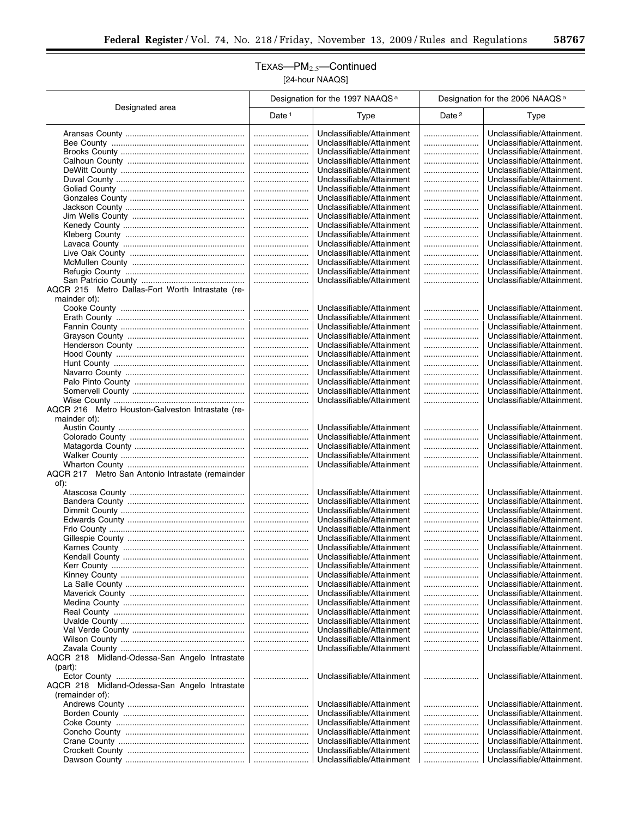## TEXAS—PM2.5—Continued [24-hour NAAQS]

|                                                                  |                   | Designation for the 1997 NAAQS <sup>a</sup>            |                   | Designation for the 2006 NAAQS <sup>a</sup>              |
|------------------------------------------------------------------|-------------------|--------------------------------------------------------|-------------------|----------------------------------------------------------|
| Designated area                                                  | Date <sup>1</sup> | Type                                                   | Date <sup>2</sup> | Type                                                     |
|                                                                  |                   | Unclassifiable/Attainment                              |                   | Unclassifiable/Attainment.                               |
|                                                                  |                   | Unclassifiable/Attainment                              |                   | Unclassifiable/Attainment.                               |
|                                                                  |                   | Unclassifiable/Attainment                              |                   | Unclassifiable/Attainment.                               |
|                                                                  |                   | Unclassifiable/Attainment                              |                   | Unclassifiable/Attainment.                               |
|                                                                  |                   | Unclassifiable/Attainment<br>Unclassifiable/Attainment |                   | Unclassifiable/Attainment.<br>Unclassifiable/Attainment. |
|                                                                  |                   | Unclassifiable/Attainment                              | <br>              | Unclassifiable/Attainment.                               |
|                                                                  |                   | Unclassifiable/Attainment                              |                   | Unclassifiable/Attainment.                               |
|                                                                  |                   | Unclassifiable/Attainment                              |                   | Unclassifiable/Attainment.                               |
|                                                                  |                   | Unclassifiable/Attainment                              |                   | Unclassifiable/Attainment.                               |
|                                                                  |                   | Unclassifiable/Attainment                              |                   | Unclassifiable/Attainment.                               |
|                                                                  |                   | Unclassifiable/Attainment<br>Unclassifiable/Attainment |                   | Unclassifiable/Attainment.<br>Unclassifiable/Attainment. |
|                                                                  |                   | Unclassifiable/Attainment                              |                   | Unclassifiable/Attainment.                               |
|                                                                  |                   | Unclassifiable/Attainment                              |                   | Unclassifiable/Attainment.                               |
|                                                                  |                   | Unclassifiable/Attainment                              |                   | Unclassifiable/Attainment.                               |
|                                                                  |                   | Unclassifiable/Attainment                              |                   | Unclassifiable/Attainment.                               |
| AQCR 215 Metro Dallas-Fort Worth Intrastate (re-<br>mainder of): |                   |                                                        |                   |                                                          |
|                                                                  |                   | Unclassifiable/Attainment                              |                   | Unclassifiable/Attainment.                               |
|                                                                  |                   | Unclassifiable/Attainment                              |                   | Unclassifiable/Attainment.                               |
|                                                                  |                   | Unclassifiable/Attainment                              |                   | Unclassifiable/Attainment.                               |
|                                                                  |                   | Unclassifiable/Attainment                              |                   | Unclassifiable/Attainment.                               |
|                                                                  |                   | Unclassifiable/Attainment                              |                   | Unclassifiable/Attainment.                               |
|                                                                  |                   | Unclassifiable/Attainment<br>Unclassifiable/Attainment |                   | Unclassifiable/Attainment.<br>Unclassifiable/Attainment. |
|                                                                  |                   | Unclassifiable/Attainment                              |                   | Unclassifiable/Attainment.                               |
|                                                                  |                   | Unclassifiable/Attainment                              |                   | Unclassifiable/Attainment.                               |
|                                                                  |                   | Unclassifiable/Attainment                              |                   | Unclassifiable/Attainment.                               |
|                                                                  |                   | Unclassifiable/Attainment                              |                   | Unclassifiable/Attainment.                               |
| AQCR 216 Metro Houston-Galveston Intrastate (re-<br>mainder of): |                   |                                                        |                   |                                                          |
|                                                                  |                   | Unclassifiable/Attainment                              |                   | Unclassifiable/Attainment.                               |
|                                                                  |                   | Unclassifiable/Attainment                              |                   | Unclassifiable/Attainment.                               |
|                                                                  |                   | Unclassifiable/Attainment                              |                   | Unclassifiable/Attainment.                               |
|                                                                  |                   | Unclassifiable/Attainment                              |                   | Unclassifiable/Attainment.                               |
| AQCR 217 Metro San Antonio Intrastate (remainder                 |                   | Unclassifiable/Attainment                              |                   | Unclassifiable/Attainment.                               |
| of):                                                             |                   |                                                        |                   |                                                          |
|                                                                  |                   | Unclassifiable/Attainment                              |                   | Unclassifiable/Attainment.                               |
|                                                                  |                   | Unclassifiable/Attainment<br>Unclassifiable/Attainment |                   | Unclassifiable/Attainment.                               |
|                                                                  |                   | Unclassifiable/Attainment                              | <br>              | Unclassifiable/Attainment.<br>Unclassifiable/Attainment. |
|                                                                  |                   | Unclassifiable/Attainment                              |                   | Unclassifiable/Attainment.                               |
|                                                                  |                   | Unclassifiable/Attainment                              |                   | Unclassifiable/Attainment.                               |
|                                                                  |                   | Unclassifiable/Attainment                              |                   | Unclassifiable/Attainment.                               |
|                                                                  |                   | Unclassifiable/Attainment                              |                   | Unclassifiable/Attainment.                               |
|                                                                  |                   | Unclassifiable/Attainment<br>Unclassifiable/Attainment |                   | Unclassifiable/Attainment.<br>Unclassifiable/Attainment. |
|                                                                  |                   | Unclassifiable/Attainment                              |                   | Unclassifiable/Attainment.                               |
|                                                                  |                   | Unclassifiable/Attainment                              |                   | Unclassifiable/Attainment.                               |
|                                                                  |                   | Unclassifiable/Attainment                              |                   | Unclassifiable/Attainment.                               |
|                                                                  |                   | Unclassifiable/Attainment                              |                   | Unclassifiable/Attainment.                               |
|                                                                  |                   | Unclassifiable/Attainment<br>Unclassifiable/Attainment |                   | Unclassifiable/Attainment.<br>Unclassifiable/Attainment. |
|                                                                  |                   | Unclassifiable/Attainment                              |                   | Unclassifiable/Attainment.                               |
|                                                                  |                   | Unclassifiable/Attainment                              |                   | Unclassifiable/Attainment.                               |
| AQCR 218 Midland-Odessa-San Angelo Intrastate                    |                   |                                                        |                   |                                                          |
| $(part)$ :                                                       |                   |                                                        |                   |                                                          |
| AQCR 218 Midland-Odessa-San Angelo Intrastate                    |                   | Unclassifiable/Attainment                              |                   | Unclassifiable/Attainment.                               |
| (remainder of):                                                  |                   |                                                        |                   |                                                          |
|                                                                  |                   | Unclassifiable/Attainment                              |                   | Unclassifiable/Attainment.                               |
|                                                                  |                   | Unclassifiable/Attainment                              |                   | Unclassifiable/Attainment.                               |
|                                                                  |                   | Unclassifiable/Attainment                              |                   | Unclassifiable/Attainment.                               |
|                                                                  |                   | Unclassifiable/Attainment<br>Unclassifiable/Attainment | <br>              | Unclassifiable/Attainment.<br>Unclassifiable/Attainment. |
|                                                                  |                   | Unclassifiable/Attainment                              |                   | Unclassifiable/Attainment.                               |
|                                                                  |                   | Unclassifiable/Attainment                              |                   | Unclassifiable/Attainment.                               |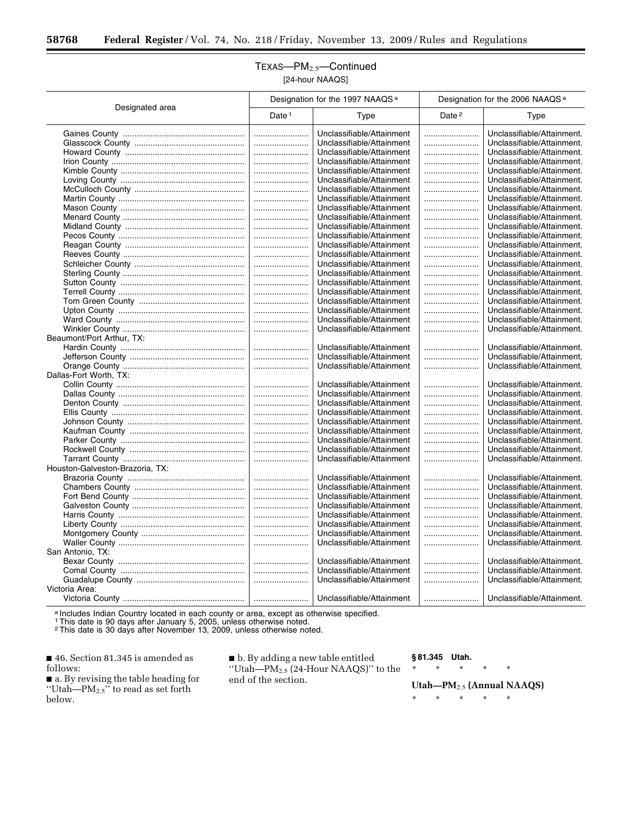## TEXAS—PM2.5—Continued [24-hour NAAQS]

| Designated area<br>Date <sup>2</sup><br>Date $1$<br>Type<br>Type<br>Unclassifiable/Attainment.<br>Unclassifiable/Attainment<br><br><br>Unclassifiable/Attainment<br>Unclassifiable/Attainment.<br>Unclassifiable/Attainment<br>Unclassifiable/Attainment.<br><br>Unclassifiable/Attainment<br>Unclassifiable/Attainment.<br>Unclassifiable/Attainment<br>Unclassifiable/Attainment.<br>Unclassifiable/Attainment<br>Unclassifiable/Attainment.<br>Unclassifiable/Attainment<br>Unclassifiable/Attainment.<br>Unclassifiable/Attainment.<br>Unclassifiable/Attainment<br>Unclassifiable/Attainment<br>Unclassifiable/Attainment.<br> |
|-------------------------------------------------------------------------------------------------------------------------------------------------------------------------------------------------------------------------------------------------------------------------------------------------------------------------------------------------------------------------------------------------------------------------------------------------------------------------------------------------------------------------------------------------------------------------------------------------------------------------------------|
|                                                                                                                                                                                                                                                                                                                                                                                                                                                                                                                                                                                                                                     |
|                                                                                                                                                                                                                                                                                                                                                                                                                                                                                                                                                                                                                                     |
|                                                                                                                                                                                                                                                                                                                                                                                                                                                                                                                                                                                                                                     |
|                                                                                                                                                                                                                                                                                                                                                                                                                                                                                                                                                                                                                                     |
|                                                                                                                                                                                                                                                                                                                                                                                                                                                                                                                                                                                                                                     |
|                                                                                                                                                                                                                                                                                                                                                                                                                                                                                                                                                                                                                                     |
|                                                                                                                                                                                                                                                                                                                                                                                                                                                                                                                                                                                                                                     |
|                                                                                                                                                                                                                                                                                                                                                                                                                                                                                                                                                                                                                                     |
|                                                                                                                                                                                                                                                                                                                                                                                                                                                                                                                                                                                                                                     |
|                                                                                                                                                                                                                                                                                                                                                                                                                                                                                                                                                                                                                                     |
| Unclassifiable/Attainment<br>Unclassifiable/Attainment.                                                                                                                                                                                                                                                                                                                                                                                                                                                                                                                                                                             |
| Unclassifiable/Attainment<br>Unclassifiable/Attainment.                                                                                                                                                                                                                                                                                                                                                                                                                                                                                                                                                                             |
| Unclassifiable/Attainment<br>Unclassifiable/Attainment.                                                                                                                                                                                                                                                                                                                                                                                                                                                                                                                                                                             |
| Unclassifiable/Attainment<br>Unclassifiable/Attainment.<br>                                                                                                                                                                                                                                                                                                                                                                                                                                                                                                                                                                         |
| Unclassifiable/Attainment<br>Unclassifiable/Attainment.<br>                                                                                                                                                                                                                                                                                                                                                                                                                                                                                                                                                                         |
| Unclassifiable/Attainment<br>Unclassifiable/Attainment.<br>                                                                                                                                                                                                                                                                                                                                                                                                                                                                                                                                                                         |
| Unclassifiable/Attainment<br>Unclassifiable/Attainment.<br>                                                                                                                                                                                                                                                                                                                                                                                                                                                                                                                                                                         |
| Unclassifiable/Attainment<br>Unclassifiable/Attainment.                                                                                                                                                                                                                                                                                                                                                                                                                                                                                                                                                                             |
| Unclassifiable/Attainment<br>Unclassifiable/Attainment.                                                                                                                                                                                                                                                                                                                                                                                                                                                                                                                                                                             |
| Unclassifiable/Attainment<br>Unclassifiable/Attainment.<br>                                                                                                                                                                                                                                                                                                                                                                                                                                                                                                                                                                         |
| Unclassifiable/Attainment<br>Unclassifiable/Attainment.                                                                                                                                                                                                                                                                                                                                                                                                                                                                                                                                                                             |
| Unclassifiable/Attainment<br>Unclassifiable/Attainment.                                                                                                                                                                                                                                                                                                                                                                                                                                                                                                                                                                             |
| Unclassifiable/Attainment<br>Unclassifiable/Attainment.                                                                                                                                                                                                                                                                                                                                                                                                                                                                                                                                                                             |
| Beaumont/Port Arthur, TX:                                                                                                                                                                                                                                                                                                                                                                                                                                                                                                                                                                                                           |
| Unclassifiable/Attainment<br>Unclassifiable/Attainment.                                                                                                                                                                                                                                                                                                                                                                                                                                                                                                                                                                             |
| Unclassifiable/Attainment<br>Unclassifiable/Attainment.                                                                                                                                                                                                                                                                                                                                                                                                                                                                                                                                                                             |
| Unclassifiable/Attainment.<br>Unclassifiable/Attainment                                                                                                                                                                                                                                                                                                                                                                                                                                                                                                                                                                             |
| Dallas-Fort Worth, TX:                                                                                                                                                                                                                                                                                                                                                                                                                                                                                                                                                                                                              |
| Unclassifiable/Attainment<br>Unclassifiable/Attainment.                                                                                                                                                                                                                                                                                                                                                                                                                                                                                                                                                                             |
| Unclassifiable/Attainment<br>Unclassifiable/Attainment.                                                                                                                                                                                                                                                                                                                                                                                                                                                                                                                                                                             |
| Unclassifiable/Attainment<br>Unclassifiable/Attainment.                                                                                                                                                                                                                                                                                                                                                                                                                                                                                                                                                                             |
| Unclassifiable/Attainment<br>Unclassifiable/Attainment.                                                                                                                                                                                                                                                                                                                                                                                                                                                                                                                                                                             |
| Unclassifiable/Attainment<br>Unclassifiable/Attainment.<br>                                                                                                                                                                                                                                                                                                                                                                                                                                                                                                                                                                         |
| Unclassifiable/Attainment<br>Unclassifiable/Attainment.<br>                                                                                                                                                                                                                                                                                                                                                                                                                                                                                                                                                                         |
| Unclassifiable/Attainment<br>Unclassifiable/Attainment.                                                                                                                                                                                                                                                                                                                                                                                                                                                                                                                                                                             |
| Unclassifiable/Attainment<br>Unclassifiable/Attainment.                                                                                                                                                                                                                                                                                                                                                                                                                                                                                                                                                                             |
| Unclassifiable/Attainment<br>Unclassifiable/Attainment.                                                                                                                                                                                                                                                                                                                                                                                                                                                                                                                                                                             |
| Houston-Galveston-Brazoria, TX:                                                                                                                                                                                                                                                                                                                                                                                                                                                                                                                                                                                                     |
| Unclassifiable/Attainment<br>Unclassifiable/Attainment.<br>                                                                                                                                                                                                                                                                                                                                                                                                                                                                                                                                                                         |
| Unclassifiable/Attainment<br>Unclassifiable/Attainment.                                                                                                                                                                                                                                                                                                                                                                                                                                                                                                                                                                             |
| Unclassifiable/Attainment<br>Unclassifiable/Attainment.<br>                                                                                                                                                                                                                                                                                                                                                                                                                                                                                                                                                                         |
| Unclassifiable/Attainment<br>Unclassifiable/Attainment.                                                                                                                                                                                                                                                                                                                                                                                                                                                                                                                                                                             |
| Unclassifiable/Attainment<br>Unclassifiable/Attainment.                                                                                                                                                                                                                                                                                                                                                                                                                                                                                                                                                                             |
| Unclassifiable/Attainment<br>Unclassifiable/Attainment.<br>                                                                                                                                                                                                                                                                                                                                                                                                                                                                                                                                                                         |
| Unclassifiable/Attainment<br>Unclassifiable/Attainment.                                                                                                                                                                                                                                                                                                                                                                                                                                                                                                                                                                             |
| Unclassifiable/Attainment<br>Unclassifiable/Attainment.                                                                                                                                                                                                                                                                                                                                                                                                                                                                                                                                                                             |
| San Antonio, TX:                                                                                                                                                                                                                                                                                                                                                                                                                                                                                                                                                                                                                    |
| Unclassifiable/Attainment<br>Unclassifiable/Attainment.                                                                                                                                                                                                                                                                                                                                                                                                                                                                                                                                                                             |
| Unclassifiable/Attainment.<br>Unclassifiable/Attainment                                                                                                                                                                                                                                                                                                                                                                                                                                                                                                                                                                             |
| Unclassifiable/Attainment<br>Unclassifiable/Attainment.                                                                                                                                                                                                                                                                                                                                                                                                                                                                                                                                                                             |
| Victoria Area:                                                                                                                                                                                                                                                                                                                                                                                                                                                                                                                                                                                                                      |
| Unclassifiable/Attainment<br>Unclassifiable/Attainment.<br>                                                                                                                                                                                                                                                                                                                                                                                                                                                                                                                                                                         |

a Includes Indian Country located in each county or area, except as otherwise specified.

1This date is 90 days after January 5, 2005, unless otherwise noted.

2This date is 30 days after November 13, 2009, unless otherwise noted.

■ 46. Section 81.345 is amended as follows:

■ a. By revising the table heading for "Utah—P $M_{2.5}$ " to read as set forth below.

■ b. By adding a new table entitled "Utah— $PM_{2.5}$  (24-Hour NAAQS)" to the end of the section.

### **§ 81.345 Utah.**

\* \* \* \* \*

**Utah—PM**2.5 **(Annual NAAQS)** 

\* \* \* \* \*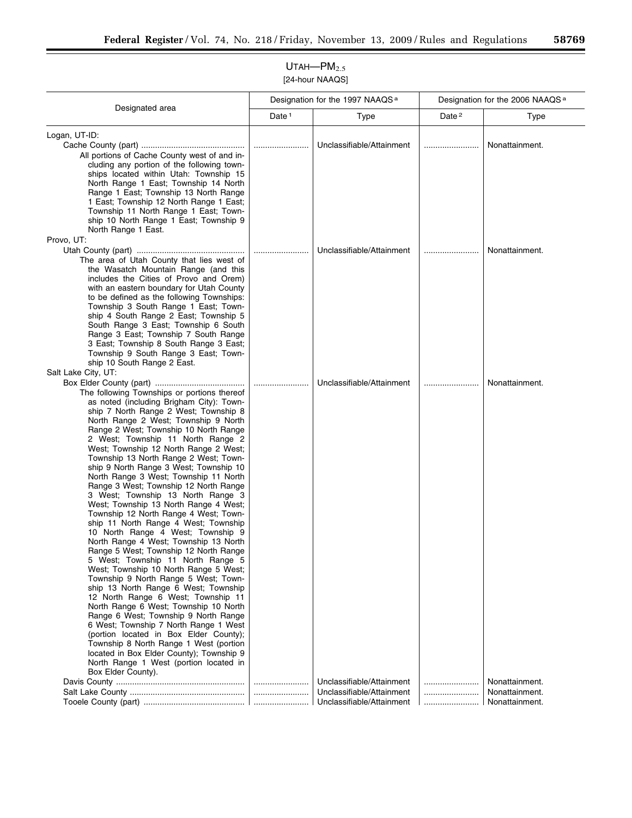| Designated area<br>Date <sup>2</sup><br>Date <sup>1</sup><br>Type<br>Type<br>Logan, UT-ID:<br>Unclassifiable/Attainment<br>Nonattainment.<br>All portions of Cache County west of and in-<br>cluding any portion of the following town-<br>ships located within Utah: Township 15<br>North Range 1 East; Township 14 North<br>Range 1 East; Township 13 North Range<br>1 East; Township 12 North Range 1 East;<br>Township 11 North Range 1 East; Town-<br>ship 10 North Range 1 East; Township 9<br>North Range 1 East.<br>Provo, UT:<br>Unclassifiable/Attainment<br>Nonattainment.<br>The area of Utah County that lies west of<br>the Wasatch Mountain Range (and this | Designation for the 2006 NAAQS <sup>a</sup> |  |
|----------------------------------------------------------------------------------------------------------------------------------------------------------------------------------------------------------------------------------------------------------------------------------------------------------------------------------------------------------------------------------------------------------------------------------------------------------------------------------------------------------------------------------------------------------------------------------------------------------------------------------------------------------------------------|---------------------------------------------|--|
|                                                                                                                                                                                                                                                                                                                                                                                                                                                                                                                                                                                                                                                                            |                                             |  |
|                                                                                                                                                                                                                                                                                                                                                                                                                                                                                                                                                                                                                                                                            |                                             |  |
|                                                                                                                                                                                                                                                                                                                                                                                                                                                                                                                                                                                                                                                                            |                                             |  |
|                                                                                                                                                                                                                                                                                                                                                                                                                                                                                                                                                                                                                                                                            |                                             |  |
|                                                                                                                                                                                                                                                                                                                                                                                                                                                                                                                                                                                                                                                                            |                                             |  |
|                                                                                                                                                                                                                                                                                                                                                                                                                                                                                                                                                                                                                                                                            |                                             |  |
|                                                                                                                                                                                                                                                                                                                                                                                                                                                                                                                                                                                                                                                                            |                                             |  |
|                                                                                                                                                                                                                                                                                                                                                                                                                                                                                                                                                                                                                                                                            |                                             |  |
|                                                                                                                                                                                                                                                                                                                                                                                                                                                                                                                                                                                                                                                                            |                                             |  |
|                                                                                                                                                                                                                                                                                                                                                                                                                                                                                                                                                                                                                                                                            |                                             |  |
|                                                                                                                                                                                                                                                                                                                                                                                                                                                                                                                                                                                                                                                                            |                                             |  |
|                                                                                                                                                                                                                                                                                                                                                                                                                                                                                                                                                                                                                                                                            |                                             |  |
|                                                                                                                                                                                                                                                                                                                                                                                                                                                                                                                                                                                                                                                                            |                                             |  |
|                                                                                                                                                                                                                                                                                                                                                                                                                                                                                                                                                                                                                                                                            |                                             |  |
|                                                                                                                                                                                                                                                                                                                                                                                                                                                                                                                                                                                                                                                                            |                                             |  |
| includes the Cities of Provo and Orem)                                                                                                                                                                                                                                                                                                                                                                                                                                                                                                                                                                                                                                     |                                             |  |
| with an eastern boundary for Utah County<br>to be defined as the following Townships:                                                                                                                                                                                                                                                                                                                                                                                                                                                                                                                                                                                      |                                             |  |
| Township 3 South Range 1 East; Town-                                                                                                                                                                                                                                                                                                                                                                                                                                                                                                                                                                                                                                       |                                             |  |
| ship 4 South Range 2 East; Township 5                                                                                                                                                                                                                                                                                                                                                                                                                                                                                                                                                                                                                                      |                                             |  |
| South Range 3 East; Township 6 South                                                                                                                                                                                                                                                                                                                                                                                                                                                                                                                                                                                                                                       |                                             |  |
| Range 3 East; Township 7 South Range                                                                                                                                                                                                                                                                                                                                                                                                                                                                                                                                                                                                                                       |                                             |  |
| 3 East; Township 8 South Range 3 East;                                                                                                                                                                                                                                                                                                                                                                                                                                                                                                                                                                                                                                     |                                             |  |
| Township 9 South Range 3 East; Town-                                                                                                                                                                                                                                                                                                                                                                                                                                                                                                                                                                                                                                       |                                             |  |
| ship 10 South Range 2 East.                                                                                                                                                                                                                                                                                                                                                                                                                                                                                                                                                                                                                                                |                                             |  |
| Salt Lake City, UT:<br>Unclassifiable/Attainment                                                                                                                                                                                                                                                                                                                                                                                                                                                                                                                                                                                                                           |                                             |  |
| Nonattainment.<br>The following Townships or portions thereof                                                                                                                                                                                                                                                                                                                                                                                                                                                                                                                                                                                                              |                                             |  |
| as noted (including Brigham City): Town-                                                                                                                                                                                                                                                                                                                                                                                                                                                                                                                                                                                                                                   |                                             |  |
| ship 7 North Range 2 West; Township 8                                                                                                                                                                                                                                                                                                                                                                                                                                                                                                                                                                                                                                      |                                             |  |
| North Range 2 West; Township 9 North                                                                                                                                                                                                                                                                                                                                                                                                                                                                                                                                                                                                                                       |                                             |  |
| Range 2 West; Township 10 North Range                                                                                                                                                                                                                                                                                                                                                                                                                                                                                                                                                                                                                                      |                                             |  |
| 2 West; Township 11 North Range 2                                                                                                                                                                                                                                                                                                                                                                                                                                                                                                                                                                                                                                          |                                             |  |
| West; Township 12 North Range 2 West;                                                                                                                                                                                                                                                                                                                                                                                                                                                                                                                                                                                                                                      |                                             |  |
| Township 13 North Range 2 West; Town-<br>ship 9 North Range 3 West; Township 10                                                                                                                                                                                                                                                                                                                                                                                                                                                                                                                                                                                            |                                             |  |
| North Range 3 West; Township 11 North                                                                                                                                                                                                                                                                                                                                                                                                                                                                                                                                                                                                                                      |                                             |  |
| Range 3 West; Township 12 North Range                                                                                                                                                                                                                                                                                                                                                                                                                                                                                                                                                                                                                                      |                                             |  |
| 3 West; Township 13 North Range 3                                                                                                                                                                                                                                                                                                                                                                                                                                                                                                                                                                                                                                          |                                             |  |
| West; Township 13 North Range 4 West;                                                                                                                                                                                                                                                                                                                                                                                                                                                                                                                                                                                                                                      |                                             |  |
| Township 12 North Range 4 West; Town-                                                                                                                                                                                                                                                                                                                                                                                                                                                                                                                                                                                                                                      |                                             |  |
| ship 11 North Range 4 West; Township<br>10 North Range 4 West; Township 9                                                                                                                                                                                                                                                                                                                                                                                                                                                                                                                                                                                                  |                                             |  |
| North Range 4 West; Township 13 North                                                                                                                                                                                                                                                                                                                                                                                                                                                                                                                                                                                                                                      |                                             |  |
| Range 5 West; Township 12 North Range                                                                                                                                                                                                                                                                                                                                                                                                                                                                                                                                                                                                                                      |                                             |  |
| 5 West; Township 11 North Range 5                                                                                                                                                                                                                                                                                                                                                                                                                                                                                                                                                                                                                                          |                                             |  |
| West; Township 10 North Range 5 West;                                                                                                                                                                                                                                                                                                                                                                                                                                                                                                                                                                                                                                      |                                             |  |
| Township 9 North Range 5 West; Town-                                                                                                                                                                                                                                                                                                                                                                                                                                                                                                                                                                                                                                       |                                             |  |
| ship 13 North Range 6 West; Township                                                                                                                                                                                                                                                                                                                                                                                                                                                                                                                                                                                                                                       |                                             |  |
| 12 North Range 6 West; Township 11<br>North Range 6 West; Township 10 North                                                                                                                                                                                                                                                                                                                                                                                                                                                                                                                                                                                                |                                             |  |
| Range 6 West; Township 9 North Range                                                                                                                                                                                                                                                                                                                                                                                                                                                                                                                                                                                                                                       |                                             |  |
| 6 West; Township 7 North Range 1 West                                                                                                                                                                                                                                                                                                                                                                                                                                                                                                                                                                                                                                      |                                             |  |
| (portion located in Box Elder County);                                                                                                                                                                                                                                                                                                                                                                                                                                                                                                                                                                                                                                     |                                             |  |
| Township 8 North Range 1 West (portion                                                                                                                                                                                                                                                                                                                                                                                                                                                                                                                                                                                                                                     |                                             |  |
| located in Box Elder County); Township 9                                                                                                                                                                                                                                                                                                                                                                                                                                                                                                                                                                                                                                   |                                             |  |
| North Range 1 West (portion located in                                                                                                                                                                                                                                                                                                                                                                                                                                                                                                                                                                                                                                     |                                             |  |
| Box Elder County).<br>Unclassifiable/Attainment<br>Nonattainment.                                                                                                                                                                                                                                                                                                                                                                                                                                                                                                                                                                                                          |                                             |  |
| Unclassifiable/Attainment<br>Nonattainment.                                                                                                                                                                                                                                                                                                                                                                                                                                                                                                                                                                                                                                |                                             |  |
| Unclassifiable/Attainment<br>Nonattainment.                                                                                                                                                                                                                                                                                                                                                                                                                                                                                                                                                                                                                                |                                             |  |

## $UTAH—PM<sub>2.5</sub>$ [24-hour NAAQS]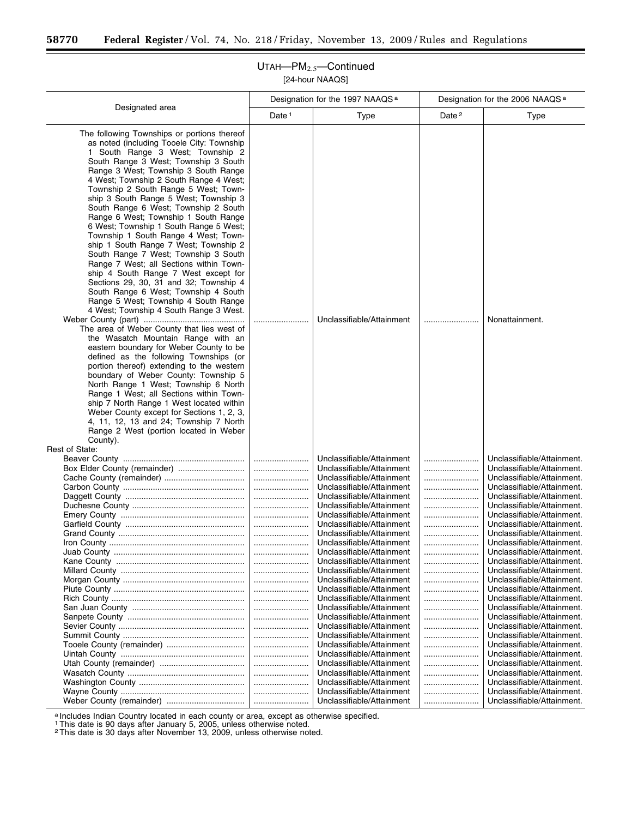Ξ

## UTAH—PM2.5—Continued [24-hour NAAQS]

|                                                                                                                                                                                                                                                                                                                                                                                                                                                                                                                                                                                                                                                                                                                                                                                                                                                                                                                                                                                                                                                                                                                                                                                                                                                                                                                                                                                                               |                   | Designation for the 1997 NAAQS <sup>a</sup>            |                   | Designation for the 2006 NAAQS <sup>a</sup>              |  |
|---------------------------------------------------------------------------------------------------------------------------------------------------------------------------------------------------------------------------------------------------------------------------------------------------------------------------------------------------------------------------------------------------------------------------------------------------------------------------------------------------------------------------------------------------------------------------------------------------------------------------------------------------------------------------------------------------------------------------------------------------------------------------------------------------------------------------------------------------------------------------------------------------------------------------------------------------------------------------------------------------------------------------------------------------------------------------------------------------------------------------------------------------------------------------------------------------------------------------------------------------------------------------------------------------------------------------------------------------------------------------------------------------------------|-------------------|--------------------------------------------------------|-------------------|----------------------------------------------------------|--|
| Designated area                                                                                                                                                                                                                                                                                                                                                                                                                                                                                                                                                                                                                                                                                                                                                                                                                                                                                                                                                                                                                                                                                                                                                                                                                                                                                                                                                                                               | Date <sup>1</sup> | <b>Type</b>                                            | Date <sup>2</sup> | <b>Type</b>                                              |  |
| The following Townships or portions thereof<br>as noted (including Tooele City: Township<br>1 South Range 3 West; Township 2<br>South Range 3 West; Township 3 South<br>Range 3 West; Township 3 South Range<br>4 West; Township 2 South Range 4 West;<br>Township 2 South Range 5 West; Town-<br>ship 3 South Range 5 West; Township 3<br>South Range 6 West; Township 2 South<br>Range 6 West; Township 1 South Range<br>6 West; Township 1 South Range 5 West;<br>Township 1 South Range 4 West; Town-<br>ship 1 South Range 7 West; Township 2<br>South Range 7 West; Township 3 South<br>Range 7 West; all Sections within Town-<br>ship 4 South Range 7 West except for<br>Sections 29, 30, 31 and 32; Township 4<br>South Range 6 West; Township 4 South<br>Range 5 West; Township 4 South Range<br>4 West; Township 4 South Range 3 West.<br>The area of Weber County that lies west of<br>the Wasatch Mountain Range with an<br>eastern boundary for Weber County to be<br>defined as the following Townships (or<br>portion thereof) extending to the western<br>boundary of Weber County: Township 5<br>North Range 1 West; Township 6 North<br>Range 1 West; all Sections within Town-<br>ship 7 North Range 1 West located within<br>Weber County except for Sections 1, 2, 3,<br>4, 11, 12, 13 and 24; Township 7 North<br>Range 2 West (portion located in Weber<br>County).<br>Rest of State: |                   | Unclassifiable/Attainment                              |                   | Nonattainment.                                           |  |
|                                                                                                                                                                                                                                                                                                                                                                                                                                                                                                                                                                                                                                                                                                                                                                                                                                                                                                                                                                                                                                                                                                                                                                                                                                                                                                                                                                                                               |                   | Unclassifiable/Attainment                              |                   | Unclassifiable/Attainment.                               |  |
|                                                                                                                                                                                                                                                                                                                                                                                                                                                                                                                                                                                                                                                                                                                                                                                                                                                                                                                                                                                                                                                                                                                                                                                                                                                                                                                                                                                                               |                   | Unclassifiable/Attainment                              |                   | Unclassifiable/Attainment.                               |  |
|                                                                                                                                                                                                                                                                                                                                                                                                                                                                                                                                                                                                                                                                                                                                                                                                                                                                                                                                                                                                                                                                                                                                                                                                                                                                                                                                                                                                               |                   | Unclassifiable/Attainment                              |                   | Unclassifiable/Attainment.                               |  |
|                                                                                                                                                                                                                                                                                                                                                                                                                                                                                                                                                                                                                                                                                                                                                                                                                                                                                                                                                                                                                                                                                                                                                                                                                                                                                                                                                                                                               | <br>              | Unclassifiable/Attainment<br>Unclassifiable/Attainment | <br>              | Unclassifiable/Attainment.<br>Unclassifiable/Attainment. |  |
|                                                                                                                                                                                                                                                                                                                                                                                                                                                                                                                                                                                                                                                                                                                                                                                                                                                                                                                                                                                                                                                                                                                                                                                                                                                                                                                                                                                                               |                   | Unclassifiable/Attainment                              |                   | Unclassifiable/Attainment.                               |  |
|                                                                                                                                                                                                                                                                                                                                                                                                                                                                                                                                                                                                                                                                                                                                                                                                                                                                                                                                                                                                                                                                                                                                                                                                                                                                                                                                                                                                               |                   | Unclassifiable/Attainment                              |                   | Unclassifiable/Attainment.                               |  |
|                                                                                                                                                                                                                                                                                                                                                                                                                                                                                                                                                                                                                                                                                                                                                                                                                                                                                                                                                                                                                                                                                                                                                                                                                                                                                                                                                                                                               |                   | Unclassifiable/Attainment                              |                   | Unclassifiable/Attainment.                               |  |
|                                                                                                                                                                                                                                                                                                                                                                                                                                                                                                                                                                                                                                                                                                                                                                                                                                                                                                                                                                                                                                                                                                                                                                                                                                                                                                                                                                                                               |                   | Unclassifiable/Attainment                              |                   | Unclassifiable/Attainment.                               |  |
|                                                                                                                                                                                                                                                                                                                                                                                                                                                                                                                                                                                                                                                                                                                                                                                                                                                                                                                                                                                                                                                                                                                                                                                                                                                                                                                                                                                                               |                   | Unclassifiable/Attainment                              |                   | Unclassifiable/Attainment.                               |  |
|                                                                                                                                                                                                                                                                                                                                                                                                                                                                                                                                                                                                                                                                                                                                                                                                                                                                                                                                                                                                                                                                                                                                                                                                                                                                                                                                                                                                               |                   | Unclassifiable/Attainment                              |                   | Unclassifiable/Attainment.                               |  |
|                                                                                                                                                                                                                                                                                                                                                                                                                                                                                                                                                                                                                                                                                                                                                                                                                                                                                                                                                                                                                                                                                                                                                                                                                                                                                                                                                                                                               |                   | Unclassifiable/Attainment                              |                   | Unclassifiable/Attainment.                               |  |
|                                                                                                                                                                                                                                                                                                                                                                                                                                                                                                                                                                                                                                                                                                                                                                                                                                                                                                                                                                                                                                                                                                                                                                                                                                                                                                                                                                                                               |                   | Unclassifiable/Attainment<br>Unclassifiable/Attainment |                   | Unclassifiable/Attainment.<br>Unclassifiable/Attainment. |  |
|                                                                                                                                                                                                                                                                                                                                                                                                                                                                                                                                                                                                                                                                                                                                                                                                                                                                                                                                                                                                                                                                                                                                                                                                                                                                                                                                                                                                               |                   | Unclassifiable/Attainment                              |                   | Unclassifiable/Attainment.                               |  |
|                                                                                                                                                                                                                                                                                                                                                                                                                                                                                                                                                                                                                                                                                                                                                                                                                                                                                                                                                                                                                                                                                                                                                                                                                                                                                                                                                                                                               |                   | Unclassifiable/Attainment                              |                   | Unclassifiable/Attainment.                               |  |
|                                                                                                                                                                                                                                                                                                                                                                                                                                                                                                                                                                                                                                                                                                                                                                                                                                                                                                                                                                                                                                                                                                                                                                                                                                                                                                                                                                                                               |                   | Unclassifiable/Attainment                              |                   | Unclassifiable/Attainment.                               |  |
|                                                                                                                                                                                                                                                                                                                                                                                                                                                                                                                                                                                                                                                                                                                                                                                                                                                                                                                                                                                                                                                                                                                                                                                                                                                                                                                                                                                                               |                   | Unclassifiable/Attainment                              |                   | Unclassifiable/Attainment.                               |  |
|                                                                                                                                                                                                                                                                                                                                                                                                                                                                                                                                                                                                                                                                                                                                                                                                                                                                                                                                                                                                                                                                                                                                                                                                                                                                                                                                                                                                               |                   | Unclassifiable/Attainment                              |                   | Unclassifiable/Attainment.                               |  |
|                                                                                                                                                                                                                                                                                                                                                                                                                                                                                                                                                                                                                                                                                                                                                                                                                                                                                                                                                                                                                                                                                                                                                                                                                                                                                                                                                                                                               |                   | Unclassifiable/Attainment                              |                   | Unclassifiable/Attainment.                               |  |
|                                                                                                                                                                                                                                                                                                                                                                                                                                                                                                                                                                                                                                                                                                                                                                                                                                                                                                                                                                                                                                                                                                                                                                                                                                                                                                                                                                                                               |                   | Unclassifiable/Attainment                              |                   | Unclassifiable/Attainment.                               |  |
|                                                                                                                                                                                                                                                                                                                                                                                                                                                                                                                                                                                                                                                                                                                                                                                                                                                                                                                                                                                                                                                                                                                                                                                                                                                                                                                                                                                                               |                   | Unclassifiable/Attainment                              |                   | Unclassifiable/Attainment.                               |  |
|                                                                                                                                                                                                                                                                                                                                                                                                                                                                                                                                                                                                                                                                                                                                                                                                                                                                                                                                                                                                                                                                                                                                                                                                                                                                                                                                                                                                               |                   | Unclassifiable/Attainment                              |                   | Unclassifiable/Attainment.                               |  |
|                                                                                                                                                                                                                                                                                                                                                                                                                                                                                                                                                                                                                                                                                                                                                                                                                                                                                                                                                                                                                                                                                                                                                                                                                                                                                                                                                                                                               |                   | Unclassifiable/Attainment                              |                   | Unclassifiable/Attainment.                               |  |
|                                                                                                                                                                                                                                                                                                                                                                                                                                                                                                                                                                                                                                                                                                                                                                                                                                                                                                                                                                                                                                                                                                                                                                                                                                                                                                                                                                                                               |                   | Unclassifiable/Attainment                              |                   | Unclassifiable/Attainment.                               |  |
|                                                                                                                                                                                                                                                                                                                                                                                                                                                                                                                                                                                                                                                                                                                                                                                                                                                                                                                                                                                                                                                                                                                                                                                                                                                                                                                                                                                                               |                   | Unclassifiable/Attainment                              |                   | Unclassifiable/Attainment.                               |  |
|                                                                                                                                                                                                                                                                                                                                                                                                                                                                                                                                                                                                                                                                                                                                                                                                                                                                                                                                                                                                                                                                                                                                                                                                                                                                                                                                                                                                               |                   | Unclassifiable/Attainment                              |                   | Unclassifiable/Attainment.                               |  |

a Includes Indian Country located in each county or area, except as otherwise specified.

1This date is 90 days after January 5, 2005, unless otherwise noted. 2This date is 30 days after November 13, 2009, unless otherwise noted.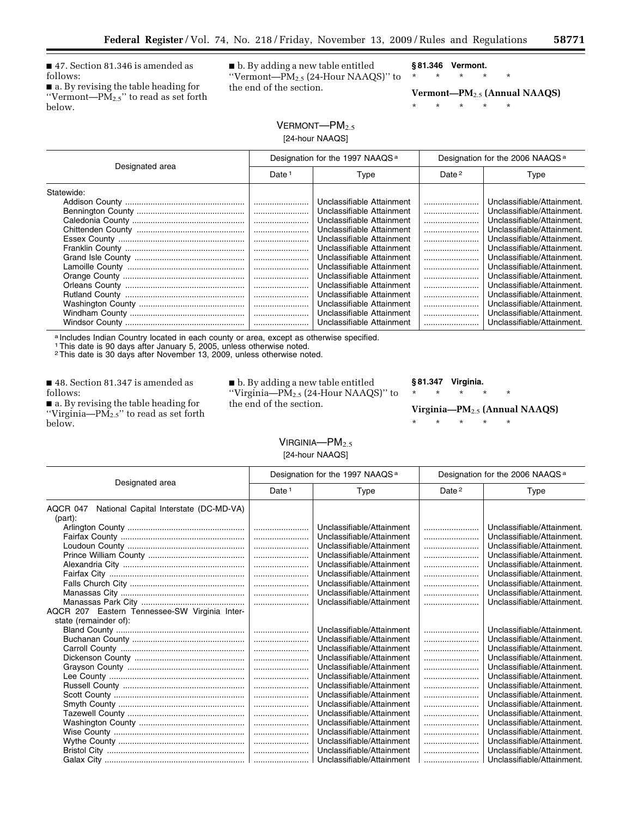■ 47. Section 81.346 is amended as follows:

■ a. By revising the table heading for ''Vermont—PM2.5'' to read as set forth below.

■ b. By adding a new table entitled ''Vermont—PM2.5 (24-Hour NAAQS)'' to the end of the section.

**§ 81.346 Vermont.** 

\* \* \* \* \* **Vermont—PM**2.5 **(Annual NAAQS)** 

\* \* \* \* \*

# $V$ ERMONT— $PM_{2.5}$ [24-hour NAAQS]

| Designated area | Designation for the 1997 NAAQS <sup>a</sup> |                                                                                                                                               | Designation for the 2006 NAAQS <sup>a</sup> |                                                                                                                                                    |
|-----------------|---------------------------------------------|-----------------------------------------------------------------------------------------------------------------------------------------------|---------------------------------------------|----------------------------------------------------------------------------------------------------------------------------------------------------|
|                 | Date <sup>1</sup>                           | Type                                                                                                                                          | Date <sup>2</sup>                           | Type                                                                                                                                               |
| Statewide:      |                                             | Unclassifiable Attainment                                                                                                                     |                                             | Unclassifiable/Attainment.                                                                                                                         |
|                 |                                             | Unclassifiable Attainment<br>Unclassifiable Attainment<br>Unclassifiable Attainment<br>Unclassifiable Attainment                              | <br><br>                                    | Unclassifiable/Attainment.<br>Unclassifiable/Attainment.<br>Unclassifiable/Attainment.<br>Unclassifiable/Attainment.                               |
|                 |                                             | Unclassifiable Attainment<br>Unclassifiable Attainment<br>Unclassifiable Attainment                                                           | <br>                                        | Unclassifiable/Attainment.<br>Unclassifiable/Attainment.<br>Unclassifiable/Attainment.                                                             |
|                 |                                             | Unclassifiable Attainment<br>Unclassifiable Attainment<br>Unclassifiable Attainment<br>Unclassifiable Attainment<br>Unclassifiable Attainment |                                             | Unclassifiable/Attainment.<br>Unclassifiable/Attainment.<br>Unclassifiable/Attainment.<br>Unclassifiable/Attainment.<br>Unclassifiable/Attainment. |
|                 |                                             | Unclassifiable Attainment                                                                                                                     |                                             | Unclassifiable/Attainment.                                                                                                                         |

a Includes Indian Country located in each county or area, except as otherwise specified.

1This date is 90 days after January 5, 2005, unless otherwise noted. 2This date is 30 days after November 13, 2009, unless otherwise noted.

■ 48. Section 81.347 is amended as follows:

■ a. By revising the table heading for "Virginia— $PM_{2.5}$ " to read as set forth below.

■ b. By adding a new table entitled "Virginia— $\overline{PM}_{2.5}$  (24-Hour NAAQS)" to the end of the section.

### **§ 81.347 Virginia.**

### **Virginia—PM**2.5 **(Annual NAAQS)**

\* \* \* \* \*

\* \* \* \* \*

VIRGINIA—PM<sub>2.5</sub>

[24-hour NAAQS]

| Designated area                                               | Designation for the 1997 NAAQS <sup>a</sup> |                           | Designation for the 2006 NAAQS <sup>a</sup> |                            |
|---------------------------------------------------------------|---------------------------------------------|---------------------------|---------------------------------------------|----------------------------|
|                                                               | Date <sup>1</sup>                           | Type                      | Date <sup>2</sup>                           | Type                       |
| National Capital Interstate (DC-MD-VA)<br>AQCR 047<br>(part): |                                             |                           |                                             |                            |
|                                                               |                                             | Unclassifiable/Attainment |                                             | Unclassifiable/Attainment. |
|                                                               |                                             | Unclassifiable/Attainment |                                             | Unclassifiable/Attainment. |
|                                                               |                                             | Unclassifiable/Attainment |                                             | Unclassifiable/Attainment. |
|                                                               |                                             | Unclassifiable/Attainment |                                             | Unclassifiable/Attainment. |
|                                                               |                                             | Unclassifiable/Attainment |                                             | Unclassifiable/Attainment. |
|                                                               |                                             | Unclassifiable/Attainment |                                             | Unclassifiable/Attainment. |
|                                                               |                                             | Unclassifiable/Attainment |                                             | Unclassifiable/Attainment. |
|                                                               |                                             | Unclassifiable/Attainment |                                             | Unclassifiable/Attainment. |
|                                                               |                                             | Unclassifiable/Attainment |                                             | Unclassifiable/Attainment. |
| AQCR 207 Eastern Tennessee-SW Virginia Inter-                 |                                             |                           |                                             |                            |
| state (remainder of):                                         |                                             |                           |                                             |                            |
|                                                               |                                             | Unclassifiable/Attainment |                                             | Unclassifiable/Attainment. |
|                                                               |                                             | Unclassifiable/Attainment |                                             | Unclassifiable/Attainment. |
|                                                               |                                             | Unclassifiable/Attainment |                                             | Unclassifiable/Attainment. |
|                                                               |                                             | Unclassifiable/Attainment |                                             | Unclassifiable/Attainment. |
|                                                               |                                             | Unclassifiable/Attainment |                                             | Unclassifiable/Attainment. |
|                                                               |                                             | Unclassifiable/Attainment |                                             | Unclassifiable/Attainment. |
|                                                               |                                             | Unclassifiable/Attainment |                                             | Unclassifiable/Attainment. |
|                                                               |                                             | Unclassifiable/Attainment |                                             | Unclassifiable/Attainment. |
|                                                               |                                             | Unclassifiable/Attainment |                                             | Unclassifiable/Attainment. |
|                                                               |                                             | Unclassifiable/Attainment |                                             | Unclassifiable/Attainment. |
|                                                               |                                             | Unclassifiable/Attainment |                                             | Unclassifiable/Attainment. |
|                                                               |                                             | Unclassifiable/Attainment |                                             | Unclassifiable/Attainment. |
|                                                               |                                             | Unclassifiable/Attainment |                                             | Unclassifiable/Attainment. |
|                                                               |                                             | Unclassifiable/Attainment |                                             | Unclassifiable/Attainment. |
|                                                               |                                             | Unclassifiable/Attainment |                                             | Unclassifiable/Attainment. |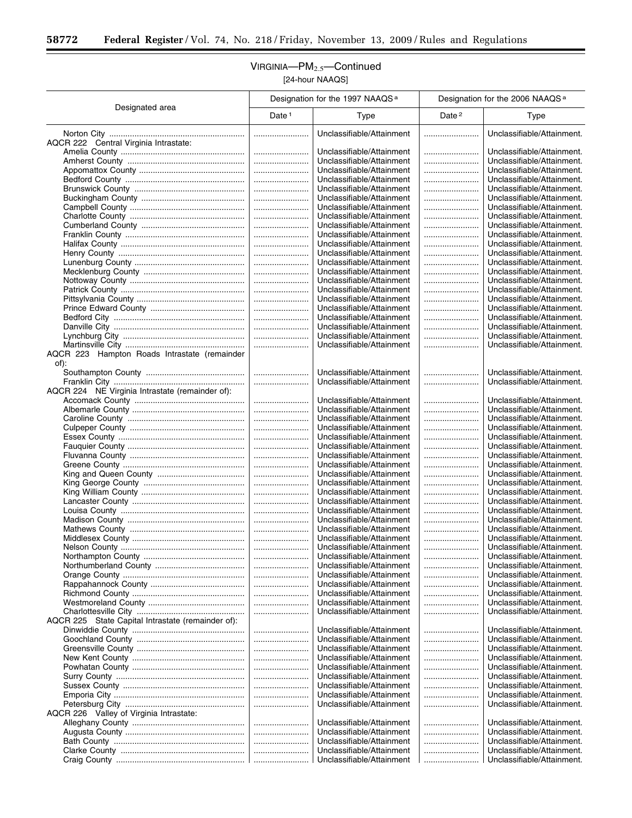$\equiv$ 

## VIRGINIA—PM2.5—Continued [24-hour NAAQS]

|                                                      | Designation for the 1997 NAAQS <sup>a</sup> |                                                        | Designation for the 2006 NAAQS <sup>a</sup> |                                                          |
|------------------------------------------------------|---------------------------------------------|--------------------------------------------------------|---------------------------------------------|----------------------------------------------------------|
| Designated area                                      | Date <sup>1</sup>                           | Type                                                   | Date <sup>2</sup>                           | Type                                                     |
| AQCR 222 Central Virginia Intrastate:                |                                             | Unclassifiable/Attainment                              |                                             | Unclassifiable/Attainment.                               |
|                                                      |                                             | Unclassifiable/Attainment                              |                                             | Unclassifiable/Attainment.                               |
|                                                      |                                             | Unclassifiable/Attainment                              |                                             | Unclassifiable/Attainment.                               |
|                                                      |                                             | Unclassifiable/Attainment                              |                                             | Unclassifiable/Attainment.                               |
|                                                      |                                             | Unclassifiable/Attainment                              |                                             | Unclassifiable/Attainment.                               |
|                                                      |                                             | Unclassifiable/Attainment                              |                                             | Unclassifiable/Attainment.                               |
|                                                      |                                             | Unclassifiable/Attainment                              |                                             | Unclassifiable/Attainment.                               |
|                                                      |                                             | Unclassifiable/Attainment                              |                                             | Unclassifiable/Attainment.                               |
|                                                      |                                             | Unclassifiable/Attainment                              |                                             | Unclassifiable/Attainment.                               |
|                                                      |                                             | Unclassifiable/Attainment                              |                                             | Unclassifiable/Attainment.                               |
|                                                      |                                             | Unclassifiable/Attainment                              |                                             | Unclassifiable/Attainment.                               |
|                                                      |                                             | Unclassifiable/Attainment                              |                                             | Unclassifiable/Attainment.                               |
|                                                      |                                             | Unclassifiable/Attainment                              |                                             | Unclassifiable/Attainment.                               |
|                                                      |                                             | Unclassifiable/Attainment                              |                                             | Unclassifiable/Attainment.                               |
|                                                      |                                             | Unclassifiable/Attainment                              |                                             | Unclassifiable/Attainment.                               |
|                                                      |                                             | Unclassifiable/Attainment<br>Unclassifiable/Attainment | <br>                                        | Unclassifiable/Attainment.<br>Unclassifiable/Attainment. |
|                                                      |                                             | Unclassifiable/Attainment                              |                                             | Unclassifiable/Attainment.                               |
|                                                      |                                             | Unclassifiable/Attainment                              |                                             | Unclassifiable/Attainment.                               |
|                                                      |                                             | Unclassifiable/Attainment                              |                                             | Unclassifiable/Attainment.                               |
|                                                      |                                             | Unclassifiable/Attainment                              |                                             | Unclassifiable/Attainment.                               |
|                                                      |                                             | Unclassifiable/Attainment                              |                                             | Unclassifiable/Attainment.                               |
|                                                      |                                             | Unclassifiable/Attainment                              |                                             | Unclassifiable/Attainment.                               |
| AQCR 223 Hampton Roads Intrastate (remainder<br>of): |                                             |                                                        |                                             |                                                          |
|                                                      |                                             | Unclassifiable/Attainment                              |                                             | Unclassifiable/Attainment.                               |
|                                                      |                                             | Unclassifiable/Attainment                              |                                             | Unclassifiable/Attainment.                               |
| AQCR 224 NE Virginia Intrastate (remainder of):      |                                             | Unclassifiable/Attainment                              |                                             | Unclassifiable/Attainment.                               |
|                                                      |                                             | Unclassifiable/Attainment                              |                                             | Unclassifiable/Attainment.                               |
|                                                      |                                             | Unclassifiable/Attainment                              |                                             | Unclassifiable/Attainment.                               |
|                                                      |                                             | Unclassifiable/Attainment                              |                                             | Unclassifiable/Attainment.                               |
|                                                      |                                             | Unclassifiable/Attainment                              |                                             | Unclassifiable/Attainment.                               |
|                                                      |                                             | Unclassifiable/Attainment                              |                                             | Unclassifiable/Attainment.                               |
|                                                      |                                             | Unclassifiable/Attainment<br>Unclassifiable/Attainment | <br>                                        | Unclassifiable/Attainment.<br>Unclassifiable/Attainment. |
|                                                      |                                             | Unclassifiable/Attainment                              |                                             | Unclassifiable/Attainment.                               |
|                                                      |                                             | Unclassifiable/Attainment                              |                                             | Unclassifiable/Attainment.                               |
|                                                      |                                             | Unclassifiable/Attainment                              |                                             | Unclassifiable/Attainment.                               |
|                                                      |                                             | Unclassifiable/Attainment                              |                                             | Unclassifiable/Attainment.                               |
|                                                      |                                             | Unclassifiable/Attainment                              |                                             | Unclassifiable/Attainment.                               |
|                                                      |                                             | Unclassifiable/Attainment                              |                                             | Unclassifiable/Attainment.                               |
|                                                      |                                             | Unclassifiable/Attainment                              |                                             | Unclassifiable/Attainment.                               |
|                                                      |                                             | Unclassifiable/Attainment                              |                                             | Unclassifiable/Attainment.                               |
|                                                      |                                             | Unclassifiable/Attainment<br>Unclassifiable/Attainment |                                             | Unclassifiable/Attainment.<br>Unclassifiable/Attainment. |
|                                                      |                                             | Unclassifiable/Attainment                              |                                             | Unclassifiable/Attainment.                               |
|                                                      |                                             | Unclassifiable/Attainment                              |                                             | Unclassifiable/Attainment.                               |
|                                                      |                                             | Unclassifiable/Attainment                              |                                             | Unclassifiable/Attainment.                               |
|                                                      |                                             | Unclassifiable/Attainment                              |                                             | Unclassifiable/Attainment.                               |
|                                                      |                                             | Unclassifiable/Attainment                              |                                             | Unclassifiable/Attainment.                               |
|                                                      |                                             | Unclassifiable/Attainment                              |                                             | Unclassifiable/Attainment.                               |
| AQCR 225 State Capital Intrastate (remainder of):    |                                             |                                                        |                                             |                                                          |
|                                                      |                                             | Unclassifiable/Attainment                              |                                             | Unclassifiable/Attainment.                               |
|                                                      |                                             | Unclassifiable/Attainment<br>Unclassifiable/Attainment |                                             | Unclassifiable/Attainment.                               |
|                                                      |                                             | Unclassifiable/Attainment                              |                                             | Unclassifiable/Attainment.<br>Unclassifiable/Attainment. |
|                                                      |                                             | Unclassifiable/Attainment                              |                                             | Unclassifiable/Attainment.                               |
|                                                      |                                             | Unclassifiable/Attainment                              |                                             | Unclassifiable/Attainment.                               |
|                                                      |                                             | Unclassifiable/Attainment                              |                                             | Unclassifiable/Attainment.                               |
|                                                      |                                             | Unclassifiable/Attainment                              |                                             | Unclassifiable/Attainment.                               |
|                                                      |                                             | Unclassifiable/Attainment                              |                                             | Unclassifiable/Attainment.                               |
| AQCR 226 Valley of Virginia Intrastate:              |                                             |                                                        |                                             |                                                          |
|                                                      |                                             | Unclassifiable/Attainment                              |                                             | Unclassifiable/Attainment.                               |
|                                                      |                                             | Unclassifiable/Attainment                              |                                             | Unclassifiable/Attainment.                               |
|                                                      |                                             | Unclassifiable/Attainment                              |                                             | Unclassifiable/Attainment.                               |
|                                                      |                                             | Unclassifiable/Attainment                              |                                             | Unclassifiable/Attainment.                               |
|                                                      |                                             | Unclassifiable/Attainment                              |                                             | Unclassifiable/Attainment.                               |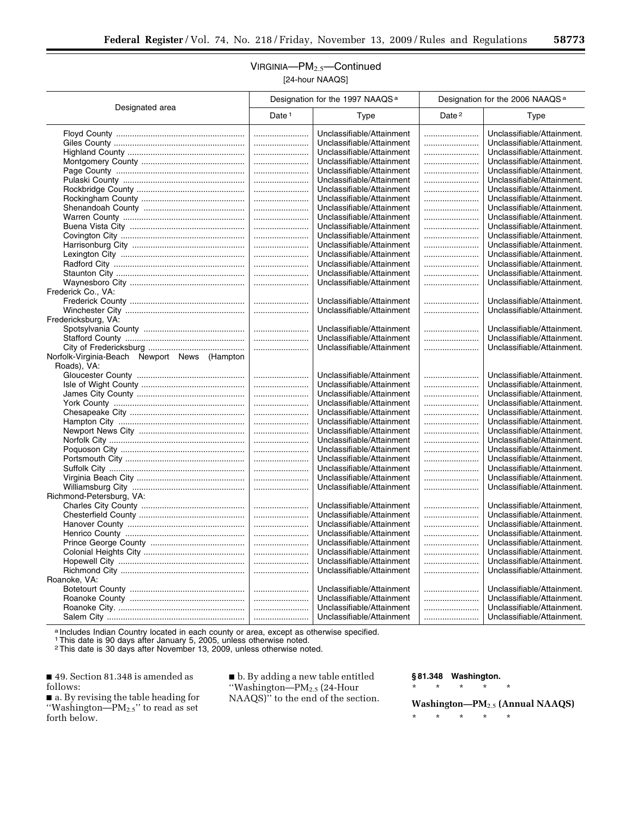## VIRGINIA—PM2.5—Continued [24-hour NAAQS]

|                                              | Designation for the 1997 NAAQS <sup>a</sup> |                           | Designation for the 2006 NAAQS <sup>a</sup> |                            |
|----------------------------------------------|---------------------------------------------|---------------------------|---------------------------------------------|----------------------------|
| Designated area                              | Date <sup>1</sup>                           | Type                      | Date <sup>2</sup>                           | Type                       |
|                                              |                                             | Unclassifiable/Attainment |                                             | Unclassifiable/Attainment. |
|                                              |                                             | Unclassifiable/Attainment |                                             | Unclassifiable/Attainment. |
|                                              |                                             | Unclassifiable/Attainment |                                             | Unclassifiable/Attainment. |
|                                              |                                             | Unclassifiable/Attainment |                                             | Unclassifiable/Attainment. |
|                                              |                                             | Unclassifiable/Attainment |                                             | Unclassifiable/Attainment. |
|                                              |                                             | Unclassifiable/Attainment |                                             | Unclassifiable/Attainment. |
|                                              |                                             | Unclassifiable/Attainment |                                             | Unclassifiable/Attainment. |
|                                              |                                             | Unclassifiable/Attainment |                                             | Unclassifiable/Attainment. |
|                                              |                                             | Unclassifiable/Attainment |                                             | Unclassifiable/Attainment. |
|                                              |                                             | Unclassifiable/Attainment |                                             | Unclassifiable/Attainment. |
|                                              |                                             | Unclassifiable/Attainment |                                             | Unclassifiable/Attainment. |
|                                              |                                             | Unclassifiable/Attainment |                                             | Unclassifiable/Attainment. |
|                                              |                                             | Unclassifiable/Attainment |                                             | Unclassifiable/Attainment. |
|                                              |                                             | Unclassifiable/Attainment |                                             | Unclassifiable/Attainment. |
|                                              |                                             | Unclassifiable/Attainment |                                             | Unclassifiable/Attainment. |
|                                              |                                             | Unclassifiable/Attainment |                                             | Unclassifiable/Attainment. |
|                                              |                                             | Unclassifiable/Attainment |                                             | Unclassifiable/Attainment. |
| Frederick Co., VA:                           |                                             |                           |                                             |                            |
|                                              |                                             | Unclassifiable/Attainment |                                             | Unclassifiable/Attainment. |
|                                              |                                             | Unclassifiable/Attainment |                                             | Unclassifiable/Attainment. |
| Fredericksburg, VA:                          |                                             |                           |                                             |                            |
|                                              |                                             | Unclassifiable/Attainment |                                             | Unclassifiable/Attainment. |
|                                              |                                             | Unclassifiable/Attainment |                                             | Unclassifiable/Attainment. |
|                                              |                                             | Unclassifiable/Attainment |                                             | Unclassifiable/Attainment. |
| Norfolk-Virginia-Beach Newport News (Hampton |                                             |                           |                                             |                            |
| Roads), VA:                                  |                                             |                           |                                             |                            |
|                                              |                                             | Unclassifiable/Attainment |                                             | Unclassifiable/Attainment. |
|                                              |                                             | Unclassifiable/Attainment |                                             | Unclassifiable/Attainment. |
|                                              |                                             | Unclassifiable/Attainment |                                             | Unclassifiable/Attainment. |
|                                              |                                             | Unclassifiable/Attainment |                                             | Unclassifiable/Attainment. |
|                                              |                                             | Unclassifiable/Attainment |                                             | Unclassifiable/Attainment. |
|                                              |                                             | Unclassifiable/Attainment |                                             | Unclassifiable/Attainment. |
|                                              |                                             | Unclassifiable/Attainment |                                             | Unclassifiable/Attainment. |
|                                              |                                             | Unclassifiable/Attainment |                                             | Unclassifiable/Attainment. |
|                                              |                                             | Unclassifiable/Attainment |                                             | Unclassifiable/Attainment. |
|                                              |                                             | Unclassifiable/Attainment |                                             | Unclassifiable/Attainment. |
|                                              |                                             | Unclassifiable/Attainment |                                             | Unclassifiable/Attainment. |
|                                              |                                             | Unclassifiable/Attainment |                                             | Unclassifiable/Attainment. |
|                                              |                                             | Unclassifiable/Attainment |                                             | Unclassifiable/Attainment. |
| Richmond-Petersburg, VA:                     |                                             |                           |                                             |                            |
|                                              |                                             | Unclassifiable/Attainment |                                             | Unclassifiable/Attainment. |
|                                              |                                             | Unclassifiable/Attainment |                                             | Unclassifiable/Attainment. |
|                                              |                                             | Unclassifiable/Attainment |                                             | Unclassifiable/Attainment. |
|                                              |                                             | Unclassifiable/Attainment |                                             | Unclassifiable/Attainment. |
|                                              |                                             | Unclassifiable/Attainment |                                             | Unclassifiable/Attainment. |
|                                              |                                             | Unclassifiable/Attainment |                                             | Unclassifiable/Attainment. |
|                                              |                                             | Unclassifiable/Attainment |                                             | Unclassifiable/Attainment. |
|                                              |                                             | Unclassifiable/Attainment |                                             | Unclassifiable/Attainment. |
| Roanoke, VA:                                 |                                             |                           |                                             |                            |
|                                              |                                             | Unclassifiable/Attainment |                                             | Unclassifiable/Attainment. |
|                                              |                                             | Unclassifiable/Attainment |                                             | Unclassifiable/Attainment. |
|                                              |                                             | Unclassifiable/Attainment |                                             | Unclassifiable/Attainment. |
|                                              |                                             | Unclassifiable/Attainment |                                             | Unclassifiable/Attainment. |

a Includes Indian Country located in each county or area, except as otherwise specified.

1This date is 90 days after January 5, 2005, unless otherwise noted.

2This date is 30 days after November 13, 2009, unless otherwise noted.

■ 49. Section 81.348 is amended as follows:

■ a. By revising the table heading for "Washington— $PM_{2.5}$ " to read as set forth below.

■ b. By adding a new table entitled ''Washington—PM2.5 (24-Hour NAAQS)'' to the end of the section. **§ 81.348 Washington.** 

\* \* \* \* \*

**Washington—PM**2.5 **(Annual NAAQS)**  \* \* \* \* \*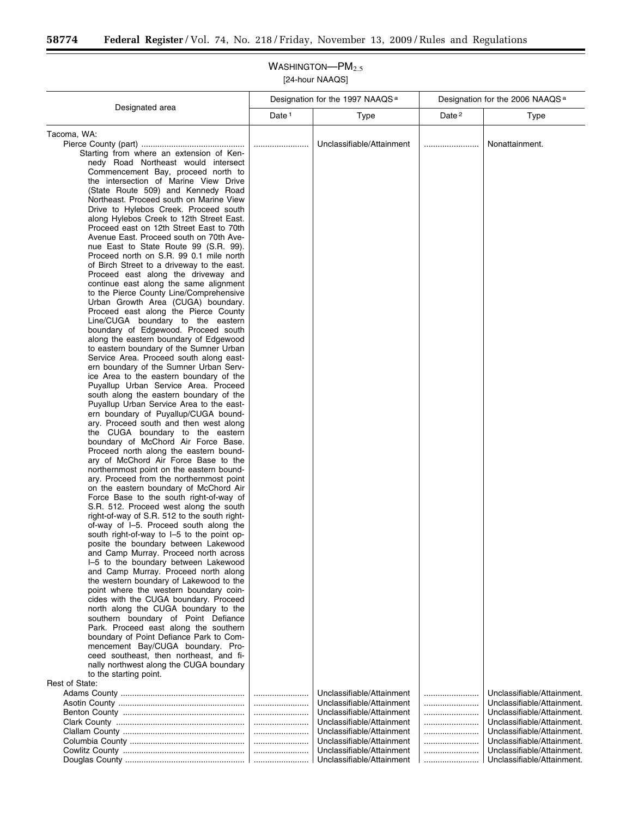### WASHINGTON-PM<sub>2.5</sub> [24-hour NAAQS]

Designated area Designation for the 1997 NAAQS<sup>a</sup> Designation for the 2006 NAAQS<sup>a</sup> Date 1 Type 1 Date 2 Type Tacoma, WA: Pierce County (part) ............................................. ........................ Unclassifiable/Attainment ........................ Nonattainment. Starting from where an extension of Kennedy Road Northeast would intersect Commencement Bay, proceed north to the intersection of Marine View Drive (State Route 509) and Kennedy Road Northeast. Proceed south on Marine View Drive to Hylebos Creek. Proceed south along Hylebos Creek to 12th Street East. Proceed east on 12th Street East to 70th Avenue East. Proceed south on 70th Avenue East to State Route 99 (S.R. 99). Proceed north on S.R. 99 0.1 mile north of Birch Street to a driveway to the east. Proceed east along the driveway and continue east along the same alignment to the Pierce County Line/Comprehensive Urban Growth Area (CUGA) boundary. Proceed east along the Pierce County Line/CUGA boundary to the eastern boundary of Edgewood. Proceed south along the eastern boundary of Edgewood to eastern boundary of the Sumner Urban Service Area. Proceed south along eastern boundary of the Sumner Urban Service Area to the eastern boundary of the Puyallup Urban Service Area. Proceed south along the eastern boundary of the Puyallup Urban Service Area to the eastern boundary of Puyallup/CUGA boundary. Proceed south and then west along the CUGA boundary to the eastern boundary of McChord Air Force Base. Proceed north along the eastern boundary of McChord Air Force Base to the northernmost point on the eastern boundary. Proceed from the northernmost point on the eastern boundary of McChord Air Force Base to the south right-of-way of S.R. 512. Proceed west along the south right-of-way of S.R. 512 to the south rightof-way of I–5. Proceed south along the south right-of-way to I–5 to the point opposite the boundary between Lakewood and Camp Murray. Proceed north across I–5 to the boundary between Lakewood and Camp Murray. Proceed north along the western boundary of Lakewood to the point where the western boundary coincides with the CUGA boundary. Proceed north along the CUGA boundary to the southern boundary of Point Defiance Park. Proceed east along the southern boundary of Point Defiance Park to Commencement Bay/CUGA boundary. Proceed southeast, then northeast, and finally northwest along the CUGA boundary to the starting point. Rest of State: Adams County ...................................................... ........................ Unclassifiable/Attainment ........................ Unclassifiable/Attainment. Asotin County ....................................................... ........................ Unclassifiable/Attainment ........................ Unclassifiable/Attainment. Benton County ..................................................... ........................ Unclassifiable/Attainment ........................ Unclassifiable/Attainment. Clark County ........................................................ ........................ Unclassifiable/Attainment ........................ Unclassifiable/Attainment. Clallam County ..................................................... ........................ Unclassifiable/Attainment ........................ Unclassifiable/Attainment. Columbia County .................................................. ........................ Unclassifiable/Attainment ........................ Unclassifiable/Attainment. Cowlitz County ..................................................... ........................ Unclassifiable/Attainment ........................ Unclassifiable/Attainment. Douglas County .................................................... ........................ Unclassifiable/Attainment ........................ Unclassifiable/Attainment.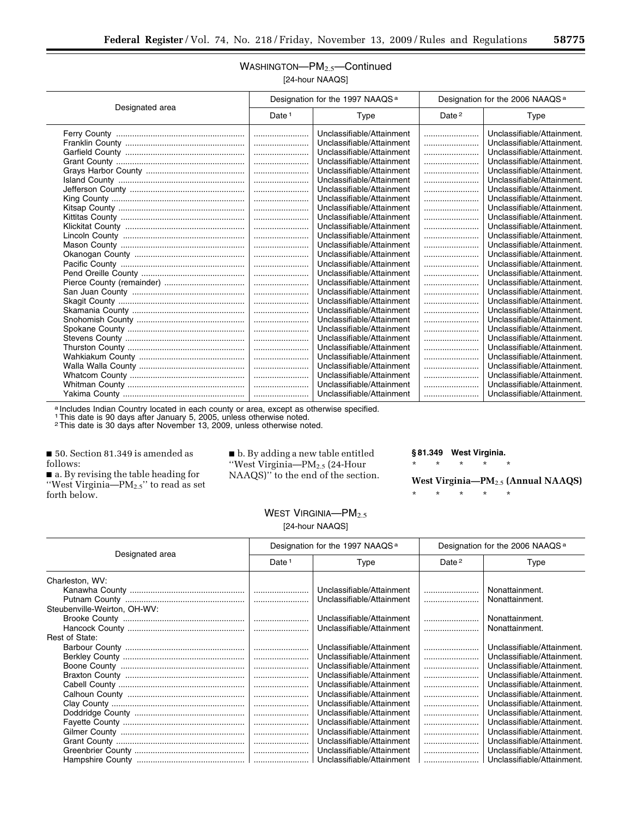## WASHINGTON-PM<sub>2.5</sub>-Continued [24-hour NAAQS]

| Designated area | Designation for the 1997 NAAQS <sup>a</sup> |                           | Designation for the 2006 NAAQS <sup>a</sup> |                            |
|-----------------|---------------------------------------------|---------------------------|---------------------------------------------|----------------------------|
|                 | Date $1$                                    | Type                      | Date <sup>2</sup>                           | Type                       |
|                 |                                             | Unclassifiable/Attainment |                                             | Unclassifiable/Attainment. |
|                 |                                             | Unclassifiable/Attainment |                                             | Unclassifiable/Attainment. |
|                 |                                             | Unclassifiable/Attainment |                                             | Unclassifiable/Attainment. |
|                 |                                             | Unclassifiable/Attainment |                                             | Unclassifiable/Attainment. |
|                 |                                             | Unclassifiable/Attainment |                                             | Unclassifiable/Attainment. |
|                 |                                             | Unclassifiable/Attainment |                                             | Unclassifiable/Attainment. |
|                 |                                             | Unclassifiable/Attainment |                                             | Unclassifiable/Attainment. |
|                 |                                             | Unclassifiable/Attainment |                                             | Unclassifiable/Attainment. |
|                 |                                             | Unclassifiable/Attainment |                                             | Unclassifiable/Attainment. |
|                 |                                             | Unclassifiable/Attainment |                                             | Unclassifiable/Attainment. |
|                 |                                             | Unclassifiable/Attainment |                                             | Unclassifiable/Attainment. |
|                 |                                             | Unclassifiable/Attainment |                                             | Unclassifiable/Attainment. |
|                 |                                             | Unclassifiable/Attainment |                                             | Unclassifiable/Attainment. |
|                 |                                             | Unclassifiable/Attainment |                                             | Unclassifiable/Attainment. |
|                 |                                             | Unclassifiable/Attainment |                                             | Unclassifiable/Attainment. |
|                 |                                             | Unclassifiable/Attainment |                                             | Unclassifiable/Attainment. |
|                 |                                             | Unclassifiable/Attainment |                                             | Unclassifiable/Attainment. |
|                 |                                             | Unclassifiable/Attainment |                                             | Unclassifiable/Attainment. |
|                 |                                             | Unclassifiable/Attainment |                                             | Unclassifiable/Attainment. |
|                 |                                             | Unclassifiable/Attainment |                                             | Unclassifiable/Attainment. |
|                 |                                             | Unclassifiable/Attainment |                                             | Unclassifiable/Attainment. |
|                 |                                             | Unclassifiable/Attainment |                                             | Unclassifiable/Attainment. |
|                 |                                             | Unclassifiable/Attainment |                                             | Unclassifiable/Attainment. |
|                 |                                             | Unclassifiable/Attainment |                                             | Unclassifiable/Attainment. |
|                 |                                             | Unclassifiable/Attainment |                                             | Unclassifiable/Attainment. |
|                 |                                             | Unclassifiable/Attainment |                                             | Unclassifiable/Attainment. |
|                 |                                             | Unclassifiable/Attainment |                                             | Unclassifiable/Attainment. |
|                 |                                             | Unclassifiable/Attainment |                                             | Unclassifiable/Attainment. |
|                 |                                             | Unclassifiable/Attainment |                                             | Unclassifiable/Attainment. |

a Includes Indian Country located in each county or area, except as otherwise specified.

1This date is 90 days after January 5, 2005, unless otherwise noted.

2This date is 30 days after November 13, 2009, unless otherwise noted.

■ 50. Section 81.349 is amended as follows:

■ a. By revising the table heading for "West Virginia— $PM_{2.5}$ " to read as set forth below.

■ b. By adding a new table entitled ''West Virginia—PM2.5 (24-Hour NAAQS)'' to the end of the section. **§ 81.349 West Virginia.**  \* \* \* \* \*

**West Virginia—PM**2.5 **(Annual NAAQS)**  \* \* \* \* \*

| WEST VIRGINIA- $PM_{2.5}$ |  |
|---------------------------|--|
| [24-hour NAAQS]           |  |

| Designated area              | Designation for the 1997 NAAQS <sup>a</sup> |                           | Designation for the 2006 NAAQS <sup>a</sup> |                            |
|------------------------------|---------------------------------------------|---------------------------|---------------------------------------------|----------------------------|
|                              | Date <sup>1</sup>                           | Type                      | Date <sup>2</sup>                           | Type                       |
| Charleston, WV:              |                                             |                           |                                             |                            |
|                              |                                             | Unclassifiable/Attainment |                                             | Nonattainment.             |
|                              |                                             | Unclassifiable/Attainment |                                             | Nonattainment.             |
| Steubenville-Weirton, OH-WV: |                                             |                           |                                             |                            |
|                              |                                             | Unclassifiable/Attainment |                                             | Nonattainment.             |
|                              |                                             | Unclassifiable/Attainment |                                             | Nonattainment.             |
| Rest of State:               |                                             |                           |                                             |                            |
|                              |                                             | Unclassifiable/Attainment |                                             | Unclassifiable/Attainment. |
|                              |                                             | Unclassifiable/Attainment |                                             | Unclassifiable/Attainment. |
|                              |                                             | Unclassifiable/Attainment |                                             | Unclassifiable/Attainment. |
|                              |                                             | Unclassifiable/Attainment |                                             | Unclassifiable/Attainment. |
|                              |                                             | Unclassifiable/Attainment |                                             | Unclassifiable/Attainment. |
|                              |                                             | Unclassifiable/Attainment |                                             | Unclassifiable/Attainment. |
|                              |                                             | Unclassifiable/Attainment |                                             | Unclassifiable/Attainment. |
|                              |                                             | Unclassifiable/Attainment |                                             | Unclassifiable/Attainment. |
|                              |                                             | Unclassifiable/Attainment |                                             | Unclassifiable/Attainment. |
|                              |                                             | Unclassifiable/Attainment |                                             | Unclassifiable/Attainment. |
|                              |                                             | Unclassifiable/Attainment |                                             | Unclassifiable/Attainment. |
|                              |                                             | Unclassifiable/Attainment |                                             | Unclassifiable/Attainment. |
|                              |                                             | Unclassifiable/Attainment |                                             | Unclassifiable/Attainment. |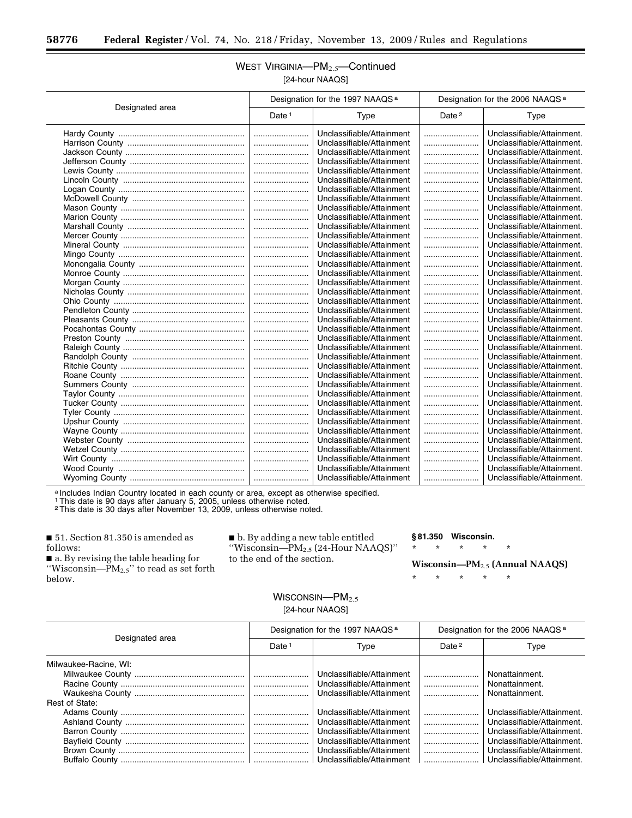### WEST VIRGINIA-PM<sub>2.5</sub>-Continued [24-hour NAAQS]

|                 | Designation for the 1997 NAAQS <sup>a</sup> |                           | Designation for the 2006 NAAQS <sup>a</sup> |                            |
|-----------------|---------------------------------------------|---------------------------|---------------------------------------------|----------------------------|
| Designated area | Date <sup>1</sup>                           | Type                      | Date <sup>2</sup>                           | Type                       |
|                 |                                             | Unclassifiable/Attainment |                                             | Unclassifiable/Attainment. |
|                 |                                             | Unclassifiable/Attainment |                                             | Unclassifiable/Attainment. |
|                 |                                             | Unclassifiable/Attainment |                                             | Unclassifiable/Attainment. |
|                 |                                             | Unclassifiable/Attainment |                                             | Unclassifiable/Attainment. |
|                 |                                             | Unclassifiable/Attainment |                                             | Unclassifiable/Attainment. |
|                 |                                             | Unclassifiable/Attainment |                                             | Unclassifiable/Attainment. |
|                 |                                             | Unclassifiable/Attainment |                                             | Unclassifiable/Attainment. |
|                 |                                             | Unclassifiable/Attainment |                                             | Unclassifiable/Attainment. |
|                 |                                             | Unclassifiable/Attainment |                                             | Unclassifiable/Attainment. |
|                 |                                             | Unclassifiable/Attainment |                                             | Unclassifiable/Attainment. |
|                 |                                             | Unclassifiable/Attainment |                                             | Unclassifiable/Attainment. |
|                 |                                             | Unclassifiable/Attainment |                                             | Unclassifiable/Attainment. |
|                 |                                             | Unclassifiable/Attainment |                                             | Unclassifiable/Attainment. |
|                 |                                             | Unclassifiable/Attainment |                                             | Unclassifiable/Attainment. |
|                 |                                             | Unclassifiable/Attainment |                                             | Unclassifiable/Attainment. |
|                 |                                             | Unclassifiable/Attainment |                                             | Unclassifiable/Attainment. |
|                 |                                             | Unclassifiable/Attainment |                                             | Unclassifiable/Attainment. |
|                 |                                             | Unclassifiable/Attainment |                                             | Unclassifiable/Attainment. |
|                 |                                             | Unclassifiable/Attainment |                                             | Unclassifiable/Attainment. |
|                 |                                             | Unclassifiable/Attainment |                                             | Unclassifiable/Attainment. |
|                 |                                             | Unclassifiable/Attainment |                                             | Unclassifiable/Attainment. |
|                 |                                             | Unclassifiable/Attainment |                                             | Unclassifiable/Attainment. |
|                 |                                             | Unclassifiable/Attainment |                                             | Unclassifiable/Attainment. |
|                 |                                             | Unclassifiable/Attainment |                                             | Unclassifiable/Attainment. |
|                 |                                             | Unclassifiable/Attainment |                                             | Unclassifiable/Attainment. |
|                 |                                             | Unclassifiable/Attainment |                                             | Unclassifiable/Attainment. |
|                 |                                             | Unclassifiable/Attainment |                                             | Unclassifiable/Attainment. |
|                 |                                             | Unclassifiable/Attainment |                                             | Unclassifiable/Attainment. |
|                 |                                             | Unclassifiable/Attainment |                                             | Unclassifiable/Attainment. |
|                 |                                             | Unclassifiable/Attainment |                                             | Unclassifiable/Attainment. |
|                 |                                             | Unclassifiable/Attainment |                                             | Unclassifiable/Attainment. |
|                 |                                             | Unclassifiable/Attainment |                                             | Unclassifiable/Attainment. |
|                 |                                             | Unclassifiable/Attainment |                                             | Unclassifiable/Attainment. |
|                 |                                             | Unclassifiable/Attainment |                                             | Unclassifiable/Attainment. |
|                 |                                             | Unclassifiable/Attainment |                                             | Unclassifiable/Attainment. |
|                 |                                             | Unclassifiable/Attainment |                                             | Unclassifiable/Attainment. |
|                 |                                             | Unclassifiable/Attainment |                                             | Unclassifiable/Attainment. |
|                 |                                             | Unclassifiable/Attainment |                                             | Unclassifiable/Attainment. |

a Includes Indian Country located in each county or area, except as otherwise specified.

1This date is 90 days after January 5, 2005, unless otherwise noted.

2This date is 30 days after November 13, 2009, unless otherwise noted.

■ 51. Section 81.350 is amended as follows:

■ a. By revising the table heading for "Wisconsin— $\overrightarrow{PM}_{2.5}$ " to read as set forth below.

■ b. By adding a new table entitled ''Wisconsin—PM2.5 (24-Hour NAAQS)'' to the end of the section.

#### **§ 81.350 Wisconsin.**

\* \* \* \* \*

**Wisconsin—PM**2.5 **(Annual NAAQS)** 

\* \* \* \* \*

## WISCONSIN-PM<sub>2.5</sub> [24-hour NAAQS]

| Designated area       | Designation for the 1997 NAAQS <sup>a</sup> |                           | Designation for the 2006 NAAQS <sup>a</sup> |                            |
|-----------------------|---------------------------------------------|---------------------------|---------------------------------------------|----------------------------|
|                       | Date <sup>1</sup>                           | Type                      | Date <sup>2</sup>                           | Type                       |
| Milwaukee-Racine, WI: |                                             |                           |                                             |                            |
|                       |                                             | Unclassifiable/Attainment |                                             | Nonattainment.             |
|                       |                                             | Unclassifiable/Attainment |                                             | Nonattainment.             |
|                       |                                             | Unclassifiable/Attainment |                                             | Nonattainment.             |
| Rest of State:        |                                             |                           |                                             |                            |
|                       |                                             | Unclassifiable/Attainment |                                             | Unclassifiable/Attainment. |
|                       |                                             | Unclassifiable/Attainment |                                             | Unclassifiable/Attainment. |
|                       |                                             | Unclassifiable/Attainment |                                             | Unclassifiable/Attainment. |
|                       |                                             | Unclassifiable/Attainment |                                             | Unclassifiable/Attainment. |
|                       |                                             | Unclassifiable/Attainment |                                             | Unclassifiable/Attainment. |
|                       |                                             | Unclassifiable/Attainment |                                             | Unclassifiable/Attainment. |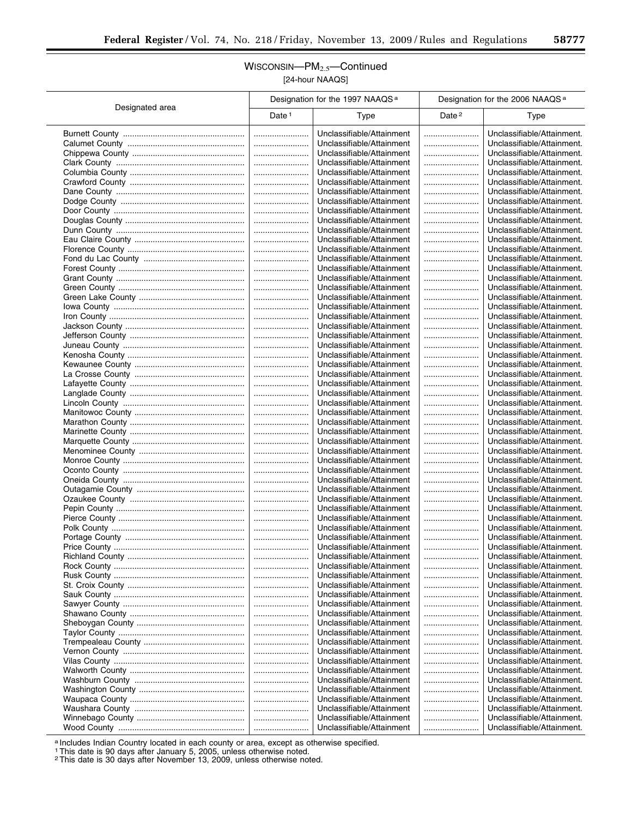۰

## WISCONSIN—PM2.5—Continued [24-hour NAAQS]

|                 |                   | Designation for the 1997 NAAQS <sup>a</sup> |                   | Designation for the 2006 NAAQS <sup>a</sup> |
|-----------------|-------------------|---------------------------------------------|-------------------|---------------------------------------------|
| Designated area | Date <sup>1</sup> | Type                                        | Date <sup>2</sup> | Type                                        |
|                 |                   | Unclassifiable/Attainment                   |                   | Unclassifiable/Attainment.                  |
|                 |                   | Unclassifiable/Attainment                   |                   | Unclassifiable/Attainment.                  |
|                 |                   | Unclassifiable/Attainment                   |                   | Unclassifiable/Attainment.                  |
|                 |                   | Unclassifiable/Attainment                   |                   | Unclassifiable/Attainment.                  |
|                 |                   | Unclassifiable/Attainment                   |                   | Unclassifiable/Attainment.                  |
|                 |                   | Unclassifiable/Attainment                   |                   | Unclassifiable/Attainment.                  |
|                 |                   | Unclassifiable/Attainment                   |                   | Unclassifiable/Attainment.                  |
|                 |                   | Unclassifiable/Attainment                   |                   | Unclassifiable/Attainment.                  |
|                 |                   | Unclassifiable/Attainment                   |                   | Unclassifiable/Attainment.                  |
|                 |                   | Unclassifiable/Attainment                   |                   | Unclassifiable/Attainment.                  |
|                 |                   | Unclassifiable/Attainment                   |                   | Unclassifiable/Attainment.                  |
|                 |                   | Unclassifiable/Attainment                   |                   | Unclassifiable/Attainment.                  |
|                 |                   |                                             |                   |                                             |
|                 |                   | Unclassifiable/Attainment                   |                   | Unclassifiable/Attainment.                  |
|                 |                   | Unclassifiable/Attainment                   |                   | Unclassifiable/Attainment.                  |
|                 |                   | Unclassifiable/Attainment                   |                   | Unclassifiable/Attainment.                  |
|                 |                   | Unclassifiable/Attainment                   |                   | Unclassifiable/Attainment.                  |
|                 |                   | Unclassifiable/Attainment                   |                   | Unclassifiable/Attainment.                  |
|                 |                   | Unclassifiable/Attainment                   |                   | Unclassifiable/Attainment.                  |
|                 |                   | Unclassifiable/Attainment                   |                   | Unclassifiable/Attainment.                  |
|                 |                   | Unclassifiable/Attainment                   |                   | Unclassifiable/Attainment.                  |
|                 |                   | Unclassifiable/Attainment                   |                   | Unclassifiable/Attainment.                  |
|                 |                   | Unclassifiable/Attainment                   |                   | Unclassifiable/Attainment.                  |
|                 |                   | Unclassifiable/Attainment                   |                   | Unclassifiable/Attainment.                  |
|                 |                   | Unclassifiable/Attainment                   |                   | Unclassifiable/Attainment.                  |
|                 |                   | Unclassifiable/Attainment                   |                   | Unclassifiable/Attainment.                  |
|                 |                   | Unclassifiable/Attainment                   |                   | Unclassifiable/Attainment.                  |
|                 |                   | Unclassifiable/Attainment                   |                   | Unclassifiable/Attainment.                  |
|                 |                   | Unclassifiable/Attainment                   |                   | Unclassifiable/Attainment.                  |
|                 |                   | Unclassifiable/Attainment                   |                   | Unclassifiable/Attainment.                  |
|                 |                   | Unclassifiable/Attainment                   |                   | Unclassifiable/Attainment.                  |
|                 |                   | Unclassifiable/Attainment                   |                   | Unclassifiable/Attainment.                  |
|                 |                   | Unclassifiable/Attainment                   |                   | Unclassifiable/Attainment.                  |
|                 |                   | Unclassifiable/Attainment                   |                   | Unclassifiable/Attainment.                  |
|                 |                   | Unclassifiable/Attainment                   |                   | Unclassifiable/Attainment.                  |
|                 |                   | Unclassifiable/Attainment                   |                   | Unclassifiable/Attainment.                  |
|                 |                   | Unclassifiable/Attainment                   |                   | Unclassifiable/Attainment.                  |
|                 |                   | Unclassifiable/Attainment                   |                   | Unclassifiable/Attainment.                  |
|                 |                   |                                             |                   |                                             |
|                 |                   | Unclassifiable/Attainment                   |                   | Unclassifiable/Attainment.                  |
|                 |                   | Unclassifiable/Attainment                   |                   | Unclassifiable/Attainment.                  |
|                 |                   | Unclassifiable/Attainment                   |                   | Unclassifiable/Attainment.                  |
|                 |                   | Unclassifiable/Attainment                   |                   | Unclassifiable/Attainment.                  |
|                 |                   | Unclassifiable/Attainment                   |                   | Unclassifiable/Attainment.                  |
|                 |                   | Unclassifiable/Attainment                   |                   | Unclassifiable/Attainment.                  |
|                 |                   | Unclassifiable/Attainment                   |                   | Unclassifiable/Attainment.                  |
|                 |                   | Unclassifiable/Attainment                   |                   | Unclassifiable/Attainment.                  |
|                 |                   | Unclassifiable/Attainment                   |                   | Unclassifiable/Attainment.                  |
|                 |                   | Unclassifiable/Attainment                   |                   | Unclassifiable/Attainment.                  |
|                 |                   | Unclassifiable/Attainment                   |                   | Unclassifiable/Attainment.                  |
|                 |                   | Unclassifiable/Attainment                   |                   | Unclassifiable/Attainment.                  |
|                 |                   | Unclassifiable/Attainment                   |                   | Unclassifiable/Attainment.                  |
|                 |                   | Unclassifiable/Attainment                   |                   | Unclassifiable/Attainment.                  |
|                 |                   | Unclassifiable/Attainment                   |                   | Unclassifiable/Attainment.                  |
|                 |                   | Unclassifiable/Attainment                   |                   | Unclassifiable/Attainment.                  |
|                 |                   | Unclassifiable/Attainment                   |                   | Unclassifiable/Attainment.                  |
|                 |                   | Unclassifiable/Attainment                   |                   | Unclassifiable/Attainment.                  |
|                 |                   | Unclassifiable/Attainment                   |                   | Unclassifiable/Attainment.                  |
|                 |                   | Unclassifiable/Attainment                   |                   | Unclassifiable/Attainment.                  |
|                 |                   | Unclassifiable/Attainment                   |                   | Unclassifiable/Attainment.                  |
|                 |                   | Unclassifiable/Attainment                   |                   | Unclassifiable/Attainment.                  |
|                 |                   | Unclassifiable/Attainment                   |                   | Unclassifiable/Attainment.                  |
|                 |                   | Unclassifiable/Attainment                   |                   | Unclassifiable/Attainment.                  |
|                 |                   | Unclassifiable/Attainment                   |                   | Unclassifiable/Attainment.                  |
|                 |                   | Unclassifiable/Attainment                   |                   | Unclassifiable/Attainment.                  |
|                 |                   |                                             |                   |                                             |

a Includes Indian Country located in each county or area, except as otherwise specified.

1This date is 90 days after January 5, 2005, unless otherwise noted.

2This date is 30 days after November 13, 2009, unless otherwise noted.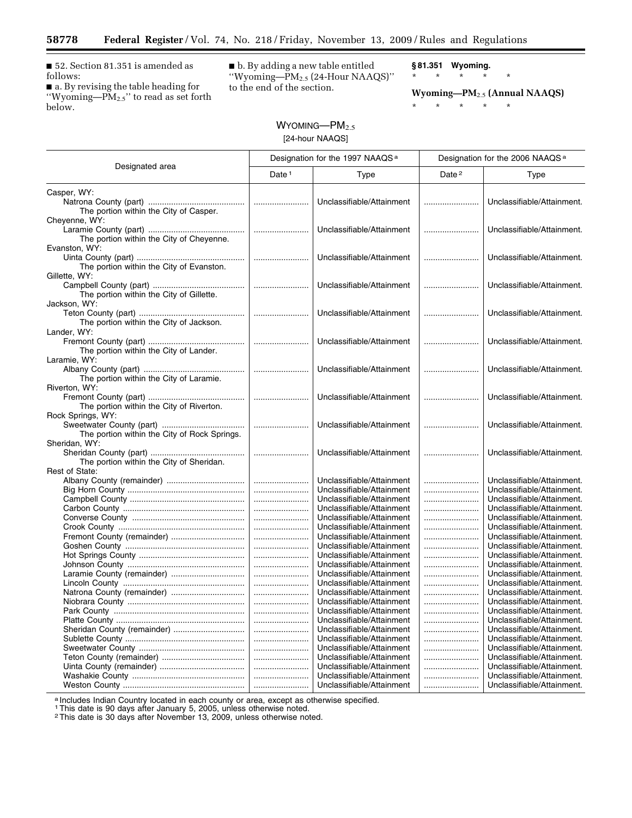■ 52. Section 81.351 is amended as follows:

Ξ

■ a. By revising the table heading for ''Wyoming—PM2.5'' to read as set forth below.

■ b. By adding a new table entitled ''Wyoming—PM2.5 (24-Hour NAAQS)'' to the end of the section.

**§ 81.351 Wyoming.**  \* \* \* \* \*

**Wyoming—PM**2.5 **(Annual NAAQS)** 

\* \* \* \* \*

# $W$ YOMING— $PM_{2.5}$ [24-hour NAAQS]

|                                              | Designation for the 1997 NAAQS <sup>a</sup> |                           | Designation for the 2006 NAAQS <sup>a</sup> |                            |
|----------------------------------------------|---------------------------------------------|---------------------------|---------------------------------------------|----------------------------|
| Designated area                              | Date $1$                                    | Type                      | Date <sup>2</sup>                           | Type                       |
| Casper, WY:                                  |                                             |                           |                                             |                            |
|                                              |                                             | Unclassifiable/Attainment |                                             | Unclassifiable/Attainment. |
| The portion within the City of Casper.       |                                             |                           |                                             |                            |
| Cheyenne, WY:                                |                                             |                           |                                             |                            |
|                                              |                                             | Unclassifiable/Attainment |                                             | Unclassifiable/Attainment. |
| The portion within the City of Cheyenne.     |                                             |                           |                                             |                            |
| Evanston, WY:                                |                                             |                           |                                             |                            |
|                                              |                                             | Unclassifiable/Attainment |                                             | Unclassifiable/Attainment. |
| The portion within the City of Evanston.     |                                             |                           |                                             |                            |
| Gillette, WY:                                |                                             |                           |                                             |                            |
|                                              |                                             | Unclassifiable/Attainment |                                             | Unclassifiable/Attainment. |
| The portion within the City of Gillette.     |                                             |                           |                                             |                            |
| Jackson, WY:                                 |                                             |                           |                                             |                            |
|                                              |                                             | Unclassifiable/Attainment |                                             | Unclassifiable/Attainment. |
| The portion within the City of Jackson.      |                                             |                           |                                             |                            |
| Lander, WY:                                  |                                             |                           |                                             |                            |
|                                              |                                             | Unclassifiable/Attainment |                                             | Unclassifiable/Attainment. |
| The portion within the City of Lander.       |                                             |                           |                                             |                            |
| Laramie, WY:                                 |                                             |                           |                                             |                            |
|                                              |                                             | Unclassifiable/Attainment |                                             | Unclassifiable/Attainment. |
| The portion within the City of Laramie.      |                                             |                           |                                             |                            |
| Riverton, WY:                                |                                             |                           |                                             |                            |
|                                              |                                             | Unclassifiable/Attainment |                                             | Unclassifiable/Attainment. |
| The portion within the City of Riverton.     |                                             |                           |                                             |                            |
| Rock Springs, WY:                            |                                             | Unclassifiable/Attainment |                                             | Unclassifiable/Attainment. |
| The portion within the City of Rock Springs. |                                             |                           |                                             |                            |
| Sheridan, WY:                                |                                             |                           |                                             |                            |
|                                              |                                             | Unclassifiable/Attainment |                                             | Unclassifiable/Attainment. |
| The portion within the City of Sheridan.     |                                             |                           |                                             |                            |
| Rest of State:                               |                                             |                           |                                             |                            |
|                                              |                                             | Unclassifiable/Attainment |                                             | Unclassifiable/Attainment. |
|                                              |                                             | Unclassifiable/Attainment |                                             | Unclassifiable/Attainment. |
|                                              |                                             | Unclassifiable/Attainment |                                             | Unclassifiable/Attainment. |
|                                              |                                             | Unclassifiable/Attainment |                                             | Unclassifiable/Attainment. |
|                                              |                                             | Unclassifiable/Attainment |                                             | Unclassifiable/Attainment. |
|                                              |                                             | Unclassifiable/Attainment |                                             | Unclassifiable/Attainment. |
| Fremont County (remainder)                   |                                             | Unclassifiable/Attainment |                                             | Unclassifiable/Attainment. |
|                                              |                                             | Unclassifiable/Attainment |                                             | Unclassifiable/Attainment. |
|                                              |                                             | Unclassifiable/Attainment |                                             | Unclassifiable/Attainment. |
|                                              |                                             | Unclassifiable/Attainment |                                             | Unclassifiable/Attainment. |
|                                              |                                             | Unclassifiable/Attainment |                                             | Unclassifiable/Attainment. |
|                                              |                                             | Unclassifiable/Attainment |                                             | Unclassifiable/Attainment. |
| Natrona County (remainder)                   |                                             | Unclassifiable/Attainment |                                             | Unclassifiable/Attainment. |
|                                              |                                             | Unclassifiable/Attainment |                                             | Unclassifiable/Attainment. |
|                                              |                                             | Unclassifiable/Attainment |                                             | Unclassifiable/Attainment. |
|                                              |                                             | Unclassifiable/Attainment |                                             | Unclassifiable/Attainment. |
| Sheridan County (remainder)                  |                                             | Unclassifiable/Attainment |                                             | Unclassifiable/Attainment. |
|                                              |                                             | Unclassifiable/Attainment |                                             | Unclassifiable/Attainment. |
|                                              |                                             | Unclassifiable/Attainment |                                             | Unclassifiable/Attainment. |
|                                              |                                             | Unclassifiable/Attainment |                                             | Unclassifiable/Attainment. |
|                                              |                                             | Unclassifiable/Attainment |                                             | Unclassifiable/Attainment. |
|                                              |                                             | Unclassifiable/Attainment |                                             | Unclassifiable/Attainment. |
|                                              |                                             | Unclassifiable/Attainment |                                             | Unclassifiable/Attainment. |

a Includes Indian Country located in each county or area, except as otherwise specified.

1This date is 90 days after January 5, 2005, unless otherwise noted. 2This date is 30 days after November 13, 2009, unless otherwise noted.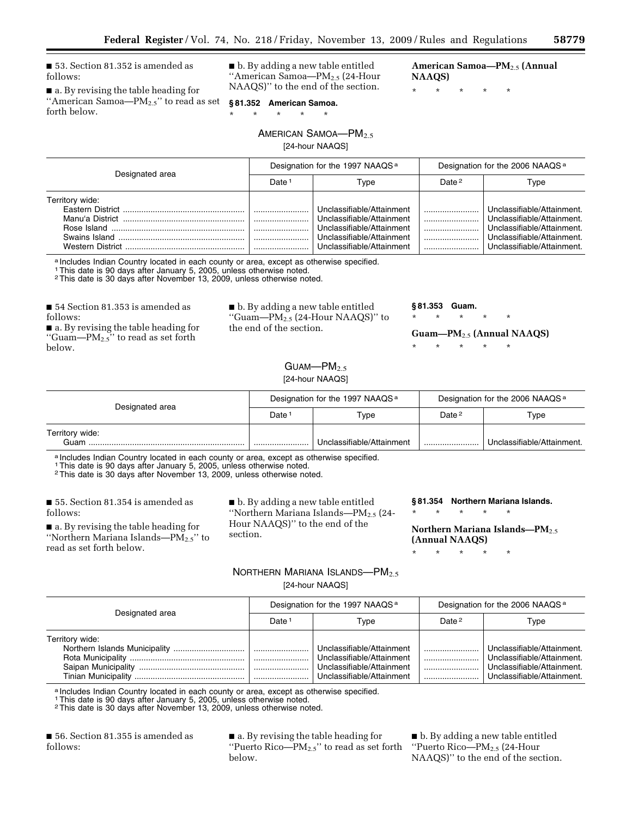■ 53. Section 81.352 is amended as follows:

■ a. By revising the table heading for ''American Samoa—PM2.5'' to read as set forth below.

■ b. By adding a new table entitled ''American Samoa—PM2.5 (24-Hour NAAQS)'' to the end of the section.

**American Samoa—PM**2.5 **(Annual NAAQS)** 

\* \* \* \* \*

\* \* \* \* \* AMERICAN SAMOA-PM<sub>2.5</sub>

**§ 81.352 American Samoa.** 

[24-hour NAAQS]

|                 | Designation for the 1997 NAAQS <sup>a</sup> |                                                                                                                                               | Designation for the 2006 NAAQS <sup>a</sup> |                                                                                                                                                   |
|-----------------|---------------------------------------------|-----------------------------------------------------------------------------------------------------------------------------------------------|---------------------------------------------|---------------------------------------------------------------------------------------------------------------------------------------------------|
| Designated area | Date:                                       | Type                                                                                                                                          | Date <sup>2</sup>                           | Type                                                                                                                                              |
| Territory wide: |                                             | Unclassifiable/Attainment<br>Unclassifiable/Attainment<br>Unclassifiable/Attainment<br>Unclassifiable/Attainment<br>Unclassifiable/Attainment | <br>                                        | Unclassifiable/Attainment.<br>Unclassifiable/Attainment<br>Unclassifiable/Attainment.<br>Unclassifiable/Attainment.<br>Unclassifiable/Attainment. |

a Includes Indian Country located in each county or area, except as otherwise specified.

1This date is 90 days after January 5, 2005, unless otherwise noted.

2This date is 30 days after November 13, 2009, unless otherwise noted.

■ 54 Section 81.353 is amended as follows:

■ a. By revising the table heading for "Guam— $PM_{2.5}$ " to read as set forth below.

■ b. By adding a new table entitled ''Guam—PM2.5 (24-Hour NAAQS)'' to the end of the section.

**§ 81.353 Guam.** 

\* \* \* \* \*

**Guam—PM**2.5 **(Annual NAAQS)** 

\* \* \* \* \*

 $G$ UAM- $PM<sub>2.5</sub>$ 

[24-hour NAAQS]

| Designated area         | Designation for the 1997 NAAQS <sup>a</sup> |                           | Designation for the 2006 NAAQS <sup>a</sup> |                            |
|-------------------------|---------------------------------------------|---------------------------|---------------------------------------------|----------------------------|
|                         | Date i                                      | Type                      | Date <sup>2</sup>                           | Type                       |
| Territory wide:<br>Guam |                                             | Unclassifiable/Attainment |                                             | Unclassifiable/Attainment. |

a Includes Indian Country located in each county or area, except as otherwise specified.

1This date is 90 days after January 5, 2005, unless otherwise noted.

2This date is 30 days after November 13, 2009, unless otherwise noted.

■ 55. Section 81.354 is amended as follows:

■ a. By revising the table heading for ''Northern Mariana Islands—PM2.5'' to read as set forth below.

■ b. By adding a new table entitled ''Northern Mariana Islands—PM2.5 (24- Hour NAAQS)'' to the end of the section.

**§ 81.354 Northern Mariana Islands.** 

**Northern Mariana Islands—PM**2.5 **(Annual NAAQS)** 

\* \* \* \* \*

\* \* \* \* \*

## NORTHERN MARIANA ISLANDS-PM<sub>2.5</sub> [24-hour NAAQS]

| Designated area | Designation for the 1997 NAAQS <sup>a</sup> |                                                                                                                  | Designation for the 2006 NAAQS <sup>a</sup> |                                                                                                                      |
|-----------------|---------------------------------------------|------------------------------------------------------------------------------------------------------------------|---------------------------------------------|----------------------------------------------------------------------------------------------------------------------|
|                 | Date <sup>1</sup>                           | Type                                                                                                             | Date $2$                                    | Type                                                                                                                 |
| Territory wide: |                                             | Unclassifiable/Attainment<br>Unclassifiable/Attainment<br>Unclassifiable/Attainment<br>Unclassifiable/Attainment |                                             | Unclassifiable/Attainment.<br>Unclassifiable/Attainment.<br>Unclassifiable/Attainment.<br>Unclassifiable/Attainment. |

a Includes Indian Country located in each county or area, except as otherwise specified.

1This date is 90 days after January 5, 2005, unless otherwise noted.

2This date is 30 days after November 13, 2009, unless otherwise noted.

■ 56. Section 81.355 is amended as follows:

■ a. By revising the table heading for ''Puerto Rico—PM2.5'' to read as set forth below.

■ b. By adding a new table entitled ''Puerto Rico—PM2.5 (24-Hour NAAQS)'' to the end of the section.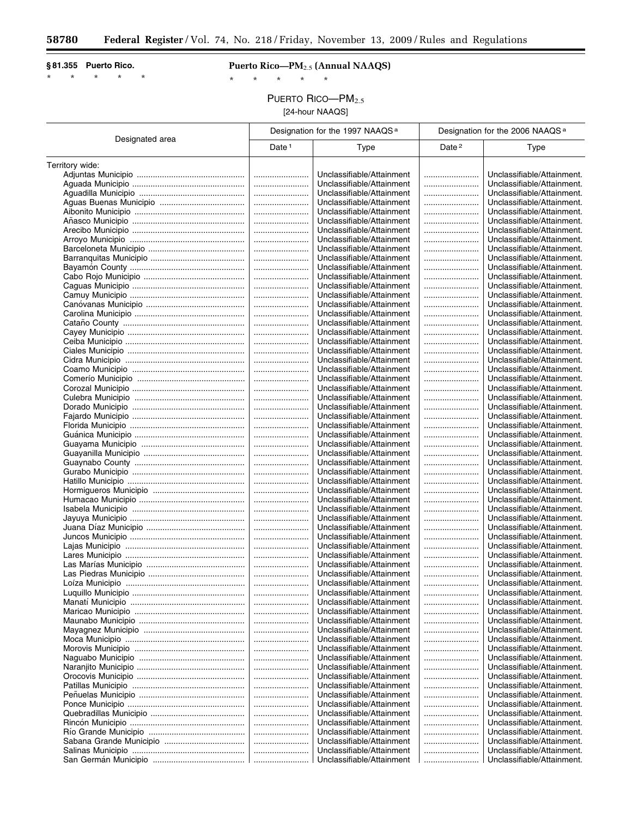$\equiv$ 

### **§ 81.355 Puerto Rico.**

\* \* \* \* \*

# **Puerto Rico—PM**2.5 **(Annual NAAQS)**

\* \* \* \* \*

PUERTO RICO-PM<sub>2.5</sub>

[24-hour NAAQS]

|                 | Designation for the 1997 NAAQS <sup>a</sup> |                                                        | Designation for the 2006 NAAQS <sup>a</sup> |                                                          |
|-----------------|---------------------------------------------|--------------------------------------------------------|---------------------------------------------|----------------------------------------------------------|
| Designated area | Date <sup>1</sup>                           | Type                                                   | Date <sup>2</sup>                           | <b>Type</b>                                              |
| Territory wide: |                                             |                                                        |                                             |                                                          |
|                 |                                             | Unclassifiable/Attainment                              |                                             | Unclassifiable/Attainment.                               |
|                 |                                             | Unclassifiable/Attainment                              |                                             | Unclassifiable/Attainment.                               |
|                 |                                             | Unclassifiable/Attainment                              |                                             | Unclassifiable/Attainment.                               |
|                 |                                             | Unclassifiable/Attainment                              |                                             | Unclassifiable/Attainment.                               |
|                 |                                             | Unclassifiable/Attainment                              |                                             | Unclassifiable/Attainment.                               |
|                 |                                             | Unclassifiable/Attainment                              |                                             | Unclassifiable/Attainment.                               |
|                 |                                             | Unclassifiable/Attainment                              |                                             | Unclassifiable/Attainment.                               |
|                 |                                             | Unclassifiable/Attainment                              |                                             | Unclassifiable/Attainment.                               |
|                 |                                             | Unclassifiable/Attainment                              |                                             | Unclassifiable/Attainment.                               |
|                 |                                             | Unclassifiable/Attainment                              |                                             | Unclassifiable/Attainment.                               |
|                 |                                             | Unclassifiable/Attainment                              |                                             | Unclassifiable/Attainment.                               |
|                 |                                             | Unclassifiable/Attainment                              |                                             | Unclassifiable/Attainment.                               |
|                 |                                             | Unclassifiable/Attainment                              |                                             | Unclassifiable/Attainment.                               |
|                 |                                             | Unclassifiable/Attainment                              |                                             | Unclassifiable/Attainment.                               |
|                 |                                             | Unclassifiable/Attainment                              |                                             | Unclassifiable/Attainment.                               |
|                 |                                             | Unclassifiable/Attainment                              |                                             | Unclassifiable/Attainment.                               |
|                 |                                             | Unclassifiable/Attainment                              |                                             | Unclassifiable/Attainment.                               |
|                 |                                             | Unclassifiable/Attainment                              |                                             | Unclassifiable/Attainment.                               |
|                 |                                             | Unclassifiable/Attainment                              |                                             | Unclassifiable/Attainment.                               |
|                 |                                             | Unclassifiable/Attainment                              |                                             | Unclassifiable/Attainment.                               |
|                 |                                             | Unclassifiable/Attainment                              |                                             | Unclassifiable/Attainment.                               |
|                 |                                             | Unclassifiable/Attainment                              |                                             | Unclassifiable/Attainment.                               |
|                 |                                             | Unclassifiable/Attainment                              |                                             | Unclassifiable/Attainment.                               |
|                 |                                             | Unclassifiable/Attainment                              |                                             | Unclassifiable/Attainment.                               |
|                 |                                             | Unclassifiable/Attainment                              |                                             | Unclassifiable/Attainment.                               |
|                 |                                             | Unclassifiable/Attainment                              |                                             | Unclassifiable/Attainment.                               |
|                 |                                             | Unclassifiable/Attainment                              |                                             | Unclassifiable/Attainment.                               |
|                 |                                             | Unclassifiable/Attainment                              |                                             | Unclassifiable/Attainment.                               |
|                 |                                             | Unclassifiable/Attainment                              |                                             | Unclassifiable/Attainment.                               |
|                 |                                             | Unclassifiable/Attainment                              |                                             | Unclassifiable/Attainment.                               |
|                 |                                             | Unclassifiable/Attainment<br>Unclassifiable/Attainment |                                             | Unclassifiable/Attainment.<br>Unclassifiable/Attainment. |
|                 |                                             | Unclassifiable/Attainment                              |                                             | Unclassifiable/Attainment.                               |
|                 |                                             | Unclassifiable/Attainment                              |                                             | Unclassifiable/Attainment.                               |
|                 |                                             | Unclassifiable/Attainment                              |                                             | Unclassifiable/Attainment.                               |
|                 |                                             | Unclassifiable/Attainment                              |                                             | Unclassifiable/Attainment.                               |
|                 |                                             | Unclassifiable/Attainment                              |                                             | Unclassifiable/Attainment.                               |
|                 |                                             | Unclassifiable/Attainment                              |                                             | Unclassifiable/Attainment.                               |
|                 |                                             | Unclassifiable/Attainment                              |                                             | Unclassifiable/Attainment.                               |
|                 |                                             | Unclassifiable/Attainment                              |                                             | Unclassifiable/Attainment.                               |
|                 |                                             | Unclassifiable/Attainment                              |                                             | Unclassifiable/Attainment.                               |
|                 |                                             | Unclassifiable/Attainment                              |                                             | Unclassifiable/Attainment.                               |
|                 |                                             | Unclassifiable/Attainment                              |                                             | Unclassifiable/Attainment.                               |
|                 |                                             | Unclassifiable/Attainment                              |                                             | Unclassifiable/Attainment.                               |
| Loiza Municipio |                                             | Unclassifiable/Attainment                              |                                             | Unclassifiable/Attainment.                               |
|                 |                                             | Unclassifiable/Attainment                              |                                             | Unclassifiable/Attainment.                               |
|                 |                                             | Unclassifiable/Attainment                              |                                             | Unclassifiable/Attainment.                               |
|                 |                                             | Unclassifiable/Attainment                              |                                             | Unclassifiable/Attainment.                               |
|                 |                                             | Unclassifiable/Attainment                              |                                             | Unclassifiable/Attainment.                               |
|                 |                                             | Unclassifiable/Attainment                              |                                             | Unclassifiable/Attainment.                               |
|                 |                                             | Unclassifiable/Attainment                              |                                             | Unclassifiable/Attainment.                               |
|                 |                                             | Unclassifiable/Attainment                              |                                             | Unclassifiable/Attainment.<br>Unclassifiable/Attainment. |
|                 |                                             | Unclassifiable/Attainment<br>Unclassifiable/Attainment |                                             | Unclassifiable/Attainment.                               |
|                 |                                             | Unclassifiable/Attainment                              |                                             | Unclassifiable/Attainment.                               |
|                 |                                             | Unclassifiable/Attainment                              |                                             | Unclassifiable/Attainment.                               |
|                 |                                             | Unclassifiable/Attainment                              |                                             | Unclassifiable/Attainment.                               |
|                 |                                             | Unclassifiable/Attainment                              |                                             | Unclassifiable/Attainment.                               |
|                 |                                             | Unclassifiable/Attainment                              |                                             | Unclassifiable/Attainment.                               |
|                 |                                             | Unclassifiable/Attainment                              |                                             | Unclassifiable/Attainment.                               |
|                 |                                             | Unclassifiable/Attainment                              |                                             | Unclassifiable/Attainment.                               |
|                 |                                             | Unclassifiable/Attainment                              |                                             | Unclassifiable/Attainment.                               |
|                 |                                             | Unclassifiable/Attainment                              |                                             | Unclassifiable/Attainment.                               |
|                 |                                             | Unclassifiable/Attainment                              |                                             | Unclassifiable/Attainment.                               |